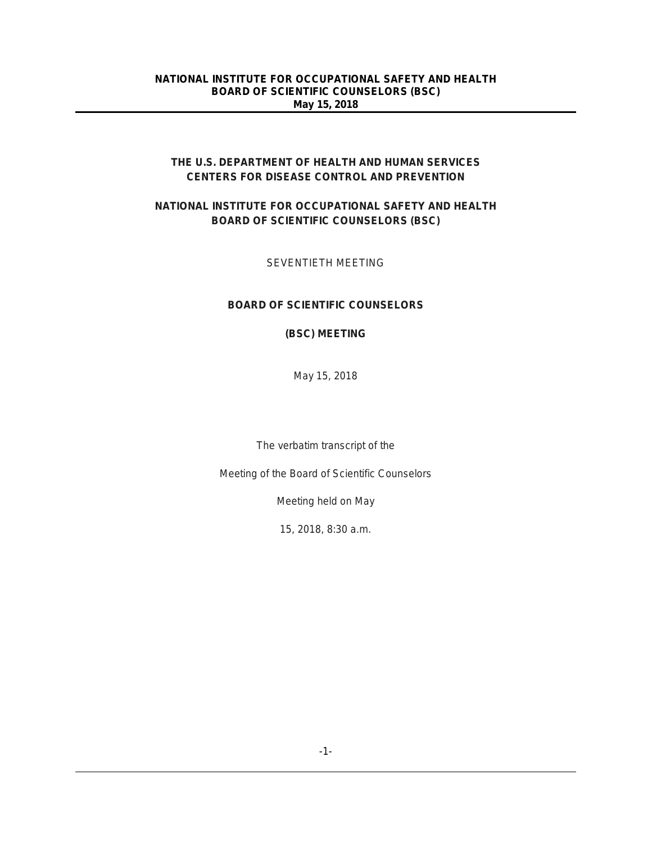# **THE U.S. DEPARTMENT OF HEALTH AND HUMAN SERVICES CENTERS FOR DISEASE CONTROL AND PREVENTION**

# **NATIONAL INSTITUTE FOR OCCUPATIONAL SAFETY AND HEALTH BOARD OF SCIENTIFIC COUNSELORS (BSC)**

# SEVENTIETH MEETING

# **BOARD OF SCIENTIFIC COUNSELORS**

### **(BSC) MEETING**

May 15, 2018

The verbatim transcript of the

Meeting of the Board of Scientific Counselors

Meeting held on May

15, 2018, 8:30 a.m.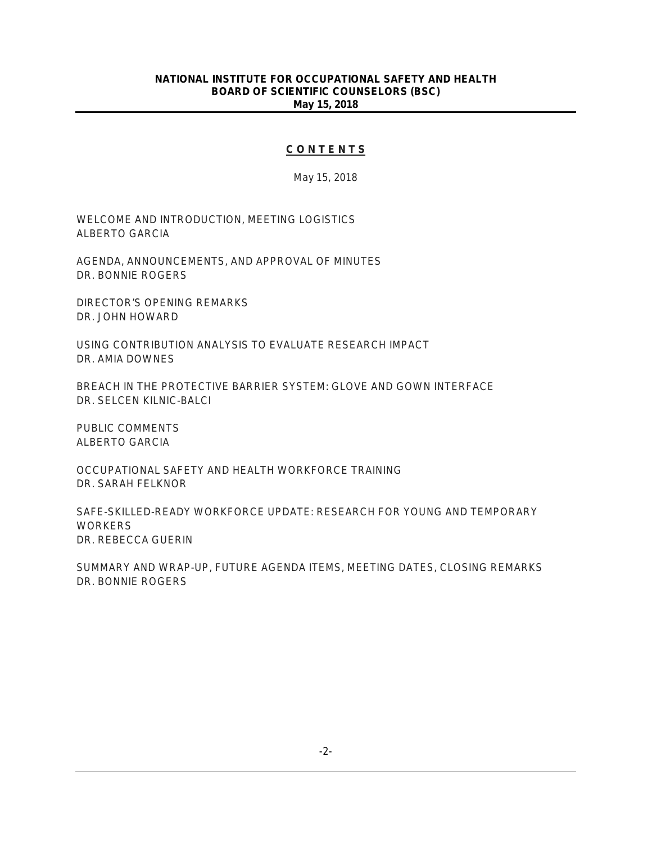### **C O N T E N T S**

May 15, 2018

WELCOME AND INTRODUCTION, MEETING LOGISTICS ALBERTO GARCIA

AGENDA, ANNOUNCEMENTS, AND APPROVAL OF MINUTES DR. BONNIE ROGERS

DIRECTOR'S OPENING REMARKS DR. JOHN HOWARD

USING CONTRIBUTION ANALYSIS TO EVALUATE RESEARCH IMPACT DR. AMIA DOWNES

BREACH IN THE PROTECTIVE BARRIER SYSTEM: GLOVE AND GOWN INTERFACE DR. SELCEN KILNIC-BALCI

PUBLIC COMMENTS ALBERTO GARCIA

OCCUPATIONAL SAFETY AND HEALTH WORKFORCE TRAINING DR. SARAH FELKNOR

SAFE-SKILLED-READY WORKFORCE UPDATE: RESEARCH FOR YOUNG AND TEMPORARY **WORKERS** DR. REBECCA GUERIN

SUMMARY AND WRAP-UP, FUTURE AGENDA ITEMS, MEETING DATES, CLOSING REMARKS DR. BONNIE ROGERS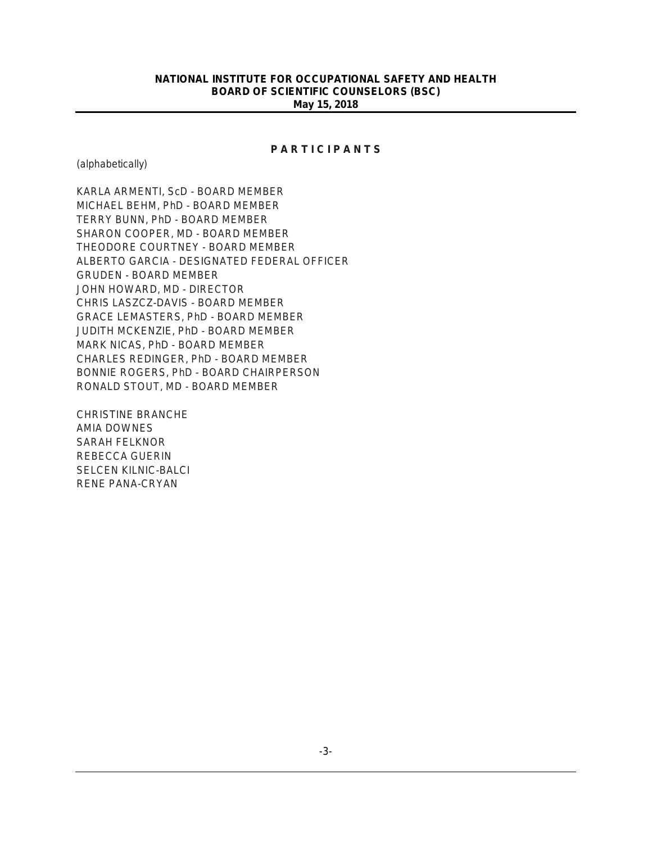### **P A R T I C I P A N T S**

(alphabetically)

KARLA ARMENTI, ScD - BOARD MEMBER MICHAEL BEHM, PhD - BOARD MEMBER TERRY BUNN, PhD - BOARD MEMBER SHARON COOPER, MD - BOARD MEMBER THEODORE COURTNEY - BOARD MEMBER ALBERTO GARCIA - DESIGNATED FEDERAL OFFICER GRUDEN - BOARD MEMBER JOHN HOWARD, MD - DIRECTOR CHRIS LASZCZ-DAVIS - BOARD MEMBER GRACE LEMASTERS, PhD - BOARD MEMBER JUDITH MCKENZIE, PhD - BOARD MEMBER MARK NICAS, PhD - BOARD MEMBER CHARLES REDINGER, PhD - BOARD MEMBER BONNIE ROGERS, PhD - BOARD CHAIRPERSON RONALD STOUT, MD - BOARD MEMBER

CHRISTINE BRANCHE AMIA DOWNES SARAH FELKNOR REBECCA GUERIN SELCEN KILNIC-BALCI RENE PANA-CRYAN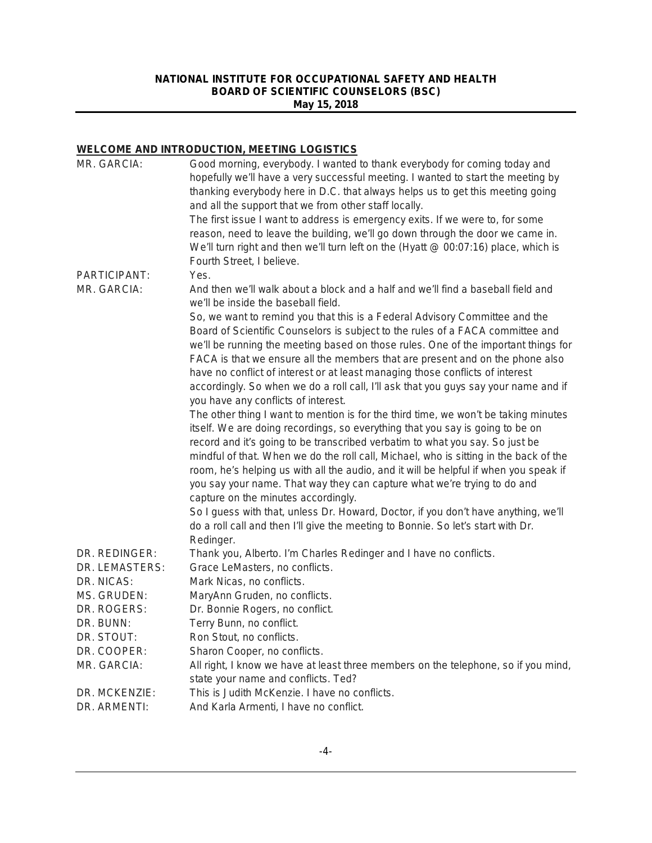# **WELCOME AND INTRODUCTION, MEETING LOGISTICS**

| MR. GARCIA:    | Good morning, everybody. I wanted to thank everybody for coming today and<br>hopefully we'll have a very successful meeting. I wanted to start the meeting by<br>thanking everybody here in D.C. that always helps us to get this meeting going<br>and all the support that we from other staff locally.                                                                                                                                                                                                           |
|----------------|--------------------------------------------------------------------------------------------------------------------------------------------------------------------------------------------------------------------------------------------------------------------------------------------------------------------------------------------------------------------------------------------------------------------------------------------------------------------------------------------------------------------|
|                | The first issue I want to address is emergency exits. If we were to, for some<br>reason, need to leave the building, we'll go down through the door we came in.<br>We'll turn right and then we'll turn left on the (Hyatt @ 00:07:16) place, which is<br>Fourth Street, I believe.                                                                                                                                                                                                                                |
| PARTICIPANT:   | Yes.                                                                                                                                                                                                                                                                                                                                                                                                                                                                                                               |
| MR. GARCIA:    | And then we'll walk about a block and a half and we'll find a baseball field and<br>we'll be inside the baseball field.                                                                                                                                                                                                                                                                                                                                                                                            |
|                | So, we want to remind you that this is a Federal Advisory Committee and the<br>Board of Scientific Counselors is subject to the rules of a FACA committee and<br>we'll be running the meeting based on those rules. One of the important things for<br>FACA is that we ensure all the members that are present and on the phone also<br>have no conflict of interest or at least managing those conflicts of interest                                                                                              |
|                | accordingly. So when we do a roll call, I'll ask that you guys say your name and if                                                                                                                                                                                                                                                                                                                                                                                                                                |
|                | you have any conflicts of interest.                                                                                                                                                                                                                                                                                                                                                                                                                                                                                |
|                | The other thing I want to mention is for the third time, we won't be taking minutes<br>itself. We are doing recordings, so everything that you say is going to be on<br>record and it's going to be transcribed verbatim to what you say. So just be<br>mindful of that. When we do the roll call, Michael, who is sitting in the back of the<br>room, he's helping us with all the audio, and it will be helpful if when you speak if<br>you say your name. That way they can capture what we're trying to do and |
|                | capture on the minutes accordingly.                                                                                                                                                                                                                                                                                                                                                                                                                                                                                |
|                | So I guess with that, unless Dr. Howard, Doctor, if you don't have anything, we'll<br>do a roll call and then I'll give the meeting to Bonnie. So let's start with Dr.                                                                                                                                                                                                                                                                                                                                             |
| DR. REDINGER:  | Redinger.<br>Thank you, Alberto. I'm Charles Redinger and I have no conflicts.                                                                                                                                                                                                                                                                                                                                                                                                                                     |
| DR. LEMASTERS: | Grace LeMasters, no conflicts.                                                                                                                                                                                                                                                                                                                                                                                                                                                                                     |
| DR. NICAS:     | Mark Nicas, no conflicts.                                                                                                                                                                                                                                                                                                                                                                                                                                                                                          |
| MS. GRUDEN:    | MaryAnn Gruden, no conflicts.                                                                                                                                                                                                                                                                                                                                                                                                                                                                                      |
| DR. ROGERS:    | Dr. Bonnie Rogers, no conflict.                                                                                                                                                                                                                                                                                                                                                                                                                                                                                    |
| DR. BUNN:      | Terry Bunn, no conflict.                                                                                                                                                                                                                                                                                                                                                                                                                                                                                           |
| DR. STOUT:     | Ron Stout, no conflicts.                                                                                                                                                                                                                                                                                                                                                                                                                                                                                           |
| DR. COOPER:    | Sharon Cooper, no conflicts.                                                                                                                                                                                                                                                                                                                                                                                                                                                                                       |
| MR. GARCIA:    | All right, I know we have at least three members on the telephone, so if you mind,                                                                                                                                                                                                                                                                                                                                                                                                                                 |
|                | state your name and conflicts. Ted?                                                                                                                                                                                                                                                                                                                                                                                                                                                                                |
| DR. MCKENZIE:  | This is Judith McKenzie. I have no conflicts.                                                                                                                                                                                                                                                                                                                                                                                                                                                                      |
| DR. ARMENTI:   | And Karla Armenti, I have no conflict.                                                                                                                                                                                                                                                                                                                                                                                                                                                                             |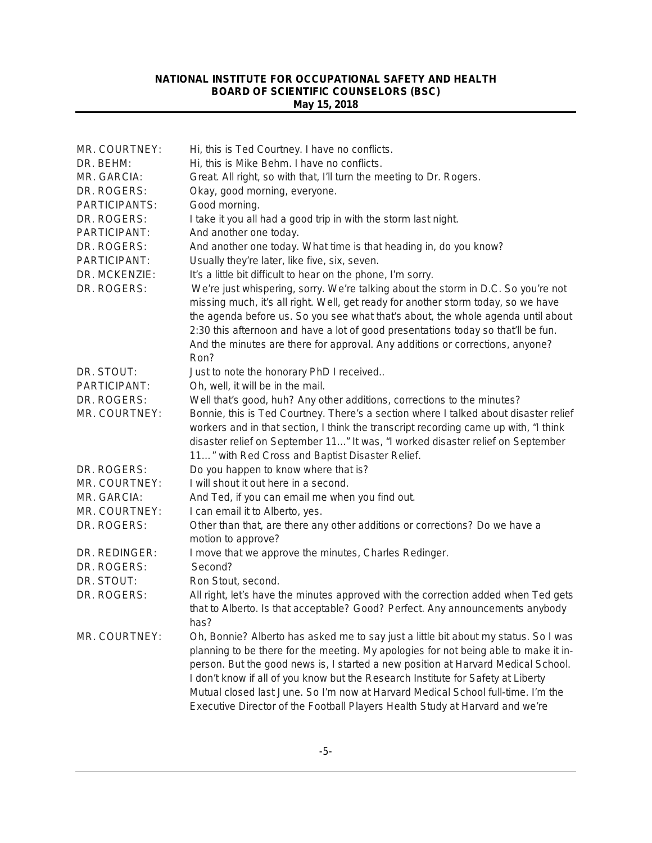| MR. COURTNEY: | Hi, this is Ted Courtney. I have no conflicts.                                       |
|---------------|--------------------------------------------------------------------------------------|
| DR. BEHM:     | Hi, this is Mike Behm. I have no conflicts.                                          |
| MR. GARCIA:   | Great. All right, so with that, I'll turn the meeting to Dr. Rogers.                 |
| DR. ROGERS:   | Okay, good morning, everyone.                                                        |
| PARTICIPANTS: | Good morning.                                                                        |
| DR. ROGERS:   | I take it you all had a good trip in with the storm last night.                      |
| PARTICIPANT:  | And another one today.                                                               |
| DR. ROGERS:   | And another one today. What time is that heading in, do you know?                    |
| PARTICIPANT:  | Usually they're later, like five, six, seven.                                        |
| DR. MCKENZIE: | It's a little bit difficult to hear on the phone, I'm sorry.                         |
| DR. ROGERS:   | We're just whispering, sorry. We're talking about the storm in D.C. So you're not    |
|               | missing much, it's all right. Well, get ready for another storm today, so we have    |
|               | the agenda before us. So you see what that's about, the whole agenda until about     |
|               | 2:30 this afternoon and have a lot of good presentations today so that'll be fun.    |
|               | And the minutes are there for approval. Any additions or corrections, anyone?        |
|               | Ron?                                                                                 |
| DR. STOUT:    | Just to note the honorary PhD I received                                             |
| PARTICIPANT:  | Oh, well, it will be in the mail.                                                    |
| DR. ROGERS:   | Well that's good, huh? Any other additions, corrections to the minutes?              |
| MR. COURTNEY: | Bonnie, this is Ted Courtney. There's a section where I talked about disaster relief |
|               | workers and in that section, I think the transcript recording came up with, "I think |
|               | disaster relief on September 11" It was, "I worked disaster relief on September      |
|               | 11" with Red Cross and Baptist Disaster Relief.                                      |
| DR. ROGERS:   | Do you happen to know where that is?                                                 |
| MR. COURTNEY: | I will shout it out here in a second.                                                |
| MR. GARCIA:   | And Ted, if you can email me when you find out.                                      |
| MR. COURTNEY: | I can email it to Alberto, yes.                                                      |
| DR. ROGERS:   | Other than that, are there any other additions or corrections? Do we have a          |
| DR. REDINGER: | motion to approve?                                                                   |
| DR. ROGERS:   | I move that we approve the minutes, Charles Redinger.<br>Second?                     |
| DR. STOUT:    | Ron Stout, second.                                                                   |
| DR. ROGERS:   | All right, let's have the minutes approved with the correction added when Ted gets   |
|               | that to Alberto. Is that acceptable? Good? Perfect. Any announcements anybody        |
|               | has?                                                                                 |
| MR. COURTNEY: | Oh, Bonnie? Alberto has asked me to say just a little bit about my status. So I was  |
|               | planning to be there for the meeting. My apologies for not being able to make it in- |
|               | person. But the good news is, I started a new position at Harvard Medical School.    |
|               | I don't know if all of you know but the Research Institute for Safety at Liberty     |
|               | Mutual closed last June. So I'm now at Harvard Medical School full-time. I'm the     |
|               | Executive Director of the Football Players Health Study at Harvard and we're         |
|               |                                                                                      |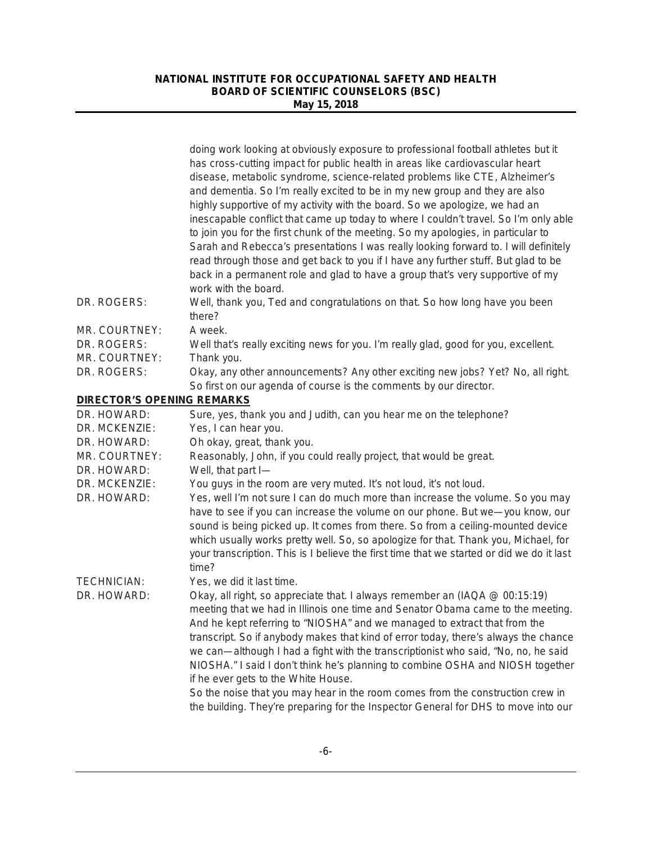|                                   | doing work looking at obviously exposure to professional football athletes but it<br>has cross-cutting impact for public health in areas like cardiovascular heart<br>disease, metabolic syndrome, science-related problems like CTE, Alzheimer's<br>and dementia. So I'm really excited to be in my new group and they are also<br>highly supportive of my activity with the board. So we apologize, we had an<br>inescapable conflict that came up today to where I couldn't travel. So I'm only able<br>to join you for the first chunk of the meeting. So my apologies, in particular to<br>Sarah and Rebecca's presentations I was really looking forward to. I will definitely<br>read through those and get back to you if I have any further stuff. But glad to be<br>back in a permanent role and glad to have a group that's very supportive of my<br>work with the board. |
|-----------------------------------|--------------------------------------------------------------------------------------------------------------------------------------------------------------------------------------------------------------------------------------------------------------------------------------------------------------------------------------------------------------------------------------------------------------------------------------------------------------------------------------------------------------------------------------------------------------------------------------------------------------------------------------------------------------------------------------------------------------------------------------------------------------------------------------------------------------------------------------------------------------------------------------|
| DR. ROGERS:                       | Well, thank you, Ted and congratulations on that. So how long have you been<br>there?                                                                                                                                                                                                                                                                                                                                                                                                                                                                                                                                                                                                                                                                                                                                                                                                |
| MR. COURTNEY:                     | A week.                                                                                                                                                                                                                                                                                                                                                                                                                                                                                                                                                                                                                                                                                                                                                                                                                                                                              |
| DR. ROGERS:                       | Well that's really exciting news for you. I'm really glad, good for you, excellent.                                                                                                                                                                                                                                                                                                                                                                                                                                                                                                                                                                                                                                                                                                                                                                                                  |
| MR. COURTNEY:                     | Thank you.                                                                                                                                                                                                                                                                                                                                                                                                                                                                                                                                                                                                                                                                                                                                                                                                                                                                           |
| DR. ROGERS:                       | Okay, any other announcements? Any other exciting new jobs? Yet? No, all right.<br>So first on our agenda of course is the comments by our director.                                                                                                                                                                                                                                                                                                                                                                                                                                                                                                                                                                                                                                                                                                                                 |
| <b>DIRECTOR'S OPENING REMARKS</b> |                                                                                                                                                                                                                                                                                                                                                                                                                                                                                                                                                                                                                                                                                                                                                                                                                                                                                      |
| DR. HOWARD:                       | Sure, yes, thank you and Judith, can you hear me on the telephone?                                                                                                                                                                                                                                                                                                                                                                                                                                                                                                                                                                                                                                                                                                                                                                                                                   |
| DR. MCKENZIE:                     | Yes, I can hear you.                                                                                                                                                                                                                                                                                                                                                                                                                                                                                                                                                                                                                                                                                                                                                                                                                                                                 |
| DR. HOWARD:                       | Oh okay, great, thank you.                                                                                                                                                                                                                                                                                                                                                                                                                                                                                                                                                                                                                                                                                                                                                                                                                                                           |
| MR. COURTNEY:                     | Reasonably, John, if you could really project, that would be great.                                                                                                                                                                                                                                                                                                                                                                                                                                                                                                                                                                                                                                                                                                                                                                                                                  |
| DR. HOWARD:                       | Well, that part I-                                                                                                                                                                                                                                                                                                                                                                                                                                                                                                                                                                                                                                                                                                                                                                                                                                                                   |
| DR. MCKENZIE:                     | You guys in the room are very muted. It's not loud, it's not loud.                                                                                                                                                                                                                                                                                                                                                                                                                                                                                                                                                                                                                                                                                                                                                                                                                   |
| DR. HOWARD:                       | Yes, well I'm not sure I can do much more than increase the volume. So you may<br>have to see if you can increase the volume on our phone. But we-you know, our<br>sound is being picked up. It comes from there. So from a ceiling-mounted device<br>which usually works pretty well. So, so apologize for that. Thank you, Michael, for<br>your transcription. This is I believe the first time that we started or did we do it last<br>time?                                                                                                                                                                                                                                                                                                                                                                                                                                      |
| <b>TECHNICIAN:</b>                | Yes, we did it last time.                                                                                                                                                                                                                                                                                                                                                                                                                                                                                                                                                                                                                                                                                                                                                                                                                                                            |
| DR. HOWARD:                       | Okay, all right, so appreciate that. I always remember an (IAQA @ 00:15:19)<br>meeting that we had in Illinois one time and Senator Obama came to the meeting.<br>And he kept referring to "NIOSHA" and we managed to extract that from the<br>transcript. So if anybody makes that kind of error today, there's always the chance<br>we can—although I had a fight with the transcriptionist who said, "No, no, he said<br>NIOSHA." I said I don't think he's planning to combine OSHA and NIOSH together<br>if he ever gets to the White House.<br>So the noise that you may hear in the room comes from the construction crew in                                                                                                                                                                                                                                                  |
|                                   | the building. They're preparing for the Inspector General for DHS to move into our                                                                                                                                                                                                                                                                                                                                                                                                                                                                                                                                                                                                                                                                                                                                                                                                   |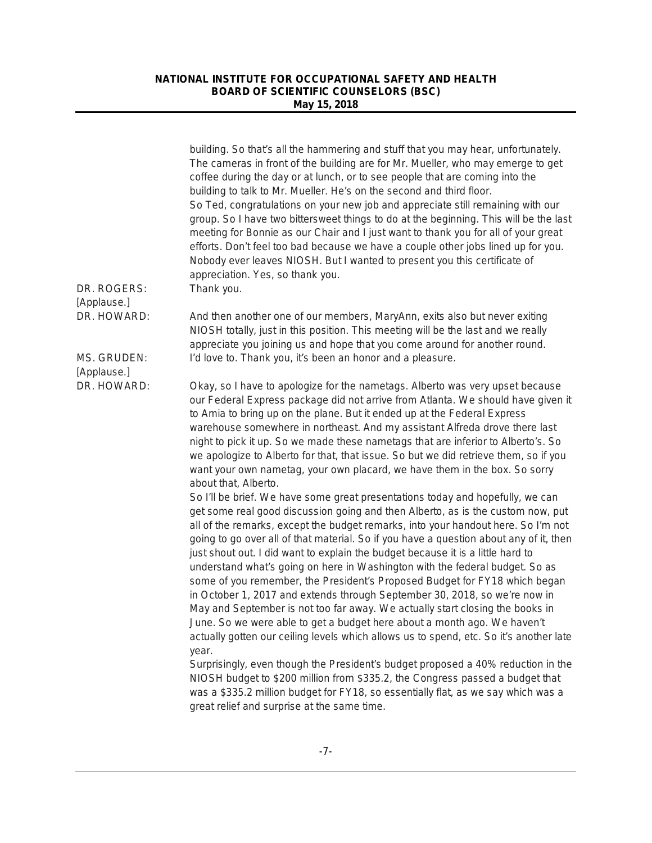|                            | building. So that's all the hammering and stuff that you may hear, unfortunately.<br>The cameras in front of the building are for Mr. Mueller, who may emerge to get<br>coffee during the day or at lunch, or to see people that are coming into the<br>building to talk to Mr. Mueller. He's on the second and third floor.<br>So Ted, congratulations on your new job and appreciate still remaining with our<br>group. So I have two bittersweet things to do at the beginning. This will be the last<br>meeting for Bonnie as our Chair and I just want to thank you for all of your great<br>efforts. Don't feel too bad because we have a couple other jobs lined up for you.<br>Nobody ever leaves NIOSH. But I wanted to present you this certificate of<br>appreciation. Yes, so thank you.                                                                                                                                            |
|----------------------------|-------------------------------------------------------------------------------------------------------------------------------------------------------------------------------------------------------------------------------------------------------------------------------------------------------------------------------------------------------------------------------------------------------------------------------------------------------------------------------------------------------------------------------------------------------------------------------------------------------------------------------------------------------------------------------------------------------------------------------------------------------------------------------------------------------------------------------------------------------------------------------------------------------------------------------------------------|
| DR. ROGERS:<br>[Applause.] | Thank you.                                                                                                                                                                                                                                                                                                                                                                                                                                                                                                                                                                                                                                                                                                                                                                                                                                                                                                                                      |
| DR. HOWARD:                | And then another one of our members, MaryAnn, exits also but never exiting<br>NIOSH totally, just in this position. This meeting will be the last and we really<br>appreciate you joining us and hope that you come around for another round.                                                                                                                                                                                                                                                                                                                                                                                                                                                                                                                                                                                                                                                                                                   |
| MS. GRUDEN:<br>[Applause.] | I'd love to. Thank you, it's been an honor and a pleasure.                                                                                                                                                                                                                                                                                                                                                                                                                                                                                                                                                                                                                                                                                                                                                                                                                                                                                      |
| DR. HOWARD:                | Okay, so I have to apologize for the nametags. Alberto was very upset because<br>our Federal Express package did not arrive from Atlanta. We should have given it<br>to Amia to bring up on the plane. But it ended up at the Federal Express<br>warehouse somewhere in northeast. And my assistant Alfreda drove there last<br>night to pick it up. So we made these nametags that are inferior to Alberto's. So<br>we apologize to Alberto for that, that issue. So but we did retrieve them, so if you<br>want your own nametag, your own placard, we have them in the box. So sorry<br>about that, Alberto.                                                                                                                                                                                                                                                                                                                                 |
|                            | So I'll be brief. We have some great presentations today and hopefully, we can<br>get some real good discussion going and then Alberto, as is the custom now, put<br>all of the remarks, except the budget remarks, into your handout here. So I'm not<br>going to go over all of that material. So if you have a question about any of it, then<br>just shout out. I did want to explain the budget because it is a little hard to<br>understand what's going on here in Washington with the federal budget. So as<br>some of you remember, the President's Proposed Budget for FY18 which began<br>in October 1, 2017 and extends through September 30, 2018, so we're now in<br>May and September is not too far away. We actually start closing the books in<br>June. So we were able to get a budget here about a month ago. We haven't<br>actually gotten our ceiling levels which allows us to spend, etc. So it's another late<br>year. |
|                            | Surprisingly, even though the President's budget proposed a 40% reduction in the<br>NIOSH budget to \$200 million from \$335.2, the Congress passed a budget that<br>was a \$335.2 million budget for FY18, so essentially flat, as we say which was a<br>great relief and surprise at the same time.                                                                                                                                                                                                                                                                                                                                                                                                                                                                                                                                                                                                                                           |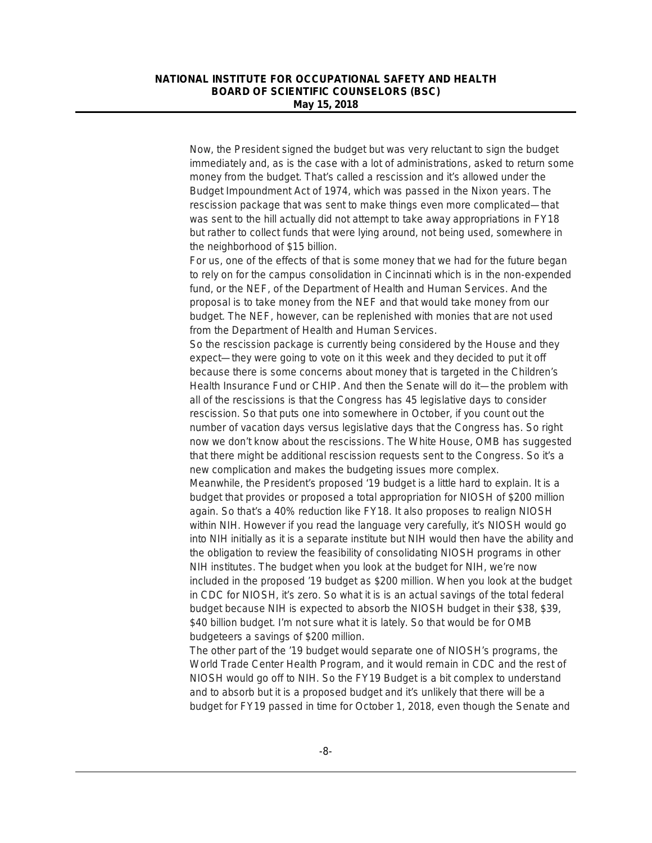Now, the President signed the budget but was very reluctant to sign the budget immediately and, as is the case with a lot of administrations, asked to return some money from the budget. That's called a rescission and it's allowed under the Budget Impoundment Act of 1974, which was passed in the Nixon years. The rescission package that was sent to make things even more complicated—that was sent to the hill actually did not attempt to take away appropriations in FY18 but rather to collect funds that were lying around, not being used, somewhere in the neighborhood of \$15 billion.

For us, one of the effects of that is some money that we had for the future began to rely on for the campus consolidation in Cincinnati which is in the non-expended fund, or the NEF, of the Department of Health and Human Services. And the proposal is to take money from the NEF and that would take money from our budget. The NEF, however, can be replenished with monies that are not used from the Department of Health and Human Services.

So the rescission package is currently being considered by the House and they expect—they were going to vote on it this week and they decided to put it off because there is some concerns about money that is targeted in the Children's Health Insurance Fund or CHIP. And then the Senate will do it—the problem with all of the rescissions is that the Congress has 45 legislative days to consider rescission. So that puts one into somewhere in October, if you count out the number of vacation days versus legislative days that the Congress has. So right now we don't know about the rescissions. The White House, OMB has suggested that there might be additional rescission requests sent to the Congress. So it's a new complication and makes the budgeting issues more complex.

Meanwhile, the President's proposed '19 budget is a little hard to explain. It is a budget that provides or proposed a total appropriation for NIOSH of \$200 million again. So that's a 40% reduction like FY18. It also proposes to realign NIOSH within NIH. However if you read the language very carefully, it's NIOSH would go into NIH initially as it is a separate institute but NIH would then have the ability and the obligation to review the feasibility of consolidating NIOSH programs in other NIH institutes. The budget when you look at the budget for NIH, we're now included in the proposed '19 budget as \$200 million. When you look at the budget in CDC for NIOSH, it's zero. So what it is is an actual savings of the total federal budget because NIH is expected to absorb the NIOSH budget in their \$38, \$39, \$40 billion budget. I'm not sure what it is lately. So that would be for OMB budgeteers a savings of \$200 million.

The other part of the '19 budget would separate one of NIOSH's programs, the World Trade Center Health Program, and it would remain in CDC and the rest of NIOSH would go off to NIH. So the FY19 Budget is a bit complex to understand and to absorb but it is a proposed budget and it's unlikely that there will be a budget for FY19 passed in time for October 1, 2018, even though the Senate and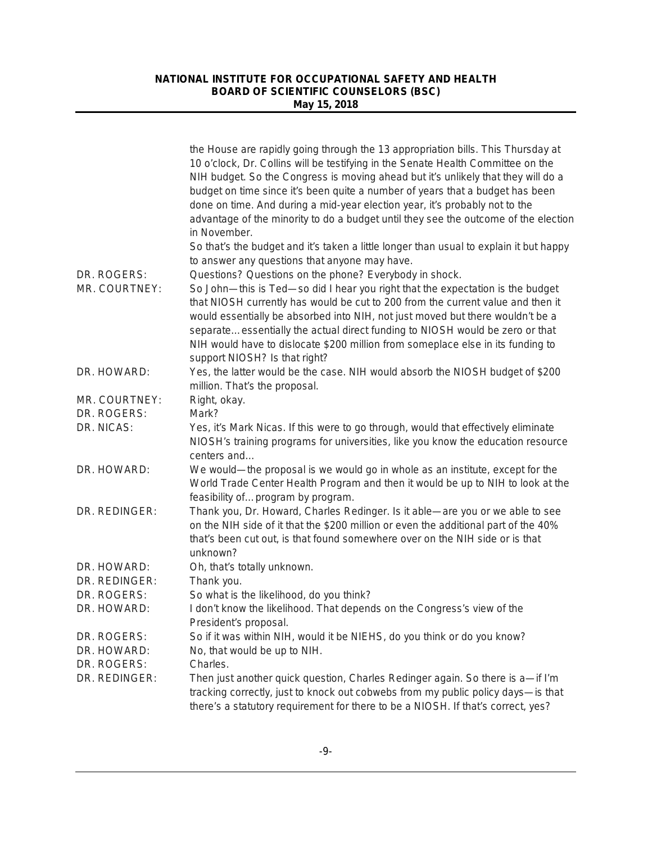|                              | the House are rapidly going through the 13 appropriation bills. This Thursday at<br>10 o'clock, Dr. Collins will be testifying in the Senate Health Committee on the<br>NIH budget. So the Congress is moving ahead but it's unlikely that they will do a<br>budget on time since it's been quite a number of years that a budget has been<br>done on time. And during a mid-year election year, it's probably not to the<br>advantage of the minority to do a budget until they see the outcome of the election<br>in November.<br>So that's the budget and it's taken a little longer than usual to explain it but happy |
|------------------------------|----------------------------------------------------------------------------------------------------------------------------------------------------------------------------------------------------------------------------------------------------------------------------------------------------------------------------------------------------------------------------------------------------------------------------------------------------------------------------------------------------------------------------------------------------------------------------------------------------------------------------|
|                              | to answer any questions that anyone may have.                                                                                                                                                                                                                                                                                                                                                                                                                                                                                                                                                                              |
| DR. ROGERS:<br>MR. COURTNEY: | Questions? Questions on the phone? Everybody in shock.<br>So John-this is Ted-so did I hear you right that the expectation is the budget<br>that NIOSH currently has would be cut to 200 from the current value and then it<br>would essentially be absorbed into NIH, not just moved but there wouldn't be a<br>separateessentially the actual direct funding to NIOSH would be zero or that<br>NIH would have to dislocate \$200 million from someplace else in its funding to<br>support NIOSH? Is that right?                                                                                                          |
| DR. HOWARD:                  | Yes, the latter would be the case. NIH would absorb the NIOSH budget of \$200<br>million. That's the proposal.                                                                                                                                                                                                                                                                                                                                                                                                                                                                                                             |
| MR. COURTNEY:                | Right, okay.                                                                                                                                                                                                                                                                                                                                                                                                                                                                                                                                                                                                               |
| DR. ROGERS:                  | Mark?                                                                                                                                                                                                                                                                                                                                                                                                                                                                                                                                                                                                                      |
| DR. NICAS:                   | Yes, it's Mark Nicas. If this were to go through, would that effectively eliminate<br>NIOSH's training programs for universities, like you know the education resource<br>centers and                                                                                                                                                                                                                                                                                                                                                                                                                                      |
| DR. HOWARD:                  | We would—the proposal is we would go in whole as an institute, except for the<br>World Trade Center Health Program and then it would be up to NIH to look at the<br>feasibility ofprogram by program.                                                                                                                                                                                                                                                                                                                                                                                                                      |
| DR. REDINGER:                | Thank you, Dr. Howard, Charles Redinger. Is it able-are you or we able to see<br>on the NIH side of it that the \$200 million or even the additional part of the 40%<br>that's been cut out, is that found somewhere over on the NIH side or is that<br>unknown?                                                                                                                                                                                                                                                                                                                                                           |
| DR. HOWARD:                  | Oh, that's totally unknown.                                                                                                                                                                                                                                                                                                                                                                                                                                                                                                                                                                                                |
| DR. REDINGER:                | Thank you.                                                                                                                                                                                                                                                                                                                                                                                                                                                                                                                                                                                                                 |
| DR. ROGERS:                  | So what is the likelihood, do you think?                                                                                                                                                                                                                                                                                                                                                                                                                                                                                                                                                                                   |
| DR. HOWARD:                  | I don't know the likelihood. That depends on the Congress's view of the<br>President's proposal.                                                                                                                                                                                                                                                                                                                                                                                                                                                                                                                           |
| DR. ROGERS:                  | So if it was within NIH, would it be NIEHS, do you think or do you know?                                                                                                                                                                                                                                                                                                                                                                                                                                                                                                                                                   |
| DR. HOWARD:                  | No, that would be up to NIH.                                                                                                                                                                                                                                                                                                                                                                                                                                                                                                                                                                                               |
| DR. ROGERS:                  | Charles.                                                                                                                                                                                                                                                                                                                                                                                                                                                                                                                                                                                                                   |
| DR. REDINGER:                | Then just another quick question, Charles Redinger again. So there is a-if I'm<br>tracking correctly, just to knock out cobwebs from my public policy days-is that<br>there's a statutory requirement for there to be a NIOSH. If that's correct, yes?                                                                                                                                                                                                                                                                                                                                                                     |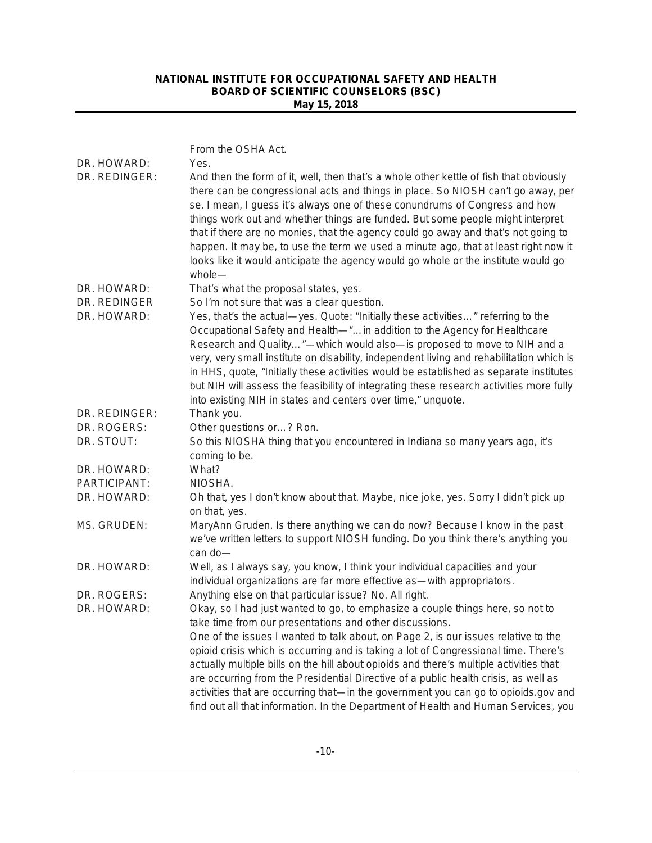| DR. HOWARD:<br>DR. REDINGER: | From the OSHA Act.<br>Yes.<br>And then the form of it, well, then that's a whole other kettle of fish that obviously                                                                                                                                                                                                                                                                                                                                                                                                                                                                     |
|------------------------------|------------------------------------------------------------------------------------------------------------------------------------------------------------------------------------------------------------------------------------------------------------------------------------------------------------------------------------------------------------------------------------------------------------------------------------------------------------------------------------------------------------------------------------------------------------------------------------------|
|                              | there can be congressional acts and things in place. So NIOSH can't go away, per<br>se. I mean, I guess it's always one of these conundrums of Congress and how<br>things work out and whether things are funded. But some people might interpret<br>that if there are no monies, that the agency could go away and that's not going to<br>happen. It may be, to use the term we used a minute ago, that at least right now it<br>looks like it would anticipate the agency would go whole or the institute would go<br>whole-                                                           |
| DR. HOWARD:                  | That's what the proposal states, yes.                                                                                                                                                                                                                                                                                                                                                                                                                                                                                                                                                    |
| DR. REDINGER                 | So I'm not sure that was a clear question.                                                                                                                                                                                                                                                                                                                                                                                                                                                                                                                                               |
| DR. HOWARD:                  | Yes, that's the actual-yes. Quote: "Initially these activities" referring to the<br>Occupational Safety and Health-"in addition to the Agency for Healthcare<br>Research and Quality"-which would also-is proposed to move to NIH and a<br>very, very small institute on disability, independent living and rehabilitation which is<br>in HHS, quote, "Initially these activities would be established as separate institutes<br>but NIH will assess the feasibility of integrating these research activities more fully<br>into existing NIH in states and centers over time," unquote. |
| DR. REDINGER:                | Thank you.                                                                                                                                                                                                                                                                                                                                                                                                                                                                                                                                                                               |
| DR. ROGERS:                  | Other questions or? Ron.                                                                                                                                                                                                                                                                                                                                                                                                                                                                                                                                                                 |
| DR. STOUT:                   | So this NIOSHA thing that you encountered in Indiana so many years ago, it's<br>coming to be.                                                                                                                                                                                                                                                                                                                                                                                                                                                                                            |
| DR. HOWARD:                  | What?                                                                                                                                                                                                                                                                                                                                                                                                                                                                                                                                                                                    |
| PARTICIPANT:                 | NIOSHA.                                                                                                                                                                                                                                                                                                                                                                                                                                                                                                                                                                                  |
| DR. HOWARD:                  | Oh that, yes I don't know about that. Maybe, nice joke, yes. Sorry I didn't pick up<br>on that, yes.                                                                                                                                                                                                                                                                                                                                                                                                                                                                                     |
| MS. GRUDEN:                  | MaryAnn Gruden. Is there anything we can do now? Because I know in the past<br>we've written letters to support NIOSH funding. Do you think there's anything you<br>can do-                                                                                                                                                                                                                                                                                                                                                                                                              |
| DR. HOWARD:                  | Well, as I always say, you know, I think your individual capacities and your<br>individual organizations are far more effective as-with appropriators.                                                                                                                                                                                                                                                                                                                                                                                                                                   |
| DR. ROGERS:                  | Anything else on that particular issue? No. All right.                                                                                                                                                                                                                                                                                                                                                                                                                                                                                                                                   |
| DR. HOWARD:                  | Okay, so I had just wanted to go, to emphasize a couple things here, so not to                                                                                                                                                                                                                                                                                                                                                                                                                                                                                                           |
|                              | take time from our presentations and other discussions.                                                                                                                                                                                                                                                                                                                                                                                                                                                                                                                                  |
|                              | One of the issues I wanted to talk about, on Page 2, is our issues relative to the                                                                                                                                                                                                                                                                                                                                                                                                                                                                                                       |
|                              | opioid crisis which is occurring and is taking a lot of Congressional time. There's                                                                                                                                                                                                                                                                                                                                                                                                                                                                                                      |
|                              | actually multiple bills on the hill about opioids and there's multiple activities that                                                                                                                                                                                                                                                                                                                                                                                                                                                                                                   |
|                              | are occurring from the Presidential Directive of a public health crisis, as well as                                                                                                                                                                                                                                                                                                                                                                                                                                                                                                      |
|                              | activities that are occurring that-in the government you can go to opioids.gov and<br>find out all that information. In the Department of Health and Human Services, you                                                                                                                                                                                                                                                                                                                                                                                                                 |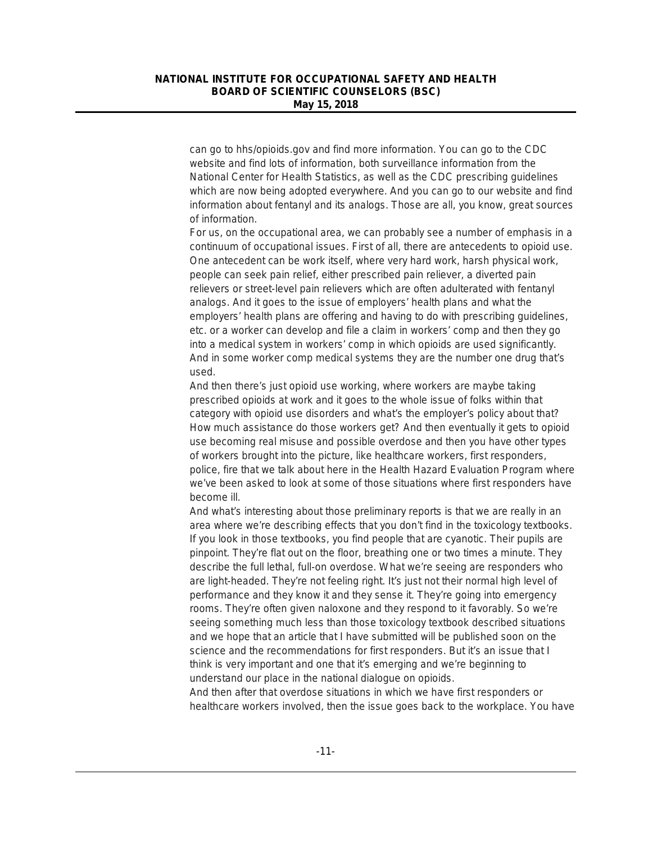can go to hhs/opioids.gov and find more information. You can go to the CDC website and find lots of information, both surveillance information from the National Center for Health Statistics, as well as the CDC prescribing guidelines which are now being adopted everywhere. And you can go to our website and find information about fentanyl and its analogs. Those are all, you know, great sources of information.

For us, on the occupational area, we can probably see a number of emphasis in a continuum of occupational issues. First of all, there are antecedents to opioid use. One antecedent can be work itself, where very hard work, harsh physical work, people can seek pain relief, either prescribed pain reliever, a diverted pain relievers or street-level pain relievers which are often adulterated with fentanyl analogs. And it goes to the issue of employers' health plans and what the employers' health plans are offering and having to do with prescribing guidelines, etc. or a worker can develop and file a claim in workers' comp and then they go into a medical system in workers' comp in which opioids are used significantly. And in some worker comp medical systems they are the number one drug that's used.

And then there's just opioid use working, where workers are maybe taking prescribed opioids at work and it goes to the whole issue of folks within that category with opioid use disorders and what's the employer's policy about that? How much assistance do those workers get? And then eventually it gets to opioid use becoming real misuse and possible overdose and then you have other types of workers brought into the picture, like healthcare workers, first responders, police, fire that we talk about here in the Health Hazard Evaluation Program where we've been asked to look at some of those situations where first responders have become ill.

And what's interesting about those preliminary reports is that we are really in an area where we're describing effects that you don't find in the toxicology textbooks. If you look in those textbooks, you find people that are cyanotic. Their pupils are pinpoint. They're flat out on the floor, breathing one or two times a minute. They describe the full lethal, full-on overdose. What we're seeing are responders who are light-headed. They're not feeling right. It's just not their normal high level of performance and they know it and they sense it. They're going into emergency rooms. They're often given naloxone and they respond to it favorably. So we're seeing something much less than those toxicology textbook described situations and we hope that an article that I have submitted will be published soon on the science and the recommendations for first responders. But it's an issue that I think is very important and one that it's emerging and we're beginning to understand our place in the national dialogue on opioids.

And then after that overdose situations in which we have first responders or healthcare workers involved, then the issue goes back to the workplace. You have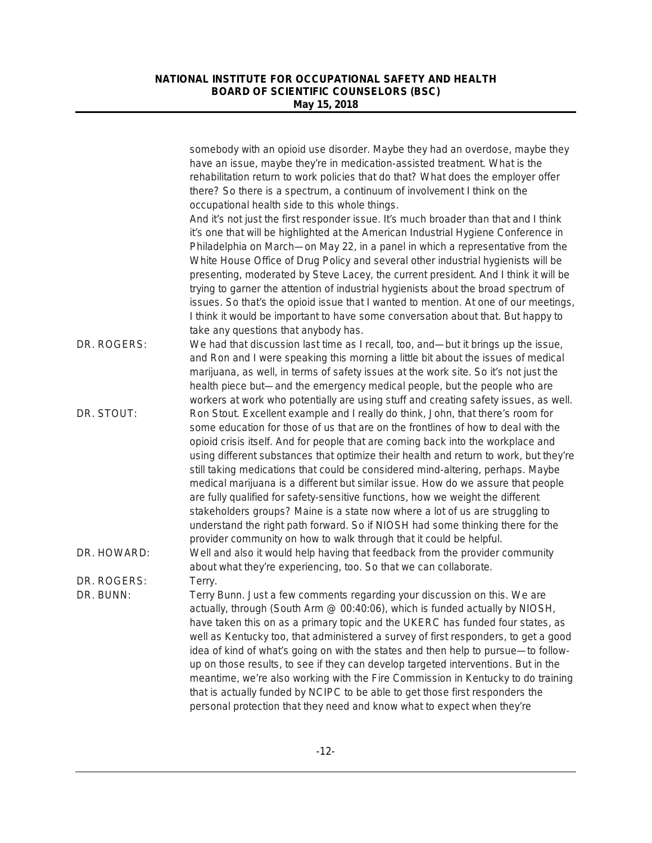|             | somebody with an opioid use disorder. Maybe they had an overdose, maybe they<br>have an issue, maybe they're in medication-assisted treatment. What is the<br>rehabilitation return to work policies that do that? What does the employer offer                                                                                                                                                                                                                                                                                                                                                                                                                                                                                                                                                                                                       |
|-------------|-------------------------------------------------------------------------------------------------------------------------------------------------------------------------------------------------------------------------------------------------------------------------------------------------------------------------------------------------------------------------------------------------------------------------------------------------------------------------------------------------------------------------------------------------------------------------------------------------------------------------------------------------------------------------------------------------------------------------------------------------------------------------------------------------------------------------------------------------------|
|             | there? So there is a spectrum, a continuum of involvement I think on the                                                                                                                                                                                                                                                                                                                                                                                                                                                                                                                                                                                                                                                                                                                                                                              |
|             | occupational health side to this whole things.<br>And it's not just the first responder issue. It's much broader than that and I think<br>it's one that will be highlighted at the American Industrial Hygiene Conference in<br>Philadelphia on March-on May 22, in a panel in which a representative from the                                                                                                                                                                                                                                                                                                                                                                                                                                                                                                                                        |
|             | White House Office of Drug Policy and several other industrial hygienists will be<br>presenting, moderated by Steve Lacey, the current president. And I think it will be                                                                                                                                                                                                                                                                                                                                                                                                                                                                                                                                                                                                                                                                              |
|             | trying to garner the attention of industrial hygienists about the broad spectrum of<br>issues. So that's the opioid issue that I wanted to mention. At one of our meetings,<br>I think it would be important to have some conversation about that. But happy to                                                                                                                                                                                                                                                                                                                                                                                                                                                                                                                                                                                       |
| DR. ROGERS: | take any questions that anybody has.<br>We had that discussion last time as I recall, too, and—but it brings up the issue,<br>and Ron and I were speaking this morning a little bit about the issues of medical                                                                                                                                                                                                                                                                                                                                                                                                                                                                                                                                                                                                                                       |
|             | marijuana, as well, in terms of safety issues at the work site. So it's not just the<br>health piece but—and the emergency medical people, but the people who are<br>workers at work who potentially are using stuff and creating safety issues, as well.                                                                                                                                                                                                                                                                                                                                                                                                                                                                                                                                                                                             |
| DR. STOUT:  | Ron Stout. Excellent example and I really do think, John, that there's room for<br>some education for those of us that are on the frontlines of how to deal with the<br>opioid crisis itself. And for people that are coming back into the workplace and<br>using different substances that optimize their health and return to work, but they're<br>still taking medications that could be considered mind-altering, perhaps. Maybe<br>medical marijuana is a different but similar issue. How do we assure that people<br>are fully qualified for safety-sensitive functions, how we weight the different<br>stakeholders groups? Maine is a state now where a lot of us are struggling to<br>understand the right path forward. So if NIOSH had some thinking there for the<br>provider community on how to walk through that it could be helpful. |
| DR. HOWARD: | Well and also it would help having that feedback from the provider community<br>about what they're experiencing, too. So that we can collaborate.                                                                                                                                                                                                                                                                                                                                                                                                                                                                                                                                                                                                                                                                                                     |
| DR. ROGERS: | Terry.                                                                                                                                                                                                                                                                                                                                                                                                                                                                                                                                                                                                                                                                                                                                                                                                                                                |
| DR. BUNN:   | Terry Bunn. Just a few comments regarding your discussion on this. We are<br>actually, through (South Arm @ 00:40:06), which is funded actually by NIOSH,<br>have taken this on as a primary topic and the UKERC has funded four states, as<br>well as Kentucky too, that administered a survey of first responders, to get a good<br>idea of kind of what's going on with the states and then help to pursue-to follow-<br>up on those results, to see if they can develop targeted interventions. But in the<br>meantime, we're also working with the Fire Commission in Kentucky to do training<br>that is actually funded by NCIPC to be able to get those first responders the                                                                                                                                                                   |
|             | personal protection that they need and know what to expect when they're                                                                                                                                                                                                                                                                                                                                                                                                                                                                                                                                                                                                                                                                                                                                                                               |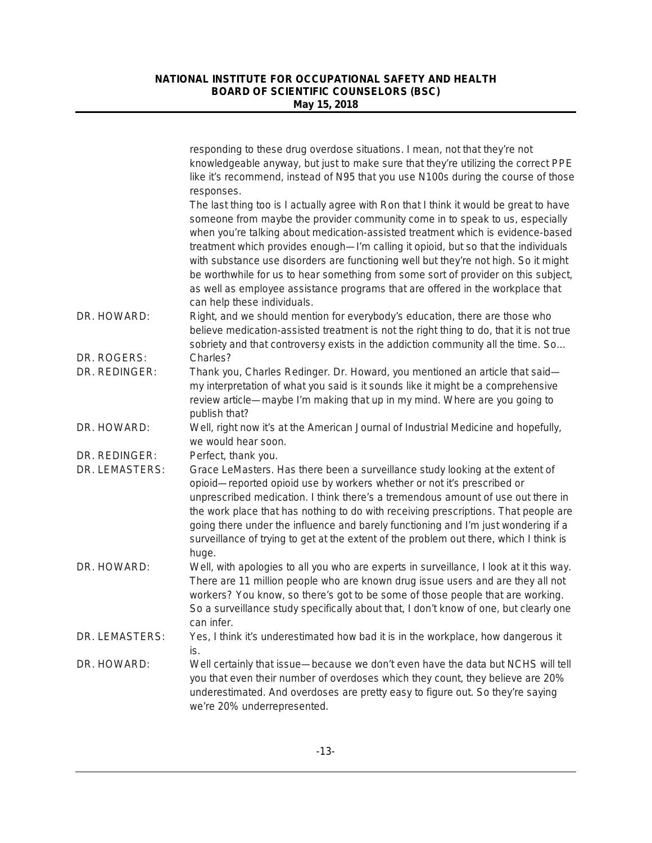|                                 | responding to these drug overdose situations. I mean, not that they're not<br>knowledgeable anyway, but just to make sure that they're utilizing the correct PPE<br>like it's recommend, instead of N95 that you use N100s during the course of those<br>responses.                                                                                                                                                                                                                                                                                                                                                                           |
|---------------------------------|-----------------------------------------------------------------------------------------------------------------------------------------------------------------------------------------------------------------------------------------------------------------------------------------------------------------------------------------------------------------------------------------------------------------------------------------------------------------------------------------------------------------------------------------------------------------------------------------------------------------------------------------------|
|                                 | The last thing too is I actually agree with Ron that I think it would be great to have<br>someone from maybe the provider community come in to speak to us, especially<br>when you're talking about medication-assisted treatment which is evidence-based<br>treatment which provides enough-I'm calling it opioid, but so that the individuals<br>with substance use disorders are functioning well but they're not high. So it might<br>be worthwhile for us to hear something from some sort of provider on this subject,<br>as well as employee assistance programs that are offered in the workplace that<br>can help these individuals. |
| DR. HOWARD:                     | Right, and we should mention for everybody's education, there are those who<br>believe medication-assisted treatment is not the right thing to do, that it is not true<br>sobriety and that controversy exists in the addiction community all the time. So                                                                                                                                                                                                                                                                                                                                                                                    |
| DR. ROGERS:<br>DR. REDINGER:    | Charles?<br>Thank you, Charles Redinger. Dr. Howard, you mentioned an article that said-<br>my interpretation of what you said is it sounds like it might be a comprehensive<br>review article—maybe I'm making that up in my mind. Where are you going to<br>publish that?                                                                                                                                                                                                                                                                                                                                                                   |
| DR. HOWARD:                     | Well, right now it's at the American Journal of Industrial Medicine and hopefully,<br>we would hear soon.                                                                                                                                                                                                                                                                                                                                                                                                                                                                                                                                     |
| DR. REDINGER:<br>DR. LEMASTERS: | Perfect, thank you.<br>Grace LeMasters. Has there been a surveillance study looking at the extent of<br>opioid—reported opioid use by workers whether or not it's prescribed or<br>unprescribed medication. I think there's a tremendous amount of use out there in<br>the work place that has nothing to do with receiving prescriptions. That people are                                                                                                                                                                                                                                                                                    |
|                                 | going there under the influence and barely functioning and I'm just wondering if a<br>surveillance of trying to get at the extent of the problem out there, which I think is<br>huge.                                                                                                                                                                                                                                                                                                                                                                                                                                                         |
| DR. HOWARD:                     | Well, with apologies to all you who are experts in surveillance, I look at it this way.<br>There are 11 million people who are known drug issue users and are they all not<br>workers? You know, so there's got to be some of those people that are working.<br>So a surveillance study specifically about that, I don't know of one, but clearly one<br>can inter.                                                                                                                                                                                                                                                                           |
| DR. LEMASTERS:                  | Yes, I think it's underestimated how bad it is in the workplace, how dangerous it<br>is.                                                                                                                                                                                                                                                                                                                                                                                                                                                                                                                                                      |
| DR. HOWARD:                     | Well certainly that issue-because we don't even have the data but NCHS will tell<br>you that even their number of overdoses which they count, they believe are 20%<br>underestimated. And overdoses are pretty easy to figure out. So they're saying<br>we're 20% underrepresented.                                                                                                                                                                                                                                                                                                                                                           |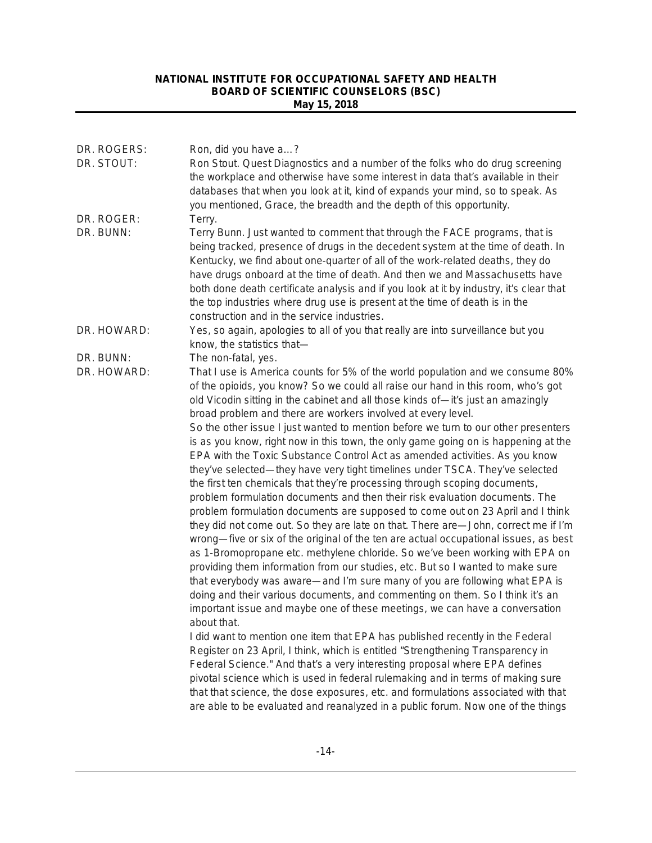| DR. ROGERS:<br>DR. STOUT: | Ron, did you have a?<br>Ron Stout. Quest Diagnostics and a number of the folks who do drug screening<br>the workplace and otherwise have some interest in data that's available in their<br>databases that when you look at it, kind of expands your mind, so to speak. As                                                                                                                                                                                                                                                                                                                                                                                                                                                                                                                                                                                                                                                                                                                                                                                                                                                                                                            |
|---------------------------|---------------------------------------------------------------------------------------------------------------------------------------------------------------------------------------------------------------------------------------------------------------------------------------------------------------------------------------------------------------------------------------------------------------------------------------------------------------------------------------------------------------------------------------------------------------------------------------------------------------------------------------------------------------------------------------------------------------------------------------------------------------------------------------------------------------------------------------------------------------------------------------------------------------------------------------------------------------------------------------------------------------------------------------------------------------------------------------------------------------------------------------------------------------------------------------|
| DR. ROGER:<br>DR. BUNN:   | you mentioned, Grace, the breadth and the depth of this opportunity.<br>Terry.<br>Terry Bunn. Just wanted to comment that through the FACE programs, that is                                                                                                                                                                                                                                                                                                                                                                                                                                                                                                                                                                                                                                                                                                                                                                                                                                                                                                                                                                                                                          |
|                           | being tracked, presence of drugs in the decedent system at the time of death. In<br>Kentucky, we find about one-quarter of all of the work-related deaths, they do<br>have drugs onboard at the time of death. And then we and Massachusetts have<br>both done death certificate analysis and if you look at it by industry, it's clear that<br>the top industries where drug use is present at the time of death is in the<br>construction and in the service industries.                                                                                                                                                                                                                                                                                                                                                                                                                                                                                                                                                                                                                                                                                                            |
| DR. HOWARD:               | Yes, so again, apologies to all of you that really are into surveillance but you<br>know, the statistics that-                                                                                                                                                                                                                                                                                                                                                                                                                                                                                                                                                                                                                                                                                                                                                                                                                                                                                                                                                                                                                                                                        |
| DR. BUNN:                 | The non-fatal, yes.                                                                                                                                                                                                                                                                                                                                                                                                                                                                                                                                                                                                                                                                                                                                                                                                                                                                                                                                                                                                                                                                                                                                                                   |
| DR. HOWARD:               | That I use is America counts for 5% of the world population and we consume 80%<br>of the opioids, you know? So we could all raise our hand in this room, who's got<br>old Vicodin sitting in the cabinet and all those kinds of-it's just an amazingly<br>broad problem and there are workers involved at every level.                                                                                                                                                                                                                                                                                                                                                                                                                                                                                                                                                                                                                                                                                                                                                                                                                                                                |
|                           | So the other issue I just wanted to mention before we turn to our other presenters<br>is as you know, right now in this town, the only game going on is happening at the<br>EPA with the Toxic Substance Control Act as amended activities. As you know<br>they've selected—they have very tight timelines under TSCA. They've selected<br>the first ten chemicals that they're processing through scoping documents,<br>problem formulation documents and then their risk evaluation documents. The<br>problem formulation documents are supposed to come out on 23 April and I think<br>they did not come out. So they are late on that. There are-John, correct me if I'm<br>wrong—five or six of the original of the ten are actual occupational issues, as best<br>as 1-Bromopropane etc. methylene chloride. So we've been working with EPA on<br>providing them information from our studies, etc. But so I wanted to make sure<br>that everybody was aware—and I'm sure many of you are following what EPA is<br>doing and their various documents, and commenting on them. So I think it's an<br>important issue and maybe one of these meetings, we can have a conversation |
|                           | about that.<br>I did want to mention one item that EPA has published recently in the Federal<br>Register on 23 April, I think, which is entitled "Strengthening Transparency in<br>Federal Science." And that's a very interesting proposal where EPA defines<br>pivotal science which is used in federal rulemaking and in terms of making sure<br>that that science, the dose exposures, etc. and formulations associated with that<br>are able to be evaluated and reanalyzed in a public forum. Now one of the things                                                                                                                                                                                                                                                                                                                                                                                                                                                                                                                                                                                                                                                             |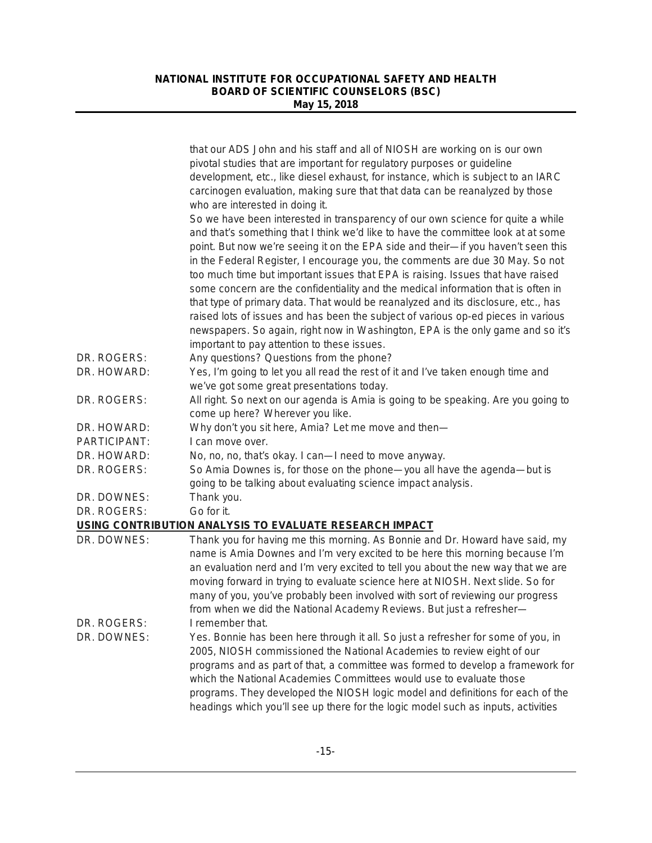|              | that our ADS John and his staff and all of NIOSH are working on is our own<br>pivotal studies that are important for regulatory purposes or guideline<br>development, etc., like diesel exhaust, for instance, which is subject to an IARC<br>carcinogen evaluation, making sure that that data can be reanalyzed by those<br>who are interested in doing it.<br>So we have been interested in transparency of our own science for quite a while<br>and that's something that I think we'd like to have the committee look at at some<br>point. But now we're seeing it on the EPA side and their-if you haven't seen this<br>in the Federal Register, I encourage you, the comments are due 30 May. So not<br>too much time but important issues that EPA is raising. Issues that have raised<br>some concern are the confidentiality and the medical information that is often in<br>that type of primary data. That would be reanalyzed and its disclosure, etc., has<br>raised lots of issues and has been the subject of various op-ed pieces in various |
|--------------|---------------------------------------------------------------------------------------------------------------------------------------------------------------------------------------------------------------------------------------------------------------------------------------------------------------------------------------------------------------------------------------------------------------------------------------------------------------------------------------------------------------------------------------------------------------------------------------------------------------------------------------------------------------------------------------------------------------------------------------------------------------------------------------------------------------------------------------------------------------------------------------------------------------------------------------------------------------------------------------------------------------------------------------------------------------|
|              | newspapers. So again, right now in Washington, EPA is the only game and so it's<br>important to pay attention to these issues.                                                                                                                                                                                                                                                                                                                                                                                                                                                                                                                                                                                                                                                                                                                                                                                                                                                                                                                                |
| DR. ROGERS:  | Any questions? Questions from the phone?                                                                                                                                                                                                                                                                                                                                                                                                                                                                                                                                                                                                                                                                                                                                                                                                                                                                                                                                                                                                                      |
| DR. HOWARD:  | Yes, I'm going to let you all read the rest of it and I've taken enough time and<br>we've got some great presentations today.                                                                                                                                                                                                                                                                                                                                                                                                                                                                                                                                                                                                                                                                                                                                                                                                                                                                                                                                 |
| DR. ROGERS:  | All right. So next on our agenda is Amia is going to be speaking. Are you going to<br>come up here? Wherever you like.                                                                                                                                                                                                                                                                                                                                                                                                                                                                                                                                                                                                                                                                                                                                                                                                                                                                                                                                        |
| DR. HOWARD:  | Why don't you sit here, Amia? Let me move and then-                                                                                                                                                                                                                                                                                                                                                                                                                                                                                                                                                                                                                                                                                                                                                                                                                                                                                                                                                                                                           |
| PARTICIPANT: | I can move over.                                                                                                                                                                                                                                                                                                                                                                                                                                                                                                                                                                                                                                                                                                                                                                                                                                                                                                                                                                                                                                              |
| DR. HOWARD:  | No, no, no, that's okay. I can-I need to move anyway.                                                                                                                                                                                                                                                                                                                                                                                                                                                                                                                                                                                                                                                                                                                                                                                                                                                                                                                                                                                                         |
| DR. ROGERS:  | So Amia Downes is, for those on the phone-you all have the agenda-but is<br>going to be talking about evaluating science impact analysis.                                                                                                                                                                                                                                                                                                                                                                                                                                                                                                                                                                                                                                                                                                                                                                                                                                                                                                                     |
| DR. DOWNES:  | Thank you.                                                                                                                                                                                                                                                                                                                                                                                                                                                                                                                                                                                                                                                                                                                                                                                                                                                                                                                                                                                                                                                    |
| DR. ROGERS:  | Go for it.                                                                                                                                                                                                                                                                                                                                                                                                                                                                                                                                                                                                                                                                                                                                                                                                                                                                                                                                                                                                                                                    |
|              | USING CONTRIBUTION ANALYSIS TO EVALUATE RESEARCH IMPACT                                                                                                                                                                                                                                                                                                                                                                                                                                                                                                                                                                                                                                                                                                                                                                                                                                                                                                                                                                                                       |
| DR. DOWNES:  | Thank you for having me this morning. As Bonnie and Dr. Howard have said, my<br>name is Amia Downes and I'm very excited to be here this morning because I'm<br>an evaluation nerd and I'm very excited to tell you about the new way that we are<br>moving forward in trying to evaluate science here at NIOSH. Next slide. So for<br>many of you, you've probably been involved with sort of reviewing our progress<br>from when we did the National Academy Reviews. But just a refresher-                                                                                                                                                                                                                                                                                                                                                                                                                                                                                                                                                                 |
| DR. ROGERS:  | I remember that.                                                                                                                                                                                                                                                                                                                                                                                                                                                                                                                                                                                                                                                                                                                                                                                                                                                                                                                                                                                                                                              |
| DR. DOWNES:  | Yes. Bonnie has been here through it all. So just a refresher for some of you, in<br>2005, NIOSH commissioned the National Academies to review eight of our<br>programs and as part of that, a committee was formed to develop a framework for<br>which the National Academies Committees would use to evaluate those<br>programs. They developed the NIOSH logic model and definitions for each of the<br>headings which you'll see up there for the logic model such as inputs, activities                                                                                                                                                                                                                                                                                                                                                                                                                                                                                                                                                                  |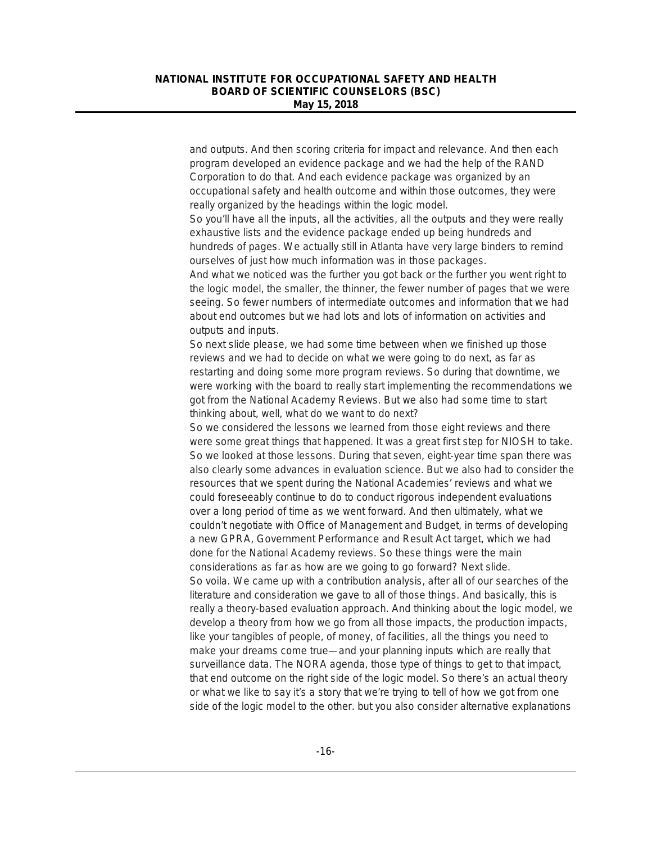and outputs. And then scoring criteria for impact and relevance. And then each program developed an evidence package and we had the help of the RAND Corporation to do that. And each evidence package was organized by an occupational safety and health outcome and within those outcomes, they were really organized by the headings within the logic model.

So you'll have all the inputs, all the activities, all the outputs and they were really exhaustive lists and the evidence package ended up being hundreds and hundreds of pages. We actually still in Atlanta have very large binders to remind ourselves of just how much information was in those packages.

And what we noticed was the further you got back or the further you went right to the logic model, the smaller, the thinner, the fewer number of pages that we were seeing. So fewer numbers of intermediate outcomes and information that we had about end outcomes but we had lots and lots of information on activities and outputs and inputs.

So next slide please, we had some time between when we finished up those reviews and we had to decide on what we were going to do next, as far as restarting and doing some more program reviews. So during that downtime, we were working with the board to really start implementing the recommendations we got from the National Academy Reviews. But we also had some time to start thinking about, well, what do we want to do next?

So we considered the lessons we learned from those eight reviews and there were some great things that happened. It was a great first step for NIOSH to take. So we looked at those lessons. During that seven, eight-year time span there was also clearly some advances in evaluation science. But we also had to consider the resources that we spent during the National Academies' reviews and what we could foreseeably continue to do to conduct rigorous independent evaluations over a long period of time as we went forward. And then ultimately, what we couldn't negotiate with Office of Management and Budget, in terms of developing a new GPRA, Government Performance and Result Act target, which we had done for the National Academy reviews. So these things were the main considerations as far as how are we going to go forward? Next slide. So voila. We came up with a contribution analysis, after all of our searches of the literature and consideration we gave to all of those things. And basically, this is really a theory-based evaluation approach. And thinking about the logic model, we develop a theory from how we go from all those impacts, the production impacts, like your tangibles of people, of money, of facilities, all the things you need to make your dreams come true—and your planning inputs which are really that surveillance data. The NORA agenda, those type of things to get to that impact, that end outcome on the right side of the logic model. So there's an actual theory or what we like to say it's a story that we're trying to tell of how we got from one side of the logic model to the other. but you also consider alternative explanations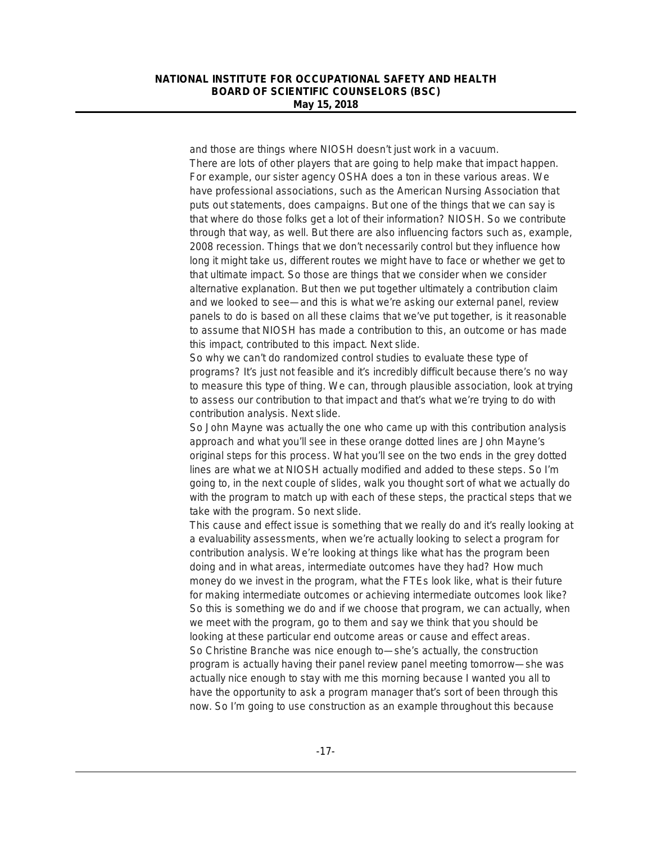and those are things where NIOSH doesn't just work in a vacuum. There are lots of other players that are going to help make that impact happen. For example, our sister agency OSHA does a ton in these various areas. We have professional associations, such as the American Nursing Association that puts out statements, does campaigns. But one of the things that we can say is that where do those folks get a lot of their information? NIOSH. So we contribute through that way, as well. But there are also influencing factors such as, example, 2008 recession. Things that we don't necessarily control but they influence how long it might take us, different routes we might have to face or whether we get to that ultimate impact. So those are things that we consider when we consider alternative explanation. But then we put together ultimately a contribution claim and we looked to see—and this is what we're asking our external panel, review panels to do is based on all these claims that we've put together, is it reasonable to assume that NIOSH has made a contribution to this, an outcome or has made this impact, contributed to this impact. Next slide.

So why we can't do randomized control studies to evaluate these type of programs? It's just not feasible and it's incredibly difficult because there's no way to measure this type of thing. We can, through plausible association, look at trying to assess our contribution to that impact and that's what we're trying to do with contribution analysis. Next slide.

So John Mayne was actually the one who came up with this contribution analysis approach and what you'll see in these orange dotted lines are John Mayne's original steps for this process. What you'll see on the two ends in the grey dotted lines are what we at NIOSH actually modified and added to these steps. So I'm going to, in the next couple of slides, walk you thought sort of what we actually do with the program to match up with each of these steps, the practical steps that we take with the program. So next slide.

This cause and effect issue is something that we really do and it's really looking at a evaluability assessments, when we're actually looking to select a program for contribution analysis. We're looking at things like what has the program been doing and in what areas, intermediate outcomes have they had? How much money do we invest in the program, what the FTEs look like, what is their future for making intermediate outcomes or achieving intermediate outcomes look like? So this is something we do and if we choose that program, we can actually, when we meet with the program, go to them and say we think that you should be looking at these particular end outcome areas or cause and effect areas. So Christine Branche was nice enough to—she's actually, the construction program is actually having their panel review panel meeting tomorrow—she was actually nice enough to stay with me this morning because I wanted you all to have the opportunity to ask a program manager that's sort of been through this now. So I'm going to use construction as an example throughout this because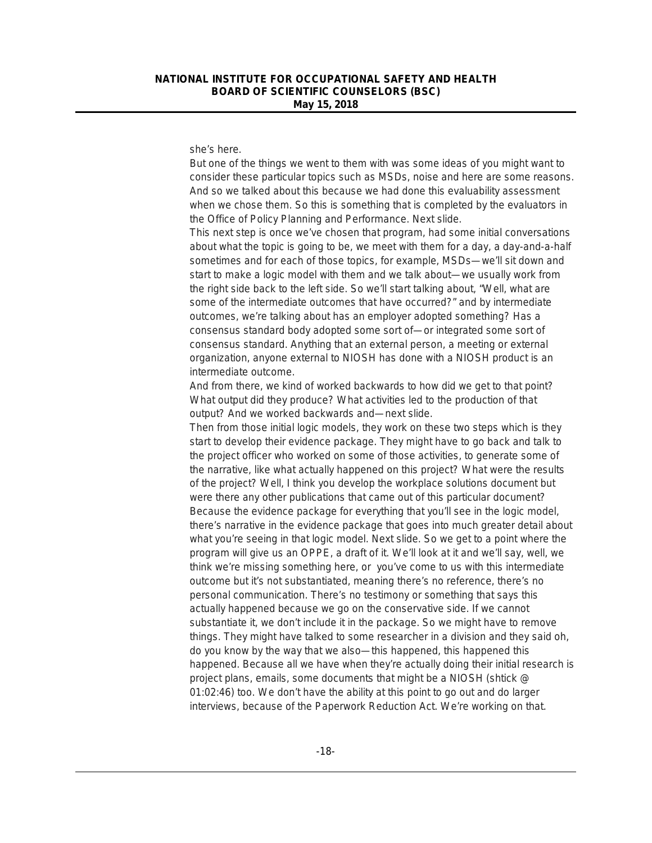she's here.

But one of the things we went to them with was some ideas of you might want to consider these particular topics such as MSDs, noise and here are some reasons. And so we talked about this because we had done this evaluability assessment when we chose them. So this is something that is completed by the evaluators in the Office of Policy Planning and Performance. Next slide.

This next step is once we've chosen that program, had some initial conversations about what the topic is going to be, we meet with them for a day, a day-and-a-half sometimes and for each of those topics, for example, MSDs—we'll sit down and start to make a logic model with them and we talk about—we usually work from the right side back to the left side. So we'll start talking about, "Well, what are some of the intermediate outcomes that have occurred?" and by intermediate outcomes, we're talking about has an employer adopted something? Has a consensus standard body adopted some sort of—or integrated some sort of consensus standard. Anything that an external person, a meeting or external organization, anyone external to NIOSH has done with a NIOSH product is an intermediate outcome.

And from there, we kind of worked backwards to how did we get to that point? What output did they produce? What activities led to the production of that output? And we worked backwards and—next slide.

Then from those initial logic models, they work on these two steps which is they start to develop their evidence package. They might have to go back and talk to the project officer who worked on some of those activities, to generate some of the narrative, like what actually happened on this project? What were the results of the project? Well, I think you develop the workplace solutions document but were there any other publications that came out of this particular document? Because the evidence package for everything that you'll see in the logic model, there's narrative in the evidence package that goes into much greater detail about what you're seeing in that logic model. Next slide. So we get to a point where the program will give us an OPPE, a draft of it. We'll look at it and we'll say, well, we think we're missing something here, or you've come to us with this intermediate outcome but it's not substantiated, meaning there's no reference, there's no personal communication. There's no testimony or something that says this actually happened because we go on the conservative side. If we cannot substantiate it, we don't include it in the package. So we might have to remove things. They might have talked to some researcher in a division and they said oh, do you know by the way that we also—this happened, this happened this happened. Because all we have when they're actually doing their initial research is project plans, emails, some documents that might be a NIOSH (shtick @ 01:02:46) too. We don't have the ability at this point to go out and do larger interviews, because of the Paperwork Reduction Act. We're working on that.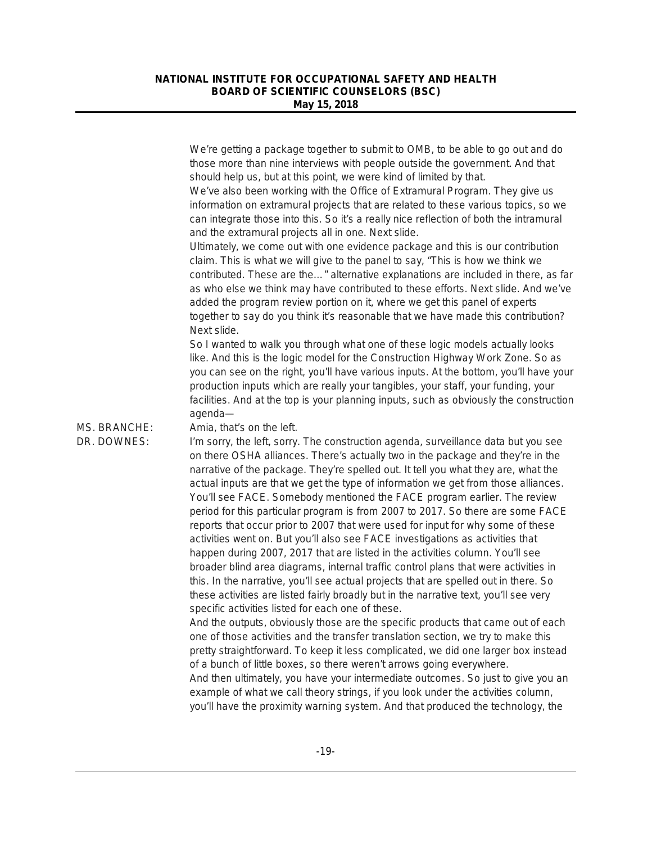|              | We're getting a package together to submit to OMB, to be able to go out and do<br>those more than nine interviews with people outside the government. And that<br>should help us, but at this point, we were kind of limited by that.<br>We've also been working with the Office of Extramural Program. They give us<br>information on extramural projects that are related to these various topics, so we<br>can integrate those into this. So it's a really nice reflection of both the intramural<br>and the extramural projects all in one. Next slide.<br>Ultimately, we come out with one evidence package and this is our contribution<br>claim. This is what we will give to the panel to say, "This is how we think we<br>contributed. These are the" alternative explanations are included in there, as far<br>as who else we think may have contributed to these efforts. Next slide. And we've<br>added the program review portion on it, where we get this panel of experts<br>together to say do you think it's reasonable that we have made this contribution?<br>Next slide.<br>So I wanted to walk you through what one of these logic models actually looks<br>like. And this is the logic model for the Construction Highway Work Zone. So as |
|--------------|------------------------------------------------------------------------------------------------------------------------------------------------------------------------------------------------------------------------------------------------------------------------------------------------------------------------------------------------------------------------------------------------------------------------------------------------------------------------------------------------------------------------------------------------------------------------------------------------------------------------------------------------------------------------------------------------------------------------------------------------------------------------------------------------------------------------------------------------------------------------------------------------------------------------------------------------------------------------------------------------------------------------------------------------------------------------------------------------------------------------------------------------------------------------------------------------------------------------------------------------------------------|
|              | you can see on the right, you'll have various inputs. At the bottom, you'll have your<br>production inputs which are really your tangibles, your staff, your funding, your<br>facilities. And at the top is your planning inputs, such as obviously the construction<br>agenda-                                                                                                                                                                                                                                                                                                                                                                                                                                                                                                                                                                                                                                                                                                                                                                                                                                                                                                                                                                                  |
| MS. BRANCHE: | Amia, that's on the left.                                                                                                                                                                                                                                                                                                                                                                                                                                                                                                                                                                                                                                                                                                                                                                                                                                                                                                                                                                                                                                                                                                                                                                                                                                        |
| DR. DOWNES:  | I'm sorry, the left, sorry. The construction agenda, surveillance data but you see<br>on there OSHA alliances. There's actually two in the package and they're in the<br>narrative of the package. They're spelled out. It tell you what they are, what the<br>actual inputs are that we get the type of information we get from those alliances.<br>You'll see FACE. Somebody mentioned the FACE program earlier. The review<br>period for this particular program is from 2007 to 2017. So there are some FACE<br>reports that occur prior to 2007 that were used for input for why some of these<br>activities went on. But you'll also see FACE investigations as activities that<br>happen during 2007, 2017 that are listed in the activities column. You'll see<br>broader blind area diagrams, internal traffic control plans that were activities in<br>this. In the narrative, you'll see actual projects that are spelled out in there. So<br>these activities are listed fairly broadly but in the narrative text, you'll see very<br>specific activities listed for each one of these.                                                                                                                                                              |
|              | And the outputs, obviously those are the specific products that came out of each<br>one of those activities and the transfer translation section, we try to make this<br>pretty straightforward. To keep it less complicated, we did one larger box instead<br>of a bunch of little boxes, so there weren't arrows going everywhere.                                                                                                                                                                                                                                                                                                                                                                                                                                                                                                                                                                                                                                                                                                                                                                                                                                                                                                                             |
|              | And then ultimately, you have your intermediate outcomes. So just to give you an<br>example of what we call theory strings, if you look under the activities column,<br>you'll have the proximity warning system. And that produced the technology, the                                                                                                                                                                                                                                                                                                                                                                                                                                                                                                                                                                                                                                                                                                                                                                                                                                                                                                                                                                                                          |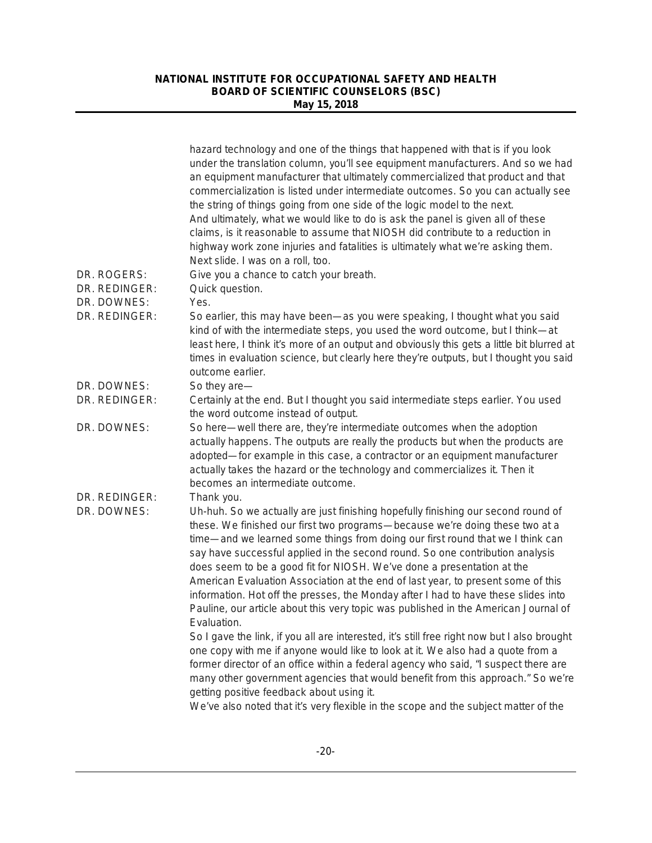|               | hazard technology and one of the things that happened with that is if you look<br>under the translation column, you'll see equipment manufacturers. And so we had<br>an equipment manufacturer that ultimately commercialized that product and that<br>commercialization is listed under intermediate outcomes. So you can actually see<br>the string of things going from one side of the logic model to the next.<br>And ultimately, what we would like to do is ask the panel is given all of these<br>claims, is it reasonable to assume that NIOSH did contribute to a reduction in<br>highway work zone injuries and fatalities is ultimately what we're asking them.<br>Next slide. I was on a roll, too. |
|---------------|------------------------------------------------------------------------------------------------------------------------------------------------------------------------------------------------------------------------------------------------------------------------------------------------------------------------------------------------------------------------------------------------------------------------------------------------------------------------------------------------------------------------------------------------------------------------------------------------------------------------------------------------------------------------------------------------------------------|
| DR. ROGERS:   | Give you a chance to catch your breath.                                                                                                                                                                                                                                                                                                                                                                                                                                                                                                                                                                                                                                                                          |
| DR. REDINGER: | Quick question.                                                                                                                                                                                                                                                                                                                                                                                                                                                                                                                                                                                                                                                                                                  |
| DR. DOWNES:   | Yes.                                                                                                                                                                                                                                                                                                                                                                                                                                                                                                                                                                                                                                                                                                             |
| DR. REDINGER: | So earlier, this may have been—as you were speaking, I thought what you said<br>kind of with the intermediate steps, you used the word outcome, but I think-at<br>least here, I think it's more of an output and obviously this gets a little bit blurred at<br>times in evaluation science, but clearly here they're outputs, but I thought you said<br>outcome earlier.                                                                                                                                                                                                                                                                                                                                        |
| DR. DOWNES:   | So they are-                                                                                                                                                                                                                                                                                                                                                                                                                                                                                                                                                                                                                                                                                                     |
| DR. REDINGER: | Certainly at the end. But I thought you said intermediate steps earlier. You used<br>the word outcome instead of output.                                                                                                                                                                                                                                                                                                                                                                                                                                                                                                                                                                                         |
| DR. DOWNES:   | So here—well there are, they're intermediate outcomes when the adoption<br>actually happens. The outputs are really the products but when the products are<br>adopted-for example in this case, a contractor or an equipment manufacturer<br>actually takes the hazard or the technology and commercializes it. Then it<br>becomes an intermediate outcome.                                                                                                                                                                                                                                                                                                                                                      |
| DR. REDINGER: | Thank you.                                                                                                                                                                                                                                                                                                                                                                                                                                                                                                                                                                                                                                                                                                       |
| DR. DOWNES:   | Uh-huh. So we actually are just finishing hopefully finishing our second round of<br>these. We finished our first two programs-because we're doing these two at a<br>time—and we learned some things from doing our first round that we I think can<br>say have successful applied in the second round. So one contribution analysis<br>does seem to be a good fit for NIOSH. We've done a presentation at the<br>American Evaluation Association at the end of last year, to present some of this<br>information. Hot off the presses, the Monday after I had to have these slides into<br>Pauline, our article about this very topic was published in the American Journal of<br>Evaluation.                   |
|               | So I gave the link, if you all are interested, it's still free right now but I also brought<br>one copy with me if anyone would like to look at it. We also had a quote from a<br>former director of an office within a federal agency who said, "I suspect there are<br>many other government agencies that would benefit from this approach." So we're                                                                                                                                                                                                                                                                                                                                                         |
|               | getting positive feedback about using it.<br>We've also noted that it's very flexible in the scope and the subject matter of the                                                                                                                                                                                                                                                                                                                                                                                                                                                                                                                                                                                 |
|               |                                                                                                                                                                                                                                                                                                                                                                                                                                                                                                                                                                                                                                                                                                                  |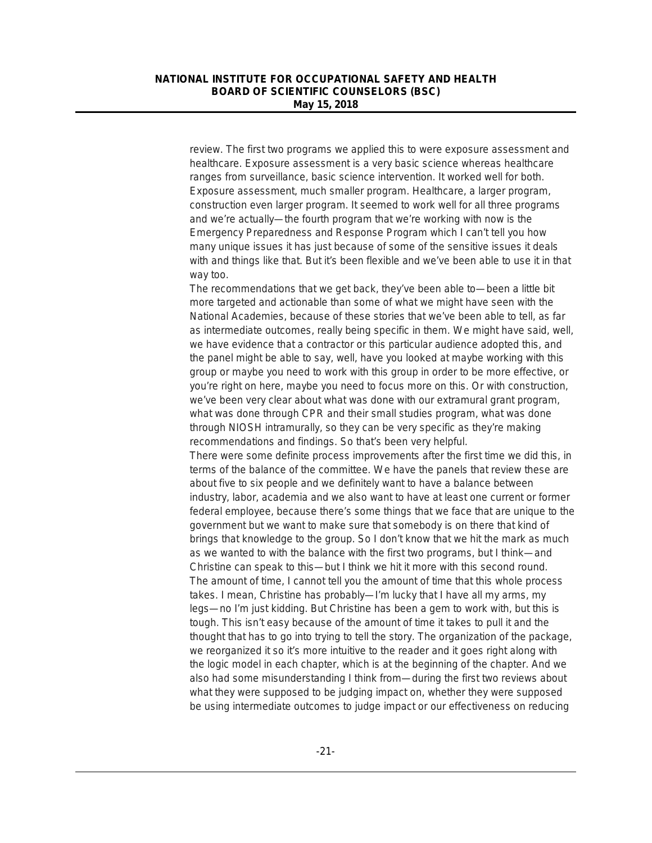review. The first two programs we applied this to were exposure assessment and healthcare. Exposure assessment is a very basic science whereas healthcare ranges from surveillance, basic science intervention. It worked well for both. Exposure assessment, much smaller program. Healthcare, a larger program, construction even larger program. It seemed to work well for all three programs and we're actually—the fourth program that we're working with now is the Emergency Preparedness and Response Program which I can't tell you how many unique issues it has just because of some of the sensitive issues it deals with and things like that. But it's been flexible and we've been able to use it in that way too.

The recommendations that we get back, they've been able to—been a little bit more targeted and actionable than some of what we might have seen with the National Academies, because of these stories that we've been able to tell, as far as intermediate outcomes, really being specific in them. We might have said, well, we have evidence that a contractor or this particular audience adopted this, and the panel might be able to say, well, have you looked at maybe working with this group or maybe you need to work with this group in order to be more effective, or you're right on here, maybe you need to focus more on this. Or with construction, we've been very clear about what was done with our extramural grant program, what was done through CPR and their small studies program, what was done through NIOSH intramurally, so they can be very specific as they're making recommendations and findings. So that's been very helpful.

There were some definite process improvements after the first time we did this, in terms of the balance of the committee. We have the panels that review these are about five to six people and we definitely want to have a balance between industry, labor, academia and we also want to have at least one current or former federal employee, because there's some things that we face that are unique to the government but we want to make sure that somebody is on there that kind of brings that knowledge to the group. So I don't know that we hit the mark as much as we wanted to with the balance with the first two programs, but I think—and Christine can speak to this—but I think we hit it more with this second round. The amount of time, I cannot tell you the amount of time that this whole process takes. I mean, Christine has probably—I'm lucky that I have all my arms, my legs—no I'm just kidding. But Christine has been a gem to work with, but this is tough. This isn't easy because of the amount of time it takes to pull it and the thought that has to go into trying to tell the story. The organization of the package, we reorganized it so it's more intuitive to the reader and it goes right along with the logic model in each chapter, which is at the beginning of the chapter. And we also had some misunderstanding I think from—during the first two reviews about what they were supposed to be judging impact on, whether they were supposed be using intermediate outcomes to judge impact or our effectiveness on reducing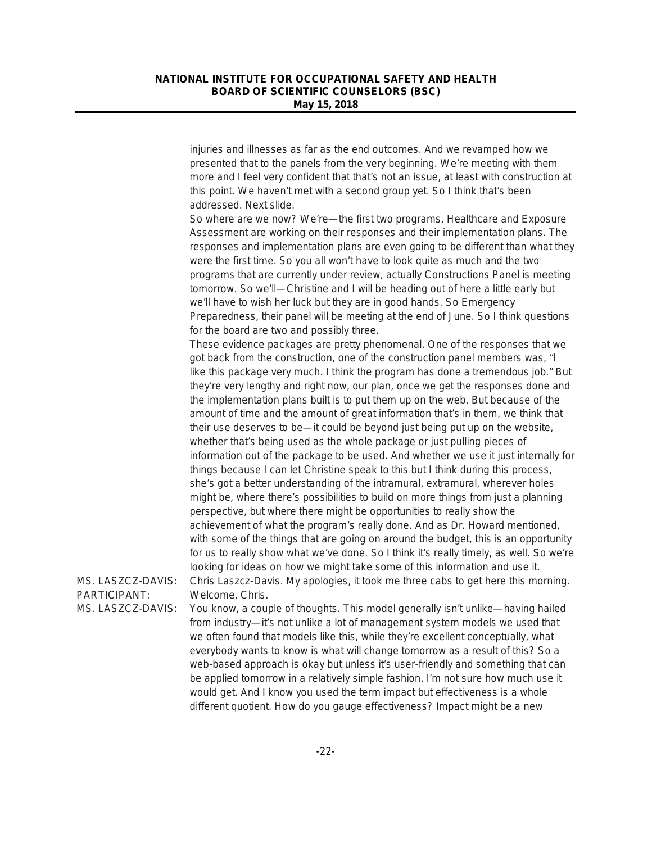injuries and illnesses as far as the end outcomes. And we revamped how we presented that to the panels from the very beginning. We're meeting with them more and I feel very confident that that's not an issue, at least with construction at this point. We haven't met with a second group yet. So I think that's been addressed. Next slide.

So where are we now? We're—the first two programs, Healthcare and Exposure Assessment are working on their responses and their implementation plans. The responses and implementation plans are even going to be different than what they were the first time. So you all won't have to look quite as much and the two programs that are currently under review, actually Constructions Panel is meeting tomorrow. So we'll—Christine and I will be heading out of here a little early but we'll have to wish her luck but they are in good hands. So Emergency Preparedness, their panel will be meeting at the end of June. So I think questions for the board are two and possibly three.

These evidence packages are pretty phenomenal. One of the responses that we got back from the construction, one of the construction panel members was, "I like this package very much. I think the program has done a tremendous job." But they're very lengthy and right now, our plan, once we get the responses done and the implementation plans built is to put them up on the web. But because of the amount of time and the amount of great information that's in them, we think that their use deserves to be—it could be beyond just being put up on the website, whether that's being used as the whole package or just pulling pieces of information out of the package to be used. And whether we use it just internally for things because I can let Christine speak to this but I think during this process, she's got a better understanding of the intramural, extramural, wherever holes might be, where there's possibilities to build on more things from just a planning perspective, but where there might be opportunities to really show the achievement of what the program's really done. And as Dr. Howard mentioned, with some of the things that are going on around the budget, this is an opportunity for us to really show what we've done. So I think it's really timely, as well. So we're looking for ideas on how we might take some of this information and use it. MS. LASZCZ-DAVIS: Chris Laszcz-Davis. My apologies, it took me three cabs to get here this morning.

PARTICIPANT: Welcome, Chris.

MS. LASZCZ-DAVIS: You know, a couple of thoughts. This model generally isn't unlike—having hailed from industry—it's not unlike a lot of management system models we used that we often found that models like this, while they're excellent conceptually, what everybody wants to know is what will change tomorrow as a result of this? So a web-based approach is okay but unless it's user-friendly and something that can be applied tomorrow in a relatively simple fashion, I'm not sure how much use it would get. And I know you used the term impact but effectiveness is a whole different quotient. How do you gauge effectiveness? Impact might be a new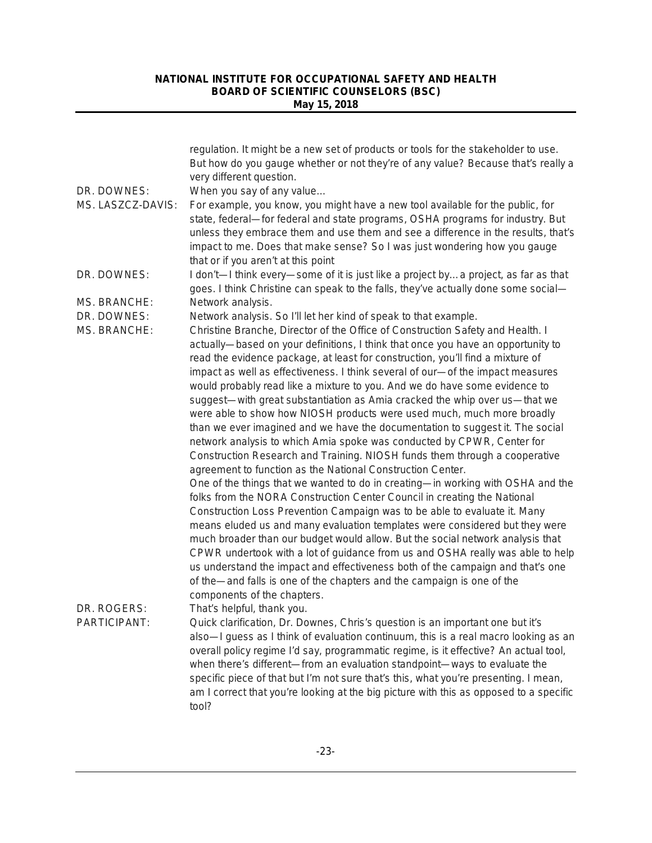|                             | regulation. It might be a new set of products or tools for the stakeholder to use.<br>But how do you gauge whether or not they're of any value? Because that's really a                                                                                                                                                                                                                                                                                                                                                                                                                                                                                                                                                                                                                                                                                                                                                                                                                                                                                                                                                                                                                                                                                                                                                                                                                                                                                                                                                                        |
|-----------------------------|------------------------------------------------------------------------------------------------------------------------------------------------------------------------------------------------------------------------------------------------------------------------------------------------------------------------------------------------------------------------------------------------------------------------------------------------------------------------------------------------------------------------------------------------------------------------------------------------------------------------------------------------------------------------------------------------------------------------------------------------------------------------------------------------------------------------------------------------------------------------------------------------------------------------------------------------------------------------------------------------------------------------------------------------------------------------------------------------------------------------------------------------------------------------------------------------------------------------------------------------------------------------------------------------------------------------------------------------------------------------------------------------------------------------------------------------------------------------------------------------------------------------------------------------|
|                             | very different question.                                                                                                                                                                                                                                                                                                                                                                                                                                                                                                                                                                                                                                                                                                                                                                                                                                                                                                                                                                                                                                                                                                                                                                                                                                                                                                                                                                                                                                                                                                                       |
| DR. DOWNES:                 | When you say of any value                                                                                                                                                                                                                                                                                                                                                                                                                                                                                                                                                                                                                                                                                                                                                                                                                                                                                                                                                                                                                                                                                                                                                                                                                                                                                                                                                                                                                                                                                                                      |
| MS. LASZCZ-DAVIS:           | For example, you know, you might have a new tool available for the public, for<br>state, federal-for federal and state programs, OSHA programs for industry. But<br>unless they embrace them and use them and see a difference in the results, that's<br>impact to me. Does that make sense? So I was just wondering how you gauge<br>that or if you aren't at this point                                                                                                                                                                                                                                                                                                                                                                                                                                                                                                                                                                                                                                                                                                                                                                                                                                                                                                                                                                                                                                                                                                                                                                      |
| DR. DOWNES:                 | I don't—I think every—some of it is just like a project bya project, as far as that<br>goes. I think Christine can speak to the falls, they've actually done some social-                                                                                                                                                                                                                                                                                                                                                                                                                                                                                                                                                                                                                                                                                                                                                                                                                                                                                                                                                                                                                                                                                                                                                                                                                                                                                                                                                                      |
| MS. BRANCHE:                | Network analysis.                                                                                                                                                                                                                                                                                                                                                                                                                                                                                                                                                                                                                                                                                                                                                                                                                                                                                                                                                                                                                                                                                                                                                                                                                                                                                                                                                                                                                                                                                                                              |
| DR. DOWNES:                 | Network analysis. So I'll let her kind of speak to that example.                                                                                                                                                                                                                                                                                                                                                                                                                                                                                                                                                                                                                                                                                                                                                                                                                                                                                                                                                                                                                                                                                                                                                                                                                                                                                                                                                                                                                                                                               |
| <b>MS. BRANCHE:</b>         | Christine Branche, Director of the Office of Construction Safety and Health. I<br>actually—based on your definitions, I think that once you have an opportunity to<br>read the evidence package, at least for construction, you'll find a mixture of<br>impact as well as effectiveness. I think several of our-of the impact measures<br>would probably read like a mixture to you. And we do have some evidence to<br>suggest-with great substantiation as Amia cracked the whip over us-that we<br>were able to show how NIOSH products were used much, much more broadly<br>than we ever imagined and we have the documentation to suggest it. The social<br>network analysis to which Amia spoke was conducted by CPWR, Center for<br>Construction Research and Training. NIOSH funds them through a cooperative<br>agreement to function as the National Construction Center.<br>One of the things that we wanted to do in creating-in working with OSHA and the<br>folks from the NORA Construction Center Council in creating the National<br>Construction Loss Prevention Campaign was to be able to evaluate it. Many<br>means eluded us and many evaluation templates were considered but they were<br>much broader than our budget would allow. But the social network analysis that<br>CPWR undertook with a lot of guidance from us and OSHA really was able to help<br>us understand the impact and effectiveness both of the campaign and that's one<br>of the—and falls is one of the chapters and the campaign is one of the |
| DR. ROGERS:<br>PARTICIPANT: | components of the chapters.<br>That's helpful, thank you.<br>Quick clarification, Dr. Downes, Chris's question is an important one but it's<br>also—I guess as I think of evaluation continuum, this is a real macro looking as an<br>overall policy regime I'd say, programmatic regime, is it effective? An actual tool,<br>when there's different-from an evaluation standpoint-ways to evaluate the<br>specific piece of that but I'm not sure that's this, what you're presenting. I mean,<br>am I correct that you're looking at the big picture with this as opposed to a specific<br>tool?                                                                                                                                                                                                                                                                                                                                                                                                                                                                                                                                                                                                                                                                                                                                                                                                                                                                                                                                             |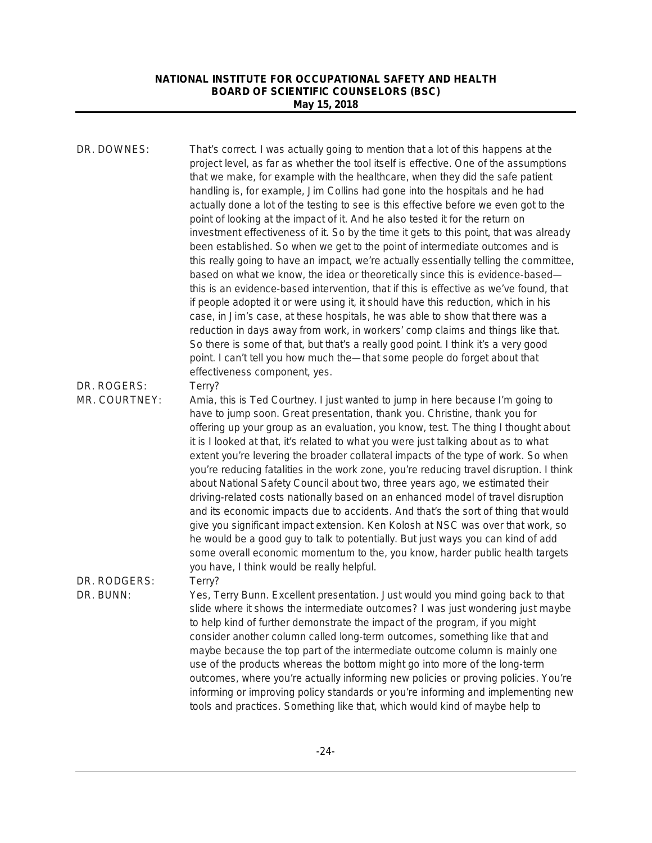| DR. DOWNES:                  | That's correct. I was actually going to mention that a lot of this happens at the<br>project level, as far as whether the tool itself is effective. One of the assumptions<br>that we make, for example with the healthcare, when they did the safe patient<br>handling is, for example, Jim Collins had gone into the hospitals and he had<br>actually done a lot of the testing to see is this effective before we even got to the<br>point of looking at the impact of it. And he also tested it for the return on<br>investment effectiveness of it. So by the time it gets to this point, that was already<br>been established. So when we get to the point of intermediate outcomes and is<br>this really going to have an impact, we're actually essentially telling the committee,<br>based on what we know, the idea or theoretically since this is evidence-based-<br>this is an evidence-based intervention, that if this is effective as we've found, that<br>if people adopted it or were using it, it should have this reduction, which in his<br>case, in Jim's case, at these hospitals, he was able to show that there was a<br>reduction in days away from work, in workers' comp claims and things like that.<br>So there is some of that, but that's a really good point. I think it's a very good<br>point. I can't tell you how much the-that some people do forget about that<br>effectiveness component, yes. |
|------------------------------|---------------------------------------------------------------------------------------------------------------------------------------------------------------------------------------------------------------------------------------------------------------------------------------------------------------------------------------------------------------------------------------------------------------------------------------------------------------------------------------------------------------------------------------------------------------------------------------------------------------------------------------------------------------------------------------------------------------------------------------------------------------------------------------------------------------------------------------------------------------------------------------------------------------------------------------------------------------------------------------------------------------------------------------------------------------------------------------------------------------------------------------------------------------------------------------------------------------------------------------------------------------------------------------------------------------------------------------------------------------------------------------------------------------------------------------|
| DR. ROGERS:<br>MR. COURTNEY: | Terry?<br>Amia, this is Ted Courtney. I just wanted to jump in here because I'm going to<br>have to jump soon. Great presentation, thank you. Christine, thank you for                                                                                                                                                                                                                                                                                                                                                                                                                                                                                                                                                                                                                                                                                                                                                                                                                                                                                                                                                                                                                                                                                                                                                                                                                                                                |
|                              | offering up your group as an evaluation, you know, test. The thing I thought about<br>it is I looked at that, it's related to what you were just talking about as to what<br>extent you're levering the broader collateral impacts of the type of work. So when<br>you're reducing fatalities in the work zone, you're reducing travel disruption. I think<br>about National Safety Council about two, three years ago, we estimated their<br>driving-related costs nationally based on an enhanced model of travel disruption<br>and its economic impacts due to accidents. And that's the sort of thing that would<br>give you significant impact extension. Ken Kolosh at NSC was over that work, so<br>he would be a good guy to talk to potentially. But just ways you can kind of add<br>some overall economic momentum to the, you know, harder public health targets<br>you have, I think would be really helpful.                                                                                                                                                                                                                                                                                                                                                                                                                                                                                                            |
| DR. RODGERS:<br>DR. BUNN:    | Terry?<br>Yes, Terry Bunn. Excellent presentation. Just would you mind going back to that                                                                                                                                                                                                                                                                                                                                                                                                                                                                                                                                                                                                                                                                                                                                                                                                                                                                                                                                                                                                                                                                                                                                                                                                                                                                                                                                             |
|                              | slide where it shows the intermediate outcomes? I was just wondering just maybe<br>to help kind of further demonstrate the impact of the program, if you might<br>consider another column called long-term outcomes, something like that and                                                                                                                                                                                                                                                                                                                                                                                                                                                                                                                                                                                                                                                                                                                                                                                                                                                                                                                                                                                                                                                                                                                                                                                          |
|                              | maybe because the top part of the intermediate outcome column is mainly one<br>use of the products whereas the bottom might go into more of the long-term                                                                                                                                                                                                                                                                                                                                                                                                                                                                                                                                                                                                                                                                                                                                                                                                                                                                                                                                                                                                                                                                                                                                                                                                                                                                             |
|                              | outcomes, where you're actually informing new policies or proving policies. You're<br>informing or improving policy standards or you're informing and implementing new<br>tools and practices. Something like that, which would kind of maybe help to                                                                                                                                                                                                                                                                                                                                                                                                                                                                                                                                                                                                                                                                                                                                                                                                                                                                                                                                                                                                                                                                                                                                                                                 |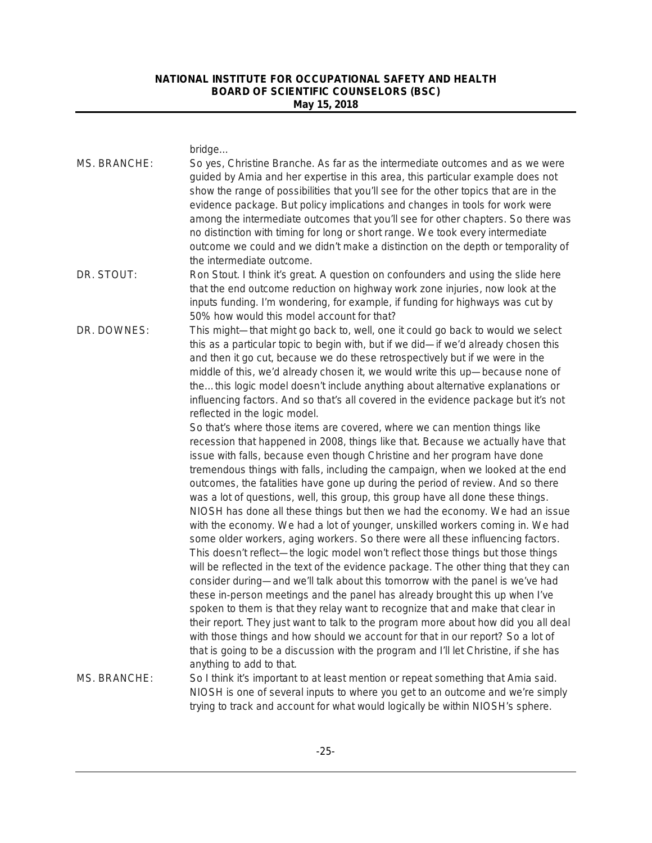bridge.

| MS. BRANCHE: | So yes, Christine Branche. As far as the intermediate outcomes and as we were<br>guided by Amia and her expertise in this area, this particular example does not<br>show the range of possibilities that you'll see for the other topics that are in the<br>evidence package. But policy implications and changes in tools for work were<br>among the intermediate outcomes that you'll see for other chapters. So there was<br>no distinction with timing for long or short range. We took every intermediate<br>outcome we could and we didn't make a distinction on the depth or temporality of<br>the intermediate outcome.                                                                                                                                                                                                                                                                                                                                                                                                                                                                                                                                                                                                                                                                                                                                                                                                                                                                                                                                                                                                                                                                                                                                                                                                                                                                                                                                                                                                                 |
|--------------|-------------------------------------------------------------------------------------------------------------------------------------------------------------------------------------------------------------------------------------------------------------------------------------------------------------------------------------------------------------------------------------------------------------------------------------------------------------------------------------------------------------------------------------------------------------------------------------------------------------------------------------------------------------------------------------------------------------------------------------------------------------------------------------------------------------------------------------------------------------------------------------------------------------------------------------------------------------------------------------------------------------------------------------------------------------------------------------------------------------------------------------------------------------------------------------------------------------------------------------------------------------------------------------------------------------------------------------------------------------------------------------------------------------------------------------------------------------------------------------------------------------------------------------------------------------------------------------------------------------------------------------------------------------------------------------------------------------------------------------------------------------------------------------------------------------------------------------------------------------------------------------------------------------------------------------------------------------------------------------------------------------------------------------------------|
| DR. STOUT:   | Ron Stout. I think it's great. A question on confounders and using the slide here<br>that the end outcome reduction on highway work zone injuries, now look at the<br>inputs funding. I'm wondering, for example, if funding for highways was cut by<br>50% how would this model account for that?                                                                                                                                                                                                                                                                                                                                                                                                                                                                                                                                                                                                                                                                                                                                                                                                                                                                                                                                                                                                                                                                                                                                                                                                                                                                                                                                                                                                                                                                                                                                                                                                                                                                                                                                              |
| DR. DOWNES:  | This might—that might go back to, well, one it could go back to would we select<br>this as a particular topic to begin with, but if we did-if we'd already chosen this<br>and then it go cut, because we do these retrospectively but if we were in the<br>middle of this, we'd already chosen it, we would write this up-because none of<br>thethis logic model doesn't include anything about alternative explanations or<br>influencing factors. And so that's all covered in the evidence package but it's not<br>reflected in the logic model.<br>So that's where those items are covered, where we can mention things like<br>recession that happened in 2008, things like that. Because we actually have that<br>issue with falls, because even though Christine and her program have done<br>tremendous things with falls, including the campaign, when we looked at the end<br>outcomes, the fatalities have gone up during the period of review. And so there<br>was a lot of questions, well, this group, this group have all done these things.<br>NIOSH has done all these things but then we had the economy. We had an issue<br>with the economy. We had a lot of younger, unskilled workers coming in. We had<br>some older workers, aging workers. So there were all these influencing factors.<br>This doesn't reflect—the logic model won't reflect those things but those things<br>will be reflected in the text of the evidence package. The other thing that they can<br>consider during—and we'll talk about this tomorrow with the panel is we've had<br>these in-person meetings and the panel has already brought this up when I've<br>spoken to them is that they relay want to recognize that and make that clear in<br>their report. They just want to talk to the program more about how did you all deal<br>with those things and how should we account for that in our report? So a lot of<br>that is going to be a discussion with the program and I'll let Christine, if she has<br>anything to add to that. |
| MS. BRANCHE: | So I think it's important to at least mention or repeat something that Amia said.<br>NIOSH is one of several inputs to where you get to an outcome and we're simply                                                                                                                                                                                                                                                                                                                                                                                                                                                                                                                                                                                                                                                                                                                                                                                                                                                                                                                                                                                                                                                                                                                                                                                                                                                                                                                                                                                                                                                                                                                                                                                                                                                                                                                                                                                                                                                                             |
|              | trying to track and account for what would logically be within NIOSH's sphere.                                                                                                                                                                                                                                                                                                                                                                                                                                                                                                                                                                                                                                                                                                                                                                                                                                                                                                                                                                                                                                                                                                                                                                                                                                                                                                                                                                                                                                                                                                                                                                                                                                                                                                                                                                                                                                                                                                                                                                  |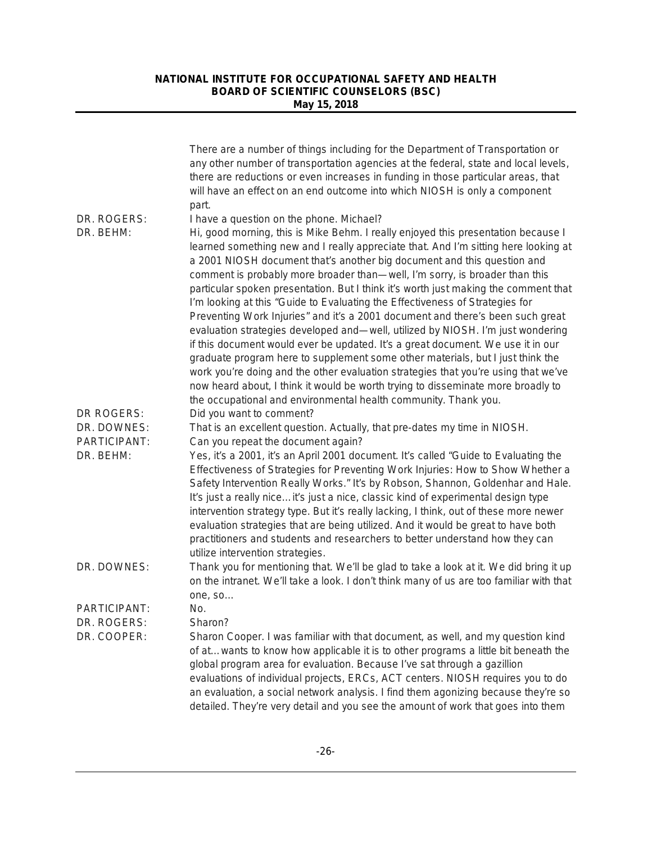|                                           | There are a number of things including for the Department of Transportation or<br>any other number of transportation agencies at the federal, state and local levels,<br>there are reductions or even increases in funding in those particular areas, that<br>will have an effect on an end outcome into which NIOSH is only a component<br>part.                                                                                                                                                                                                                                                                                                                                                                                                                                                                                                                                                                                                                                                                                                                                                                                            |
|-------------------------------------------|----------------------------------------------------------------------------------------------------------------------------------------------------------------------------------------------------------------------------------------------------------------------------------------------------------------------------------------------------------------------------------------------------------------------------------------------------------------------------------------------------------------------------------------------------------------------------------------------------------------------------------------------------------------------------------------------------------------------------------------------------------------------------------------------------------------------------------------------------------------------------------------------------------------------------------------------------------------------------------------------------------------------------------------------------------------------------------------------------------------------------------------------|
| DR. ROGERS:<br>DR. BEHM:                  | I have a question on the phone. Michael?<br>Hi, good morning, this is Mike Behm. I really enjoyed this presentation because I<br>learned something new and I really appreciate that. And I'm sitting here looking at<br>a 2001 NIOSH document that's another big document and this question and<br>comment is probably more broader than-well, I'm sorry, is broader than this<br>particular spoken presentation. But I think it's worth just making the comment that<br>I'm looking at this "Guide to Evaluating the Effectiveness of Strategies for<br>Preventing Work Injuries" and it's a 2001 document and there's been such great<br>evaluation strategies developed and-well, utilized by NIOSH. I'm just wondering<br>if this document would ever be updated. It's a great document. We use it in our<br>graduate program here to supplement some other materials, but I just think the<br>work you're doing and the other evaluation strategies that you're using that we've<br>now heard about, I think it would be worth trying to disseminate more broadly to<br>the occupational and environmental health community. Thank you. |
| DR ROGERS:<br>DR. DOWNES:<br>PARTICIPANT: | Did you want to comment?<br>That is an excellent question. Actually, that pre-dates my time in NIOSH.<br>Can you repeat the document again?                                                                                                                                                                                                                                                                                                                                                                                                                                                                                                                                                                                                                                                                                                                                                                                                                                                                                                                                                                                                  |
| DR. BEHM:                                 | Yes, it's a 2001, it's an April 2001 document. It's called "Guide to Evaluating the<br>Effectiveness of Strategies for Preventing Work Injuries: How to Show Whether a<br>Safety Intervention Really Works." It's by Robson, Shannon, Goldenhar and Hale.<br>It's just a really niceit's just a nice, classic kind of experimental design type<br>intervention strategy type. But it's really lacking, I think, out of these more newer<br>evaluation strategies that are being utilized. And it would be great to have both<br>practitioners and students and researchers to better understand how they can<br>utilize intervention strategies.                                                                                                                                                                                                                                                                                                                                                                                                                                                                                             |
| DR. DOWNES:                               | Thank you for mentioning that. We'll be glad to take a look at it. We did bring it up<br>on the intranet. We'll take a look. I don't think many of us are too familiar with that<br>one, so                                                                                                                                                                                                                                                                                                                                                                                                                                                                                                                                                                                                                                                                                                                                                                                                                                                                                                                                                  |
| PARTICIPANT:                              | No.                                                                                                                                                                                                                                                                                                                                                                                                                                                                                                                                                                                                                                                                                                                                                                                                                                                                                                                                                                                                                                                                                                                                          |
| DR. ROGERS:                               | Sharon?                                                                                                                                                                                                                                                                                                                                                                                                                                                                                                                                                                                                                                                                                                                                                                                                                                                                                                                                                                                                                                                                                                                                      |
| DR. COOPER:                               | Sharon Cooper. I was familiar with that document, as well, and my question kind<br>of atwants to know how applicable it is to other programs a little bit beneath the<br>global program area for evaluation. Because I've sat through a gazillion<br>evaluations of individual projects, ERCs, ACT centers. NIOSH requires you to do<br>an evaluation, a social network analysis. I find them agonizing because they're so<br>detailed. They're very detail and you see the amount of work that goes into them                                                                                                                                                                                                                                                                                                                                                                                                                                                                                                                                                                                                                               |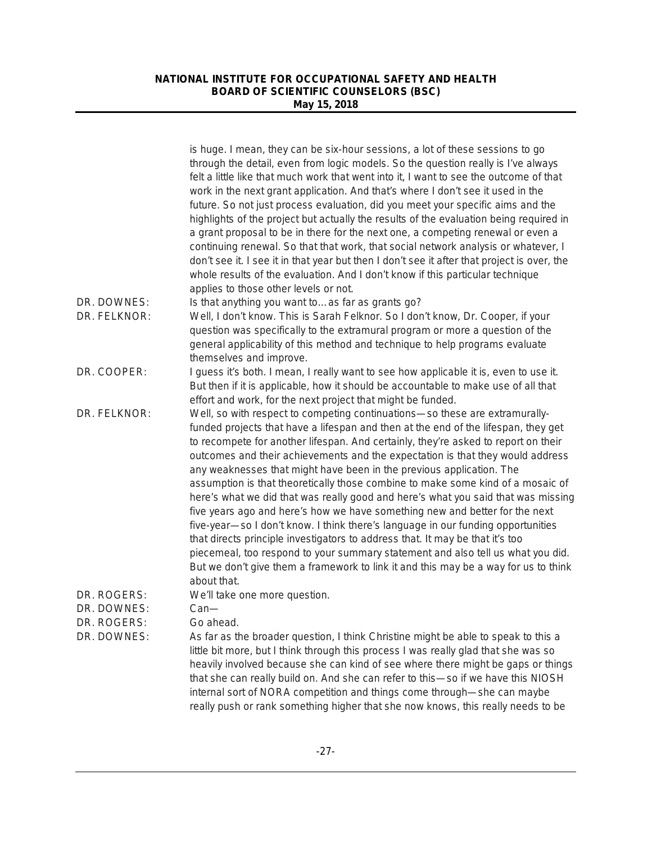|                            | is huge. I mean, they can be six-hour sessions, a lot of these sessions to go<br>through the detail, even from logic models. So the question really is I've always<br>felt a little like that much work that went into it, I want to see the outcome of that<br>work in the next grant application. And that's where I don't see it used in the<br>future. So not just process evaluation, did you meet your specific aims and the<br>highlights of the project but actually the results of the evaluation being required in<br>a grant proposal to be in there for the next one, a competing renewal or even a<br>continuing renewal. So that that work, that social network analysis or whatever, I<br>don't see it. I see it in that year but then I don't see it after that project is over, the<br>whole results of the evaluation. And I don't know if this particular technique<br>applies to those other levels or not.                                                                                                        |
|----------------------------|----------------------------------------------------------------------------------------------------------------------------------------------------------------------------------------------------------------------------------------------------------------------------------------------------------------------------------------------------------------------------------------------------------------------------------------------------------------------------------------------------------------------------------------------------------------------------------------------------------------------------------------------------------------------------------------------------------------------------------------------------------------------------------------------------------------------------------------------------------------------------------------------------------------------------------------------------------------------------------------------------------------------------------------|
| DR. DOWNES:                | Is that anything you want toas far as grants go?                                                                                                                                                                                                                                                                                                                                                                                                                                                                                                                                                                                                                                                                                                                                                                                                                                                                                                                                                                                       |
| DR. FELKNOR:               | Well, I don't know. This is Sarah Felknor. So I don't know, Dr. Cooper, if your<br>question was specifically to the extramural program or more a question of the<br>general applicability of this method and technique to help programs evaluate<br>themselves and improve.                                                                                                                                                                                                                                                                                                                                                                                                                                                                                                                                                                                                                                                                                                                                                            |
| DR. COOPER:                | I guess it's both. I mean, I really want to see how applicable it is, even to use it.<br>But then if it is applicable, how it should be accountable to make use of all that<br>effort and work, for the next project that might be funded.                                                                                                                                                                                                                                                                                                                                                                                                                                                                                                                                                                                                                                                                                                                                                                                             |
| DR. FELKNOR:               | Well, so with respect to competing continuations-so these are extramurally-<br>funded projects that have a lifespan and then at the end of the lifespan, they get<br>to recompete for another lifespan. And certainly, they're asked to report on their<br>outcomes and their achievements and the expectation is that they would address<br>any weaknesses that might have been in the previous application. The<br>assumption is that theoretically those combine to make some kind of a mosaic of<br>here's what we did that was really good and here's what you said that was missing<br>five years ago and here's how we have something new and better for the next<br>five-year-so I don't know. I think there's language in our funding opportunities<br>that directs principle investigators to address that. It may be that it's too<br>piecemeal, too respond to your summary statement and also tell us what you did.<br>But we don't give them a framework to link it and this may be a way for us to think<br>about that. |
| DR. ROGERS:                | We'll take one more question.                                                                                                                                                                                                                                                                                                                                                                                                                                                                                                                                                                                                                                                                                                                                                                                                                                                                                                                                                                                                          |
| DR. DOWNES:                | $Can$ —                                                                                                                                                                                                                                                                                                                                                                                                                                                                                                                                                                                                                                                                                                                                                                                                                                                                                                                                                                                                                                |
| DR. ROGERS:<br>DR. DOWNES: | Go ahead.<br>As far as the broader question, I think Christine might be able to speak to this a<br>little bit more, but I think through this process I was really glad that she was so<br>heavily involved because she can kind of see where there might be gaps or things<br>that she can really build on. And she can refer to this-so if we have this NIOSH<br>internal sort of NORA competition and things come through-she can maybe<br>really push or rank something higher that she now knows, this really needs to be                                                                                                                                                                                                                                                                                                                                                                                                                                                                                                          |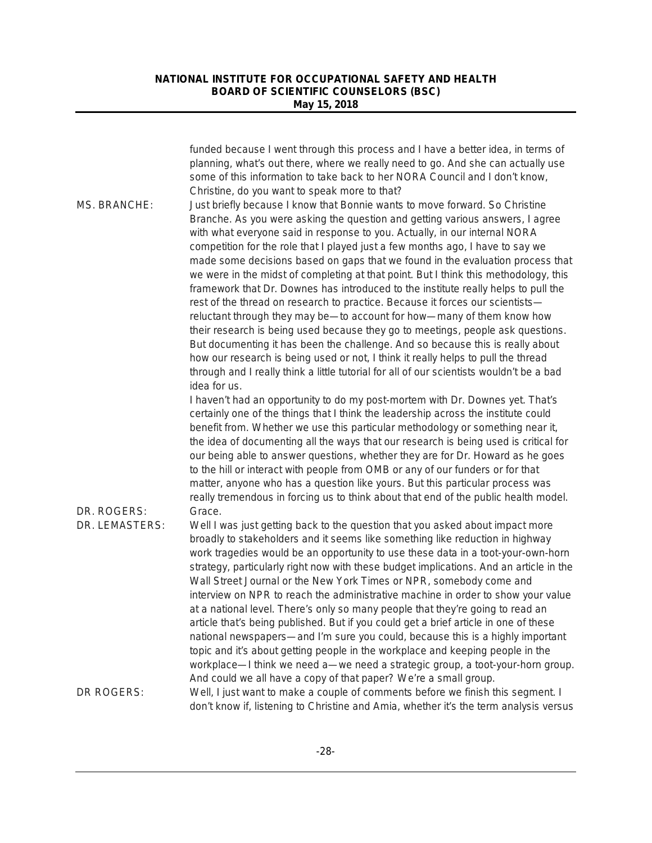|                               | funded because I went through this process and I have a better idea, in terms of<br>planning, what's out there, where we really need to go. And she can actually use<br>some of this information to take back to her NORA Council and I don't know,<br>Christine, do you want to speak more to that?                                                                                                                                                                                                                                                                                                                                                                                                                                                                                                                                                                                                                                                                                                                                                                                                                          |
|-------------------------------|-------------------------------------------------------------------------------------------------------------------------------------------------------------------------------------------------------------------------------------------------------------------------------------------------------------------------------------------------------------------------------------------------------------------------------------------------------------------------------------------------------------------------------------------------------------------------------------------------------------------------------------------------------------------------------------------------------------------------------------------------------------------------------------------------------------------------------------------------------------------------------------------------------------------------------------------------------------------------------------------------------------------------------------------------------------------------------------------------------------------------------|
| MS. BRANCHE:                  | Just briefly because I know that Bonnie wants to move forward. So Christine<br>Branche. As you were asking the question and getting various answers, I agree<br>with what everyone said in response to you. Actually, in our internal NORA<br>competition for the role that I played just a few months ago, I have to say we<br>made some decisions based on gaps that we found in the evaluation process that<br>we were in the midst of completing at that point. But I think this methodology, this<br>framework that Dr. Downes has introduced to the institute really helps to pull the<br>rest of the thread on research to practice. Because it forces our scientists-<br>reluctant through they may be-to account for how-many of them know how<br>their research is being used because they go to meetings, people ask questions.<br>But documenting it has been the challenge. And so because this is really about<br>how our research is being used or not, I think it really helps to pull the thread<br>through and I really think a little tutorial for all of our scientists wouldn't be a bad<br>idea for us. |
|                               | I haven't had an opportunity to do my post-mortem with Dr. Downes yet. That's<br>certainly one of the things that I think the leadership across the institute could<br>benefit from. Whether we use this particular methodology or something near it,<br>the idea of documenting all the ways that our research is being used is critical for<br>our being able to answer questions, whether they are for Dr. Howard as he goes<br>to the hill or interact with people from OMB or any of our funders or for that<br>matter, anyone who has a question like yours. But this particular process was<br>really tremendous in forcing us to think about that end of the public health model.                                                                                                                                                                                                                                                                                                                                                                                                                                     |
| DR. ROGERS:<br>DR. LEMASTERS: | Grace.<br>Well I was just getting back to the question that you asked about impact more<br>broadly to stakeholders and it seems like something like reduction in highway<br>work tragedies would be an opportunity to use these data in a toot-your-own-horn<br>strategy, particularly right now with these budget implications. And an article in the<br>Wall Street Journal or the New York Times or NPR, somebody come and<br>interview on NPR to reach the administrative machine in order to show your value<br>at a national level. There's only so many people that they're going to read an<br>article that's being published. But if you could get a brief article in one of these<br>national newspapers—and I'm sure you could, because this is a highly important<br>topic and it's about getting people in the workplace and keeping people in the<br>workplace—I think we need a—we need a strategic group, a toot-your-horn group.<br>And could we all have a copy of that paper? We're a small group.                                                                                                         |
| DR ROGERS:                    | Well, I just want to make a couple of comments before we finish this segment. I<br>don't know if, listening to Christine and Amia, whether it's the term analysis versus                                                                                                                                                                                                                                                                                                                                                                                                                                                                                                                                                                                                                                                                                                                                                                                                                                                                                                                                                      |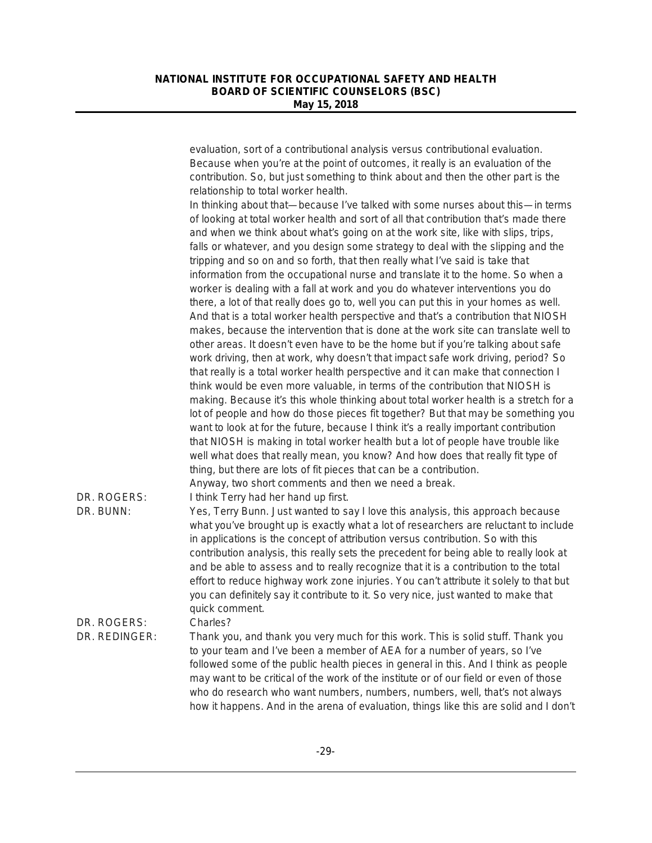| Because when you're at the point of outcomes, it really is an evaluation of the<br>contribution. So, but just something to think about and then the other part is the<br>relationship to total worker health.<br>In thinking about that—because I've talked with some nurses about this—in terms<br>of looking at total worker health and sort of all that contribution that's made there<br>and when we think about what's going on at the work site, like with slips, trips,<br>falls or whatever, and you design some strategy to deal with the slipping and the<br>tripping and so on and so forth, that then really what I've said is take that<br>information from the occupational nurse and translate it to the home. So when a<br>worker is dealing with a fall at work and you do whatever interventions you do<br>there, a lot of that really does go to, well you can put this in your homes as well.<br>And that is a total worker health perspective and that's a contribution that NIOSH<br>makes, because the intervention that is done at the work site can translate well to<br>other areas. It doesn't even have to be the home but if you're talking about safe<br>work driving, then at work, why doesn't that impact safe work driving, period? So<br>that really is a total worker health perspective and it can make that connection I<br>think would be even more valuable, in terms of the contribution that NIOSH is<br>making. Because it's this whole thinking about total worker health is a stretch for a<br>lot of people and how do those pieces fit together? But that may be something you<br>want to look at for the future, because I think it's a really important contribution<br>that NIOSH is making in total worker health but a lot of people have trouble like<br>well what does that really mean, you know? And how does that really fit type of<br>thing, but there are lots of fit pieces that can be a contribution.<br>Anyway, two short comments and then we need a break.<br>DR. ROGERS:<br>I think Terry had her hand up first.<br>DR. BUNN:<br>Yes, Terry Bunn. Just wanted to say I love this analysis, this approach because<br>what you've brought up is exactly what a lot of researchers are reluctant to include<br>in applications is the concept of attribution versus contribution. So with this<br>contribution analysis, this really sets the precedent for being able to really look at<br>and be able to assess and to really recognize that it is a contribution to the total<br>effort to reduce highway work zone injuries. You can't attribute it solely to that but<br>you can definitely say it contribute to it. So very nice, just wanted to make that<br>quick comment.<br>DR. ROGERS:<br>Charles?<br>DR. REDINGER:<br>Thank you, and thank you very much for this work. This is solid stuff. Thank you<br>to your team and I've been a member of AEA for a number of years, so I've<br>followed some of the public health pieces in general in this. And I think as people |                                                                                        |  |
|--------------------------------------------------------------------------------------------------------------------------------------------------------------------------------------------------------------------------------------------------------------------------------------------------------------------------------------------------------------------------------------------------------------------------------------------------------------------------------------------------------------------------------------------------------------------------------------------------------------------------------------------------------------------------------------------------------------------------------------------------------------------------------------------------------------------------------------------------------------------------------------------------------------------------------------------------------------------------------------------------------------------------------------------------------------------------------------------------------------------------------------------------------------------------------------------------------------------------------------------------------------------------------------------------------------------------------------------------------------------------------------------------------------------------------------------------------------------------------------------------------------------------------------------------------------------------------------------------------------------------------------------------------------------------------------------------------------------------------------------------------------------------------------------------------------------------------------------------------------------------------------------------------------------------------------------------------------------------------------------------------------------------------------------------------------------------------------------------------------------------------------------------------------------------------------------------------------------------------------------------------------------------------------------------------------------------------------------------------------------------------------------------------------------------------------------------------------------------------------------------------------------------------------------------------------------------------------------------------------------------------------------------------------------------------------------------------------------------------------------------------------------------------------------------------------------------------------------------------------------------------------------------------------------------------------------------------------------------------------------------------------------------------------------------------|----------------------------------------------------------------------------------------|--|
|                                                                                                                                                                                                                                                                                                                                                                                                                                                                                                                                                                                                                                                                                                                                                                                                                                                                                                                                                                                                                                                                                                                                                                                                                                                                                                                                                                                                                                                                                                                                                                                                                                                                                                                                                                                                                                                                                                                                                                                                                                                                                                                                                                                                                                                                                                                                                                                                                                                                                                                                                                                                                                                                                                                                                                                                                                                                                                                                                                                                                                                        |                                                                                        |  |
|                                                                                                                                                                                                                                                                                                                                                                                                                                                                                                                                                                                                                                                                                                                                                                                                                                                                                                                                                                                                                                                                                                                                                                                                                                                                                                                                                                                                                                                                                                                                                                                                                                                                                                                                                                                                                                                                                                                                                                                                                                                                                                                                                                                                                                                                                                                                                                                                                                                                                                                                                                                                                                                                                                                                                                                                                                                                                                                                                                                                                                                        |                                                                                        |  |
|                                                                                                                                                                                                                                                                                                                                                                                                                                                                                                                                                                                                                                                                                                                                                                                                                                                                                                                                                                                                                                                                                                                                                                                                                                                                                                                                                                                                                                                                                                                                                                                                                                                                                                                                                                                                                                                                                                                                                                                                                                                                                                                                                                                                                                                                                                                                                                                                                                                                                                                                                                                                                                                                                                                                                                                                                                                                                                                                                                                                                                                        |                                                                                        |  |
|                                                                                                                                                                                                                                                                                                                                                                                                                                                                                                                                                                                                                                                                                                                                                                                                                                                                                                                                                                                                                                                                                                                                                                                                                                                                                                                                                                                                                                                                                                                                                                                                                                                                                                                                                                                                                                                                                                                                                                                                                                                                                                                                                                                                                                                                                                                                                                                                                                                                                                                                                                                                                                                                                                                                                                                                                                                                                                                                                                                                                                                        |                                                                                        |  |
|                                                                                                                                                                                                                                                                                                                                                                                                                                                                                                                                                                                                                                                                                                                                                                                                                                                                                                                                                                                                                                                                                                                                                                                                                                                                                                                                                                                                                                                                                                                                                                                                                                                                                                                                                                                                                                                                                                                                                                                                                                                                                                                                                                                                                                                                                                                                                                                                                                                                                                                                                                                                                                                                                                                                                                                                                                                                                                                                                                                                                                                        |                                                                                        |  |
|                                                                                                                                                                                                                                                                                                                                                                                                                                                                                                                                                                                                                                                                                                                                                                                                                                                                                                                                                                                                                                                                                                                                                                                                                                                                                                                                                                                                                                                                                                                                                                                                                                                                                                                                                                                                                                                                                                                                                                                                                                                                                                                                                                                                                                                                                                                                                                                                                                                                                                                                                                                                                                                                                                                                                                                                                                                                                                                                                                                                                                                        |                                                                                        |  |
|                                                                                                                                                                                                                                                                                                                                                                                                                                                                                                                                                                                                                                                                                                                                                                                                                                                                                                                                                                                                                                                                                                                                                                                                                                                                                                                                                                                                                                                                                                                                                                                                                                                                                                                                                                                                                                                                                                                                                                                                                                                                                                                                                                                                                                                                                                                                                                                                                                                                                                                                                                                                                                                                                                                                                                                                                                                                                                                                                                                                                                                        |                                                                                        |  |
|                                                                                                                                                                                                                                                                                                                                                                                                                                                                                                                                                                                                                                                                                                                                                                                                                                                                                                                                                                                                                                                                                                                                                                                                                                                                                                                                                                                                                                                                                                                                                                                                                                                                                                                                                                                                                                                                                                                                                                                                                                                                                                                                                                                                                                                                                                                                                                                                                                                                                                                                                                                                                                                                                                                                                                                                                                                                                                                                                                                                                                                        |                                                                                        |  |
|                                                                                                                                                                                                                                                                                                                                                                                                                                                                                                                                                                                                                                                                                                                                                                                                                                                                                                                                                                                                                                                                                                                                                                                                                                                                                                                                                                                                                                                                                                                                                                                                                                                                                                                                                                                                                                                                                                                                                                                                                                                                                                                                                                                                                                                                                                                                                                                                                                                                                                                                                                                                                                                                                                                                                                                                                                                                                                                                                                                                                                                        |                                                                                        |  |
|                                                                                                                                                                                                                                                                                                                                                                                                                                                                                                                                                                                                                                                                                                                                                                                                                                                                                                                                                                                                                                                                                                                                                                                                                                                                                                                                                                                                                                                                                                                                                                                                                                                                                                                                                                                                                                                                                                                                                                                                                                                                                                                                                                                                                                                                                                                                                                                                                                                                                                                                                                                                                                                                                                                                                                                                                                                                                                                                                                                                                                                        |                                                                                        |  |
|                                                                                                                                                                                                                                                                                                                                                                                                                                                                                                                                                                                                                                                                                                                                                                                                                                                                                                                                                                                                                                                                                                                                                                                                                                                                                                                                                                                                                                                                                                                                                                                                                                                                                                                                                                                                                                                                                                                                                                                                                                                                                                                                                                                                                                                                                                                                                                                                                                                                                                                                                                                                                                                                                                                                                                                                                                                                                                                                                                                                                                                        |                                                                                        |  |
|                                                                                                                                                                                                                                                                                                                                                                                                                                                                                                                                                                                                                                                                                                                                                                                                                                                                                                                                                                                                                                                                                                                                                                                                                                                                                                                                                                                                                                                                                                                                                                                                                                                                                                                                                                                                                                                                                                                                                                                                                                                                                                                                                                                                                                                                                                                                                                                                                                                                                                                                                                                                                                                                                                                                                                                                                                                                                                                                                                                                                                                        |                                                                                        |  |
|                                                                                                                                                                                                                                                                                                                                                                                                                                                                                                                                                                                                                                                                                                                                                                                                                                                                                                                                                                                                                                                                                                                                                                                                                                                                                                                                                                                                                                                                                                                                                                                                                                                                                                                                                                                                                                                                                                                                                                                                                                                                                                                                                                                                                                                                                                                                                                                                                                                                                                                                                                                                                                                                                                                                                                                                                                                                                                                                                                                                                                                        |                                                                                        |  |
|                                                                                                                                                                                                                                                                                                                                                                                                                                                                                                                                                                                                                                                                                                                                                                                                                                                                                                                                                                                                                                                                                                                                                                                                                                                                                                                                                                                                                                                                                                                                                                                                                                                                                                                                                                                                                                                                                                                                                                                                                                                                                                                                                                                                                                                                                                                                                                                                                                                                                                                                                                                                                                                                                                                                                                                                                                                                                                                                                                                                                                                        |                                                                                        |  |
|                                                                                                                                                                                                                                                                                                                                                                                                                                                                                                                                                                                                                                                                                                                                                                                                                                                                                                                                                                                                                                                                                                                                                                                                                                                                                                                                                                                                                                                                                                                                                                                                                                                                                                                                                                                                                                                                                                                                                                                                                                                                                                                                                                                                                                                                                                                                                                                                                                                                                                                                                                                                                                                                                                                                                                                                                                                                                                                                                                                                                                                        |                                                                                        |  |
|                                                                                                                                                                                                                                                                                                                                                                                                                                                                                                                                                                                                                                                                                                                                                                                                                                                                                                                                                                                                                                                                                                                                                                                                                                                                                                                                                                                                                                                                                                                                                                                                                                                                                                                                                                                                                                                                                                                                                                                                                                                                                                                                                                                                                                                                                                                                                                                                                                                                                                                                                                                                                                                                                                                                                                                                                                                                                                                                                                                                                                                        |                                                                                        |  |
|                                                                                                                                                                                                                                                                                                                                                                                                                                                                                                                                                                                                                                                                                                                                                                                                                                                                                                                                                                                                                                                                                                                                                                                                                                                                                                                                                                                                                                                                                                                                                                                                                                                                                                                                                                                                                                                                                                                                                                                                                                                                                                                                                                                                                                                                                                                                                                                                                                                                                                                                                                                                                                                                                                                                                                                                                                                                                                                                                                                                                                                        |                                                                                        |  |
|                                                                                                                                                                                                                                                                                                                                                                                                                                                                                                                                                                                                                                                                                                                                                                                                                                                                                                                                                                                                                                                                                                                                                                                                                                                                                                                                                                                                                                                                                                                                                                                                                                                                                                                                                                                                                                                                                                                                                                                                                                                                                                                                                                                                                                                                                                                                                                                                                                                                                                                                                                                                                                                                                                                                                                                                                                                                                                                                                                                                                                                        |                                                                                        |  |
|                                                                                                                                                                                                                                                                                                                                                                                                                                                                                                                                                                                                                                                                                                                                                                                                                                                                                                                                                                                                                                                                                                                                                                                                                                                                                                                                                                                                                                                                                                                                                                                                                                                                                                                                                                                                                                                                                                                                                                                                                                                                                                                                                                                                                                                                                                                                                                                                                                                                                                                                                                                                                                                                                                                                                                                                                                                                                                                                                                                                                                                        |                                                                                        |  |
|                                                                                                                                                                                                                                                                                                                                                                                                                                                                                                                                                                                                                                                                                                                                                                                                                                                                                                                                                                                                                                                                                                                                                                                                                                                                                                                                                                                                                                                                                                                                                                                                                                                                                                                                                                                                                                                                                                                                                                                                                                                                                                                                                                                                                                                                                                                                                                                                                                                                                                                                                                                                                                                                                                                                                                                                                                                                                                                                                                                                                                                        |                                                                                        |  |
|                                                                                                                                                                                                                                                                                                                                                                                                                                                                                                                                                                                                                                                                                                                                                                                                                                                                                                                                                                                                                                                                                                                                                                                                                                                                                                                                                                                                                                                                                                                                                                                                                                                                                                                                                                                                                                                                                                                                                                                                                                                                                                                                                                                                                                                                                                                                                                                                                                                                                                                                                                                                                                                                                                                                                                                                                                                                                                                                                                                                                                                        |                                                                                        |  |
|                                                                                                                                                                                                                                                                                                                                                                                                                                                                                                                                                                                                                                                                                                                                                                                                                                                                                                                                                                                                                                                                                                                                                                                                                                                                                                                                                                                                                                                                                                                                                                                                                                                                                                                                                                                                                                                                                                                                                                                                                                                                                                                                                                                                                                                                                                                                                                                                                                                                                                                                                                                                                                                                                                                                                                                                                                                                                                                                                                                                                                                        |                                                                                        |  |
|                                                                                                                                                                                                                                                                                                                                                                                                                                                                                                                                                                                                                                                                                                                                                                                                                                                                                                                                                                                                                                                                                                                                                                                                                                                                                                                                                                                                                                                                                                                                                                                                                                                                                                                                                                                                                                                                                                                                                                                                                                                                                                                                                                                                                                                                                                                                                                                                                                                                                                                                                                                                                                                                                                                                                                                                                                                                                                                                                                                                                                                        |                                                                                        |  |
|                                                                                                                                                                                                                                                                                                                                                                                                                                                                                                                                                                                                                                                                                                                                                                                                                                                                                                                                                                                                                                                                                                                                                                                                                                                                                                                                                                                                                                                                                                                                                                                                                                                                                                                                                                                                                                                                                                                                                                                                                                                                                                                                                                                                                                                                                                                                                                                                                                                                                                                                                                                                                                                                                                                                                                                                                                                                                                                                                                                                                                                        |                                                                                        |  |
|                                                                                                                                                                                                                                                                                                                                                                                                                                                                                                                                                                                                                                                                                                                                                                                                                                                                                                                                                                                                                                                                                                                                                                                                                                                                                                                                                                                                                                                                                                                                                                                                                                                                                                                                                                                                                                                                                                                                                                                                                                                                                                                                                                                                                                                                                                                                                                                                                                                                                                                                                                                                                                                                                                                                                                                                                                                                                                                                                                                                                                                        |                                                                                        |  |
|                                                                                                                                                                                                                                                                                                                                                                                                                                                                                                                                                                                                                                                                                                                                                                                                                                                                                                                                                                                                                                                                                                                                                                                                                                                                                                                                                                                                                                                                                                                                                                                                                                                                                                                                                                                                                                                                                                                                                                                                                                                                                                                                                                                                                                                                                                                                                                                                                                                                                                                                                                                                                                                                                                                                                                                                                                                                                                                                                                                                                                                        |                                                                                        |  |
|                                                                                                                                                                                                                                                                                                                                                                                                                                                                                                                                                                                                                                                                                                                                                                                                                                                                                                                                                                                                                                                                                                                                                                                                                                                                                                                                                                                                                                                                                                                                                                                                                                                                                                                                                                                                                                                                                                                                                                                                                                                                                                                                                                                                                                                                                                                                                                                                                                                                                                                                                                                                                                                                                                                                                                                                                                                                                                                                                                                                                                                        |                                                                                        |  |
|                                                                                                                                                                                                                                                                                                                                                                                                                                                                                                                                                                                                                                                                                                                                                                                                                                                                                                                                                                                                                                                                                                                                                                                                                                                                                                                                                                                                                                                                                                                                                                                                                                                                                                                                                                                                                                                                                                                                                                                                                                                                                                                                                                                                                                                                                                                                                                                                                                                                                                                                                                                                                                                                                                                                                                                                                                                                                                                                                                                                                                                        |                                                                                        |  |
|                                                                                                                                                                                                                                                                                                                                                                                                                                                                                                                                                                                                                                                                                                                                                                                                                                                                                                                                                                                                                                                                                                                                                                                                                                                                                                                                                                                                                                                                                                                                                                                                                                                                                                                                                                                                                                                                                                                                                                                                                                                                                                                                                                                                                                                                                                                                                                                                                                                                                                                                                                                                                                                                                                                                                                                                                                                                                                                                                                                                                                                        |                                                                                        |  |
|                                                                                                                                                                                                                                                                                                                                                                                                                                                                                                                                                                                                                                                                                                                                                                                                                                                                                                                                                                                                                                                                                                                                                                                                                                                                                                                                                                                                                                                                                                                                                                                                                                                                                                                                                                                                                                                                                                                                                                                                                                                                                                                                                                                                                                                                                                                                                                                                                                                                                                                                                                                                                                                                                                                                                                                                                                                                                                                                                                                                                                                        |                                                                                        |  |
|                                                                                                                                                                                                                                                                                                                                                                                                                                                                                                                                                                                                                                                                                                                                                                                                                                                                                                                                                                                                                                                                                                                                                                                                                                                                                                                                                                                                                                                                                                                                                                                                                                                                                                                                                                                                                                                                                                                                                                                                                                                                                                                                                                                                                                                                                                                                                                                                                                                                                                                                                                                                                                                                                                                                                                                                                                                                                                                                                                                                                                                        |                                                                                        |  |
|                                                                                                                                                                                                                                                                                                                                                                                                                                                                                                                                                                                                                                                                                                                                                                                                                                                                                                                                                                                                                                                                                                                                                                                                                                                                                                                                                                                                                                                                                                                                                                                                                                                                                                                                                                                                                                                                                                                                                                                                                                                                                                                                                                                                                                                                                                                                                                                                                                                                                                                                                                                                                                                                                                                                                                                                                                                                                                                                                                                                                                                        |                                                                                        |  |
|                                                                                                                                                                                                                                                                                                                                                                                                                                                                                                                                                                                                                                                                                                                                                                                                                                                                                                                                                                                                                                                                                                                                                                                                                                                                                                                                                                                                                                                                                                                                                                                                                                                                                                                                                                                                                                                                                                                                                                                                                                                                                                                                                                                                                                                                                                                                                                                                                                                                                                                                                                                                                                                                                                                                                                                                                                                                                                                                                                                                                                                        |                                                                                        |  |
|                                                                                                                                                                                                                                                                                                                                                                                                                                                                                                                                                                                                                                                                                                                                                                                                                                                                                                                                                                                                                                                                                                                                                                                                                                                                                                                                                                                                                                                                                                                                                                                                                                                                                                                                                                                                                                                                                                                                                                                                                                                                                                                                                                                                                                                                                                                                                                                                                                                                                                                                                                                                                                                                                                                                                                                                                                                                                                                                                                                                                                                        |                                                                                        |  |
|                                                                                                                                                                                                                                                                                                                                                                                                                                                                                                                                                                                                                                                                                                                                                                                                                                                                                                                                                                                                                                                                                                                                                                                                                                                                                                                                                                                                                                                                                                                                                                                                                                                                                                                                                                                                                                                                                                                                                                                                                                                                                                                                                                                                                                                                                                                                                                                                                                                                                                                                                                                                                                                                                                                                                                                                                                                                                                                                                                                                                                                        |                                                                                        |  |
|                                                                                                                                                                                                                                                                                                                                                                                                                                                                                                                                                                                                                                                                                                                                                                                                                                                                                                                                                                                                                                                                                                                                                                                                                                                                                                                                                                                                                                                                                                                                                                                                                                                                                                                                                                                                                                                                                                                                                                                                                                                                                                                                                                                                                                                                                                                                                                                                                                                                                                                                                                                                                                                                                                                                                                                                                                                                                                                                                                                                                                                        |                                                                                        |  |
|                                                                                                                                                                                                                                                                                                                                                                                                                                                                                                                                                                                                                                                                                                                                                                                                                                                                                                                                                                                                                                                                                                                                                                                                                                                                                                                                                                                                                                                                                                                                                                                                                                                                                                                                                                                                                                                                                                                                                                                                                                                                                                                                                                                                                                                                                                                                                                                                                                                                                                                                                                                                                                                                                                                                                                                                                                                                                                                                                                                                                                                        |                                                                                        |  |
|                                                                                                                                                                                                                                                                                                                                                                                                                                                                                                                                                                                                                                                                                                                                                                                                                                                                                                                                                                                                                                                                                                                                                                                                                                                                                                                                                                                                                                                                                                                                                                                                                                                                                                                                                                                                                                                                                                                                                                                                                                                                                                                                                                                                                                                                                                                                                                                                                                                                                                                                                                                                                                                                                                                                                                                                                                                                                                                                                                                                                                                        | may want to be critical of the work of the institute or of our field or even of those  |  |
| who do research who want numbers, numbers, numbers, well, that's not always                                                                                                                                                                                                                                                                                                                                                                                                                                                                                                                                                                                                                                                                                                                                                                                                                                                                                                                                                                                                                                                                                                                                                                                                                                                                                                                                                                                                                                                                                                                                                                                                                                                                                                                                                                                                                                                                                                                                                                                                                                                                                                                                                                                                                                                                                                                                                                                                                                                                                                                                                                                                                                                                                                                                                                                                                                                                                                                                                                            |                                                                                        |  |
|                                                                                                                                                                                                                                                                                                                                                                                                                                                                                                                                                                                                                                                                                                                                                                                                                                                                                                                                                                                                                                                                                                                                                                                                                                                                                                                                                                                                                                                                                                                                                                                                                                                                                                                                                                                                                                                                                                                                                                                                                                                                                                                                                                                                                                                                                                                                                                                                                                                                                                                                                                                                                                                                                                                                                                                                                                                                                                                                                                                                                                                        | how it happens. And in the arena of evaluation, things like this are solid and I don't |  |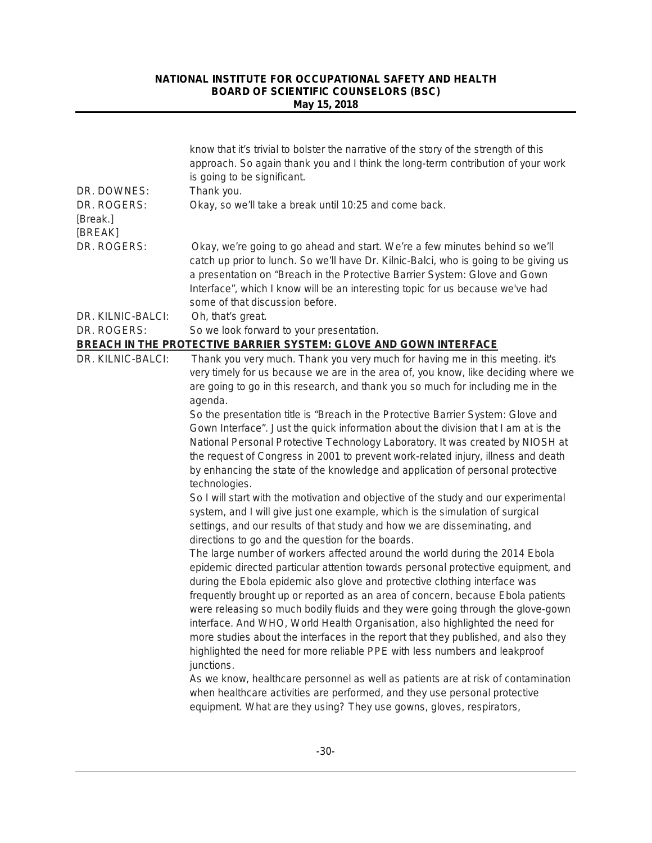|                                                   | know that it's trivial to bolster the narrative of the story of the strength of this<br>approach. So again thank you and I think the long-term contribution of your work<br>is going to be significant.                                                                                                                                                                                                                                                                                                                                                                                                                                                                                                                                                                                                                                                                                                                                                                                                                                                                                                                                                             |
|---------------------------------------------------|---------------------------------------------------------------------------------------------------------------------------------------------------------------------------------------------------------------------------------------------------------------------------------------------------------------------------------------------------------------------------------------------------------------------------------------------------------------------------------------------------------------------------------------------------------------------------------------------------------------------------------------------------------------------------------------------------------------------------------------------------------------------------------------------------------------------------------------------------------------------------------------------------------------------------------------------------------------------------------------------------------------------------------------------------------------------------------------------------------------------------------------------------------------------|
| DR. DOWNES:<br>DR. ROGERS:<br>[Break.]<br>[BREAK] | Thank you.<br>Okay, so we'll take a break until 10:25 and come back.                                                                                                                                                                                                                                                                                                                                                                                                                                                                                                                                                                                                                                                                                                                                                                                                                                                                                                                                                                                                                                                                                                |
| DR. ROGERS:                                       | Okay, we're going to go ahead and start. We're a few minutes behind so we'll<br>catch up prior to lunch. So we'll have Dr. Kilnic-Balci, who is going to be giving us<br>a presentation on "Breach in the Protective Barrier System: Glove and Gown<br>Interface", which I know will be an interesting topic for us because we've had<br>some of that discussion before.                                                                                                                                                                                                                                                                                                                                                                                                                                                                                                                                                                                                                                                                                                                                                                                            |
| DR. KILNIC-BALCI:                                 | Oh, that's great.                                                                                                                                                                                                                                                                                                                                                                                                                                                                                                                                                                                                                                                                                                                                                                                                                                                                                                                                                                                                                                                                                                                                                   |
| DR. ROGERS:                                       | So we look forward to your presentation.                                                                                                                                                                                                                                                                                                                                                                                                                                                                                                                                                                                                                                                                                                                                                                                                                                                                                                                                                                                                                                                                                                                            |
|                                                   | <b>BREACH IN THE PROTECTIVE BARRIER SYSTEM: GLOVE AND GOWN INTERFACE</b>                                                                                                                                                                                                                                                                                                                                                                                                                                                                                                                                                                                                                                                                                                                                                                                                                                                                                                                                                                                                                                                                                            |
| DR. KILNIC-BALCI:                                 | Thank you very much. Thank you very much for having me in this meeting. it's<br>very timely for us because we are in the area of, you know, like deciding where we<br>are going to go in this research, and thank you so much for including me in the<br>agenda.                                                                                                                                                                                                                                                                                                                                                                                                                                                                                                                                                                                                                                                                                                                                                                                                                                                                                                    |
|                                                   | So the presentation title is "Breach in the Protective Barrier System: Glove and<br>Gown Interface". Just the quick information about the division that I am at is the<br>National Personal Protective Technology Laboratory. It was created by NIOSH at<br>the request of Congress in 2001 to prevent work-related injury, illness and death<br>by enhancing the state of the knowledge and application of personal protective<br>technologies.                                                                                                                                                                                                                                                                                                                                                                                                                                                                                                                                                                                                                                                                                                                    |
|                                                   | So I will start with the motivation and objective of the study and our experimental<br>system, and I will give just one example, which is the simulation of surgical<br>settings, and our results of that study and how we are disseminating, and<br>directions to go and the question for the boards.<br>The large number of workers affected around the world during the 2014 Ebola<br>epidemic directed particular attention towards personal protective equipment, and<br>during the Ebola epidemic also glove and protective clothing interface was<br>frequently brought up or reported as an area of concern, because Ebola patients<br>were releasing so much bodily fluids and they were going through the glove-gown<br>interface. And WHO, World Health Organisation, also highlighted the need for<br>more studies about the interfaces in the report that they published, and also they<br>highlighted the need for more reliable PPE with less numbers and leakproof<br>junctions.<br>As we know, healthcare personnel as well as patients are at risk of contamination<br>when healthcare activities are performed, and they use personal protective |
|                                                   | equipment. What are they using? They use gowns, gloves, respirators,                                                                                                                                                                                                                                                                                                                                                                                                                                                                                                                                                                                                                                                                                                                                                                                                                                                                                                                                                                                                                                                                                                |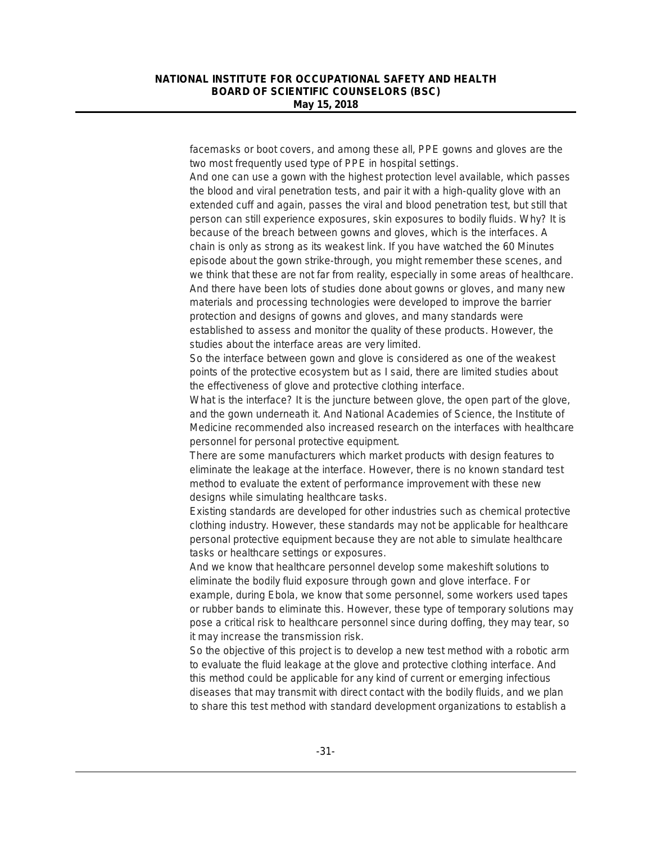facemasks or boot covers, and among these all, PPE gowns and gloves are the two most frequently used type of PPE in hospital settings.

And one can use a gown with the highest protection level available, which passes the blood and viral penetration tests, and pair it with a high-quality glove with an extended cuff and again, passes the viral and blood penetration test, but still that person can still experience exposures, skin exposures to bodily fluids. Why? It is because of the breach between gowns and gloves, which is the interfaces. A chain is only as strong as its weakest link. If you have watched the *60 Minutes* episode about the gown strike-through, you might remember these scenes, and we think that these are not far from reality, especially in some areas of healthcare. And there have been lots of studies done about gowns or gloves, and many new materials and processing technologies were developed to improve the barrier protection and designs of gowns and gloves, and many standards were established to assess and monitor the quality of these products. However, the studies about the interface areas are very limited.

So the interface between gown and glove is considered as one of the weakest points of the protective ecosystem but as I said, there are limited studies about the effectiveness of glove and protective clothing interface.

What is the interface? It is the juncture between glove, the open part of the glove, and the gown underneath it. And National Academies of Science, the Institute of Medicine recommended also increased research on the interfaces with healthcare personnel for personal protective equipment.

There are some manufacturers which market products with design features to eliminate the leakage at the interface. However, there is no known standard test method to evaluate the extent of performance improvement with these new designs while simulating healthcare tasks.

Existing standards are developed for other industries such as chemical protective clothing industry. However, these standards may not be applicable for healthcare personal protective equipment because they are not able to simulate healthcare tasks or healthcare settings or exposures.

And we know that healthcare personnel develop some makeshift solutions to eliminate the bodily fluid exposure through gown and glove interface. For example, during Ebola, we know that some personnel, some workers used tapes or rubber bands to eliminate this. However, these type of temporary solutions may pose a critical risk to healthcare personnel since during doffing, they may tear, so it may increase the transmission risk.

So the objective of this project is to develop a new test method with a robotic arm to evaluate the fluid leakage at the glove and protective clothing interface. And this method could be applicable for any kind of current or emerging infectious diseases that may transmit with direct contact with the bodily fluids, and we plan to share this test method with standard development organizations to establish a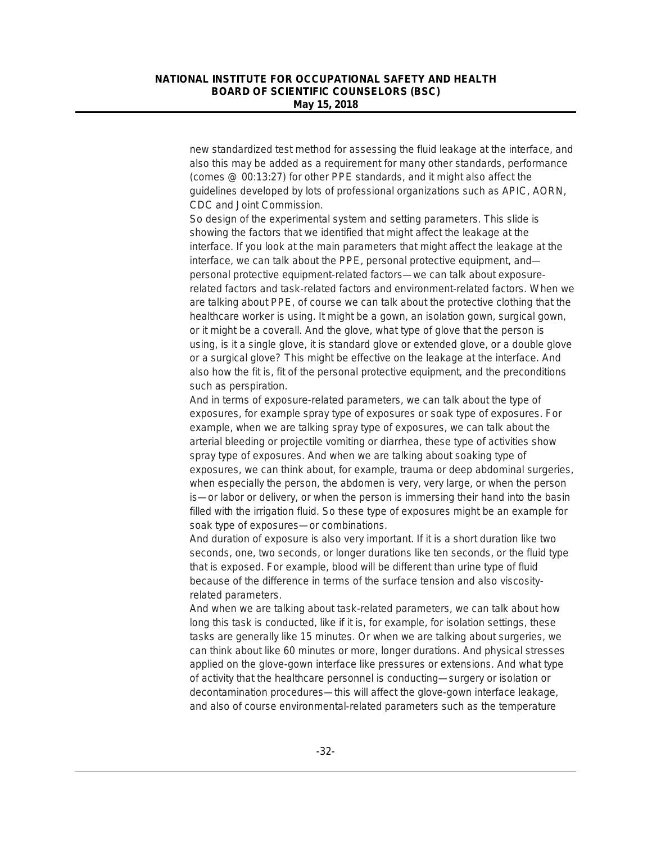new standardized test method for assessing the fluid leakage at the interface, and also this may be added as a requirement for many other standards, performance (comes @ 00:13:27) for other PPE standards, and it might also affect the guidelines developed by lots of professional organizations such as APIC, AORN, CDC and Joint Commission.

So design of the experimental system and setting parameters. This slide is showing the factors that we identified that might affect the leakage at the interface. If you look at the main parameters that might affect the leakage at the interface, we can talk about the PPE, personal protective equipment, and personal protective equipment-related factors—we can talk about exposurerelated factors and task-related factors and environment-related factors. When we are talking about PPE, of course we can talk about the protective clothing that the healthcare worker is using. It might be a gown, an isolation gown, surgical gown, or it might be a coverall. And the glove, what type of glove that the person is using, is it a single glove, it is standard glove or extended glove, or a double glove or a surgical glove? This might be effective on the leakage at the interface. And also how the fit is, fit of the personal protective equipment, and the preconditions such as perspiration.

And in terms of exposure-related parameters, we can talk about the type of exposures, for example spray type of exposures or soak type of exposures. For example, when we are talking spray type of exposures, we can talk about the arterial bleeding or projectile vomiting or diarrhea, these type of activities show spray type of exposures. And when we are talking about soaking type of exposures, we can think about, for example, trauma or deep abdominal surgeries, when especially the person, the abdomen is very, very large, or when the person is—or labor or delivery, or when the person is immersing their hand into the basin filled with the irrigation fluid. So these type of exposures might be an example for soak type of exposures—or combinations.

And duration of exposure is also very important. If it is a short duration like two seconds, one, two seconds, or longer durations like ten seconds, or the fluid type that is exposed. For example, blood will be different than urine type of fluid because of the difference in terms of the surface tension and also viscosityrelated parameters.

And when we are talking about task-related parameters, we can talk about how long this task is conducted, like if it is, for example, for isolation settings, these tasks are generally like 15 minutes. Or when we are talking about surgeries, we can think about like 60 minutes or more, longer durations. And physical stresses applied on the glove-gown interface like pressures or extensions. And what type of activity that the healthcare personnel is conducting—surgery or isolation or decontamination procedures—this will affect the glove-gown interface leakage, and also of course environmental-related parameters such as the temperature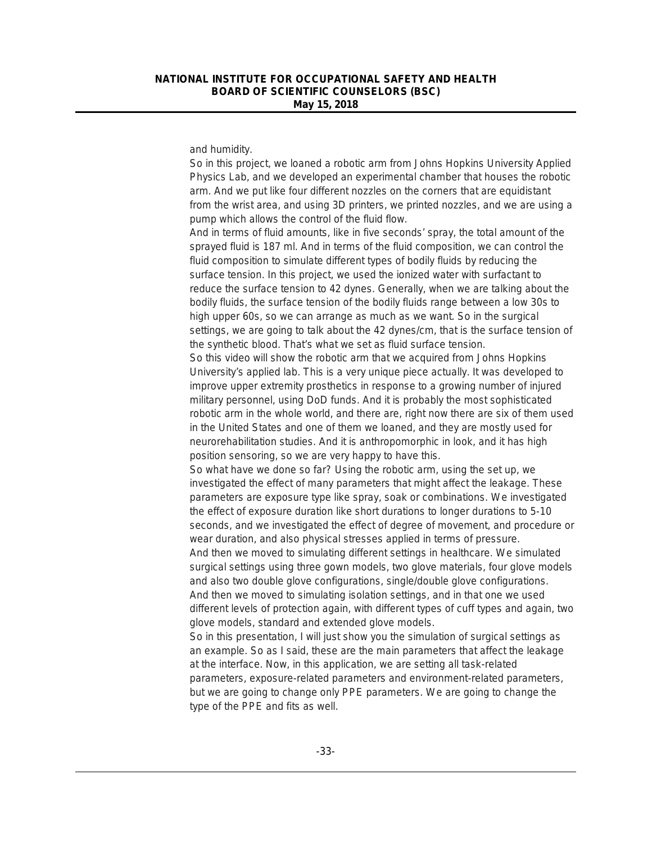and humidity.

So in this project, we loaned a robotic arm from Johns Hopkins University Applied Physics Lab, and we developed an experimental chamber that houses the robotic arm. And we put like four different nozzles on the corners that are equidistant from the wrist area, and using 3D printers, we printed nozzles, and we are using a pump which allows the control of the fluid flow.

And in terms of fluid amounts, like in five seconds' spray, the total amount of the sprayed fluid is 187 ml. And in terms of the fluid composition, we can control the fluid composition to simulate different types of bodily fluids by reducing the surface tension. In this project, we used the ionized water with surfactant to reduce the surface tension to 42 dynes. Generally, when we are talking about the bodily fluids, the surface tension of the bodily fluids range between a low 30s to high upper 60s, so we can arrange as much as we want. So in the surgical settings, we are going to talk about the 42 dynes/cm, that is the surface tension of the synthetic blood. That's what we set as fluid surface tension.

So this video will show the robotic arm that we acquired from Johns Hopkins University's applied lab. This is a very unique piece actually. It was developed to improve upper extremity prosthetics in response to a growing number of injured military personnel, using DoD funds. And it is probably the most sophisticated robotic arm in the whole world, and there are, right now there are six of them used in the United States and one of them we loaned, and they are mostly used for neurorehabilitation studies. And it is anthropomorphic in look, and it has high position sensoring, so we are very happy to have this.

So what have we done so far? Using the robotic arm, using the set up, we investigated the effect of many parameters that might affect the leakage. These parameters are exposure type like spray, soak or combinations. We investigated the effect of exposure duration like short durations to longer durations to 5-10 seconds, and we investigated the effect of degree of movement, and procedure or wear duration, and also physical stresses applied in terms of pressure. And then we moved to simulating different settings in healthcare. We simulated surgical settings using three gown models, two glove materials, four glove models and also two double glove configurations, single/double glove configurations.

And then we moved to simulating isolation settings, and in that one we used different levels of protection again, with different types of cuff types and again, two glove models, standard and extended glove models.

So in this presentation, I will just show you the simulation of surgical settings as an example. So as I said, these are the main parameters that affect the leakage at the interface. Now, in this application, we are setting all task-related parameters, exposure-related parameters and environment-related parameters, but we are going to change only PPE parameters. We are going to change the type of the PPE and fits as well.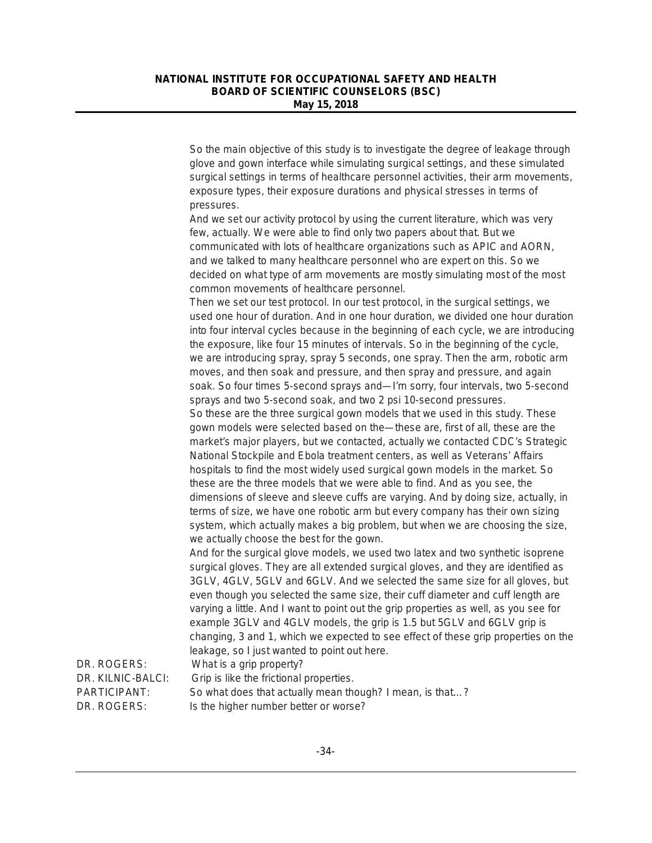So the main objective of this study is to investigate the degree of leakage through glove and gown interface while simulating surgical settings, and these simulated surgical settings in terms of healthcare personnel activities, their arm movements, exposure types, their exposure durations and physical stresses in terms of pressures.

And we set our activity protocol by using the current literature, which was very few, actually. We were able to find only two papers about that. But we communicated with lots of healthcare organizations such as APIC and AORN, and we talked to many healthcare personnel who are expert on this. So we decided on what type of arm movements are mostly simulating most of the most common movements of healthcare personnel.

Then we set our test protocol. In our test protocol, in the surgical settings, we used one hour of duration. And in one hour duration, we divided one hour duration into four interval cycles because in the beginning of each cycle, we are introducing the exposure, like four 15 minutes of intervals. So in the beginning of the cycle, we are introducing spray, spray 5 seconds, one spray. Then the arm, robotic arm moves, and then soak and pressure, and then spray and pressure, and again soak. So four times 5-second sprays and—I'm sorry, four intervals, two 5-second sprays and two 5-second soak, and two 2 psi 10-second pressures. So these are the three surgical gown models that we used in this study. These gown models were selected based on the—these are, first of all, these are the market's major players, but we contacted, actually we contacted CDC's Strategic National Stockpile and Ebola treatment centers, as well as Veterans' Affairs hospitals to find the most widely used surgical gown models in the market. So these are the three models that we were able to find. And as you see, the dimensions of sleeve and sleeve cuffs are varying. And by doing size, actually, in terms of size, we have one robotic arm but every company has their own sizing

system, which actually makes a big problem, but when we are choosing the size, we actually choose the best for the gown.

And for the surgical glove models, we used two latex and two synthetic isoprene surgical gloves. They are all extended surgical gloves, and they are identified as 3GLV, 4GLV, 5GLV and 6GLV. And we selected the same size for all gloves, but even though you selected the same size, their cuff diameter and cuff length are varying a little. And I want to point out the grip properties as well, as you see for example 3GLV and 4GLV models, the grip is 1.5 but 5GLV and 6GLV grip is changing, 3 and 1, which we expected to see effect of these grip properties on the leakage, so I just wanted to point out here.

DR. KILNIC-BALCI: Grip is like the frictional properties.

DR. ROGERS: What is a grip property?

PARTICIPANT: So what does that actually mean though? I mean, is that…? DR. ROGERS: Is the higher number better or worse?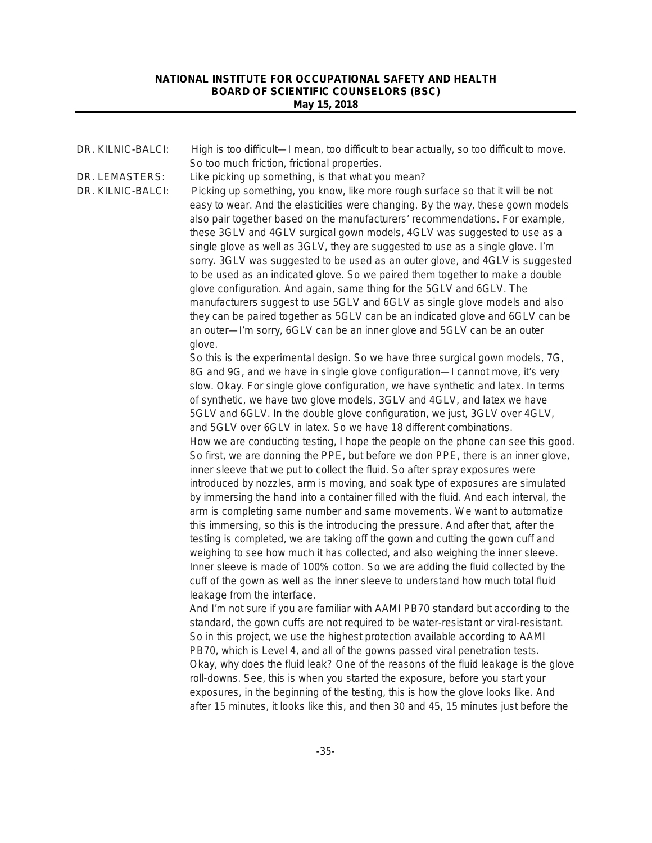| DR. KILNIC-BALCI:                   | High is too difficult—I mean, too difficult to bear actually, so too difficult to move.<br>So too much friction, frictional properties.                                                                                                                                                                                                                                                                                                                                                                                                                                                                                                                                                                                                                                                                                                                                                                                                                                                                                                                                                                                                                                                                                                                                                                                                                                                                                                       |
|-------------------------------------|-----------------------------------------------------------------------------------------------------------------------------------------------------------------------------------------------------------------------------------------------------------------------------------------------------------------------------------------------------------------------------------------------------------------------------------------------------------------------------------------------------------------------------------------------------------------------------------------------------------------------------------------------------------------------------------------------------------------------------------------------------------------------------------------------------------------------------------------------------------------------------------------------------------------------------------------------------------------------------------------------------------------------------------------------------------------------------------------------------------------------------------------------------------------------------------------------------------------------------------------------------------------------------------------------------------------------------------------------------------------------------------------------------------------------------------------------|
| DR. LEMASTERS:<br>DR. KILNIC-BALCI: | Like picking up something, is that what you mean?<br>Picking up something, you know, like more rough surface so that it will be not<br>easy to wear. And the elasticities were changing. By the way, these gown models<br>also pair together based on the manufacturers' recommendations. For example,<br>these 3GLV and 4GLV surgical gown models, 4GLV was suggested to use as a<br>single glove as well as 3GLV, they are suggested to use as a single glove. I'm<br>sorry. 3GLV was suggested to be used as an outer glove, and 4GLV is suggested<br>to be used as an indicated glove. So we paired them together to make a double<br>glove configuration. And again, same thing for the 5GLV and 6GLV. The<br>manufacturers suggest to use 5GLV and 6GLV as single glove models and also<br>they can be paired together as 5GLV can be an indicated glove and 6GLV can be<br>an outer-'m sorry, 6GLV can be an inner glove and 5GLV can be an outer                                                                                                                                                                                                                                                                                                                                                                                                                                                                                      |
|                                     | glove.<br>So this is the experimental design. So we have three surgical gown models, 7G,<br>8G and 9G, and we have in single glove configuration-I cannot move, it's very<br>slow. Okay. For single glove configuration, we have synthetic and latex. In terms<br>of synthetic, we have two glove models, 3GLV and 4GLV, and latex we have<br>5GLV and 6GLV. In the double glove configuration, we just, 3GLV over 4GLV,<br>and 5GLV over 6GLV in latex. So we have 18 different combinations.<br>How we are conducting testing, I hope the people on the phone can see this good.<br>So first, we are donning the PPE, but before we don PPE, there is an inner glove,<br>inner sleeve that we put to collect the fluid. So after spray exposures were<br>introduced by nozzles, arm is moving, and soak type of exposures are simulated<br>by immersing the hand into a container filled with the fluid. And each interval, the<br>arm is completing same number and same movements. We want to automatize<br>this immersing, so this is the introducing the pressure. And after that, after the<br>testing is completed, we are taking off the gown and cutting the gown cuff and<br>weighing to see how much it has collected, and also weighing the inner sleeve.<br>Inner sleeve is made of 100% cotton. So we are adding the fluid collected by the<br>cuff of the gown as well as the inner sleeve to understand how much total fluid |
|                                     | leakage from the interface.<br>And I'm not sure if you are familiar with AAMI PB70 standard but according to the<br>standard, the gown cuffs are not required to be water-resistant or viral-resistant.<br>So in this project, we use the highest protection available according to AAMI<br>PB70, which is Level 4, and all of the gowns passed viral penetration tests.<br>Okay, why does the fluid leak? One of the reasons of the fluid leakage is the glove<br>roll-downs. See, this is when you started the exposure, before you start your<br>exposures, in the beginning of the testing, this is how the glove looks like. And<br>after 15 minutes, it looks like this, and then 30 and 45, 15 minutes just before the                                                                                                                                                                                                                                                                                                                                                                                                                                                                                                                                                                                                                                                                                                                 |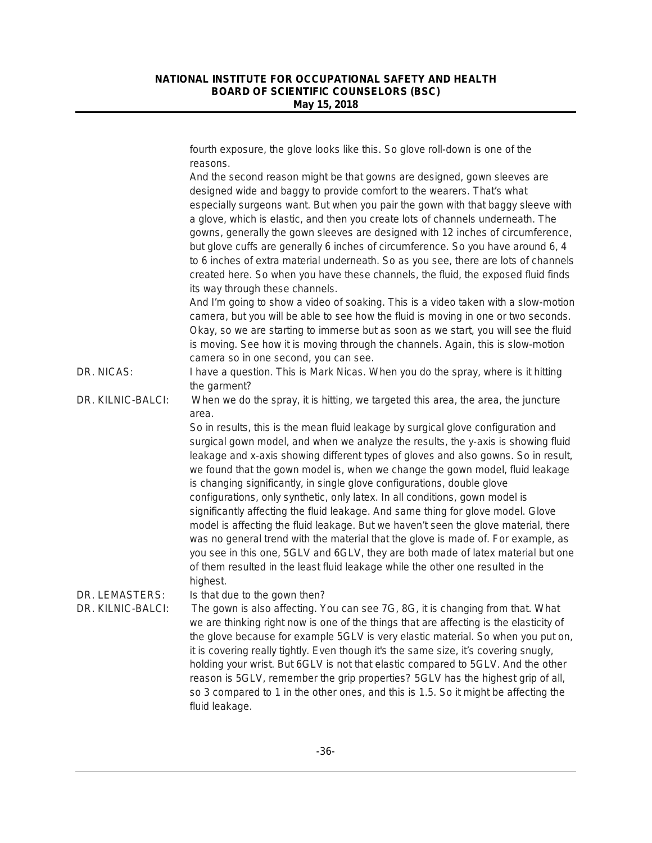fourth exposure, the glove looks like this. So glove roll-down is one of the reasons. And the second reason might be that gowns are designed, gown sleeves are designed wide and baggy to provide comfort to the wearers. That's what especially surgeons want. But when you pair the gown with that baggy sleeve with a glove, which is elastic, and then you create lots of channels underneath. The gowns, generally the gown sleeves are designed with 12 inches of circumference, but glove cuffs are generally 6 inches of circumference. So you have around 6, 4 to 6 inches of extra material underneath. So as you see, there are lots of channels created here. So when you have these channels, the fluid, the exposed fluid finds its way through these channels. And I'm going to show a video of soaking. This is a video taken with a slow-motion camera, but you will be able to see how the fluid is moving in one or two seconds. Okay, so we are starting to immerse but as soon as we start, you will see the fluid is moving. See how it is moving through the channels. Again, this is slow-motion camera so in one second, you can see. DR. NICAS: I have a question. This is Mark Nicas. When you do the spray, where is it hitting the garment? DR. KILNIC-BALCI: When we do the spray, it is hitting, we targeted this area, the area, the juncture area. So in results, this is the mean fluid leakage by surgical glove configuration and surgical gown model, and when we analyze the results, the y-axis is showing fluid leakage and x-axis showing different types of gloves and also gowns. So in result, we found that the gown model is, when we change the gown model, fluid leakage is changing significantly, in single glove configurations, double glove configurations, only synthetic, only latex. In all conditions, gown model is significantly affecting the fluid leakage. And same thing for glove model. Glove model is affecting the fluid leakage. But we haven't seen the glove material, there was no general trend with the material that the glove is made of. For example, as you see in this one, 5GLV and 6GLV, they are both made of latex material but one of them resulted in the least fluid leakage while the other one resulted in the highest. DR. LEMASTERS: Is that due to the gown then? DR. KILNIC-BALCI: The gown is also affecting. You can see 7G, 8G, it is changing from that. What we are thinking right now is one of the things that are affecting is the elasticity of the glove because for example 5GLV is very elastic material. So when you put on, it is covering really tightly. Even though it's the same size, it's covering snugly, holding your wrist. But 6GLV is not that elastic compared to 5GLV. And the other reason is 5GLV, remember the grip properties? 5GLV has the highest grip of all, so 3 compared to 1 in the other ones, and this is 1.5. So it might be affecting the fluid leakage.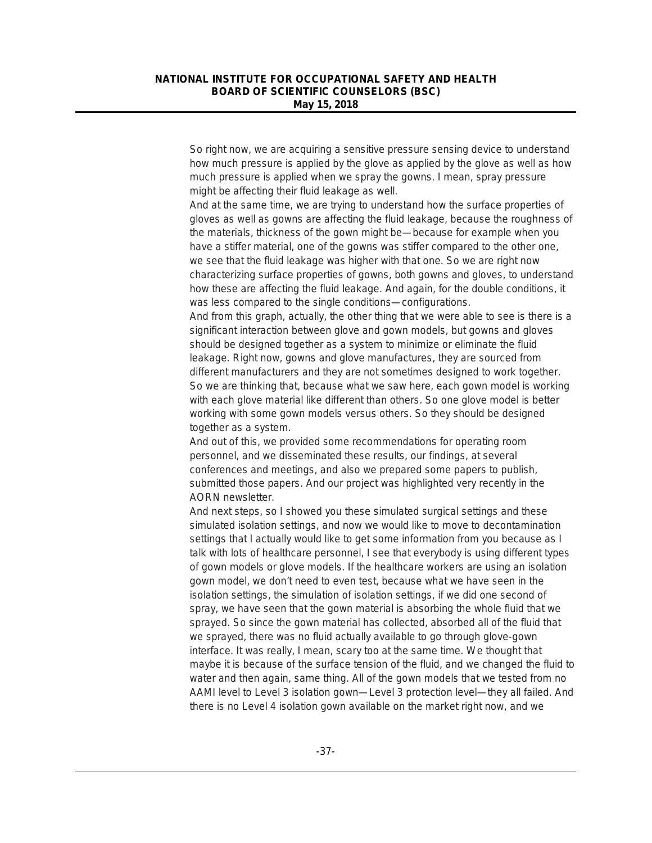So right now, we are acquiring a sensitive pressure sensing device to understand how much pressure is applied by the glove as applied by the glove as well as how much pressure is applied when we spray the gowns. I mean, spray pressure might be affecting their fluid leakage as well.

And at the same time, we are trying to understand how the surface properties of gloves as well as gowns are affecting the fluid leakage, because the roughness of the materials, thickness of the gown might be—because for example when you have a stiffer material, one of the gowns was stiffer compared to the other one, we see that the fluid leakage was higher with that one. So we are right now characterizing surface properties of gowns, both gowns and gloves, to understand how these are affecting the fluid leakage. And again, for the double conditions, it was less compared to the single conditions—configurations.

And from this graph, actually, the other thing that we were able to see is there is a significant interaction between glove and gown models, but gowns and gloves should be designed together as a system to minimize or eliminate the fluid leakage. Right now, gowns and glove manufactures, they are sourced from different manufacturers and they are not sometimes designed to work together. So we are thinking that, because what we saw here, each gown model is working with each glove material like different than others. So one glove model is better working with some gown models versus others. So they should be designed together as a system.

And out of this, we provided some recommendations for operating room personnel, and we disseminated these results, our findings, at several conferences and meetings, and also we prepared some papers to publish, submitted those papers. And our project was highlighted very recently in the AORN newsletter.

And next steps, so I showed you these simulated surgical settings and these simulated isolation settings, and now we would like to move to decontamination settings that I actually would like to get some information from you because as I talk with lots of healthcare personnel, I see that everybody is using different types of gown models or glove models. If the healthcare workers are using an isolation gown model, we don't need to even test, because what we have seen in the isolation settings, the simulation of isolation settings, if we did one second of spray, we have seen that the gown material is absorbing the whole fluid that we sprayed. So since the gown material has collected, absorbed all of the fluid that we sprayed, there was no fluid actually available to go through glove-gown interface. It was really, I mean, scary too at the same time. We thought that maybe it is because of the surface tension of the fluid, and we changed the fluid to water and then again, same thing. All of the gown models that we tested from no AAMI level to Level 3 isolation gown—Level 3 protection level—they all failed. And there is no Level 4 isolation gown available on the market right now, and we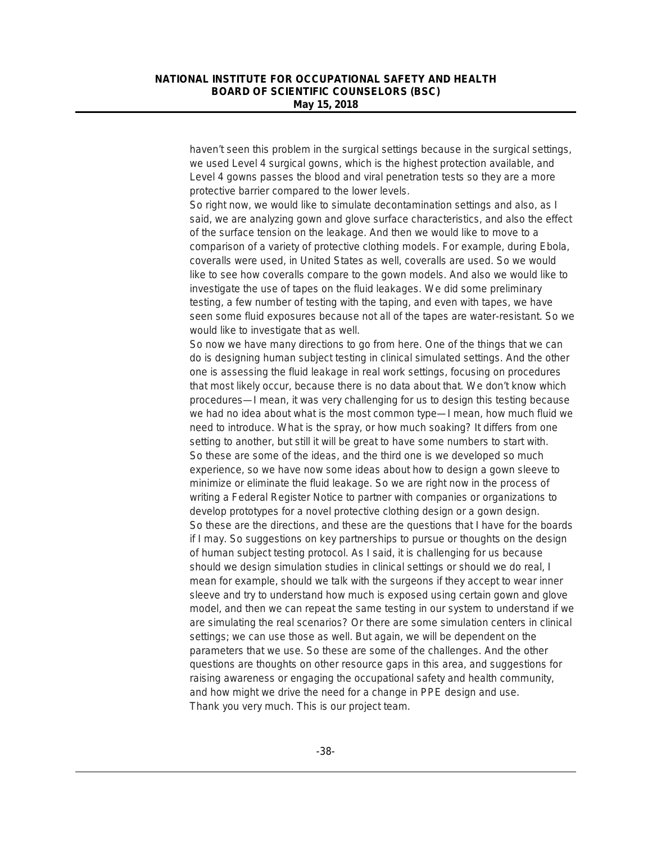haven't seen this problem in the surgical settings because in the surgical settings, we used Level 4 surgical gowns, which is the highest protection available, and Level 4 gowns passes the blood and viral penetration tests so they are a more protective barrier compared to the lower levels.

So right now, we would like to simulate decontamination settings and also, as I said, we are analyzing gown and glove surface characteristics, and also the effect of the surface tension on the leakage. And then we would like to move to a comparison of a variety of protective clothing models. For example, during Ebola, coveralls were used, in United States as well, coveralls are used. So we would like to see how coveralls compare to the gown models. And also we would like to investigate the use of tapes on the fluid leakages. We did some preliminary testing, a few number of testing with the taping, and even with tapes, we have seen some fluid exposures because not all of the tapes are water-resistant. So we would like to investigate that as well.

So now we have many directions to go from here. One of the things that we can do is designing human subject testing in clinical simulated settings. And the other one is assessing the fluid leakage in real work settings, focusing on procedures that most likely occur, because there is no data about that. We don't know which procedures—I mean, it was very challenging for us to design this testing because we had no idea about what is the most common type—I mean, how much fluid we need to introduce. What is the spray, or how much soaking? It differs from one setting to another, but still it will be great to have some numbers to start with. So these are some of the ideas, and the third one is we developed so much experience, so we have now some ideas about how to design a gown sleeve to minimize or eliminate the fluid leakage. So we are right now in the process of writing a Federal Register Notice to partner with companies or organizations to develop prototypes for a novel protective clothing design or a gown design. So these are the directions, and these are the questions that I have for the boards if I may. So suggestions on key partnerships to pursue or thoughts on the design of human subject testing protocol. As I said, it is challenging for us because should we design simulation studies in clinical settings or should we do real, I mean for example, should we talk with the surgeons if they accept to wear inner sleeve and try to understand how much is exposed using certain gown and glove model, and then we can repeat the same testing in our system to understand if we are simulating the real scenarios? Or there are some simulation centers in clinical settings; we can use those as well. But again, we will be dependent on the parameters that we use. So these are some of the challenges. And the other questions are thoughts on other resource gaps in this area, and suggestions for raising awareness or engaging the occupational safety and health community, and how might we drive the need for a change in PPE design and use. Thank you very much. This is our project team.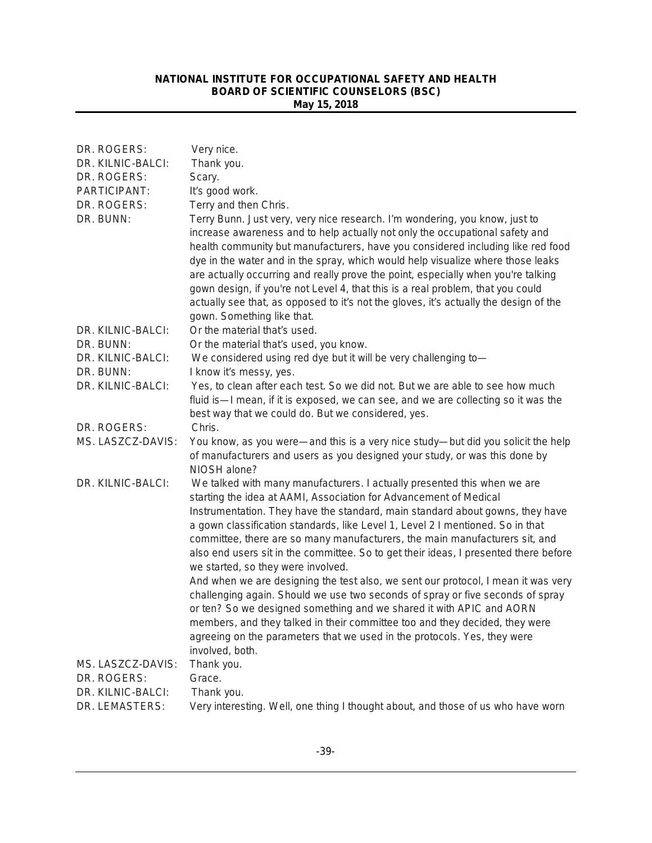| DR. ROGERS:       | Very nice.                                                                                                                                                                                                                                                                                                                                                                                                                                                                                                                                                                                                                       |
|-------------------|----------------------------------------------------------------------------------------------------------------------------------------------------------------------------------------------------------------------------------------------------------------------------------------------------------------------------------------------------------------------------------------------------------------------------------------------------------------------------------------------------------------------------------------------------------------------------------------------------------------------------------|
| DR. KILNIC-BALCI: | Thank you.                                                                                                                                                                                                                                                                                                                                                                                                                                                                                                                                                                                                                       |
| DR. ROGERS:       | Scary.                                                                                                                                                                                                                                                                                                                                                                                                                                                                                                                                                                                                                           |
| PARTICIPANT:      | It's good work.                                                                                                                                                                                                                                                                                                                                                                                                                                                                                                                                                                                                                  |
| DR. ROGERS:       | Terry and then Chris.                                                                                                                                                                                                                                                                                                                                                                                                                                                                                                                                                                                                            |
| DR. BUNN:         | Terry Bunn. Just very, very nice research. I'm wondering, you know, just to<br>increase awareness and to help actually not only the occupational safety and<br>health community but manufacturers, have you considered including like red food<br>dye in the water and in the spray, which would help visualize where those leaks<br>are actually occurring and really prove the point, especially when you're talking<br>gown design, if you're not Level 4, that this is a real problem, that you could<br>actually see that, as opposed to it's not the gloves, it's actually the design of the<br>gown. Something like that. |
| DR. KILNIC-BALCI: | Or the material that's used.                                                                                                                                                                                                                                                                                                                                                                                                                                                                                                                                                                                                     |
| DR. BUNN:         | Or the material that's used, you know.                                                                                                                                                                                                                                                                                                                                                                                                                                                                                                                                                                                           |
| DR. KILNIC-BALCI: | We considered using red dye but it will be very challenging to-                                                                                                                                                                                                                                                                                                                                                                                                                                                                                                                                                                  |
| DR. BUNN:         | I know it's messy, yes.                                                                                                                                                                                                                                                                                                                                                                                                                                                                                                                                                                                                          |
| DR. KILNIC-BALCI: | Yes, to clean after each test. So we did not. But we are able to see how much                                                                                                                                                                                                                                                                                                                                                                                                                                                                                                                                                    |
|                   | fluid is—I mean, if it is exposed, we can see, and we are collecting so it was the                                                                                                                                                                                                                                                                                                                                                                                                                                                                                                                                               |
|                   | best way that we could do. But we considered, yes.                                                                                                                                                                                                                                                                                                                                                                                                                                                                                                                                                                               |
| DR. ROGERS:       | Chris.                                                                                                                                                                                                                                                                                                                                                                                                                                                                                                                                                                                                                           |
| MS. LASZCZ-DAVIS: | You know, as you were—and this is a very nice study—but did you solicit the help<br>of manufacturers and users as you designed your study, or was this done by<br>NIOSH alone?                                                                                                                                                                                                                                                                                                                                                                                                                                                   |
| DR. KILNIC-BALCI: | We talked with many manufacturers. I actually presented this when we are<br>starting the idea at AAMI, Association for Advancement of Medical                                                                                                                                                                                                                                                                                                                                                                                                                                                                                    |
|                   | Instrumentation. They have the standard, main standard about gowns, they have<br>a gown classification standards, like Level 1, Level 2 I mentioned. So in that                                                                                                                                                                                                                                                                                                                                                                                                                                                                  |
|                   | committee, there are so many manufacturers, the main manufacturers sit, and<br>also end users sit in the committee. So to get their ideas, I presented there before<br>we started, so they were involved.                                                                                                                                                                                                                                                                                                                                                                                                                        |
|                   | And when we are designing the test also, we sent our protocol, I mean it was very<br>challenging again. Should we use two seconds of spray or five seconds of spray<br>or ten? So we designed something and we shared it with APIC and AORN<br>members, and they talked in their committee too and they decided, they were                                                                                                                                                                                                                                                                                                       |
|                   | agreeing on the parameters that we used in the protocols. Yes, they were<br>involved, both.                                                                                                                                                                                                                                                                                                                                                                                                                                                                                                                                      |
| MS. LASZCZ-DAVIS: | Thank you.                                                                                                                                                                                                                                                                                                                                                                                                                                                                                                                                                                                                                       |
| DR. ROGERS:       | Grace.                                                                                                                                                                                                                                                                                                                                                                                                                                                                                                                                                                                                                           |
| DR. KILNIC-BALCI: | Thank you.                                                                                                                                                                                                                                                                                                                                                                                                                                                                                                                                                                                                                       |
| DR. LEMASTERS:    | Very interesting. Well, one thing I thought about, and those of us who have worn                                                                                                                                                                                                                                                                                                                                                                                                                                                                                                                                                 |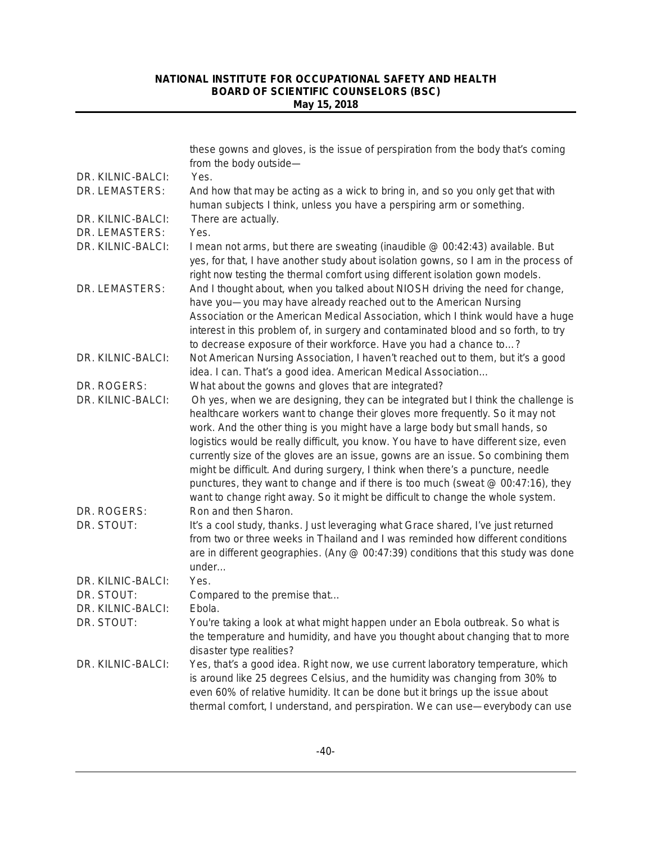|                   | these gowns and gloves, is the issue of perspiration from the body that's coming<br>from the body outside-                                                                                                                                                                                                                                                                                                                                                                                                                                                                                                                                                                                |
|-------------------|-------------------------------------------------------------------------------------------------------------------------------------------------------------------------------------------------------------------------------------------------------------------------------------------------------------------------------------------------------------------------------------------------------------------------------------------------------------------------------------------------------------------------------------------------------------------------------------------------------------------------------------------------------------------------------------------|
| DR. KILNIC-BALCI: | Yes.                                                                                                                                                                                                                                                                                                                                                                                                                                                                                                                                                                                                                                                                                      |
| DR. LEMASTERS:    | And how that may be acting as a wick to bring in, and so you only get that with<br>human subjects I think, unless you have a perspiring arm or something.                                                                                                                                                                                                                                                                                                                                                                                                                                                                                                                                 |
| DR. KILNIC-BALCI: | There are actually.                                                                                                                                                                                                                                                                                                                                                                                                                                                                                                                                                                                                                                                                       |
| DR. LEMASTERS:    | Yes.                                                                                                                                                                                                                                                                                                                                                                                                                                                                                                                                                                                                                                                                                      |
| DR. KILNIC-BALCI: | I mean not arms, but there are sweating (inaudible @ 00:42:43) available. But<br>yes, for that, I have another study about isolation gowns, so I am in the process of<br>right now testing the thermal comfort using different isolation gown models.                                                                                                                                                                                                                                                                                                                                                                                                                                     |
| DR. LEMASTERS:    | And I thought about, when you talked about NIOSH driving the need for change,<br>have you-you may have already reached out to the American Nursing<br>Association or the American Medical Association, which I think would have a huge<br>interest in this problem of, in surgery and contaminated blood and so forth, to try<br>to decrease exposure of their workforce. Have you had a chance to?                                                                                                                                                                                                                                                                                       |
| DR. KILNIC-BALCI: | Not American Nursing Association, I haven't reached out to them, but it's a good<br>idea. I can. That's a good idea. American Medical Association                                                                                                                                                                                                                                                                                                                                                                                                                                                                                                                                         |
| DR. ROGERS:       | What about the gowns and gloves that are integrated?                                                                                                                                                                                                                                                                                                                                                                                                                                                                                                                                                                                                                                      |
| DR. KILNIC-BALCI: | Oh yes, when we are designing, they can be integrated but I think the challenge is<br>healthcare workers want to change their gloves more frequently. So it may not<br>work. And the other thing is you might have a large body but small hands, so<br>logistics would be really difficult, you know. You have to have different size, even<br>currently size of the gloves are an issue, gowns are an issue. So combining them<br>might be difficult. And during surgery, I think when there's a puncture, needle<br>punctures, they want to change and if there is too much (sweat @ 00:47:16), they<br>want to change right away. So it might be difficult to change the whole system. |
| DR. ROGERS:       | Ron and then Sharon.                                                                                                                                                                                                                                                                                                                                                                                                                                                                                                                                                                                                                                                                      |
| DR. STOUT:        | It's a cool study, thanks. Just leveraging what Grace shared, I've just returned<br>from two or three weeks in Thailand and I was reminded how different conditions<br>are in different geographies. (Any @ 00:47:39) conditions that this study was done<br>under                                                                                                                                                                                                                                                                                                                                                                                                                        |
| DR. KILNIC-BALCI: | Yes.                                                                                                                                                                                                                                                                                                                                                                                                                                                                                                                                                                                                                                                                                      |
| DR. STOUT:        | Compared to the premise that                                                                                                                                                                                                                                                                                                                                                                                                                                                                                                                                                                                                                                                              |
| DR. KILNIC-BALCI: | Ebola.                                                                                                                                                                                                                                                                                                                                                                                                                                                                                                                                                                                                                                                                                    |
| DR. STOUT:        | You're taking a look at what might happen under an Ebola outbreak. So what is<br>the temperature and humidity, and have you thought about changing that to more<br>disaster type realities?                                                                                                                                                                                                                                                                                                                                                                                                                                                                                               |
| DR. KILNIC-BALCI: | Yes, that's a good idea. Right now, we use current laboratory temperature, which<br>is around like 25 degrees Celsius, and the humidity was changing from 30% to<br>even 60% of relative humidity. It can be done but it brings up the issue about<br>thermal comfort, I understand, and perspiration. We can use-everybody can use                                                                                                                                                                                                                                                                                                                                                       |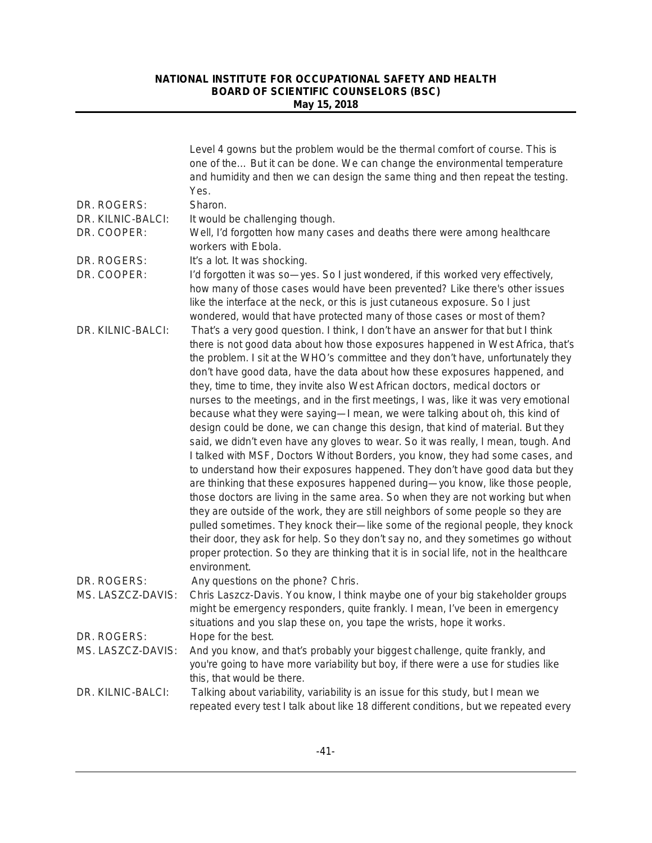|                   | Level 4 gowns but the problem would be the thermal comfort of course. This is<br>one of the But it can be done. We can change the environmental temperature<br>and humidity and then we can design the same thing and then repeat the testing.<br>Yes.                                                                                                                                                                                                                                                                                                                                                                                                                                                                                                                                                                                                                                                                                                                                                                                                                                                                                                                                                                                                                                                                                                                                                                                                                                           |
|-------------------|--------------------------------------------------------------------------------------------------------------------------------------------------------------------------------------------------------------------------------------------------------------------------------------------------------------------------------------------------------------------------------------------------------------------------------------------------------------------------------------------------------------------------------------------------------------------------------------------------------------------------------------------------------------------------------------------------------------------------------------------------------------------------------------------------------------------------------------------------------------------------------------------------------------------------------------------------------------------------------------------------------------------------------------------------------------------------------------------------------------------------------------------------------------------------------------------------------------------------------------------------------------------------------------------------------------------------------------------------------------------------------------------------------------------------------------------------------------------------------------------------|
| DR. ROGERS:       | Sharon.                                                                                                                                                                                                                                                                                                                                                                                                                                                                                                                                                                                                                                                                                                                                                                                                                                                                                                                                                                                                                                                                                                                                                                                                                                                                                                                                                                                                                                                                                          |
| DR. KILNIC-BALCI: | It would be challenging though.                                                                                                                                                                                                                                                                                                                                                                                                                                                                                                                                                                                                                                                                                                                                                                                                                                                                                                                                                                                                                                                                                                                                                                                                                                                                                                                                                                                                                                                                  |
| DR. COOPER:       | Well, I'd forgotten how many cases and deaths there were among healthcare<br>workers with Ebola.                                                                                                                                                                                                                                                                                                                                                                                                                                                                                                                                                                                                                                                                                                                                                                                                                                                                                                                                                                                                                                                                                                                                                                                                                                                                                                                                                                                                 |
| DR. ROGERS:       | It's a lot. It was shocking.                                                                                                                                                                                                                                                                                                                                                                                                                                                                                                                                                                                                                                                                                                                                                                                                                                                                                                                                                                                                                                                                                                                                                                                                                                                                                                                                                                                                                                                                     |
| DR. COOPER:       | I'd forgotten it was so-yes. So I just wondered, if this worked very effectively,<br>how many of those cases would have been prevented? Like there's other issues<br>like the interface at the neck, or this is just cutaneous exposure. So I just<br>wondered, would that have protected many of those cases or most of them?                                                                                                                                                                                                                                                                                                                                                                                                                                                                                                                                                                                                                                                                                                                                                                                                                                                                                                                                                                                                                                                                                                                                                                   |
| DR. KILNIC-BALCI: | That's a very good question. I think, I don't have an answer for that but I think<br>there is not good data about how those exposures happened in West Africa, that's<br>the problem. I sit at the WHO's committee and they don't have, unfortunately they<br>don't have good data, have the data about how these exposures happened, and<br>they, time to time, they invite also West African doctors, medical doctors or<br>nurses to the meetings, and in the first meetings, I was, like it was very emotional<br>because what they were saying-I mean, we were talking about oh, this kind of<br>design could be done, we can change this design, that kind of material. But they<br>said, we didn't even have any gloves to wear. So it was really, I mean, tough. And<br>I talked with MSF, Doctors Without Borders, you know, they had some cases, and<br>to understand how their exposures happened. They don't have good data but they<br>are thinking that these exposures happened during-you know, like those people,<br>those doctors are living in the same area. So when they are not working but when<br>they are outside of the work, they are still neighbors of some people so they are<br>pulled sometimes. They knock their-like some of the regional people, they knock<br>their door, they ask for help. So they don't say no, and they sometimes go without<br>proper protection. So they are thinking that it is in social life, not in the healthcare<br>environment. |
| DR. ROGERS:       | Any questions on the phone? Chris.                                                                                                                                                                                                                                                                                                                                                                                                                                                                                                                                                                                                                                                                                                                                                                                                                                                                                                                                                                                                                                                                                                                                                                                                                                                                                                                                                                                                                                                               |
| MS. LASZCZ-DAVIS: | Chris Laszcz-Davis. You know, I think maybe one of your big stakeholder groups<br>might be emergency responders, quite frankly. I mean, I've been in emergency<br>situations and you slap these on, you tape the wrists, hope it works.                                                                                                                                                                                                                                                                                                                                                                                                                                                                                                                                                                                                                                                                                                                                                                                                                                                                                                                                                                                                                                                                                                                                                                                                                                                          |
| DR. ROGERS:       | Hope for the best.                                                                                                                                                                                                                                                                                                                                                                                                                                                                                                                                                                                                                                                                                                                                                                                                                                                                                                                                                                                                                                                                                                                                                                                                                                                                                                                                                                                                                                                                               |
| MS. LASZCZ-DAVIS: | And you know, and that's probably your biggest challenge, quite frankly, and<br>you're going to have more variability but boy, if there were a use for studies like<br>this, that would be there.                                                                                                                                                                                                                                                                                                                                                                                                                                                                                                                                                                                                                                                                                                                                                                                                                                                                                                                                                                                                                                                                                                                                                                                                                                                                                                |
| DR. KILNIC-BALCI: | Talking about variability, variability is an issue for this study, but I mean we<br>repeated every test I talk about like 18 different conditions, but we repeated every                                                                                                                                                                                                                                                                                                                                                                                                                                                                                                                                                                                                                                                                                                                                                                                                                                                                                                                                                                                                                                                                                                                                                                                                                                                                                                                         |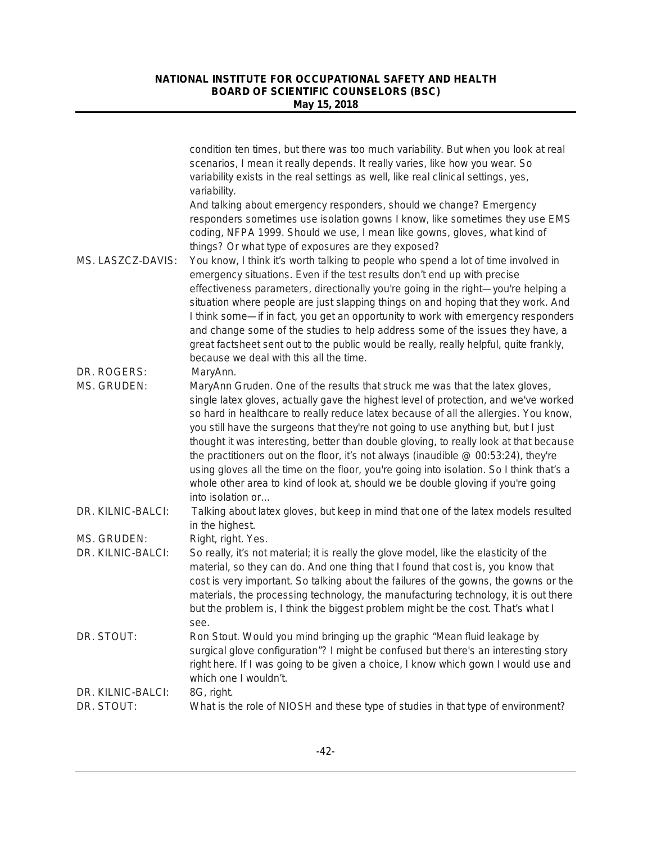|                                  | condition ten times, but there was too much variability. But when you look at real<br>scenarios, I mean it really depends. It really varies, like how you wear. So<br>variability exists in the real settings as well, like real clinical settings, yes,<br>variability.                                                                                                                                                                                                                                                                                                                                                                                                                                                                             |
|----------------------------------|------------------------------------------------------------------------------------------------------------------------------------------------------------------------------------------------------------------------------------------------------------------------------------------------------------------------------------------------------------------------------------------------------------------------------------------------------------------------------------------------------------------------------------------------------------------------------------------------------------------------------------------------------------------------------------------------------------------------------------------------------|
|                                  | And talking about emergency responders, should we change? Emergency<br>responders sometimes use isolation gowns I know, like sometimes they use EMS<br>coding, NFPA 1999. Should we use, I mean like gowns, gloves, what kind of<br>things? Or what type of exposures are they exposed?                                                                                                                                                                                                                                                                                                                                                                                                                                                              |
| MS. LASZCZ-DAVIS:<br>DR. ROGERS: | You know, I think it's worth talking to people who spend a lot of time involved in<br>emergency situations. Even if the test results don't end up with precise<br>effectiveness parameters, directionally you're going in the right-you're helping a<br>situation where people are just slapping things on and hoping that they work. And<br>I think some—if in fact, you get an opportunity to work with emergency responders<br>and change some of the studies to help address some of the issues they have, a<br>great factsheet sent out to the public would be really, really helpful, quite frankly,<br>because we deal with this all the time.                                                                                                |
| MS. GRUDEN:                      | MaryAnn.<br>MaryAnn Gruden. One of the results that struck me was that the latex gloves,<br>single latex gloves, actually gave the highest level of protection, and we've worked<br>so hard in healthcare to really reduce latex because of all the allergies. You know,<br>you still have the surgeons that they're not going to use anything but, but I just<br>thought it was interesting, better than double gloving, to really look at that because<br>the practitioners out on the floor, it's not always (inaudible @ 00:53:24), they're<br>using gloves all the time on the floor, you're going into isolation. So I think that's a<br>whole other area to kind of look at, should we be double gloving if you're going<br>into isolation or |
| DR. KILNIC-BALCI:                | Talking about latex gloves, but keep in mind that one of the latex models resulted<br>in the highest.                                                                                                                                                                                                                                                                                                                                                                                                                                                                                                                                                                                                                                                |
| MS. GRUDEN:                      | Right, right. Yes.                                                                                                                                                                                                                                                                                                                                                                                                                                                                                                                                                                                                                                                                                                                                   |
| DR. KILNIC-BALCI:                | So really, it's not material; it is really the glove model, like the elasticity of the<br>material, so they can do. And one thing that I found that cost is, you know that<br>cost is very important. So talking about the failures of the gowns, the gowns or the<br>materials, the processing technology, the manufacturing technology, it is out there<br>but the problem is, I think the biggest problem might be the cost. That's what I<br>see.                                                                                                                                                                                                                                                                                                |
| DR. STOUT:                       | Ron Stout. Would you mind bringing up the graphic "Mean fluid leakage by<br>surgical glove configuration"? I might be confused but there's an interesting story<br>right here. If I was going to be given a choice, I know which gown I would use and<br>which one I wouldn't.                                                                                                                                                                                                                                                                                                                                                                                                                                                                       |
| DR. KILNIC-BALCI:                | 8G, right.                                                                                                                                                                                                                                                                                                                                                                                                                                                                                                                                                                                                                                                                                                                                           |
| DR. STOUT:                       | What is the role of NIOSH and these type of studies in that type of environment?                                                                                                                                                                                                                                                                                                                                                                                                                                                                                                                                                                                                                                                                     |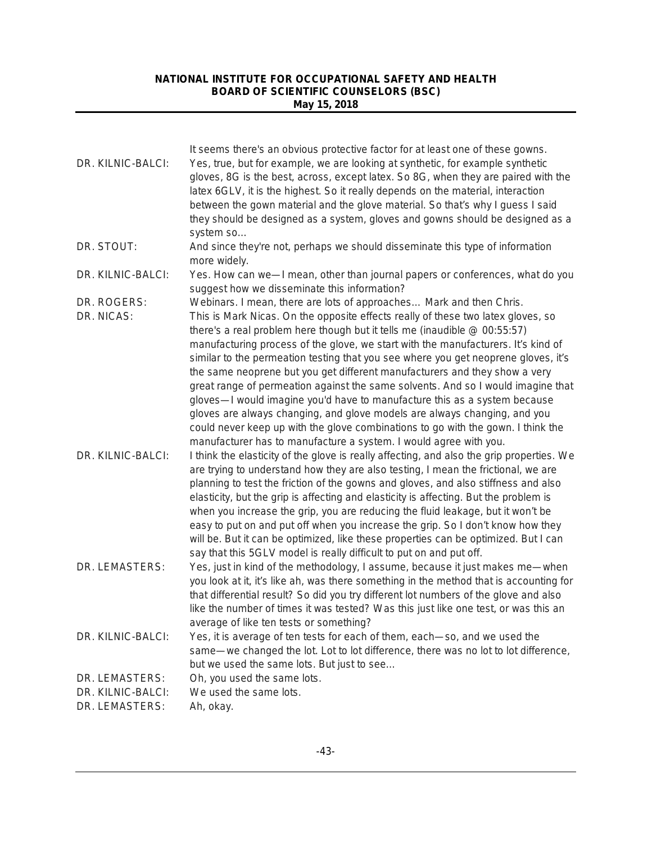| DR. KILNIC-BALCI: | It seems there's an obvious protective factor for at least one of these gowns.<br>Yes, true, but for example, we are looking at synthetic, for example synthetic<br>gloves, 8G is the best, across, except latex. So 8G, when they are paired with the<br>latex 6GLV, it is the highest. So it really depends on the material, interaction<br>between the gown material and the glove material. So that's why I guess I said<br>they should be designed as a system, gloves and gowns should be designed as a                                                                                                                                                                                                                                                                                                                 |
|-------------------|-------------------------------------------------------------------------------------------------------------------------------------------------------------------------------------------------------------------------------------------------------------------------------------------------------------------------------------------------------------------------------------------------------------------------------------------------------------------------------------------------------------------------------------------------------------------------------------------------------------------------------------------------------------------------------------------------------------------------------------------------------------------------------------------------------------------------------|
|                   | system so                                                                                                                                                                                                                                                                                                                                                                                                                                                                                                                                                                                                                                                                                                                                                                                                                     |
| DR. STOUT:        | And since they're not, perhaps we should disseminate this type of information<br>more widely.                                                                                                                                                                                                                                                                                                                                                                                                                                                                                                                                                                                                                                                                                                                                 |
| DR. KILNIC-BALCI: | Yes. How can we-I mean, other than journal papers or conferences, what do you<br>suggest how we disseminate this information?                                                                                                                                                                                                                                                                                                                                                                                                                                                                                                                                                                                                                                                                                                 |
| DR. ROGERS:       | Webinars. I mean, there are lots of approaches Mark and then Chris.                                                                                                                                                                                                                                                                                                                                                                                                                                                                                                                                                                                                                                                                                                                                                           |
| DR. NICAS:        | This is Mark Nicas. On the opposite effects really of these two latex gloves, so<br>there's a real problem here though but it tells me (inaudible @ 00:55:57)<br>manufacturing process of the glove, we start with the manufacturers. It's kind of<br>similar to the permeation testing that you see where you get neoprene gloves, it's<br>the same neoprene but you get different manufacturers and they show a very<br>great range of permeation against the same solvents. And so I would imagine that<br>gloves—I would imagine you'd have to manufacture this as a system because<br>gloves are always changing, and glove models are always changing, and you<br>could never keep up with the glove combinations to go with the gown. I think the<br>manufacturer has to manufacture a system. I would agree with you. |
| DR. KILNIC-BALCI: | I think the elasticity of the glove is really affecting, and also the grip properties. We<br>are trying to understand how they are also testing, I mean the frictional, we are<br>planning to test the friction of the gowns and gloves, and also stiffness and also<br>elasticity, but the grip is affecting and elasticity is affecting. But the problem is<br>when you increase the grip, you are reducing the fluid leakage, but it won't be<br>easy to put on and put off when you increase the grip. So I don't know how they<br>will be. But it can be optimized, like these properties can be optimized. But I can<br>say that this 5GLV model is really difficult to put on and put off.                                                                                                                             |
| DR. LEMASTERS:    | Yes, just in kind of the methodology, I assume, because it just makes me—when<br>you look at it, it's like ah, was there something in the method that is accounting for<br>that differential result? So did you try different lot numbers of the glove and also<br>like the number of times it was tested? Was this just like one test, or was this an<br>average of like ten tests or something?                                                                                                                                                                                                                                                                                                                                                                                                                             |
| DR. KILNIC-BALCI: | Yes, it is average of ten tests for each of them, each-so, and we used the<br>same—we changed the lot. Lot to lot difference, there was no lot to lot difference,<br>but we used the same lots. But just to see                                                                                                                                                                                                                                                                                                                                                                                                                                                                                                                                                                                                               |
| DR. LEMASTERS:    | Oh, you used the same lots.                                                                                                                                                                                                                                                                                                                                                                                                                                                                                                                                                                                                                                                                                                                                                                                                   |
| DR. KILNIC-BALCI: | We used the same lots.                                                                                                                                                                                                                                                                                                                                                                                                                                                                                                                                                                                                                                                                                                                                                                                                        |
| DR. LEMASTERS:    | Ah, okay.                                                                                                                                                                                                                                                                                                                                                                                                                                                                                                                                                                                                                                                                                                                                                                                                                     |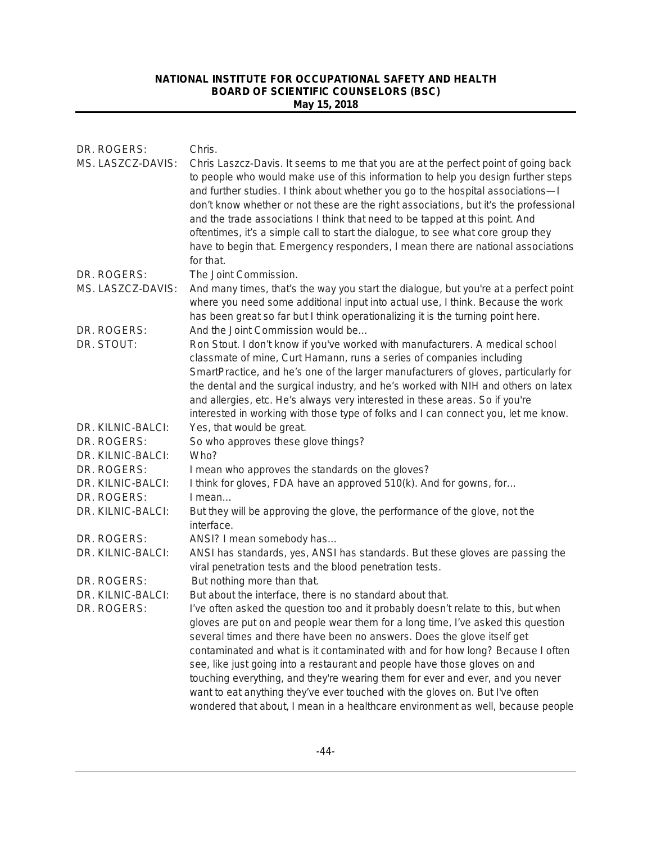| DR. ROGERS:<br>MS. LASZCZ-DAVIS: | Chris.<br>Chris Laszcz-Davis. It seems to me that you are at the perfect point of going back<br>to people who would make use of this information to help you design further steps<br>and further studies. I think about whether you go to the hospital associations-I<br>don't know whether or not these are the right associations, but it's the professional<br>and the trade associations I think that need to be tapped at this point. And<br>oftentimes, it's a simple call to start the dialogue, to see what core group they<br>have to begin that. Emergency responders, I mean there are national associations<br>for that. |
|----------------------------------|--------------------------------------------------------------------------------------------------------------------------------------------------------------------------------------------------------------------------------------------------------------------------------------------------------------------------------------------------------------------------------------------------------------------------------------------------------------------------------------------------------------------------------------------------------------------------------------------------------------------------------------|
| DR. ROGERS:                      | The Joint Commission.                                                                                                                                                                                                                                                                                                                                                                                                                                                                                                                                                                                                                |
| MS. LASZCZ-DAVIS:                | And many times, that's the way you start the dialogue, but you're at a perfect point<br>where you need some additional input into actual use, I think. Because the work<br>has been great so far but I think operationalizing it is the turning point here.                                                                                                                                                                                                                                                                                                                                                                          |
| DR. ROGERS:                      | And the Joint Commission would be                                                                                                                                                                                                                                                                                                                                                                                                                                                                                                                                                                                                    |
| DR. STOUT:                       | Ron Stout. I don't know if you've worked with manufacturers. A medical school<br>classmate of mine, Curt Hamann, runs a series of companies including<br>SmartPractice, and he's one of the larger manufacturers of gloves, particularly for<br>the dental and the surgical industry, and he's worked with NIH and others on latex<br>and allergies, etc. He's always very interested in these areas. So if you're<br>interested in working with those type of folks and I can connect you, let me know.                                                                                                                             |
| DR. KILNIC-BALCI:                | Yes, that would be great.                                                                                                                                                                                                                                                                                                                                                                                                                                                                                                                                                                                                            |
| DR. ROGERS:                      | So who approves these glove things?                                                                                                                                                                                                                                                                                                                                                                                                                                                                                                                                                                                                  |
| DR. KILNIC-BALCI:                | Who?                                                                                                                                                                                                                                                                                                                                                                                                                                                                                                                                                                                                                                 |
| DR. ROGERS:                      | I mean who approves the standards on the gloves?                                                                                                                                                                                                                                                                                                                                                                                                                                                                                                                                                                                     |
| DR. KILNIC-BALCI:                | I think for gloves, FDA have an approved 510(k). And for gowns, for                                                                                                                                                                                                                                                                                                                                                                                                                                                                                                                                                                  |
| DR. ROGERS:                      | $l$ mean                                                                                                                                                                                                                                                                                                                                                                                                                                                                                                                                                                                                                             |
| DR. KILNIC-BALCI:                | But they will be approving the glove, the performance of the glove, not the<br>interface.                                                                                                                                                                                                                                                                                                                                                                                                                                                                                                                                            |
| DR. ROGERS:                      | ANSI? I mean somebody has                                                                                                                                                                                                                                                                                                                                                                                                                                                                                                                                                                                                            |
| DR. KILNIC-BALCI:                | ANSI has standards, yes, ANSI has standards. But these gloves are passing the<br>viral penetration tests and the blood penetration tests.                                                                                                                                                                                                                                                                                                                                                                                                                                                                                            |
| DR. ROGERS:                      | But nothing more than that.                                                                                                                                                                                                                                                                                                                                                                                                                                                                                                                                                                                                          |
| DR. KILNIC-BALCI:                | But about the interface, there is no standard about that.                                                                                                                                                                                                                                                                                                                                                                                                                                                                                                                                                                            |
| DR. ROGERS:                      | I've often asked the question too and it probably doesn't relate to this, but when                                                                                                                                                                                                                                                                                                                                                                                                                                                                                                                                                   |
|                                  | gloves are put on and people wear them for a long time, I've asked this question                                                                                                                                                                                                                                                                                                                                                                                                                                                                                                                                                     |
|                                  | several times and there have been no answers. Does the glove itself get                                                                                                                                                                                                                                                                                                                                                                                                                                                                                                                                                              |
|                                  | contaminated and what is it contaminated with and for how long? Because I often                                                                                                                                                                                                                                                                                                                                                                                                                                                                                                                                                      |
|                                  | see, like just going into a restaurant and people have those gloves on and                                                                                                                                                                                                                                                                                                                                                                                                                                                                                                                                                           |
|                                  | touching everything, and they're wearing them for ever and ever, and you never                                                                                                                                                                                                                                                                                                                                                                                                                                                                                                                                                       |
|                                  | want to eat anything they've ever touched with the gloves on. But I've often                                                                                                                                                                                                                                                                                                                                                                                                                                                                                                                                                         |
|                                  | wondered that about, I mean in a healthcare environment as well, because people                                                                                                                                                                                                                                                                                                                                                                                                                                                                                                                                                      |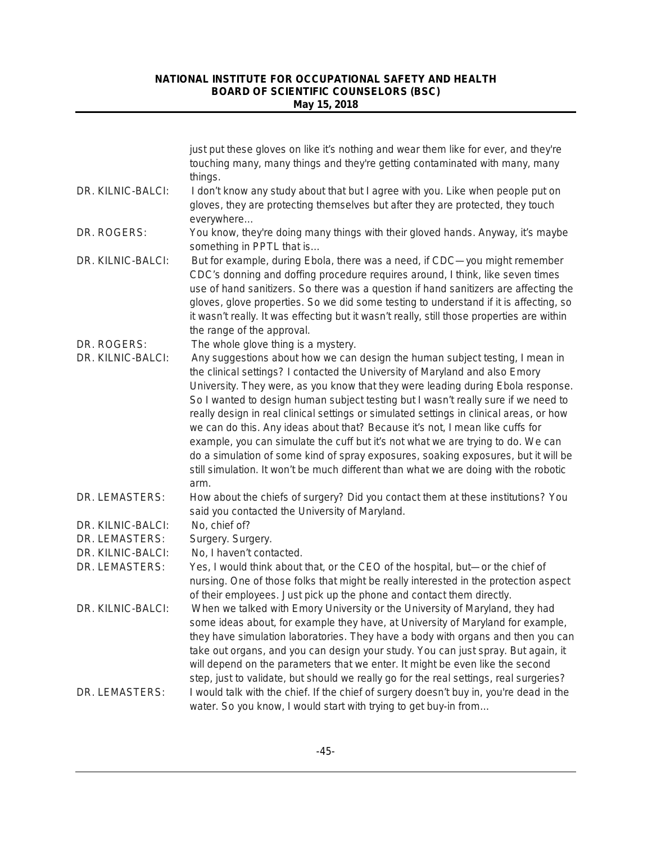|                   | just put these gloves on like it's nothing and wear them like for ever, and they're<br>touching many, many things and they're getting contaminated with many, many<br>things.                                                                                                                                                                                                                                                                                                                                                                                                                                                                                                                                                                                                                |
|-------------------|----------------------------------------------------------------------------------------------------------------------------------------------------------------------------------------------------------------------------------------------------------------------------------------------------------------------------------------------------------------------------------------------------------------------------------------------------------------------------------------------------------------------------------------------------------------------------------------------------------------------------------------------------------------------------------------------------------------------------------------------------------------------------------------------|
| DR. KILNIC-BALCI: | I don't know any study about that but I agree with you. Like when people put on<br>gloves, they are protecting themselves but after they are protected, they touch<br>everywhere                                                                                                                                                                                                                                                                                                                                                                                                                                                                                                                                                                                                             |
| DR. ROGERS:       | You know, they're doing many things with their gloved hands. Anyway, it's maybe<br>something in PPTL that is                                                                                                                                                                                                                                                                                                                                                                                                                                                                                                                                                                                                                                                                                 |
| DR. KILNIC-BALCI: | But for example, during Ebola, there was a need, if CDC-you might remember<br>CDC's donning and doffing procedure requires around, I think, like seven times<br>use of hand sanitizers. So there was a question if hand sanitizers are affecting the<br>gloves, glove properties. So we did some testing to understand if it is affecting, so<br>it wasn't really. It was effecting but it wasn't really, still those properties are within<br>the range of the approval.                                                                                                                                                                                                                                                                                                                    |
| DR. ROGERS:       | The whole glove thing is a mystery.                                                                                                                                                                                                                                                                                                                                                                                                                                                                                                                                                                                                                                                                                                                                                          |
| DR. KILNIC-BALCI: | Any suggestions about how we can design the human subject testing, I mean in<br>the clinical settings? I contacted the University of Maryland and also Emory<br>University. They were, as you know that they were leading during Ebola response.<br>So I wanted to design human subject testing but I wasn't really sure if we need to<br>really design in real clinical settings or simulated settings in clinical areas, or how<br>we can do this. Any ideas about that? Because it's not, I mean like cuffs for<br>example, you can simulate the cuff but it's not what we are trying to do. We can<br>do a simulation of some kind of spray exposures, soaking exposures, but it will be<br>still simulation. It won't be much different than what we are doing with the robotic<br>arm. |
| DR. LEMASTERS:    | How about the chiefs of surgery? Did you contact them at these institutions? You<br>said you contacted the University of Maryland.                                                                                                                                                                                                                                                                                                                                                                                                                                                                                                                                                                                                                                                           |
| DR. KILNIC-BALCI: | No, chief of?                                                                                                                                                                                                                                                                                                                                                                                                                                                                                                                                                                                                                                                                                                                                                                                |
| DR. LEMASTERS:    | Surgery. Surgery.                                                                                                                                                                                                                                                                                                                                                                                                                                                                                                                                                                                                                                                                                                                                                                            |
| DR. KILNIC-BALCI: | No, I haven't contacted.                                                                                                                                                                                                                                                                                                                                                                                                                                                                                                                                                                                                                                                                                                                                                                     |
| DR. LEMASTERS:    | Yes, I would think about that, or the CEO of the hospital, but-or the chief of<br>nursing. One of those folks that might be really interested in the protection aspect<br>of their employees. Just pick up the phone and contact them directly.                                                                                                                                                                                                                                                                                                                                                                                                                                                                                                                                              |
| DR. KILNIC-BALCI: | When we talked with Emory University or the University of Maryland, they had<br>some ideas about, for example they have, at University of Maryland for example,<br>they have simulation laboratories. They have a body with organs and then you can<br>take out organs, and you can design your study. You can just spray. But again, it<br>will depend on the parameters that we enter. It might be even like the second<br>step, just to validate, but should we really go for the real settings, real surgeries?                                                                                                                                                                                                                                                                          |
| DR. LEMASTERS:    | I would talk with the chief. If the chief of surgery doesn't buy in, you're dead in the<br>water. So you know, I would start with trying to get buy-in from                                                                                                                                                                                                                                                                                                                                                                                                                                                                                                                                                                                                                                  |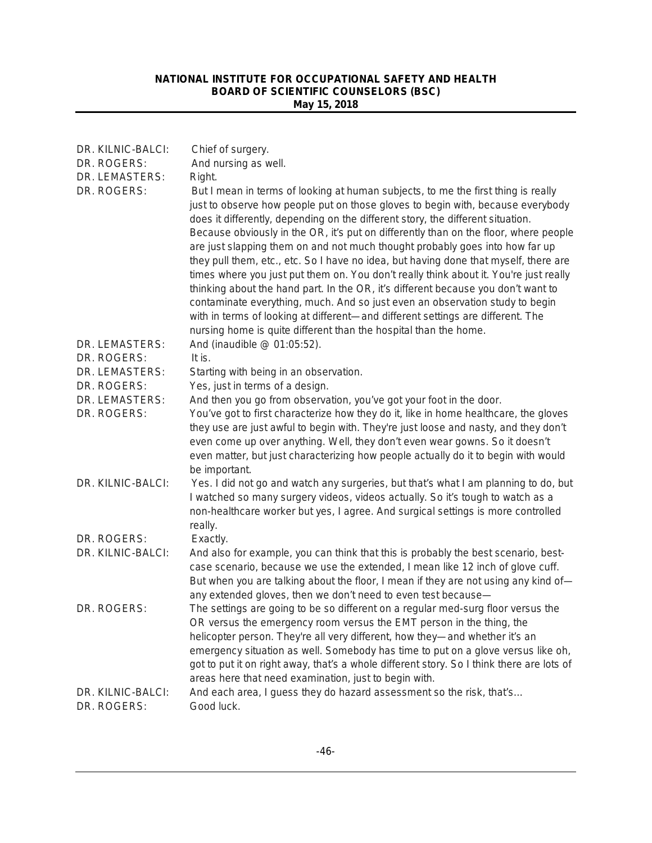| DR. KILNIC-BALCI:                | Chief of surgery.                                                                                                                                                                                                                                                                                                                                                                                                                                                                                                                                                                                                                                                                                                                                                                                                                                                                                                                            |
|----------------------------------|----------------------------------------------------------------------------------------------------------------------------------------------------------------------------------------------------------------------------------------------------------------------------------------------------------------------------------------------------------------------------------------------------------------------------------------------------------------------------------------------------------------------------------------------------------------------------------------------------------------------------------------------------------------------------------------------------------------------------------------------------------------------------------------------------------------------------------------------------------------------------------------------------------------------------------------------|
| DR. ROGERS:                      | And nursing as well.                                                                                                                                                                                                                                                                                                                                                                                                                                                                                                                                                                                                                                                                                                                                                                                                                                                                                                                         |
| DR. LEMASTERS:                   | Right.                                                                                                                                                                                                                                                                                                                                                                                                                                                                                                                                                                                                                                                                                                                                                                                                                                                                                                                                       |
| DR. ROGERS:                      | But I mean in terms of looking at human subjects, to me the first thing is really<br>just to observe how people put on those gloves to begin with, because everybody<br>does it differently, depending on the different story, the different situation.<br>Because obviously in the OR, it's put on differently than on the floor, where people<br>are just slapping them on and not much thought probably goes into how far up<br>they pull them, etc., etc. So I have no idea, but having done that myself, there are<br>times where you just put them on. You don't really think about it. You're just really<br>thinking about the hand part. In the OR, it's different because you don't want to<br>contaminate everything, much. And so just even an observation study to begin<br>with in terms of looking at different-and different settings are different. The<br>nursing home is quite different than the hospital than the home. |
| DR. LEMASTERS:                   | And (inaudible @ 01:05:52).                                                                                                                                                                                                                                                                                                                                                                                                                                                                                                                                                                                                                                                                                                                                                                                                                                                                                                                  |
| DR. ROGERS:                      | It is.                                                                                                                                                                                                                                                                                                                                                                                                                                                                                                                                                                                                                                                                                                                                                                                                                                                                                                                                       |
| DR. LEMASTERS:                   | Starting with being in an observation.                                                                                                                                                                                                                                                                                                                                                                                                                                                                                                                                                                                                                                                                                                                                                                                                                                                                                                       |
| DR. ROGERS:                      | Yes, just in terms of a design.                                                                                                                                                                                                                                                                                                                                                                                                                                                                                                                                                                                                                                                                                                                                                                                                                                                                                                              |
| DR. LEMASTERS:<br>DR. ROGERS:    | And then you go from observation, you've got your foot in the door.<br>You've got to first characterize how they do it, like in home healthcare, the gloves<br>they use are just awful to begin with. They're just loose and nasty, and they don't<br>even come up over anything. Well, they don't even wear gowns. So it doesn't<br>even matter, but just characterizing how people actually do it to begin with would<br>be important.                                                                                                                                                                                                                                                                                                                                                                                                                                                                                                     |
| DR. KILNIC-BALCI:                | Yes. I did not go and watch any surgeries, but that's what I am planning to do, but<br>I watched so many surgery videos, videos actually. So it's tough to watch as a<br>non-healthcare worker but yes, I agree. And surgical settings is more controlled<br>really.                                                                                                                                                                                                                                                                                                                                                                                                                                                                                                                                                                                                                                                                         |
| DR. ROGERS:                      | Exactly.                                                                                                                                                                                                                                                                                                                                                                                                                                                                                                                                                                                                                                                                                                                                                                                                                                                                                                                                     |
| DR. KILNIC-BALCI:                | And also for example, you can think that this is probably the best scenario, best-<br>case scenario, because we use the extended, I mean like 12 inch of glove cuff.<br>But when you are talking about the floor, I mean if they are not using any kind of-<br>any extended gloves, then we don't need to even test because-                                                                                                                                                                                                                                                                                                                                                                                                                                                                                                                                                                                                                 |
| DR. ROGERS:                      | The settings are going to be so different on a regular med-surg floor versus the<br>OR versus the emergency room versus the EMT person in the thing, the<br>helicopter person. They're all very different, how they—and whether it's an<br>emergency situation as well. Somebody has time to put on a glove versus like oh,<br>got to put it on right away, that's a whole different story. So I think there are lots of<br>areas here that need examination, just to begin with.                                                                                                                                                                                                                                                                                                                                                                                                                                                            |
| DR. KILNIC-BALCI:<br>DR. ROGERS: | And each area, I guess they do hazard assessment so the risk, that's<br>Good luck.                                                                                                                                                                                                                                                                                                                                                                                                                                                                                                                                                                                                                                                                                                                                                                                                                                                           |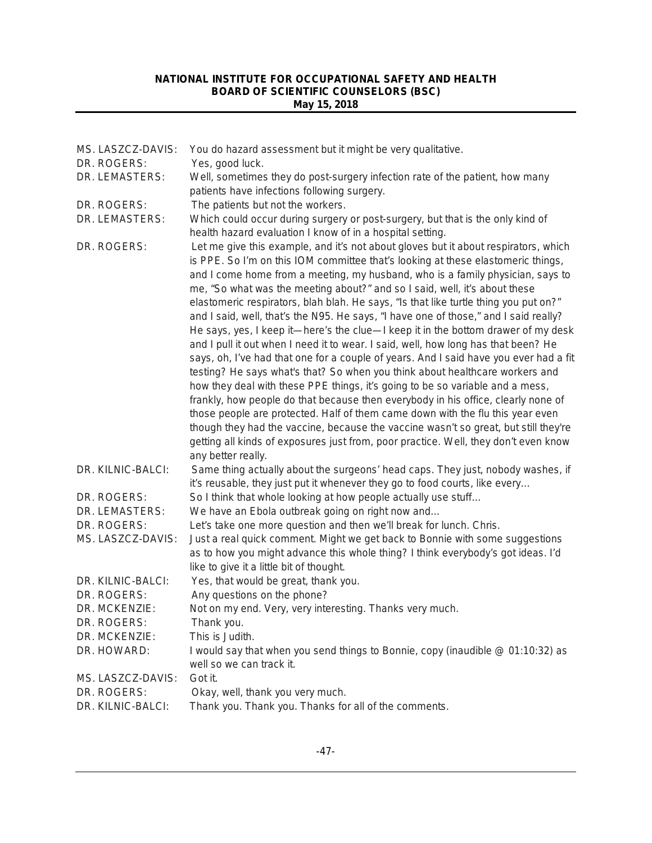| MS. LASZCZ-DAVIS: | You do hazard assessment but it might be very qualitative.                                                                                                                                                                                                                                                                                                                                                                                                                                                                                                                                                                                                                                                                                                                                                                                                                                                                                                                                                                                                                                                                                                                                                                                                                                                        |
|-------------------|-------------------------------------------------------------------------------------------------------------------------------------------------------------------------------------------------------------------------------------------------------------------------------------------------------------------------------------------------------------------------------------------------------------------------------------------------------------------------------------------------------------------------------------------------------------------------------------------------------------------------------------------------------------------------------------------------------------------------------------------------------------------------------------------------------------------------------------------------------------------------------------------------------------------------------------------------------------------------------------------------------------------------------------------------------------------------------------------------------------------------------------------------------------------------------------------------------------------------------------------------------------------------------------------------------------------|
| DR. ROGERS:       | Yes, good luck.                                                                                                                                                                                                                                                                                                                                                                                                                                                                                                                                                                                                                                                                                                                                                                                                                                                                                                                                                                                                                                                                                                                                                                                                                                                                                                   |
| DR. LEMASTERS:    | Well, sometimes they do post-surgery infection rate of the patient, how many                                                                                                                                                                                                                                                                                                                                                                                                                                                                                                                                                                                                                                                                                                                                                                                                                                                                                                                                                                                                                                                                                                                                                                                                                                      |
|                   | patients have infections following surgery.                                                                                                                                                                                                                                                                                                                                                                                                                                                                                                                                                                                                                                                                                                                                                                                                                                                                                                                                                                                                                                                                                                                                                                                                                                                                       |
| DR. ROGERS:       | The patients but not the workers.                                                                                                                                                                                                                                                                                                                                                                                                                                                                                                                                                                                                                                                                                                                                                                                                                                                                                                                                                                                                                                                                                                                                                                                                                                                                                 |
| DR. LEMASTERS:    | Which could occur during surgery or post-surgery, but that is the only kind of<br>health hazard evaluation I know of in a hospital setting.                                                                                                                                                                                                                                                                                                                                                                                                                                                                                                                                                                                                                                                                                                                                                                                                                                                                                                                                                                                                                                                                                                                                                                       |
| DR. ROGERS:       | Let me give this example, and it's not about gloves but it about respirators, which<br>is PPE. So I'm on this IOM committee that's looking at these elastomeric things,<br>and I come home from a meeting, my husband, who is a family physician, says to<br>me, "So what was the meeting about?" and so I said, well, it's about these<br>elastomeric respirators, blah blah. He says, "Is that like turtle thing you put on?"<br>and I said, well, that's the N95. He says, "I have one of those," and I said really?<br>He says, yes, I keep it—here's the clue—I keep it in the bottom drawer of my desk<br>and I pull it out when I need it to wear. I said, well, how long has that been? He<br>says, oh, I've had that one for a couple of years. And I said have you ever had a fit<br>testing? He says what's that? So when you think about healthcare workers and<br>how they deal with these PPE things, it's going to be so variable and a mess,<br>frankly, how people do that because then everybody in his office, clearly none of<br>those people are protected. Half of them came down with the flu this year even<br>though they had the vaccine, because the vaccine wasn't so great, but still they're<br>getting all kinds of exposures just from, poor practice. Well, they don't even know |
| DR. KILNIC-BALCI: | any better really.<br>Same thing actually about the surgeons' head caps. They just, nobody washes, if<br>it's reusable, they just put it whenever they go to food courts, like every                                                                                                                                                                                                                                                                                                                                                                                                                                                                                                                                                                                                                                                                                                                                                                                                                                                                                                                                                                                                                                                                                                                              |
| DR. ROGERS:       | So I think that whole looking at how people actually use stuff                                                                                                                                                                                                                                                                                                                                                                                                                                                                                                                                                                                                                                                                                                                                                                                                                                                                                                                                                                                                                                                                                                                                                                                                                                                    |
| DR. LEMASTERS:    | We have an Ebola outbreak going on right now and                                                                                                                                                                                                                                                                                                                                                                                                                                                                                                                                                                                                                                                                                                                                                                                                                                                                                                                                                                                                                                                                                                                                                                                                                                                                  |
| DR. ROGERS:       | Let's take one more question and then we'll break for lunch. Chris.                                                                                                                                                                                                                                                                                                                                                                                                                                                                                                                                                                                                                                                                                                                                                                                                                                                                                                                                                                                                                                                                                                                                                                                                                                               |
| MS. LASZCZ-DAVIS: | Just a real quick comment. Might we get back to Bonnie with some suggestions<br>as to how you might advance this whole thing? I think everybody's got ideas. I'd<br>like to give it a little bit of thought.                                                                                                                                                                                                                                                                                                                                                                                                                                                                                                                                                                                                                                                                                                                                                                                                                                                                                                                                                                                                                                                                                                      |
| DR. KILNIC-BALCI: | Yes, that would be great, thank you.                                                                                                                                                                                                                                                                                                                                                                                                                                                                                                                                                                                                                                                                                                                                                                                                                                                                                                                                                                                                                                                                                                                                                                                                                                                                              |
| DR. ROGERS:       | Any questions on the phone?                                                                                                                                                                                                                                                                                                                                                                                                                                                                                                                                                                                                                                                                                                                                                                                                                                                                                                                                                                                                                                                                                                                                                                                                                                                                                       |
| DR. MCKENZIE:     | Not on my end. Very, very interesting. Thanks very much.                                                                                                                                                                                                                                                                                                                                                                                                                                                                                                                                                                                                                                                                                                                                                                                                                                                                                                                                                                                                                                                                                                                                                                                                                                                          |
| DR. ROGERS:       | Thank you.                                                                                                                                                                                                                                                                                                                                                                                                                                                                                                                                                                                                                                                                                                                                                                                                                                                                                                                                                                                                                                                                                                                                                                                                                                                                                                        |
| DR. MCKENZIE:     | This is Judith.                                                                                                                                                                                                                                                                                                                                                                                                                                                                                                                                                                                                                                                                                                                                                                                                                                                                                                                                                                                                                                                                                                                                                                                                                                                                                                   |
| DR. HOWARD:       | I would say that when you send things to Bonnie, copy (inaudible @ 01:10:32) as                                                                                                                                                                                                                                                                                                                                                                                                                                                                                                                                                                                                                                                                                                                                                                                                                                                                                                                                                                                                                                                                                                                                                                                                                                   |
|                   | well so we can track it.                                                                                                                                                                                                                                                                                                                                                                                                                                                                                                                                                                                                                                                                                                                                                                                                                                                                                                                                                                                                                                                                                                                                                                                                                                                                                          |
| MS. LASZCZ-DAVIS: | Got it.                                                                                                                                                                                                                                                                                                                                                                                                                                                                                                                                                                                                                                                                                                                                                                                                                                                                                                                                                                                                                                                                                                                                                                                                                                                                                                           |
| DR. ROGERS:       | Okay, well, thank you very much.                                                                                                                                                                                                                                                                                                                                                                                                                                                                                                                                                                                                                                                                                                                                                                                                                                                                                                                                                                                                                                                                                                                                                                                                                                                                                  |
| DR. KILNIC-BALCI: | Thank you. Thank you. Thanks for all of the comments.                                                                                                                                                                                                                                                                                                                                                                                                                                                                                                                                                                                                                                                                                                                                                                                                                                                                                                                                                                                                                                                                                                                                                                                                                                                             |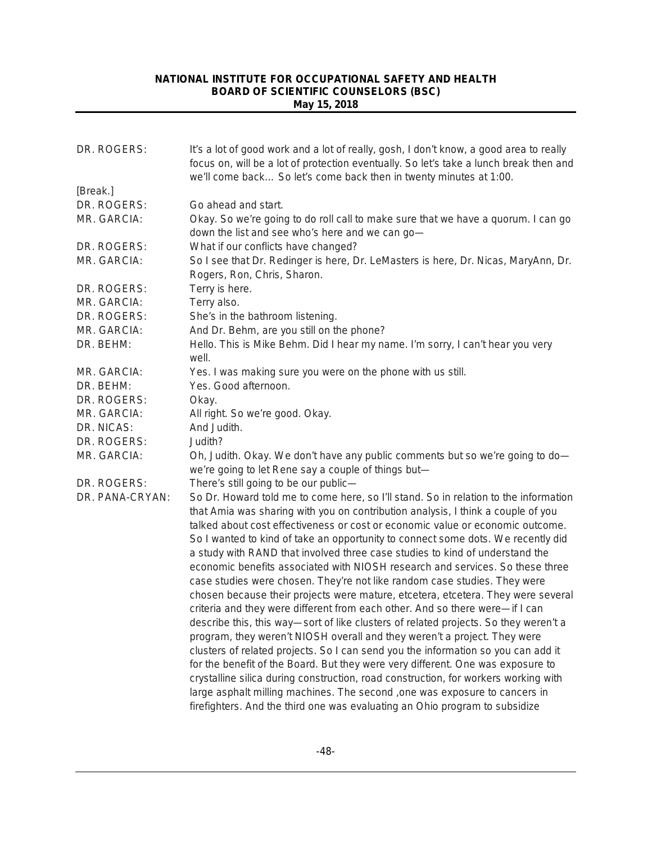| we'll come back So let's come back then in twenty minutes at 1:00.<br>Go ahead and start.<br>Okay. So we're going to do roll call to make sure that we have a quorum. I can go<br>down the list and see who's here and we can go-                                                                                                                                                                                                                                                                                                                                                                                                                                                                                                                                                                                                                                                                                                                                                                                                                                                                                                                                                                                                                                                                                                                                  |
|--------------------------------------------------------------------------------------------------------------------------------------------------------------------------------------------------------------------------------------------------------------------------------------------------------------------------------------------------------------------------------------------------------------------------------------------------------------------------------------------------------------------------------------------------------------------------------------------------------------------------------------------------------------------------------------------------------------------------------------------------------------------------------------------------------------------------------------------------------------------------------------------------------------------------------------------------------------------------------------------------------------------------------------------------------------------------------------------------------------------------------------------------------------------------------------------------------------------------------------------------------------------------------------------------------------------------------------------------------------------|
|                                                                                                                                                                                                                                                                                                                                                                                                                                                                                                                                                                                                                                                                                                                                                                                                                                                                                                                                                                                                                                                                                                                                                                                                                                                                                                                                                                    |
|                                                                                                                                                                                                                                                                                                                                                                                                                                                                                                                                                                                                                                                                                                                                                                                                                                                                                                                                                                                                                                                                                                                                                                                                                                                                                                                                                                    |
|                                                                                                                                                                                                                                                                                                                                                                                                                                                                                                                                                                                                                                                                                                                                                                                                                                                                                                                                                                                                                                                                                                                                                                                                                                                                                                                                                                    |
| What if our conflicts have changed?                                                                                                                                                                                                                                                                                                                                                                                                                                                                                                                                                                                                                                                                                                                                                                                                                                                                                                                                                                                                                                                                                                                                                                                                                                                                                                                                |
| So I see that Dr. Redinger is here, Dr. LeMasters is here, Dr. Nicas, MaryAnn, Dr.<br>Rogers, Ron, Chris, Sharon.                                                                                                                                                                                                                                                                                                                                                                                                                                                                                                                                                                                                                                                                                                                                                                                                                                                                                                                                                                                                                                                                                                                                                                                                                                                  |
| Terry is here.                                                                                                                                                                                                                                                                                                                                                                                                                                                                                                                                                                                                                                                                                                                                                                                                                                                                                                                                                                                                                                                                                                                                                                                                                                                                                                                                                     |
| Terry also.                                                                                                                                                                                                                                                                                                                                                                                                                                                                                                                                                                                                                                                                                                                                                                                                                                                                                                                                                                                                                                                                                                                                                                                                                                                                                                                                                        |
| She's in the bathroom listening.                                                                                                                                                                                                                                                                                                                                                                                                                                                                                                                                                                                                                                                                                                                                                                                                                                                                                                                                                                                                                                                                                                                                                                                                                                                                                                                                   |
| And Dr. Behm, are you still on the phone?                                                                                                                                                                                                                                                                                                                                                                                                                                                                                                                                                                                                                                                                                                                                                                                                                                                                                                                                                                                                                                                                                                                                                                                                                                                                                                                          |
| Hello. This is Mike Behm. Did I hear my name. I'm sorry, I can't hear you very<br>well.                                                                                                                                                                                                                                                                                                                                                                                                                                                                                                                                                                                                                                                                                                                                                                                                                                                                                                                                                                                                                                                                                                                                                                                                                                                                            |
| Yes. I was making sure you were on the phone with us still.                                                                                                                                                                                                                                                                                                                                                                                                                                                                                                                                                                                                                                                                                                                                                                                                                                                                                                                                                                                                                                                                                                                                                                                                                                                                                                        |
| Yes. Good afternoon.                                                                                                                                                                                                                                                                                                                                                                                                                                                                                                                                                                                                                                                                                                                                                                                                                                                                                                                                                                                                                                                                                                                                                                                                                                                                                                                                               |
| Okay.                                                                                                                                                                                                                                                                                                                                                                                                                                                                                                                                                                                                                                                                                                                                                                                                                                                                                                                                                                                                                                                                                                                                                                                                                                                                                                                                                              |
| All right. So we're good. Okay.                                                                                                                                                                                                                                                                                                                                                                                                                                                                                                                                                                                                                                                                                                                                                                                                                                                                                                                                                                                                                                                                                                                                                                                                                                                                                                                                    |
| And Judith.                                                                                                                                                                                                                                                                                                                                                                                                                                                                                                                                                                                                                                                                                                                                                                                                                                                                                                                                                                                                                                                                                                                                                                                                                                                                                                                                                        |
| Judith?                                                                                                                                                                                                                                                                                                                                                                                                                                                                                                                                                                                                                                                                                                                                                                                                                                                                                                                                                                                                                                                                                                                                                                                                                                                                                                                                                            |
| Oh, Judith. Okay. We don't have any public comments but so we're going to do-<br>we're going to let Rene say a couple of things but-                                                                                                                                                                                                                                                                                                                                                                                                                                                                                                                                                                                                                                                                                                                                                                                                                                                                                                                                                                                                                                                                                                                                                                                                                               |
| There's still going to be our public-                                                                                                                                                                                                                                                                                                                                                                                                                                                                                                                                                                                                                                                                                                                                                                                                                                                                                                                                                                                                                                                                                                                                                                                                                                                                                                                              |
| So Dr. Howard told me to come here, so I'll stand. So in relation to the information<br>that Amia was sharing with you on contribution analysis, I think a couple of you<br>talked about cost effectiveness or cost or economic value or economic outcome.<br>So I wanted to kind of take an opportunity to connect some dots. We recently did<br>a study with RAND that involved three case studies to kind of understand the<br>economic benefits associated with NIOSH research and services. So these three<br>case studies were chosen. They're not like random case studies. They were<br>chosen because their projects were mature, etcetera, etcetera. They were several<br>criteria and they were different from each other. And so there were-if I can<br>describe this, this way-sort of like clusters of related projects. So they weren't a<br>program, they weren't NIOSH overall and they weren't a project. They were<br>clusters of related projects. So I can send you the information so you can add it<br>for the benefit of the Board. But they were very different. One was exposure to<br>crystalline silica during construction, road construction, for workers working with<br>large asphalt milling machines. The second , one was exposure to cancers in<br>firefighters. And the third one was evaluating an Ohio program to subsidize |
|                                                                                                                                                                                                                                                                                                                                                                                                                                                                                                                                                                                                                                                                                                                                                                                                                                                                                                                                                                                                                                                                                                                                                                                                                                                                                                                                                                    |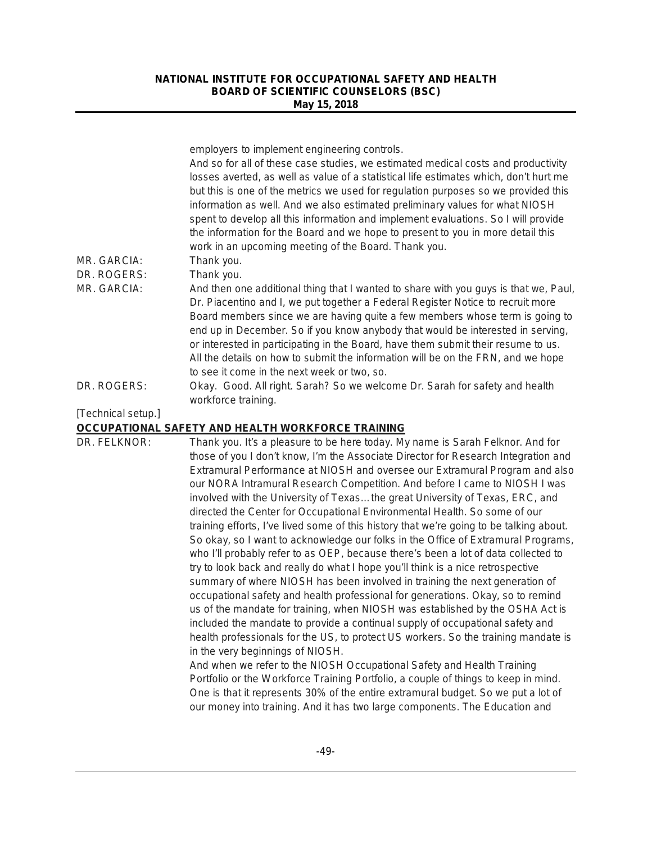|                    | employers to implement engineering controls.<br>And so for all of these case studies, we estimated medical costs and productivity<br>losses averted, as well as value of a statistical life estimates which, don't hurt me<br>but this is one of the metrics we used for regulation purposes so we provided this<br>information as well. And we also estimated preliminary values for what NIOSH<br>spent to develop all this information and implement evaluations. So I will provide<br>the information for the Board and we hope to present to you in more detail this<br>work in an upcoming meeting of the Board. Thank you.                                                                                                                                                                                                                                                                                                                                                                                                                                                                                                                                                                                                                                                                                                                                                                                                                                                                                                                                                                                                                         |
|--------------------|-----------------------------------------------------------------------------------------------------------------------------------------------------------------------------------------------------------------------------------------------------------------------------------------------------------------------------------------------------------------------------------------------------------------------------------------------------------------------------------------------------------------------------------------------------------------------------------------------------------------------------------------------------------------------------------------------------------------------------------------------------------------------------------------------------------------------------------------------------------------------------------------------------------------------------------------------------------------------------------------------------------------------------------------------------------------------------------------------------------------------------------------------------------------------------------------------------------------------------------------------------------------------------------------------------------------------------------------------------------------------------------------------------------------------------------------------------------------------------------------------------------------------------------------------------------------------------------------------------------------------------------------------------------|
| MR. GARCIA:        | Thank you.                                                                                                                                                                                                                                                                                                                                                                                                                                                                                                                                                                                                                                                                                                                                                                                                                                                                                                                                                                                                                                                                                                                                                                                                                                                                                                                                                                                                                                                                                                                                                                                                                                                |
| DR. ROGERS:        | Thank you.                                                                                                                                                                                                                                                                                                                                                                                                                                                                                                                                                                                                                                                                                                                                                                                                                                                                                                                                                                                                                                                                                                                                                                                                                                                                                                                                                                                                                                                                                                                                                                                                                                                |
| MR. GARCIA:        | And then one additional thing that I wanted to share with you guys is that we, Paul,<br>Dr. Piacentino and I, we put together a Federal Register Notice to recruit more<br>Board members since we are having quite a few members whose term is going to<br>end up in December. So if you know anybody that would be interested in serving,<br>or interested in participating in the Board, have them submit their resume to us.<br>All the details on how to submit the information will be on the FRN, and we hope<br>to see it come in the next week or two, so.                                                                                                                                                                                                                                                                                                                                                                                                                                                                                                                                                                                                                                                                                                                                                                                                                                                                                                                                                                                                                                                                                        |
| DR. ROGERS:        | Okay. Good. All right. Sarah? So we welcome Dr. Sarah for safety and health<br>workforce training.                                                                                                                                                                                                                                                                                                                                                                                                                                                                                                                                                                                                                                                                                                                                                                                                                                                                                                                                                                                                                                                                                                                                                                                                                                                                                                                                                                                                                                                                                                                                                        |
| [Technical setup.] | OCCUPATIONAL SAFETY AND HEALTH WORKFORCE TRAINING                                                                                                                                                                                                                                                                                                                                                                                                                                                                                                                                                                                                                                                                                                                                                                                                                                                                                                                                                                                                                                                                                                                                                                                                                                                                                                                                                                                                                                                                                                                                                                                                         |
| DR. FELKNOR:       | Thank you. It's a pleasure to be here today. My name is Sarah Felknor. And for<br>those of you I don't know, I'm the Associate Director for Research Integration and<br>Extramural Performance at NIOSH and oversee our Extramural Program and also<br>our NORA Intramural Research Competition. And before I came to NIOSH I was<br>involved with the University of Texasthe great University of Texas, ERC, and<br>directed the Center for Occupational Environmental Health. So some of our<br>training efforts, I've lived some of this history that we're going to be talking about.<br>So okay, so I want to acknowledge our folks in the Office of Extramural Programs,<br>who I'll probably refer to as OEP, because there's been a lot of data collected to<br>try to look back and really do what I hope you'll think is a nice retrospective<br>summary of where NIOSH has been involved in training the next generation of<br>occupational safety and health professional for generations. Okay, so to remind<br>us of the mandate for training, when NIOSH was established by the OSHA Act is<br>included the mandate to provide a continual supply of occupational safety and<br>health professionals for the US, to protect US workers. So the training mandate is<br>in the very beginnings of NIOSH.<br>And when we refer to the NIOSH Occupational Safety and Health Training<br>Portfolio or the Workforce Training Portfolio, a couple of things to keep in mind.<br>One is that it represents 30% of the entire extramural budget. So we put a lot of<br>our money into training. And it has two large components. The Education and |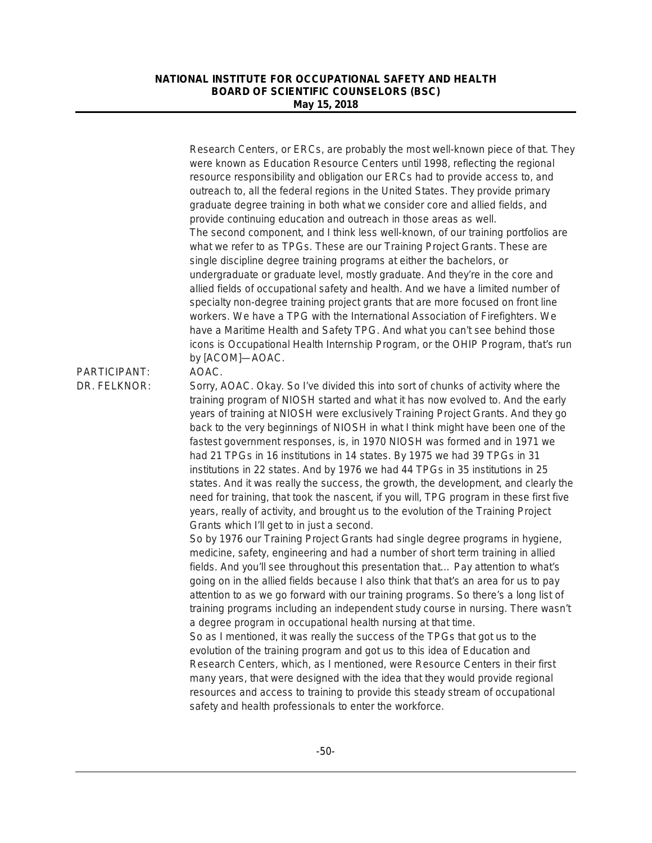|                              | Research Centers, or ERCs, are probably the most well-known piece of that. They<br>were known as Education Resource Centers until 1998, reflecting the regional<br>resource responsibility and obligation our ERCs had to provide access to, and<br>outreach to, all the federal regions in the United States. They provide primary<br>graduate degree training in both what we consider core and allied fields, and<br>provide continuing education and outreach in those areas as well.<br>The second component, and I think less well-known, of our training portfolios are<br>what we refer to as TPGs. These are our Training Project Grants. These are<br>single discipline degree training programs at either the bachelors, or<br>undergraduate or graduate level, mostly graduate. And they're in the core and<br>allied fields of occupational safety and health. And we have a limited number of<br>specialty non-degree training project grants that are more focused on front line<br>workers. We have a TPG with the International Association of Firefighters. We<br>have a Maritime Health and Safety TPG. And what you can't see behind those<br>icons is Occupational Health Internship Program, or the OHIP Program, that's run<br>by [ACOM]-AOAC.                                                                                                                                                                                                                                             |
|------------------------------|-------------------------------------------------------------------------------------------------------------------------------------------------------------------------------------------------------------------------------------------------------------------------------------------------------------------------------------------------------------------------------------------------------------------------------------------------------------------------------------------------------------------------------------------------------------------------------------------------------------------------------------------------------------------------------------------------------------------------------------------------------------------------------------------------------------------------------------------------------------------------------------------------------------------------------------------------------------------------------------------------------------------------------------------------------------------------------------------------------------------------------------------------------------------------------------------------------------------------------------------------------------------------------------------------------------------------------------------------------------------------------------------------------------------------------------------------------------------------------------------------------------------|
| PARTICIPANT:<br>DR. FELKNOR: | AOAC.<br>Sorry, AOAC. Okay. So I've divided this into sort of chunks of activity where the<br>training program of NIOSH started and what it has now evolved to. And the early<br>years of training at NIOSH were exclusively Training Project Grants. And they go<br>back to the very beginnings of NIOSH in what I think might have been one of the<br>fastest government responses, is, in 1970 NIOSH was formed and in 1971 we<br>had 21 TPGs in 16 institutions in 14 states. By 1975 we had 39 TPGs in 31<br>institutions in 22 states. And by 1976 we had 44 TPGs in 35 institutions in 25<br>states. And it was really the success, the growth, the development, and clearly the<br>need for training, that took the nascent, if you will, TPG program in these first five<br>years, really of activity, and brought us to the evolution of the Training Project<br>Grants which I'll get to in just a second.<br>So by 1976 our Training Project Grants had single degree programs in hygiene,<br>medicine, safety, engineering and had a number of short term training in allied<br>fields. And you'll see throughout this presentation that Pay attention to what's<br>going on in the allied fields because I also think that that's an area for us to pay<br>attention to as we go forward with our training programs. So there's a long list of<br>training programs including an independent study course in nursing. There wasn't<br>a degree program in occupational health nursing at that time. |
|                              | So as I mentioned, it was really the success of the TPGs that got us to the<br>evolution of the training program and got us to this idea of Education and<br>Research Centers, which, as I mentioned, were Resource Centers in their first<br>many years, that were designed with the idea that they would provide regional<br>resources and access to training to provide this steady stream of occupational<br>safety and health professionals to enter the workforce.                                                                                                                                                                                                                                                                                                                                                                                                                                                                                                                                                                                                                                                                                                                                                                                                                                                                                                                                                                                                                                          |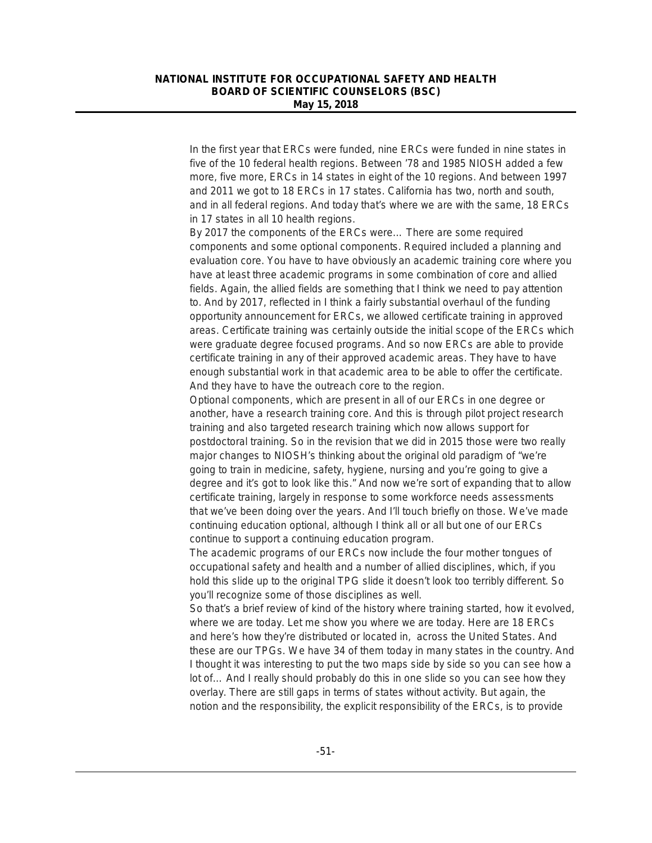In the first year that ERCs were funded, nine ERCs were funded in nine states in five of the 10 federal health regions. Between '78 and 1985 NIOSH added a few more, five more, ERCs in 14 states in eight of the 10 regions. And between 1997 and 2011 we got to 18 ERCs in 17 states. California has two, north and south, and in all federal regions. And today that's where we are with the same, 18 ERCs in 17 states in all 10 health regions.

By 2017 the components of the ERCs were… There are some required components and some optional components. Required included a planning and evaluation core. You have to have obviously an academic training core where you have at least three academic programs in some combination of core and allied fields. Again, the allied fields are something that I think we need to pay attention to. And by 2017, reflected in I think a fairly substantial overhaul of the funding opportunity announcement for ERCs, we allowed certificate training in approved areas. Certificate training was certainly outside the initial scope of the ERCs which were graduate degree focused programs. And so now ERCs are able to provide certificate training in any of their approved academic areas. They have to have enough substantial work in that academic area to be able to offer the certificate. And they have to have the outreach core to the region.

Optional components, which are present in all of our ERCs in one degree or another, have a research training core. And this is through pilot project research training and also targeted research training which now allows support for postdoctoral training. So in the revision that we did in 2015 those were two really major changes to NIOSH's thinking about the original old paradigm of "we're going to train in medicine, safety, hygiene, nursing and you're going to give a degree and it's got to look like this." And now we're sort of expanding that to allow certificate training, largely in response to some workforce needs assessments that we've been doing over the years. And I'll touch briefly on those. We've made continuing education optional, although I think all or all but one of our ERCs continue to support a continuing education program.

The academic programs of our ERCs now include the four mother tongues of occupational safety and health and a number of allied disciplines, which, if you hold this slide up to the original TPG slide it doesn't look too terribly different. So you'll recognize some of those disciplines as well.

So that's a brief review of kind of the history where training started, how it evolved, where we are today. Let me show you where we are today. Here are 18 ERCs and here's how they're distributed or located in, across the United States. And these are our TPGs. We have 34 of them today in many states in the country. And I thought it was interesting to put the two maps side by side so you can see how a lot of… And I really should probably do this in one slide so you can see how they overlay. There are still gaps in terms of states without activity. But again, the notion and the responsibility, the explicit responsibility of the ERCs, is to provide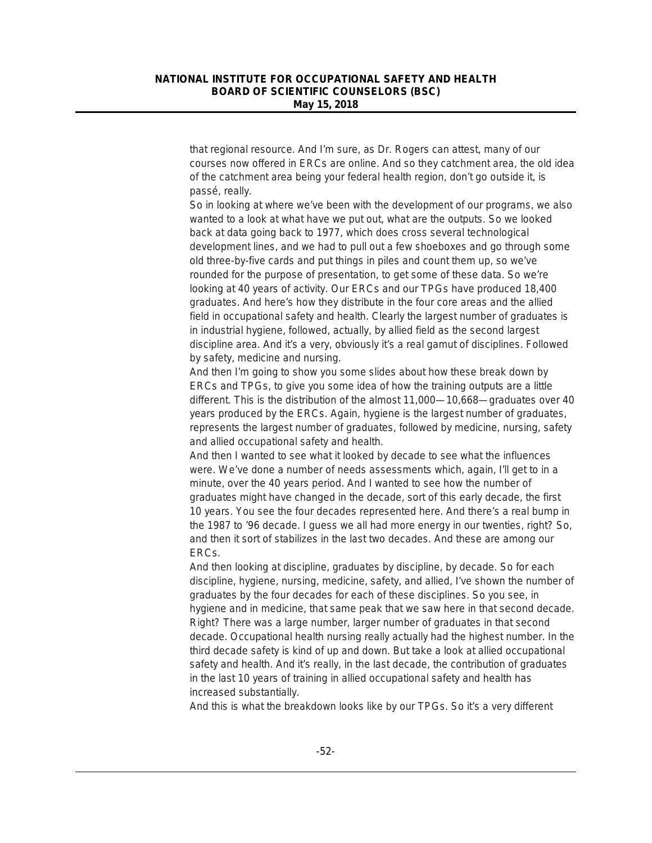that regional resource. And I'm sure, as Dr. Rogers can attest, many of our courses now offered in ERCs are online. And so they catchment area, the old idea of the catchment area being your federal health region, don't go outside it, is passé, really.

So in looking at where we've been with the development of our programs, we also wanted to a look at what have we put out, what are the outputs. So we looked back at data going back to 1977, which does cross several technological development lines, and we had to pull out a few shoeboxes and go through some old three-by-five cards and put things in piles and count them up, so we've rounded for the purpose of presentation, to get some of these data. So we're looking at 40 years of activity. Our ERCs and our TPGs have produced 18,400 graduates. And here's how they distribute in the four core areas and the allied field in occupational safety and health. Clearly the largest number of graduates is in industrial hygiene, followed, actually, by allied field as the second largest discipline area. And it's a very, obviously it's a real gamut of disciplines. Followed by safety, medicine and nursing.

And then I'm going to show you some slides about how these break down by ERCs and TPGs, to give you some idea of how the training outputs are a little different. This is the distribution of the almost 11,000—10,668—graduates over 40 years produced by the ERCs. Again, hygiene is the largest number of graduates, represents the largest number of graduates, followed by medicine, nursing, safety and allied occupational safety and health.

And then I wanted to see what it looked by decade to see what the influences were. We've done a number of needs assessments which, again, I'll get to in a minute, over the 40 years period. And I wanted to see how the number of graduates might have changed in the decade, sort of this early decade, the first 10 years. You see the four decades represented here. And there's a real bump in the 1987 to '96 decade. I guess we all had more energy in our twenties, right? So, and then it sort of stabilizes in the last two decades. And these are among our ERCs.

And then looking at discipline, graduates by discipline, by decade. So for each discipline, hygiene, nursing, medicine, safety, and allied, I've shown the number of graduates by the four decades for each of these disciplines. So you see, in hygiene and in medicine, that same peak that we saw here in that second decade. Right? There was a large number, larger number of graduates in that second decade. Occupational health nursing really actually had the highest number. In the third decade safety is kind of up and down. But take a look at allied occupational safety and health. And it's really, in the last decade, the contribution of graduates in the last 10 years of training in allied occupational safety and health has increased substantially.

And this is what the breakdown looks like by our TPGs. So it's a very different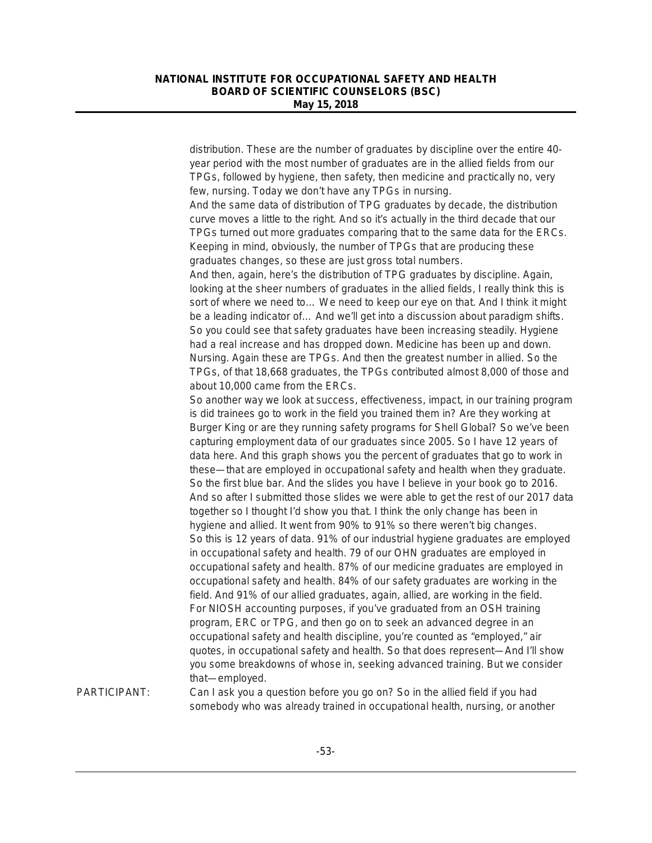distribution. These are the number of graduates by discipline over the entire 40 year period with the most number of graduates are in the allied fields from our TPGs, followed by hygiene, then safety, then medicine and practically no, very few, nursing. Today we don't have any TPGs in nursing. And the same data of distribution of TPG graduates by decade, the distribution curve moves a little to the right. And so it's actually in the third decade that our TPGs turned out more graduates comparing that to the same data for the ERCs. Keeping in mind, obviously, the number of TPGs that are producing these graduates changes, so these are just gross total numbers. And then, again, here's the distribution of TPG graduates by discipline. Again, looking at the sheer numbers of graduates in the allied fields, I really think this is sort of where we need to… We need to keep our eye on that. And I think it might be a leading indicator of… And we'll get into a discussion about paradigm shifts. So you could see that safety graduates have been increasing steadily. Hygiene had a real increase and has dropped down. Medicine has been up and down. Nursing. Again these are TPGs. And then the greatest number in allied. So the TPGs, of that 18,668 graduates, the TPGs contributed almost 8,000 of those and about 10,000 came from the ERCs. So another way we look at success, effectiveness, impact, in our training program is did trainees go to work in the field you trained them in? Are they working at Burger King or are they running safety programs for Shell Global? So we've been capturing employment data of our graduates since 2005. So I have 12 years of data here. And this graph shows you the percent of graduates that go to work in these—that are employed in occupational safety and health when they graduate. So the first blue bar. And the slides you have I believe in your book go to 2016. And so after I submitted those slides we were able to get the rest of our 2017 data together so I thought I'd show you that. I think the only change has been in hygiene and allied. It went from 90% to 91% so there weren't big changes. So this is 12 years of data. 91% of our industrial hygiene graduates are employed in occupational safety and health. 79 of our OHN graduates are employed in occupational safety and health. 87% of our medicine graduates are employed in

occupational safety and health. 84% of our safety graduates are working in the field. And 91% of our allied graduates, again, allied, are working in the field. For NIOSH accounting purposes, if you've graduated from an OSH training program, ERC or TPG, and then go on to seek an advanced degree in an occupational safety and health discipline, you're counted as "employed," air quotes, in occupational safety and health. So that does represent—And I'll show you some breakdowns of whose in, seeking advanced training. But we consider that—employed.

PARTICIPANT: Can I ask you a question before you go on? So in the allied field if you had somebody who was already trained in occupational health, nursing, or another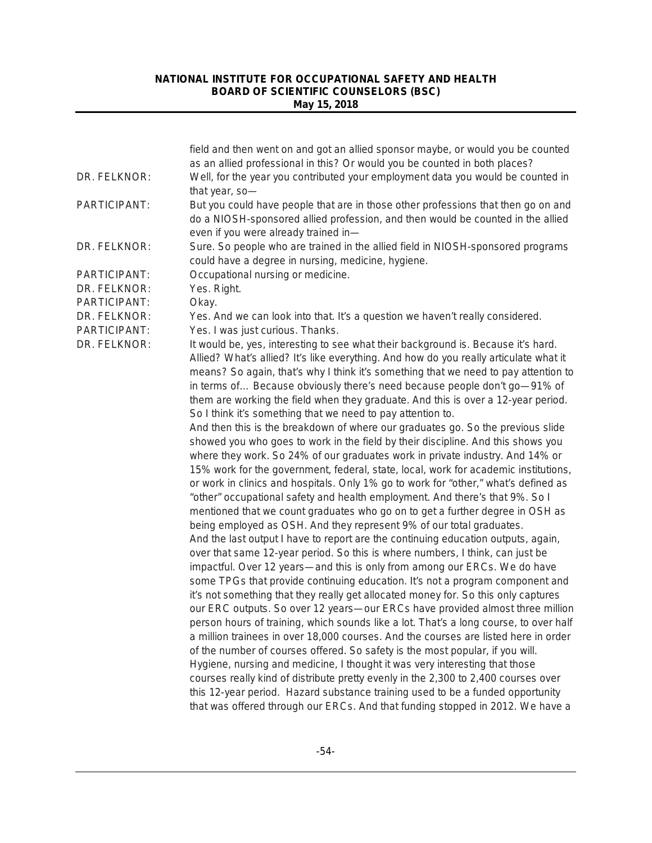| as an allied professional in this? Or would you be counted in both places?<br>Well, for the year you contributed your employment data you would be counted in<br>DR. FELKNOR:<br>that year, so-<br>PARTICIPANT:<br>But you could have people that are in those other professions that then go on and<br>do a NIOSH-sponsored allied profession, and then would be counted in the allied<br>even if you were already trained in-<br>Sure. So people who are trained in the allied field in NIOSH-sponsored programs<br>DR. FELKNOR:<br>could have a degree in nursing, medicine, hygiene.<br>PARTICIPANT:<br>Occupational nursing or medicine.<br>DR. FELKNOR:<br>Yes. Right.<br>PARTICIPANT:<br>Okay.<br>DR. FELKNOR:<br>Yes. And we can look into that. It's a question we haven't really considered.<br>PARTICIPANT:<br>Yes. I was just curious. Thanks.<br>It would be, yes, interesting to see what their background is. Because it's hard.<br>DR. FELKNOR:<br>Allied? What's allied? It's like everything. And how do you really articulate what it<br>means? So again, that's why I think it's something that we need to pay attention to<br>in terms of Because obviously there's need because people don't go-91% of<br>them are working the field when they graduate. And this is over a 12-year period.<br>So I think it's something that we need to pay attention to. |
|----------------------------------------------------------------------------------------------------------------------------------------------------------------------------------------------------------------------------------------------------------------------------------------------------------------------------------------------------------------------------------------------------------------------------------------------------------------------------------------------------------------------------------------------------------------------------------------------------------------------------------------------------------------------------------------------------------------------------------------------------------------------------------------------------------------------------------------------------------------------------------------------------------------------------------------------------------------------------------------------------------------------------------------------------------------------------------------------------------------------------------------------------------------------------------------------------------------------------------------------------------------------------------------------------------------------------------------------------------------------------------|
|                                                                                                                                                                                                                                                                                                                                                                                                                                                                                                                                                                                                                                                                                                                                                                                                                                                                                                                                                                                                                                                                                                                                                                                                                                                                                                                                                                                  |
|                                                                                                                                                                                                                                                                                                                                                                                                                                                                                                                                                                                                                                                                                                                                                                                                                                                                                                                                                                                                                                                                                                                                                                                                                                                                                                                                                                                  |
|                                                                                                                                                                                                                                                                                                                                                                                                                                                                                                                                                                                                                                                                                                                                                                                                                                                                                                                                                                                                                                                                                                                                                                                                                                                                                                                                                                                  |
|                                                                                                                                                                                                                                                                                                                                                                                                                                                                                                                                                                                                                                                                                                                                                                                                                                                                                                                                                                                                                                                                                                                                                                                                                                                                                                                                                                                  |
|                                                                                                                                                                                                                                                                                                                                                                                                                                                                                                                                                                                                                                                                                                                                                                                                                                                                                                                                                                                                                                                                                                                                                                                                                                                                                                                                                                                  |
|                                                                                                                                                                                                                                                                                                                                                                                                                                                                                                                                                                                                                                                                                                                                                                                                                                                                                                                                                                                                                                                                                                                                                                                                                                                                                                                                                                                  |
|                                                                                                                                                                                                                                                                                                                                                                                                                                                                                                                                                                                                                                                                                                                                                                                                                                                                                                                                                                                                                                                                                                                                                                                                                                                                                                                                                                                  |
|                                                                                                                                                                                                                                                                                                                                                                                                                                                                                                                                                                                                                                                                                                                                                                                                                                                                                                                                                                                                                                                                                                                                                                                                                                                                                                                                                                                  |
|                                                                                                                                                                                                                                                                                                                                                                                                                                                                                                                                                                                                                                                                                                                                                                                                                                                                                                                                                                                                                                                                                                                                                                                                                                                                                                                                                                                  |
| And then this is the breakdown of where our graduates go. So the previous slide<br>showed you who goes to work in the field by their discipline. And this shows you<br>where they work. So 24% of our graduates work in private industry. And 14% or<br>15% work for the government, federal, state, local, work for academic institutions,                                                                                                                                                                                                                                                                                                                                                                                                                                                                                                                                                                                                                                                                                                                                                                                                                                                                                                                                                                                                                                      |
| or work in clinics and hospitals. Only 1% go to work for "other," what's defined as<br>"other" occupational safety and health employment. And there's that 9%. So I<br>mentioned that we count graduates who go on to get a further degree in OSH as<br>being employed as OSH. And they represent 9% of our total graduates.<br>And the last output I have to report are the continuing education outputs, again,<br>over that same 12-year period. So this is where numbers, I think, can just be                                                                                                                                                                                                                                                                                                                                                                                                                                                                                                                                                                                                                                                                                                                                                                                                                                                                               |
| impactful. Over 12 years—and this is only from among our ERCs. We do have<br>some TPGs that provide continuing education. It's not a program component and                                                                                                                                                                                                                                                                                                                                                                                                                                                                                                                                                                                                                                                                                                                                                                                                                                                                                                                                                                                                                                                                                                                                                                                                                       |
| it's not something that they really get allocated money for. So this only captures<br>our ERC outputs. So over 12 years-our ERCs have provided almost three million                                                                                                                                                                                                                                                                                                                                                                                                                                                                                                                                                                                                                                                                                                                                                                                                                                                                                                                                                                                                                                                                                                                                                                                                              |
| person hours of training, which sounds like a lot. That's a long course, to over half<br>a million trainees in over 18,000 courses. And the courses are listed here in order                                                                                                                                                                                                                                                                                                                                                                                                                                                                                                                                                                                                                                                                                                                                                                                                                                                                                                                                                                                                                                                                                                                                                                                                     |
| of the number of courses offered. So safety is the most popular, if you will.<br>Hygiene, nursing and medicine, I thought it was very interesting that those                                                                                                                                                                                                                                                                                                                                                                                                                                                                                                                                                                                                                                                                                                                                                                                                                                                                                                                                                                                                                                                                                                                                                                                                                     |
| courses really kind of distribute pretty evenly in the 2,300 to 2,400 courses over                                                                                                                                                                                                                                                                                                                                                                                                                                                                                                                                                                                                                                                                                                                                                                                                                                                                                                                                                                                                                                                                                                                                                                                                                                                                                               |
| this 12-year period. Hazard substance training used to be a funded opportunity<br>that was offered through our ERCs. And that funding stopped in 2012. We have a                                                                                                                                                                                                                                                                                                                                                                                                                                                                                                                                                                                                                                                                                                                                                                                                                                                                                                                                                                                                                                                                                                                                                                                                                 |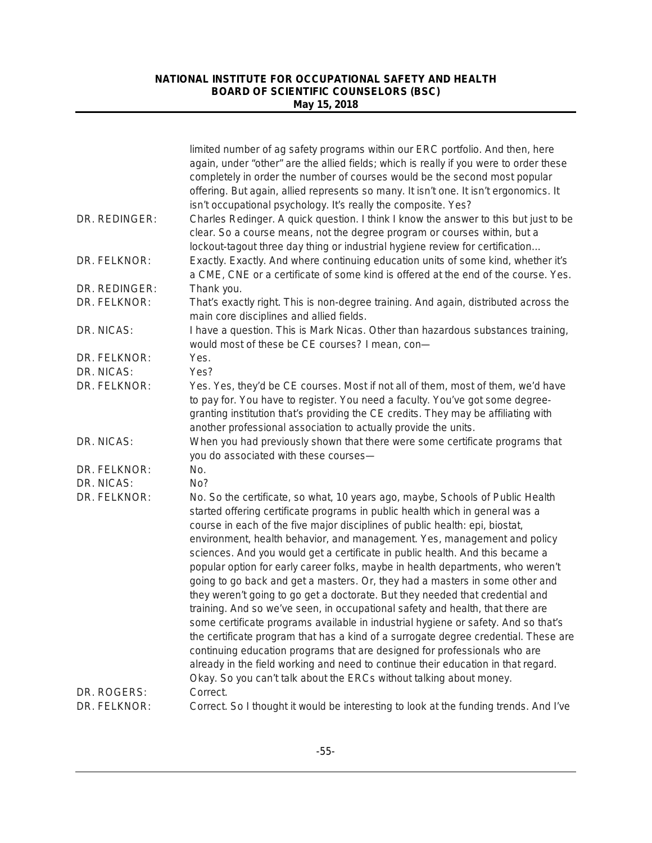|                             | limited number of ag safety programs within our ERC portfolio. And then, here<br>again, under "other" are the allied fields; which is really if you were to order these<br>completely in order the number of courses would be the second most popular<br>offering. But again, allied represents so many. It isn't one. It isn't ergonomics. It<br>isn't occupational psychology. It's really the composite. Yes?                                                                                                                                                                                                                                                                                                                                                                                                                                                                                                                                                                                                                                                                                                                                                         |
|-----------------------------|--------------------------------------------------------------------------------------------------------------------------------------------------------------------------------------------------------------------------------------------------------------------------------------------------------------------------------------------------------------------------------------------------------------------------------------------------------------------------------------------------------------------------------------------------------------------------------------------------------------------------------------------------------------------------------------------------------------------------------------------------------------------------------------------------------------------------------------------------------------------------------------------------------------------------------------------------------------------------------------------------------------------------------------------------------------------------------------------------------------------------------------------------------------------------|
| DR. REDINGER:               | Charles Redinger. A quick question. I think I know the answer to this but just to be<br>clear. So a course means, not the degree program or courses within, but a<br>lockout-tagout three day thing or industrial hygiene review for certification                                                                                                                                                                                                                                                                                                                                                                                                                                                                                                                                                                                                                                                                                                                                                                                                                                                                                                                       |
| DR. FELKNOR:                | Exactly. Exactly. And where continuing education units of some kind, whether it's<br>a CME, CNE or a certificate of some kind is offered at the end of the course. Yes.                                                                                                                                                                                                                                                                                                                                                                                                                                                                                                                                                                                                                                                                                                                                                                                                                                                                                                                                                                                                  |
| DR. REDINGER:               | Thank you.                                                                                                                                                                                                                                                                                                                                                                                                                                                                                                                                                                                                                                                                                                                                                                                                                                                                                                                                                                                                                                                                                                                                                               |
| DR. FELKNOR:                | That's exactly right. This is non-degree training. And again, distributed across the<br>main core disciplines and allied fields.                                                                                                                                                                                                                                                                                                                                                                                                                                                                                                                                                                                                                                                                                                                                                                                                                                                                                                                                                                                                                                         |
| DR. NICAS:                  | I have a question. This is Mark Nicas. Other than hazardous substances training,<br>would most of these be CE courses? I mean, con-                                                                                                                                                                                                                                                                                                                                                                                                                                                                                                                                                                                                                                                                                                                                                                                                                                                                                                                                                                                                                                      |
| DR. FELKNOR:                | Yes.                                                                                                                                                                                                                                                                                                                                                                                                                                                                                                                                                                                                                                                                                                                                                                                                                                                                                                                                                                                                                                                                                                                                                                     |
| DR. NICAS:                  | Yes?                                                                                                                                                                                                                                                                                                                                                                                                                                                                                                                                                                                                                                                                                                                                                                                                                                                                                                                                                                                                                                                                                                                                                                     |
| DR. FELKNOR:                | Yes. Yes, they'd be CE courses. Most if not all of them, most of them, we'd have<br>to pay for. You have to register. You need a faculty. You've got some degree-<br>granting institution that's providing the CE credits. They may be affiliating with<br>another professional association to actually provide the units.                                                                                                                                                                                                                                                                                                                                                                                                                                                                                                                                                                                                                                                                                                                                                                                                                                               |
| DR. NICAS:                  | When you had previously shown that there were some certificate programs that<br>you do associated with these courses-                                                                                                                                                                                                                                                                                                                                                                                                                                                                                                                                                                                                                                                                                                                                                                                                                                                                                                                                                                                                                                                    |
| DR. FELKNOR:                | No.                                                                                                                                                                                                                                                                                                                                                                                                                                                                                                                                                                                                                                                                                                                                                                                                                                                                                                                                                                                                                                                                                                                                                                      |
| DR. NICAS:                  | No?                                                                                                                                                                                                                                                                                                                                                                                                                                                                                                                                                                                                                                                                                                                                                                                                                                                                                                                                                                                                                                                                                                                                                                      |
| DR. FELKNOR:                | No. So the certificate, so what, 10 years ago, maybe, Schools of Public Health<br>started offering certificate programs in public health which in general was a<br>course in each of the five major disciplines of public health: epi, biostat,<br>environment, health behavior, and management. Yes, management and policy<br>sciences. And you would get a certificate in public health. And this became a<br>popular option for early career folks, maybe in health departments, who weren't<br>going to go back and get a masters. Or, they had a masters in some other and<br>they weren't going to go get a doctorate. But they needed that credential and<br>training. And so we've seen, in occupational safety and health, that there are<br>some certificate programs available in industrial hygiene or safety. And so that's<br>the certificate program that has a kind of a surrogate degree credential. These are<br>continuing education programs that are designed for professionals who are<br>already in the field working and need to continue their education in that regard.<br>Okay. So you can't talk about the ERCs without talking about money. |
| DR. ROGERS:<br>DR. FELKNOR: | Correct.<br>Correct. So I thought it would be interesting to look at the funding trends. And I've                                                                                                                                                                                                                                                                                                                                                                                                                                                                                                                                                                                                                                                                                                                                                                                                                                                                                                                                                                                                                                                                        |
|                             |                                                                                                                                                                                                                                                                                                                                                                                                                                                                                                                                                                                                                                                                                                                                                                                                                                                                                                                                                                                                                                                                                                                                                                          |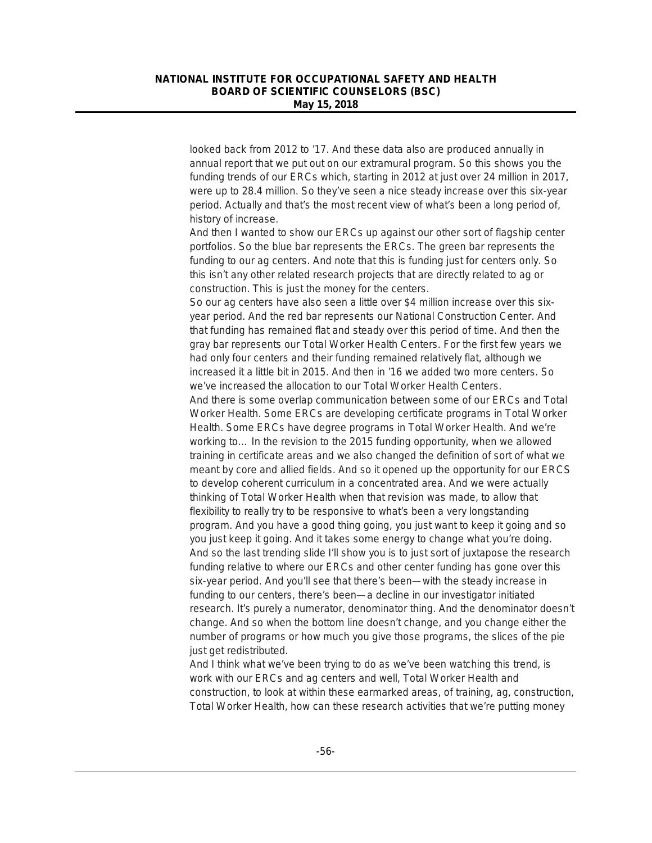looked back from 2012 to '17. And these data also are produced annually in annual report that we put out on our extramural program. So this shows you the funding trends of our ERCs which, starting in 2012 at just over 24 million in 2017, were up to 28.4 million. So they've seen a nice steady increase over this six-year period. Actually and that's the most recent view of what's been a long period of, history of increase.

And then I wanted to show our ERCs up against our other sort of flagship center portfolios. So the blue bar represents the ERCs. The green bar represents the funding to our ag centers. And note that this is funding just for centers only. So this isn't any other related research projects that are directly related to ag or construction. This is just the money for the centers.

So our ag centers have also seen a little over \$4 million increase over this sixyear period. And the red bar represents our National Construction Center. And that funding has remained flat and steady over this period of time. And then the gray bar represents our Total Worker Health Centers. For the first few years we had only four centers and their funding remained relatively flat, although we increased it a little bit in 2015. And then in '16 we added two more centers. So we've increased the allocation to our Total Worker Health Centers.

And there is some overlap communication between some of our ERCs and Total Worker Health. Some ERCs are developing certificate programs in Total Worker Health. Some ERCs have degree programs in Total Worker Health. And we're working to… In the revision to the 2015 funding opportunity, when we allowed training in certificate areas and we also changed the definition of sort of what we meant by core and allied fields. And so it opened up the opportunity for our ERCS to develop coherent curriculum in a concentrated area. And we were actually thinking of Total Worker Health when that revision was made, to allow that flexibility to really try to be responsive to what's been a very longstanding program. And you have a good thing going, you just want to keep it going and so you just keep it going. And it takes some energy to change what you're doing. And so the last trending slide I'll show you is to just sort of juxtapose the research funding relative to where our ERCs and other center funding has gone over this six-year period. And you'll see that there's been—with the steady increase in funding to our centers, there's been—a decline in our investigator initiated research. It's purely a numerator, denominator thing. And the denominator doesn't change. And so when the bottom line doesn't change, and you change either the number of programs or how much you give those programs, the slices of the pie just get redistributed.

And I think what we've been trying to do as we've been watching this trend, is work with our ERCs and ag centers and well, Total Worker Health and construction, to look at within these earmarked areas, of training, ag, construction, Total Worker Health, how can these research activities that we're putting money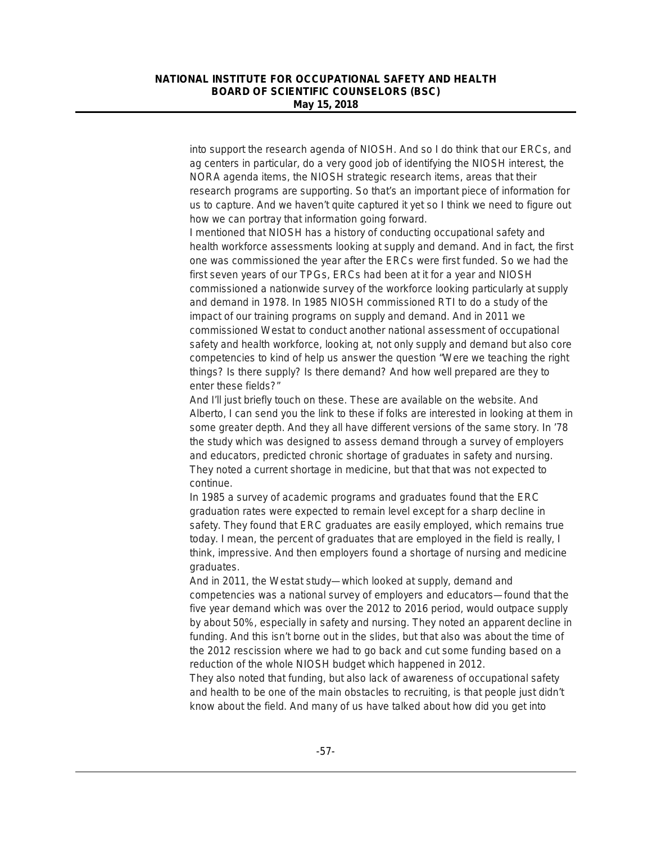into support the research agenda of NIOSH. And so I do think that our ERCs, and ag centers in particular, do a very good job of identifying the NIOSH interest, the NORA agenda items, the NIOSH strategic research items, areas that their research programs are supporting. So that's an important piece of information for us to capture. And we haven't quite captured it yet so I think we need to figure out how we can portray that information going forward.

I mentioned that NIOSH has a history of conducting occupational safety and health workforce assessments looking at supply and demand. And in fact, the first one was commissioned the year after the ERCs were first funded. So we had the first seven years of our TPGs, ERCs had been at it for a year and NIOSH commissioned a nationwide survey of the workforce looking particularly at supply and demand in 1978. In 1985 NIOSH commissioned RTI to do a study of the impact of our training programs on supply and demand. And in 2011 we commissioned Westat to conduct another national assessment of occupational safety and health workforce, looking at, not only supply and demand but also core competencies to kind of help us answer the question "Were we teaching the right things? Is there supply? Is there demand? And how well prepared are they to enter these fields?"

And I'll just briefly touch on these. These are available on the website. And Alberto, I can send you the link to these if folks are interested in looking at them in some greater depth. And they all have different versions of the same story. In '78 the study which was designed to assess demand through a survey of employers and educators, predicted chronic shortage of graduates in safety and nursing. They noted a current shortage in medicine, but that that was not expected to continue.

In 1985 a survey of academic programs and graduates found that the ERC graduation rates were expected to remain level except for a sharp decline in safety. They found that ERC graduates are easily employed, which remains true today. I mean, the percent of graduates that are employed in the field is really, I think, impressive. And then employers found a shortage of nursing and medicine graduates.

And in 2011, the Westat study—which looked at supply, demand and competencies was a national survey of employers and educators—found that the five year demand which was over the 2012 to 2016 period, would outpace supply by about 50%, especially in safety and nursing. They noted an apparent decline in funding. And this isn't borne out in the slides, but that also was about the time of the 2012 rescission where we had to go back and cut some funding based on a reduction of the whole NIOSH budget which happened in 2012.

They also noted that funding, but also lack of awareness of occupational safety and health to be one of the main obstacles to recruiting, is that people just didn't know about the field. And many of us have talked about how did you get into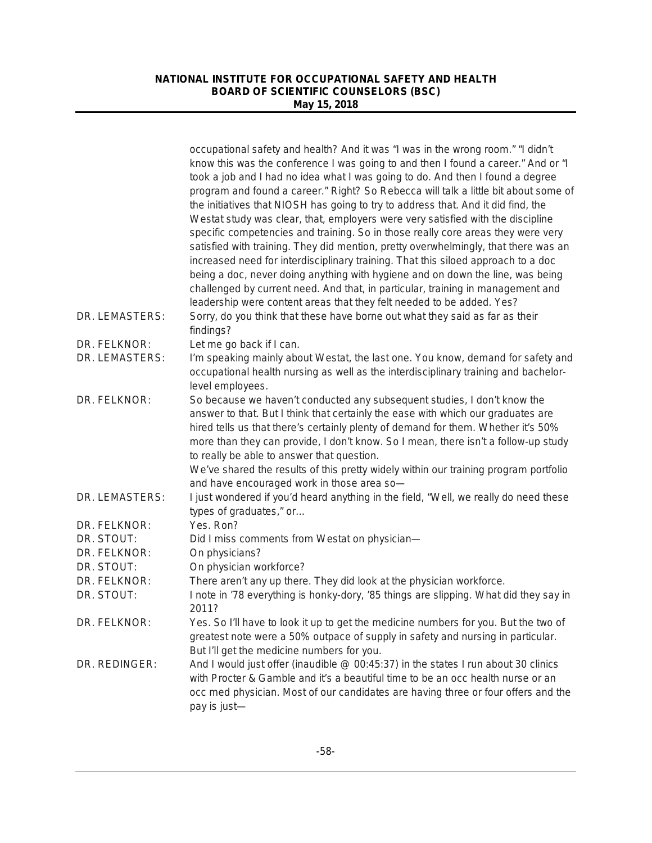|                            | occupational safety and health? And it was "I was in the wrong room." "I didn't<br>know this was the conference I was going to and then I found a career." And or "I<br>took a job and I had no idea what I was going to do. And then I found a degree<br>program and found a career." Right? So Rebecca will talk a little bit about some of<br>the initiatives that NIOSH has going to try to address that. And it did find, the<br>Westat study was clear, that, employers were very satisfied with the discipline<br>specific competencies and training. So in those really core areas they were very<br>satisfied with training. They did mention, pretty overwhelmingly, that there was an<br>increased need for interdisciplinary training. That this siloed approach to a doc<br>being a doc, never doing anything with hygiene and on down the line, was being<br>challenged by current need. And that, in particular, training in management and<br>leadership were content areas that they felt needed to be added. Yes? |
|----------------------------|-------------------------------------------------------------------------------------------------------------------------------------------------------------------------------------------------------------------------------------------------------------------------------------------------------------------------------------------------------------------------------------------------------------------------------------------------------------------------------------------------------------------------------------------------------------------------------------------------------------------------------------------------------------------------------------------------------------------------------------------------------------------------------------------------------------------------------------------------------------------------------------------------------------------------------------------------------------------------------------------------------------------------------------|
| DR. LEMASTERS:             | Sorry, do you think that these have borne out what they said as far as their<br>findings?                                                                                                                                                                                                                                                                                                                                                                                                                                                                                                                                                                                                                                                                                                                                                                                                                                                                                                                                           |
| DR. FELKNOR:               | Let me go back if I can.                                                                                                                                                                                                                                                                                                                                                                                                                                                                                                                                                                                                                                                                                                                                                                                                                                                                                                                                                                                                            |
| DR. LEMASTERS:             | I'm speaking mainly about Westat, the last one. You know, demand for safety and<br>occupational health nursing as well as the interdisciplinary training and bachelor-<br>level employees.                                                                                                                                                                                                                                                                                                                                                                                                                                                                                                                                                                                                                                                                                                                                                                                                                                          |
| DR. FELKNOR:               | So because we haven't conducted any subsequent studies, I don't know the<br>answer to that. But I think that certainly the ease with which our graduates are<br>hired tells us that there's certainly plenty of demand for them. Whether it's 50%<br>more than they can provide, I don't know. So I mean, there isn't a follow-up study<br>to really be able to answer that question.<br>We've shared the results of this pretty widely within our training program portfolio<br>and have encouraged work in those area so-                                                                                                                                                                                                                                                                                                                                                                                                                                                                                                         |
| DR. LEMASTERS:             | I just wondered if you'd heard anything in the field, "Well, we really do need these<br>types of graduates," or                                                                                                                                                                                                                                                                                                                                                                                                                                                                                                                                                                                                                                                                                                                                                                                                                                                                                                                     |
| DR. FELKNOR:               | Yes. Ron?                                                                                                                                                                                                                                                                                                                                                                                                                                                                                                                                                                                                                                                                                                                                                                                                                                                                                                                                                                                                                           |
| DR. STOUT:                 | Did I miss comments from Westat on physician-                                                                                                                                                                                                                                                                                                                                                                                                                                                                                                                                                                                                                                                                                                                                                                                                                                                                                                                                                                                       |
| DR. FELKNOR:               | On physicians?                                                                                                                                                                                                                                                                                                                                                                                                                                                                                                                                                                                                                                                                                                                                                                                                                                                                                                                                                                                                                      |
| DR. STOUT:                 | On physician workforce?                                                                                                                                                                                                                                                                                                                                                                                                                                                                                                                                                                                                                                                                                                                                                                                                                                                                                                                                                                                                             |
| DR. FELKNOR:<br>DR. STOUT: | There aren't any up there. They did look at the physician workforce.<br>I note in '78 everything is honky-dory, '85 things are slipping. What did they say in<br>2011?                                                                                                                                                                                                                                                                                                                                                                                                                                                                                                                                                                                                                                                                                                                                                                                                                                                              |
| DR. FELKNOR:               | Yes. So I'll have to look it up to get the medicine numbers for you. But the two of<br>greatest note were a 50% outpace of supply in safety and nursing in particular.<br>But I'll get the medicine numbers for you.                                                                                                                                                                                                                                                                                                                                                                                                                                                                                                                                                                                                                                                                                                                                                                                                                |
| DR. REDINGER:              | And I would just offer (inaudible @ 00:45:37) in the states I run about 30 clinics<br>with Procter & Gamble and it's a beautiful time to be an occ health nurse or an<br>occ med physician. Most of our candidates are having three or four offers and the<br>pay is just-                                                                                                                                                                                                                                                                                                                                                                                                                                                                                                                                                                                                                                                                                                                                                          |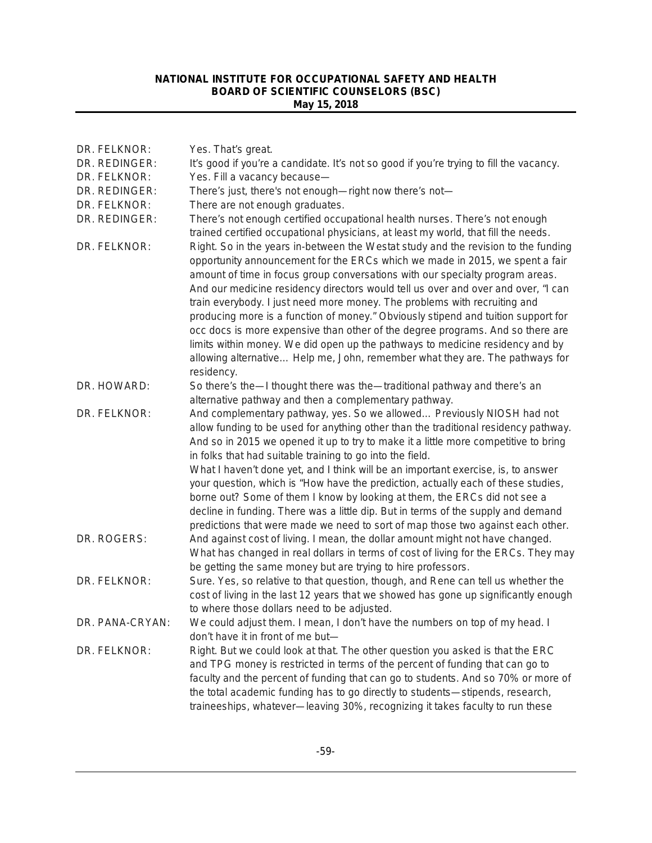| DR. FELKNOR:    | Yes. That's great.                                                                                                                                                                                                                                                                                                                                                                                                                                                                                                                                                                                                                                                            |
|-----------------|-------------------------------------------------------------------------------------------------------------------------------------------------------------------------------------------------------------------------------------------------------------------------------------------------------------------------------------------------------------------------------------------------------------------------------------------------------------------------------------------------------------------------------------------------------------------------------------------------------------------------------------------------------------------------------|
| DR. REDINGER:   | It's good if you're a candidate. It's not so good if you're trying to fill the vacancy.                                                                                                                                                                                                                                                                                                                                                                                                                                                                                                                                                                                       |
| DR. FELKNOR:    | Yes. Fill a vacancy because-                                                                                                                                                                                                                                                                                                                                                                                                                                                                                                                                                                                                                                                  |
| DR. REDINGER:   | There's just, there's not enough-right now there's not-                                                                                                                                                                                                                                                                                                                                                                                                                                                                                                                                                                                                                       |
| DR. FELKNOR:    | There are not enough graduates.                                                                                                                                                                                                                                                                                                                                                                                                                                                                                                                                                                                                                                               |
| DR. REDINGER:   | There's not enough certified occupational health nurses. There's not enough<br>trained certified occupational physicians, at least my world, that fill the needs.                                                                                                                                                                                                                                                                                                                                                                                                                                                                                                             |
| DR. FELKNOR:    | Right. So in the years in-between the Westat study and the revision to the funding<br>opportunity announcement for the ERCs which we made in 2015, we spent a fair<br>amount of time in focus group conversations with our specialty program areas.<br>And our medicine residency directors would tell us over and over and over, "I can<br>train everybody. I just need more money. The problems with recruiting and<br>producing more is a function of money." Obviously stipend and tuition support for<br>occ docs is more expensive than other of the degree programs. And so there are<br>limits within money. We did open up the pathways to medicine residency and by |
|                 | allowing alternative Help me, John, remember what they are. The pathways for<br>residency.                                                                                                                                                                                                                                                                                                                                                                                                                                                                                                                                                                                    |
| DR. HOWARD:     | So there's the—I thought there was the—traditional pathway and there's an<br>alternative pathway and then a complementary pathway.                                                                                                                                                                                                                                                                                                                                                                                                                                                                                                                                            |
| DR. FELKNOR:    | And complementary pathway, yes. So we allowed Previously NIOSH had not                                                                                                                                                                                                                                                                                                                                                                                                                                                                                                                                                                                                        |
|                 | allow funding to be used for anything other than the traditional residency pathway.<br>And so in 2015 we opened it up to try to make it a little more competitive to bring<br>in folks that had suitable training to go into the field.                                                                                                                                                                                                                                                                                                                                                                                                                                       |
|                 | What I haven't done yet, and I think will be an important exercise, is, to answer<br>your question, which is "How have the prediction, actually each of these studies,                                                                                                                                                                                                                                                                                                                                                                                                                                                                                                        |
|                 | borne out? Some of them I know by looking at them, the ERCs did not see a                                                                                                                                                                                                                                                                                                                                                                                                                                                                                                                                                                                                     |
|                 | decline in funding. There was a little dip. But in terms of the supply and demand<br>predictions that were made we need to sort of map those two against each other.                                                                                                                                                                                                                                                                                                                                                                                                                                                                                                          |
| DR. ROGERS:     | And against cost of living. I mean, the dollar amount might not have changed.<br>What has changed in real dollars in terms of cost of living for the ERCs. They may<br>be getting the same money but are trying to hire professors.                                                                                                                                                                                                                                                                                                                                                                                                                                           |
| DR. FELKNOR:    | Sure. Yes, so relative to that question, though, and Rene can tell us whether the<br>cost of living in the last 12 years that we showed has gone up significantly enough                                                                                                                                                                                                                                                                                                                                                                                                                                                                                                      |
| DR. PANA-CRYAN: | to where those dollars need to be adjusted.                                                                                                                                                                                                                                                                                                                                                                                                                                                                                                                                                                                                                                   |
|                 | We could adjust them. I mean, I don't have the numbers on top of my head. I<br>don't have it in front of me but-                                                                                                                                                                                                                                                                                                                                                                                                                                                                                                                                                              |
| DR. FELKNOR:    | Right. But we could look at that. The other question you asked is that the ERC                                                                                                                                                                                                                                                                                                                                                                                                                                                                                                                                                                                                |
|                 | and TPG money is restricted in terms of the percent of funding that can go to                                                                                                                                                                                                                                                                                                                                                                                                                                                                                                                                                                                                 |
|                 | faculty and the percent of funding that can go to students. And so 70% or more of                                                                                                                                                                                                                                                                                                                                                                                                                                                                                                                                                                                             |
|                 | the total academic funding has to go directly to students-stipends, research,<br>traineeships, whatever-leaving 30%, recognizing it takes faculty to run these                                                                                                                                                                                                                                                                                                                                                                                                                                                                                                                |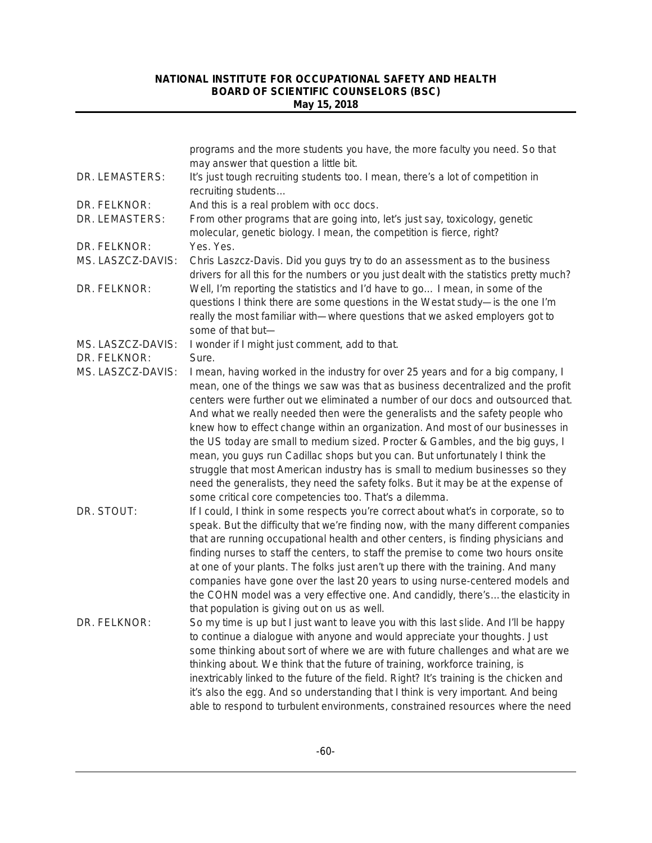|                   | programs and the more students you have, the more faculty you need. So that<br>may answer that question a little bit.                                                                                                                                                                                                                                                                                                                                                                                                                                                                                                                                                                                                                                                                                                           |
|-------------------|---------------------------------------------------------------------------------------------------------------------------------------------------------------------------------------------------------------------------------------------------------------------------------------------------------------------------------------------------------------------------------------------------------------------------------------------------------------------------------------------------------------------------------------------------------------------------------------------------------------------------------------------------------------------------------------------------------------------------------------------------------------------------------------------------------------------------------|
| DR. LEMASTERS:    | It's just tough recruiting students too. I mean, there's a lot of competition in<br>recruiting students                                                                                                                                                                                                                                                                                                                                                                                                                                                                                                                                                                                                                                                                                                                         |
| DR. FELKNOR:      | And this is a real problem with occ docs.                                                                                                                                                                                                                                                                                                                                                                                                                                                                                                                                                                                                                                                                                                                                                                                       |
| DR. LEMASTERS:    | From other programs that are going into, let's just say, toxicology, genetic<br>molecular, genetic biology. I mean, the competition is fierce, right?                                                                                                                                                                                                                                                                                                                                                                                                                                                                                                                                                                                                                                                                           |
| DR. FELKNOR:      | Yes. Yes.                                                                                                                                                                                                                                                                                                                                                                                                                                                                                                                                                                                                                                                                                                                                                                                                                       |
| MS. LASZCZ-DAVIS: | Chris Laszcz-Davis. Did you guys try to do an assessment as to the business<br>drivers for all this for the numbers or you just dealt with the statistics pretty much?                                                                                                                                                                                                                                                                                                                                                                                                                                                                                                                                                                                                                                                          |
| DR. FELKNOR:      | Well, I'm reporting the statistics and I'd have to go I mean, in some of the<br>questions I think there are some questions in the Westat study-is the one I'm<br>really the most familiar with—where questions that we asked employers got to<br>some of that but-                                                                                                                                                                                                                                                                                                                                                                                                                                                                                                                                                              |
| MS. LASZCZ-DAVIS: | I wonder if I might just comment, add to that.                                                                                                                                                                                                                                                                                                                                                                                                                                                                                                                                                                                                                                                                                                                                                                                  |
| DR. FELKNOR:      | Sure.                                                                                                                                                                                                                                                                                                                                                                                                                                                                                                                                                                                                                                                                                                                                                                                                                           |
| MS. LASZCZ-DAVIS: | I mean, having worked in the industry for over 25 years and for a big company, I<br>mean, one of the things we saw was that as business decentralized and the profit<br>centers were further out we eliminated a number of our docs and outsourced that.<br>And what we really needed then were the generalists and the safety people who<br>knew how to effect change within an organization. And most of our businesses in<br>the US today are small to medium sized. Procter & Gambles, and the big guys, I<br>mean, you guys run Cadillac shops but you can. But unfortunately I think the<br>struggle that most American industry has is small to medium businesses so they<br>need the generalists, they need the safety folks. But it may be at the expense of<br>some critical core competencies too. That's a dilemma. |
| DR. STOUT:        | If I could, I think in some respects you're correct about what's in corporate, so to<br>speak. But the difficulty that we're finding now, with the many different companies<br>that are running occupational health and other centers, is finding physicians and<br>finding nurses to staff the centers, to staff the premise to come two hours onsite<br>at one of your plants. The folks just aren't up there with the training. And many<br>companies have gone over the last 20 years to using nurse-centered models and<br>the COHN model was a very effective one. And candidly, there'sthe elasticity in<br>that population is giving out on us as well.                                                                                                                                                                 |
| DR. FELKNOR:      | So my time is up but I just want to leave you with this last slide. And I'll be happy<br>to continue a dialogue with anyone and would appreciate your thoughts. Just<br>some thinking about sort of where we are with future challenges and what are we<br>thinking about. We think that the future of training, workforce training, is<br>inextricably linked to the future of the field. Right? It's training is the chicken and<br>it's also the egg. And so understanding that I think is very important. And being<br>able to respond to turbulent environments, constrained resources where the need                                                                                                                                                                                                                      |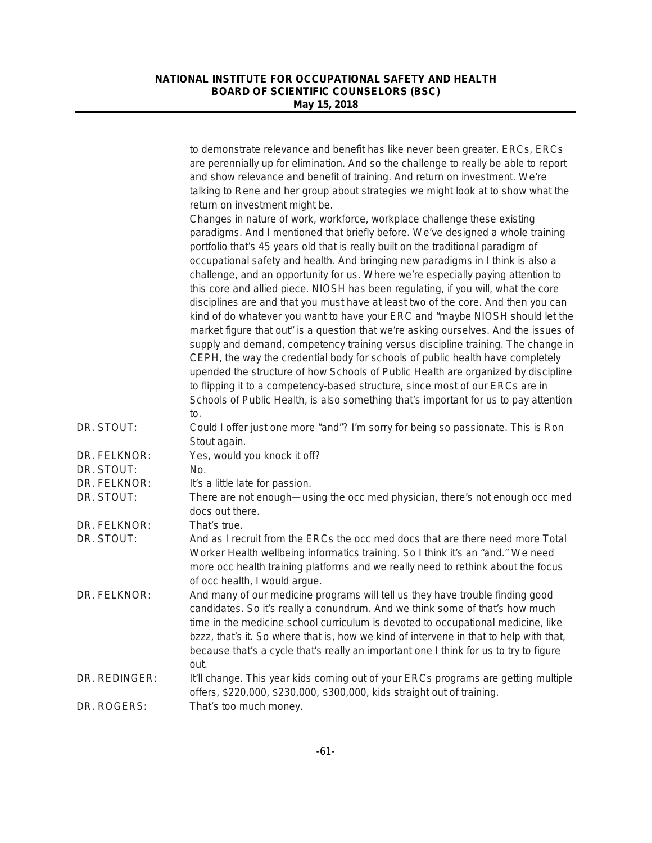|               | to demonstrate relevance and benefit has like never been greater. ERCs, ERCs<br>are perennially up for elimination. And so the challenge to really be able to report<br>and show relevance and benefit of training. And return on investment. We're<br>talking to Rene and her group about strategies we might look at to show what the<br>return on investment might be.                                                                                                                                                                                                                                                                                                                                                                                                                                                                                                                                                                                                                                                                                                                                                                                                                                             |
|---------------|-----------------------------------------------------------------------------------------------------------------------------------------------------------------------------------------------------------------------------------------------------------------------------------------------------------------------------------------------------------------------------------------------------------------------------------------------------------------------------------------------------------------------------------------------------------------------------------------------------------------------------------------------------------------------------------------------------------------------------------------------------------------------------------------------------------------------------------------------------------------------------------------------------------------------------------------------------------------------------------------------------------------------------------------------------------------------------------------------------------------------------------------------------------------------------------------------------------------------|
|               | Changes in nature of work, workforce, workplace challenge these existing<br>paradigms. And I mentioned that briefly before. We've designed a whole training<br>portfolio that's 45 years old that is really built on the traditional paradigm of<br>occupational safety and health. And bringing new paradigms in I think is also a<br>challenge, and an opportunity for us. Where we're especially paying attention to<br>this core and allied piece. NIOSH has been regulating, if you will, what the core<br>disciplines are and that you must have at least two of the core. And then you can<br>kind of do whatever you want to have your ERC and "maybe NIOSH should let the<br>market figure that out" is a question that we're asking ourselves. And the issues of<br>supply and demand, competency training versus discipline training. The change in<br>CEPH, the way the credential body for schools of public health have completely<br>upended the structure of how Schools of Public Health are organized by discipline<br>to flipping it to a competency-based structure, since most of our ERCs are in<br>Schools of Public Health, is also something that's important for us to pay attention<br>to. |
| DR. STOUT:    | Could I offer just one more "and"? I'm sorry for being so passionate. This is Ron<br>Stout again.                                                                                                                                                                                                                                                                                                                                                                                                                                                                                                                                                                                                                                                                                                                                                                                                                                                                                                                                                                                                                                                                                                                     |
| DR. FELKNOR:  | Yes, would you knock it off?                                                                                                                                                                                                                                                                                                                                                                                                                                                                                                                                                                                                                                                                                                                                                                                                                                                                                                                                                                                                                                                                                                                                                                                          |
| DR. STOUT:    | No.                                                                                                                                                                                                                                                                                                                                                                                                                                                                                                                                                                                                                                                                                                                                                                                                                                                                                                                                                                                                                                                                                                                                                                                                                   |
| DR. FELKNOR:  | It's a little late for passion.                                                                                                                                                                                                                                                                                                                                                                                                                                                                                                                                                                                                                                                                                                                                                                                                                                                                                                                                                                                                                                                                                                                                                                                       |
| DR. STOUT:    | There are not enough—using the occ med physician, there's not enough occ med<br>docs out there.                                                                                                                                                                                                                                                                                                                                                                                                                                                                                                                                                                                                                                                                                                                                                                                                                                                                                                                                                                                                                                                                                                                       |
| DR. FELKNOR:  | That's true.                                                                                                                                                                                                                                                                                                                                                                                                                                                                                                                                                                                                                                                                                                                                                                                                                                                                                                                                                                                                                                                                                                                                                                                                          |
| DR. STOUT:    | And as I recruit from the ERCs the occ med docs that are there need more Total<br>Worker Health wellbeing informatics training. So I think it's an "and." We need<br>more occ health training platforms and we really need to rethink about the focus<br>of occ health, I would argue.                                                                                                                                                                                                                                                                                                                                                                                                                                                                                                                                                                                                                                                                                                                                                                                                                                                                                                                                |
| DR. FELKNOR:  | And many of our medicine programs will tell us they have trouble finding good<br>candidates. So it's really a conundrum. And we think some of that's how much<br>time in the medicine school curriculum is devoted to occupational medicine, like<br>bzzz, that's it. So where that is, how we kind of intervene in that to help with that,<br>because that's a cycle that's really an important one I think for us to try to figure<br>out.                                                                                                                                                                                                                                                                                                                                                                                                                                                                                                                                                                                                                                                                                                                                                                          |
| DR. REDINGER: | It'll change. This year kids coming out of your ERCs programs are getting multiple<br>offers, \$220,000, \$230,000, \$300,000, kids straight out of training.                                                                                                                                                                                                                                                                                                                                                                                                                                                                                                                                                                                                                                                                                                                                                                                                                                                                                                                                                                                                                                                         |
| DR. ROGERS:   | That's too much money.                                                                                                                                                                                                                                                                                                                                                                                                                                                                                                                                                                                                                                                                                                                                                                                                                                                                                                                                                                                                                                                                                                                                                                                                |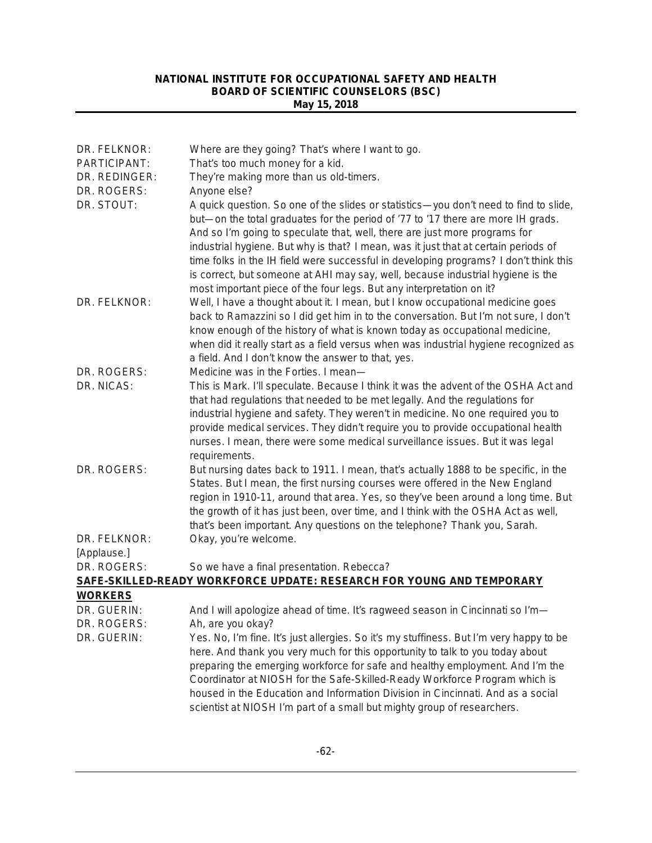| DR. FELKNOR:              | Where are they going? That's where I want to go.                                                                                                                                                                                                                                                                                                                                                                           |
|---------------------------|----------------------------------------------------------------------------------------------------------------------------------------------------------------------------------------------------------------------------------------------------------------------------------------------------------------------------------------------------------------------------------------------------------------------------|
| PARTICIPANT:              | That's too much money for a kid.                                                                                                                                                                                                                                                                                                                                                                                           |
| DR. REDINGER:             | They're making more than us old-timers.                                                                                                                                                                                                                                                                                                                                                                                    |
| DR. ROGERS:<br>DR. STOUT: | Anyone else?<br>A quick question. So one of the slides or statistics—you don't need to find to slide,                                                                                                                                                                                                                                                                                                                      |
|                           | but—on the total graduates for the period of '77 to '17 there are more IH grads.<br>And so I'm going to speculate that, well, there are just more programs for<br>industrial hygiene. But why is that? I mean, was it just that at certain periods of                                                                                                                                                                      |
|                           | time folks in the IH field were successful in developing programs? I don't think this<br>is correct, but someone at AHI may say, well, because industrial hygiene is the<br>most important piece of the four legs. But any interpretation on it?                                                                                                                                                                           |
| DR. FELKNOR:              | Well, I have a thought about it. I mean, but I know occupational medicine goes                                                                                                                                                                                                                                                                                                                                             |
|                           | back to Ramazzini so I did get him in to the conversation. But I'm not sure, I don't<br>know enough of the history of what is known today as occupational medicine,<br>when did it really start as a field versus when was industrial hygiene recognized as                                                                                                                                                                |
|                           | a field. And I don't know the answer to that, yes.                                                                                                                                                                                                                                                                                                                                                                         |
| DR. ROGERS:               | Medicine was in the Forties. I mean-                                                                                                                                                                                                                                                                                                                                                                                       |
| DR. NICAS:                | This is Mark. I'll speculate. Because I think it was the advent of the OSHA Act and<br>that had regulations that needed to be met legally. And the regulations for<br>industrial hygiene and safety. They weren't in medicine. No one required you to<br>provide medical services. They didn't require you to provide occupational health<br>nurses. I mean, there were some medical surveillance issues. But it was legal |
|                           | requirements.                                                                                                                                                                                                                                                                                                                                                                                                              |
| DR. ROGERS:               | But nursing dates back to 1911. I mean, that's actually 1888 to be specific, in the<br>States. But I mean, the first nursing courses were offered in the New England<br>region in 1910-11, around that area. Yes, so they've been around a long time. But<br>the growth of it has just been, over time, and I think with the OSHA Act as well,<br>that's been important. Any questions on the telephone? Thank you, Sarah. |
| DR. FELKNOR:              | Okay, you're welcome.                                                                                                                                                                                                                                                                                                                                                                                                      |
| [Applause.]               |                                                                                                                                                                                                                                                                                                                                                                                                                            |
| DR. ROGERS:               | So we have a final presentation. Rebecca?                                                                                                                                                                                                                                                                                                                                                                                  |
|                           | SAFE-SKILLED-READY WORKFORCE UPDATE: RESEARCH FOR YOUNG AND TEMPORARY                                                                                                                                                                                                                                                                                                                                                      |
| <b>WORKERS</b>            |                                                                                                                                                                                                                                                                                                                                                                                                                            |
| DR. GUERIN:               | And I will apologize ahead of time. It's ragweed season in Cincinnati so I'm-                                                                                                                                                                                                                                                                                                                                              |
| DR. ROGERS:               | Ah, are you okay?                                                                                                                                                                                                                                                                                                                                                                                                          |
| DR. GUERIN:               | Yes. No, I'm fine. It's just allergies. So it's my stuffiness. But I'm very happy to be<br>here. And thank you very much for this opportunity to talk to you today about<br>preparing the emerging workforce for safe and healthy employment. And I'm the<br>Coordinator at NIOSH for the Safe-Skilled-Ready Workforce Program which is<br>housed in the Education and Information Division in Cincinnati. And as a social |
|                           | scientist at NIOSH I'm part of a small but mighty group of researchers.                                                                                                                                                                                                                                                                                                                                                    |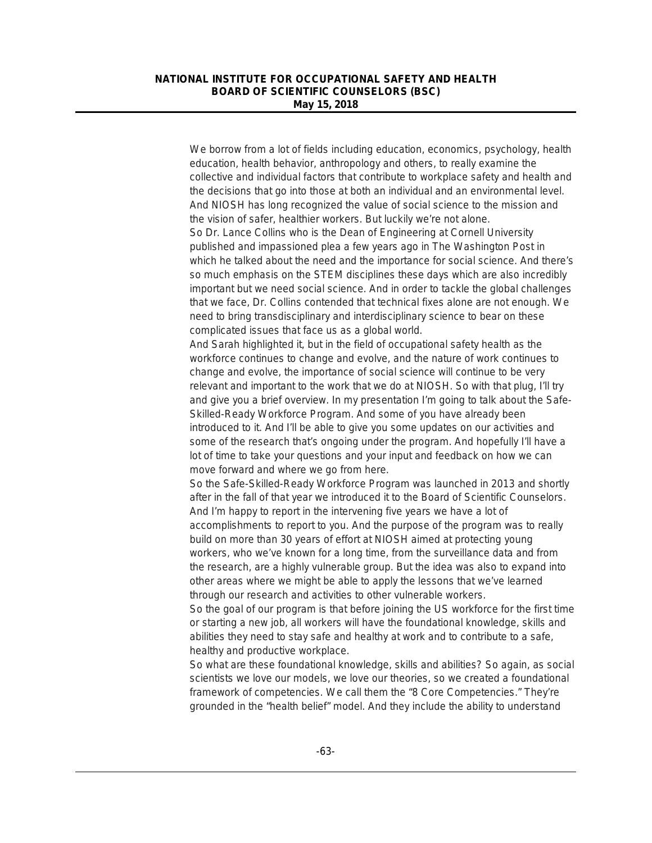We borrow from a lot of fields including education, economics, psychology, health education, health behavior, anthropology and others, to really examine the collective and individual factors that contribute to workplace safety and health and the decisions that go into those at both an individual and an environmental level. And NIOSH has long recognized the value of social science to the mission and the vision of safer, healthier workers. But luckily we're not alone. So Dr. Lance Collins who is the Dean of Engineering at Cornell University published and impassioned plea a few years ago in *The Washington Post* in which he talked about the need and the importance for social science. And there's so much emphasis on the STEM disciplines these days which are also incredibly important but we need social science. And in order to tackle the global challenges that we face, Dr. Collins contended that technical fixes alone are not enough. We need to bring transdisciplinary and interdisciplinary science to bear on these complicated issues that face us as a global world.

And Sarah highlighted it, but in the field of occupational safety health as the workforce continues to change and evolve, and the nature of work continues to change and evolve, the importance of social science will continue to be very relevant and important to the work that we do at NIOSH. So with that plug, I'll try and give you a brief overview. In my presentation I'm going to talk about the Safe-Skilled-Ready Workforce Program. And some of you have already been introduced to it. And I'll be able to give you some updates on our activities and some of the research that's ongoing under the program. And hopefully I'll have a lot of time to take your questions and your input and feedback on how we can move forward and where we go from here.

So the Safe-Skilled-Ready Workforce Program was launched in 2013 and shortly after in the fall of that year we introduced it to the Board of Scientific Counselors. And I'm happy to report in the intervening five years we have a lot of accomplishments to report to you. And the purpose of the program was to really build on more than 30 years of effort at NIOSH aimed at protecting young workers, who we've known for a long time, from the surveillance data and from the research, are a highly vulnerable group. But the idea was also to expand into other areas where we might be able to apply the lessons that we've learned through our research and activities to other vulnerable workers.

So the goal of our program is that before joining the US workforce for the first time or starting a new job, all workers will have the foundational knowledge, skills and abilities they need to stay safe and healthy at work and to contribute to a safe, healthy and productive workplace.

So what are these foundational knowledge, skills and abilities? So again, as social scientists we love our models, we love our theories, so we created a foundational framework of competencies. We call them the "8 Core Competencies." They're grounded in the "health belief" model. And they include the ability to understand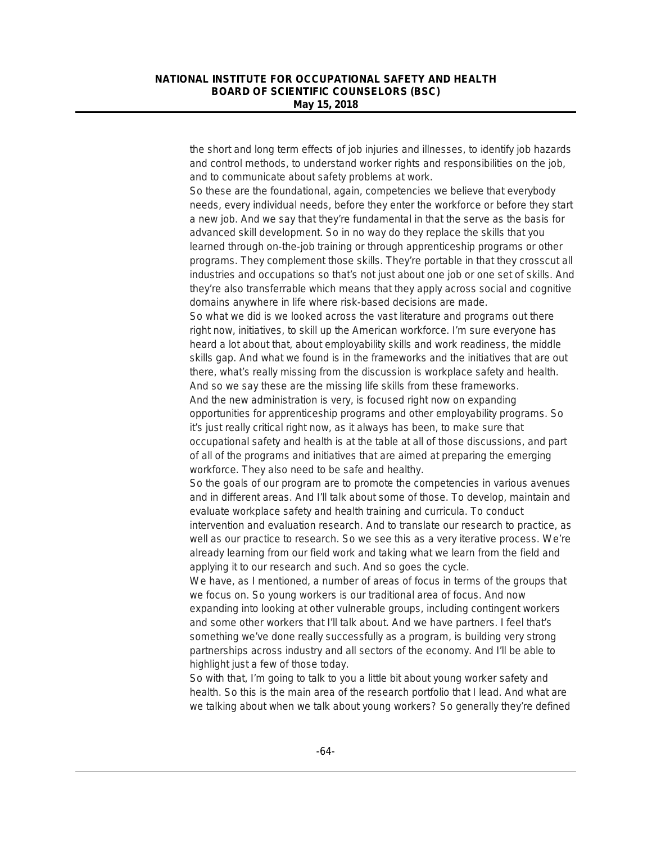the short and long term effects of job injuries and illnesses, to identify job hazards and control methods, to understand worker rights and responsibilities on the job, and to communicate about safety problems at work.

So these are the foundational, again, competencies we believe that everybody needs, every individual needs, before they enter the workforce or before they start a new job. And we say that they're fundamental in that the serve as the basis for advanced skill development. So in no way do they replace the skills that you learned through on-the-job training or through apprenticeship programs or other programs. They complement those skills. They're portable in that they crosscut all industries and occupations so that's not just about one job or one set of skills. And they're also transferrable which means that they apply across social and cognitive domains anywhere in life where risk-based decisions are made.

So what we did is we looked across the vast literature and programs out there right now, initiatives, to skill up the American workforce. I'm sure everyone has heard a lot about that, about employability skills and work readiness, the middle skills gap. And what we found is in the frameworks and the initiatives that are out there, what's really missing from the discussion is workplace safety and health. And so we say these are the missing life skills from these frameworks. And the new administration is very, is focused right now on expanding opportunities for apprenticeship programs and other employability programs. So it's just really critical right now, as it always has been, to make sure that occupational safety and health is at the table at all of those discussions, and part of all of the programs and initiatives that are aimed at preparing the emerging workforce. They also need to be safe and healthy.

So the goals of our program are to promote the competencies in various avenues and in different areas. And I'll talk about some of those. To develop, maintain and evaluate workplace safety and health training and curricula. To conduct intervention and evaluation research. And to translate our research to practice, as well as our practice to research. So we see this as a very iterative process. We're already learning from our field work and taking what we learn from the field and applying it to our research and such. And so goes the cycle.

We have, as I mentioned, a number of areas of focus in terms of the groups that we focus on. So young workers is our traditional area of focus. And now expanding into looking at other vulnerable groups, including contingent workers and some other workers that I'll talk about. And we have partners. I feel that's something we've done really successfully as a program, is building very strong partnerships across industry and all sectors of the economy. And I'll be able to highlight just a few of those today.

So with that, I'm going to talk to you a little bit about young worker safety and health. So this is the main area of the research portfolio that I lead. And what are we talking about when we talk about young workers? So generally they're defined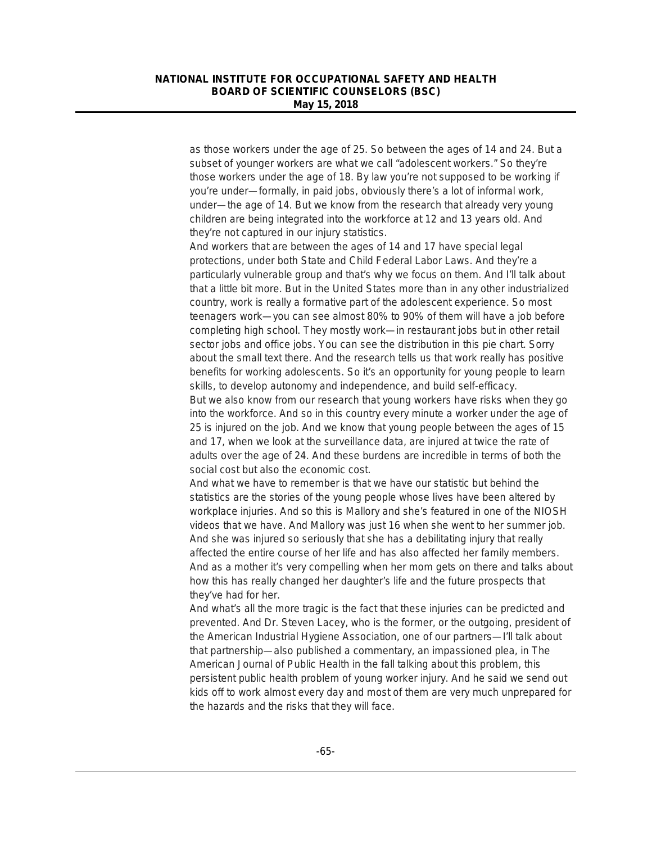as those workers under the age of 25. So between the ages of 14 and 24. But a subset of younger workers are what we call "adolescent workers." So they're those workers under the age of 18. By law you're not supposed to be working if you're under—formally, in paid jobs, obviously there's a lot of informal work, under—the age of 14. But we know from the research that already very young children are being integrated into the workforce at 12 and 13 years old. And they're not captured in our injury statistics.

And workers that are between the ages of 14 and 17 have special legal protections, under both State and Child Federal Labor Laws. And they're a particularly vulnerable group and that's why we focus on them. And I'll talk about that a little bit more. But in the United States more than in any other industrialized country, work is really a formative part of the adolescent experience. So most teenagers work—you can see almost 80% to 90% of them will have a job before completing high school. They mostly work—in restaurant jobs but in other retail sector jobs and office jobs. You can see the distribution in this pie chart. Sorry about the small text there. And the research tells us that work really has positive benefits for working adolescents. So it's an opportunity for young people to learn skills, to develop autonomy and independence, and build self-efficacy.

But we also know from our research that young workers have risks when they go into the workforce. And so in this country every minute a worker under the age of 25 is injured on the job. And we know that young people between the ages of 15 and 17, when we look at the surveillance data, are injured at twice the rate of adults over the age of 24. And these burdens are incredible in terms of both the social cost but also the economic cost.

And what we have to remember is that we have our statistic but behind the statistics are the stories of the young people whose lives have been altered by workplace injuries. And so this is Mallory and she's featured in one of the NIOSH videos that we have. And Mallory was just 16 when she went to her summer job. And she was injured so seriously that she has a debilitating injury that really affected the entire course of her life and has also affected her family members. And as a mother it's very compelling when her mom gets on there and talks about how this has really changed her daughter's life and the future prospects that they've had for her.

And what's all the more tragic is the fact that these injuries can be predicted and prevented. And Dr. Steven Lacey, who is the former, or the outgoing, president of the American Industrial Hygiene Association, one of our partners—I'll talk about that partnership—also published a commentary, an impassioned plea, in The American Journal of Public Health in the fall talking about this problem, this persistent public health problem of young worker injury. And he said we send out kids off to work almost every day and most of them are very much unprepared for the hazards and the risks that they will face.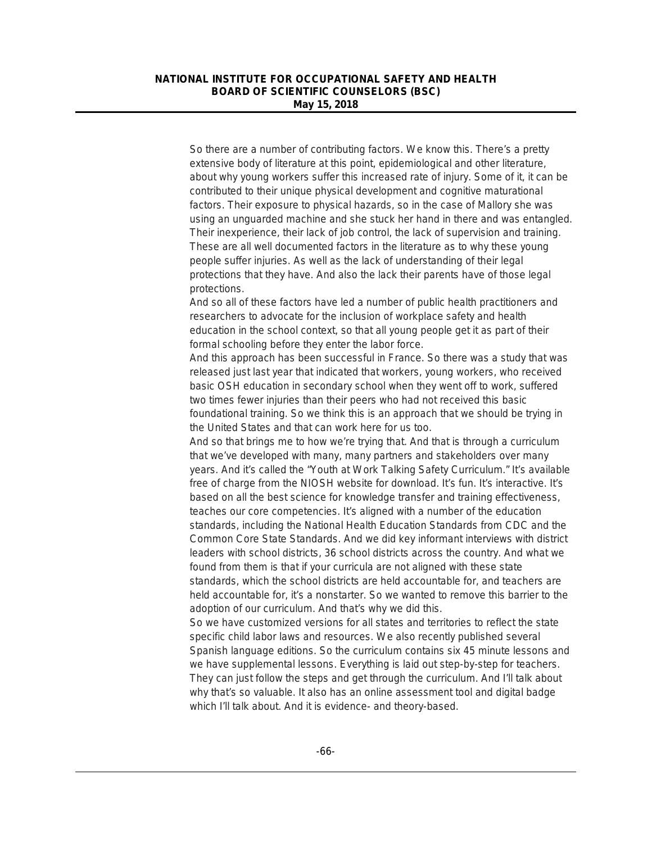So there are a number of contributing factors. We know this. There's a pretty extensive body of literature at this point, epidemiological and other literature, about why young workers suffer this increased rate of injury. Some of it, it can be contributed to their unique physical development and cognitive maturational factors. Their exposure to physical hazards, so in the case of Mallory she was using an unguarded machine and she stuck her hand in there and was entangled. Their inexperience, their lack of job control, the lack of supervision and training. These are all well documented factors in the literature as to why these young people suffer injuries. As well as the lack of understanding of their legal protections that they have. And also the lack their parents have of those legal protections.

And so all of these factors have led a number of public health practitioners and researchers to advocate for the inclusion of workplace safety and health education in the school context, so that all young people get it as part of their formal schooling before they enter the labor force.

And this approach has been successful in France. So there was a study that was released just last year that indicated that workers, young workers, who received basic OSH education in secondary school when they went off to work, suffered two times fewer injuries than their peers who had not received this basic foundational training. So we think this is an approach that we should be trying in the United States and that can work here for us too.

And so that brings me to how we're trying that. And that is through a curriculum that we've developed with many, many partners and stakeholders over many years. And it's called the "Youth at Work Talking Safety Curriculum." It's available free of charge from the NIOSH website for download. It's fun. It's interactive. It's based on all the best science for knowledge transfer and training effectiveness, teaches our core competencies. It's aligned with a number of the education standards, including the National Health Education Standards from CDC and the Common Core State Standards. And we did key informant interviews with district leaders with school districts, 36 school districts across the country. And what we found from them is that if your curricula are not aligned with these state standards, which the school districts are held accountable for, and teachers are held accountable for, it's a nonstarter. So we wanted to remove this barrier to the adoption of our curriculum. And that's why we did this.

So we have customized versions for all states and territories to reflect the state specific child labor laws and resources. We also recently published several Spanish language editions. So the curriculum contains six 45 minute lessons and we have supplemental lessons. Everything is laid out step-by-step for teachers. They can just follow the steps and get through the curriculum. And I'll talk about why that's so valuable. It also has an online assessment tool and digital badge which I'll talk about. And it is evidence- and theory-based.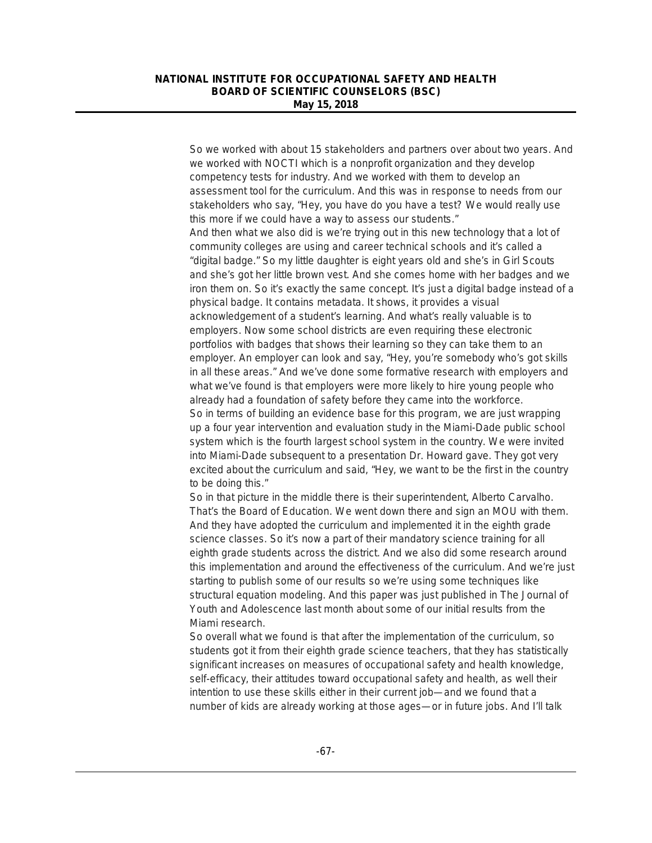So we worked with about 15 stakeholders and partners over about two years. And we worked with NOCTI which is a nonprofit organization and they develop competency tests for industry. And we worked with them to develop an assessment tool for the curriculum. And this was in response to needs from our stakeholders who say, "Hey, you have do you have a test? We would really use this more if we could have a way to assess our students." And then what we also did is we're trying out in this new technology that a lot of community colleges are using and career technical schools and it's called a "digital badge." So my little daughter is eight years old and she's in Girl Scouts and she's got her little brown vest. And she comes home with her badges and we iron them on. So it's exactly the same concept. It's just a digital badge instead of a physical badge. It contains metadata. It shows, it provides a visual acknowledgement of a student's learning. And what's really valuable is to employers. Now some school districts are even requiring these electronic portfolios with badges that shows their learning so they can take them to an employer. An employer can look and say, "Hey, you're somebody who's got skills in all these areas." And we've done some formative research with employers and what we've found is that employers were more likely to hire young people who already had a foundation of safety before they came into the workforce. So in terms of building an evidence base for this program, we are just wrapping up a four year intervention and evaluation study in the Miami-Dade public school system which is the fourth largest school system in the country. We were invited into Miami-Dade subsequent to a presentation Dr. Howard gave. They got very excited about the curriculum and said, "Hey, we want to be the first in the country to be doing this."

So in that picture in the middle there is their superintendent, Alberto Carvalho. That's the Board of Education. We went down there and sign an MOU with them. And they have adopted the curriculum and implemented it in the eighth grade science classes. So it's now a part of their mandatory science training for all eighth grade students across the district. And we also did some research around this implementation and around the effectiveness of the curriculum. And we're just starting to publish some of our results so we're using some techniques like structural equation modeling. And this paper was just published in *The Journal of Youth and Adolescence* last month about some of our initial results from the Miami research.

So overall what we found is that after the implementation of the curriculum, so students got it from their eighth grade science teachers, that they has statistically significant increases on measures of occupational safety and health knowledge, self-efficacy, their attitudes toward occupational safety and health, as well their intention to use these skills either in their current job—and we found that a number of kids are already working at those ages—or in future jobs. And I'll talk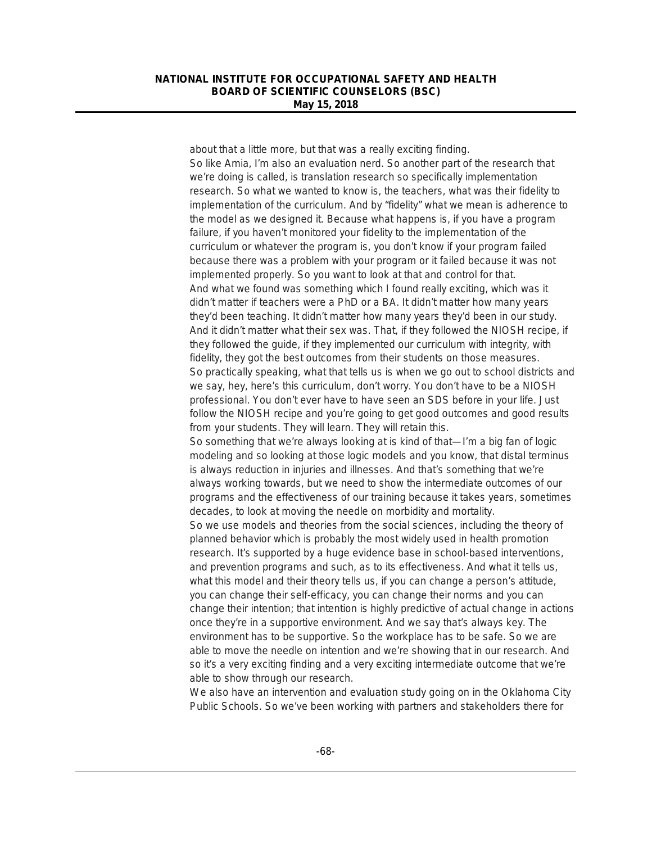about that a little more, but that was a really exciting finding. So like Amia, I'm also an evaluation nerd. So another part of the research that we're doing is called, is translation research so specifically implementation research. So what we wanted to know is, the teachers, what was their fidelity to implementation of the curriculum. And by "fidelity" what we mean is adherence to the model as we designed it. Because what happens is, if you have a program failure, if you haven't monitored your fidelity to the implementation of the curriculum or whatever the program is, you don't know if your program failed because there was a problem with your program or it failed because it was not implemented properly. So you want to look at that and control for that. And what we found was something which I found really exciting, which was it didn't matter if teachers were a PhD or a BA. It didn't matter how many years they'd been teaching. It didn't matter how many years they'd been in our study. And it didn't matter what their sex was. That, if they followed the NIOSH recipe, if they followed the guide, if they implemented our curriculum with integrity, with fidelity, they got the best outcomes from their students on those measures. So practically speaking, what that tells us is when we go out to school districts and we say, hey, here's this curriculum, don't worry. You don't have to be a NIOSH professional. You don't ever have to have seen an SDS before in your life. Just follow the NIOSH recipe and you're going to get good outcomes and good results from your students. They will learn. They will retain this. So something that we're always looking at is kind of that—I'm a big fan of logic modeling and so looking at those logic models and you know, that distal terminus is always reduction in injuries and illnesses. And that's something that we're always working towards, but we need to show the intermediate outcomes of our programs and the effectiveness of our training because it takes years, sometimes decades, to look at moving the needle on morbidity and mortality. So we use models and theories from the social sciences, including the theory of planned behavior which is probably the most widely used in health promotion research. It's supported by a huge evidence base in school-based interventions, and prevention programs and such, as to its effectiveness. And what it tells us, what this model and their theory tells us, if you can change a person's attitude, you can change their self-efficacy, you can change their norms and you can change their intention; that intention is highly predictive of actual change in actions once they're in a supportive environment. And we say that's always key. The environment has to be supportive. So the workplace has to be safe. So we are able to move the needle on intention and we're showing that in our research. And so it's a very exciting finding and a very exciting intermediate outcome that we're able to show through our research.

We also have an intervention and evaluation study going on in the Oklahoma City Public Schools. So we've been working with partners and stakeholders there for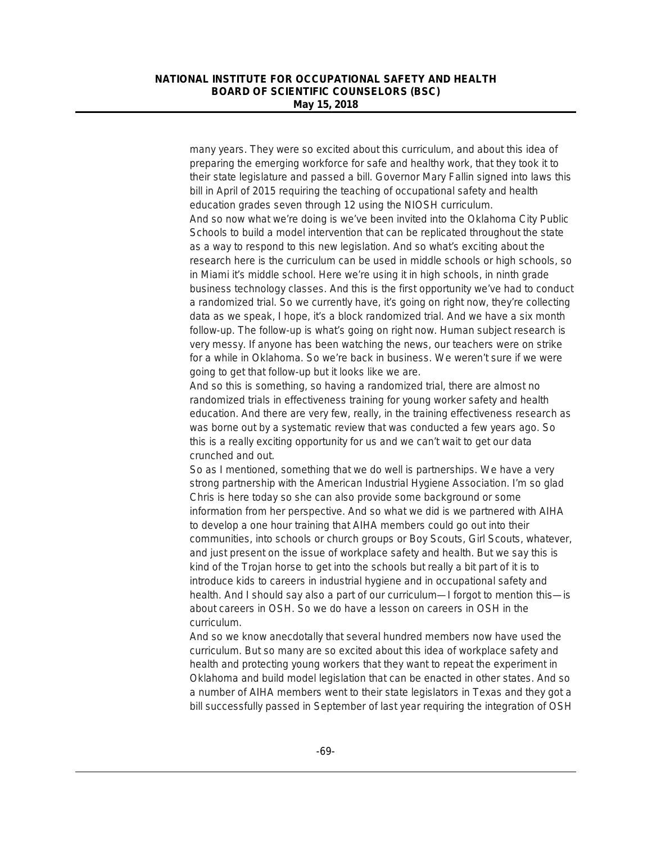many years. They were so excited about this curriculum, and about this idea of preparing the emerging workforce for safe and healthy work, that they took it to their state legislature and passed a bill. Governor Mary Fallin signed into laws this bill in April of 2015 requiring the teaching of occupational safety and health education grades seven through 12 using the NIOSH curriculum. And so now what we're doing is we've been invited into the Oklahoma City Public Schools to build a model intervention that can be replicated throughout the state as a way to respond to this new legislation. And so what's exciting about the research here is the curriculum can be used in middle schools or high schools, so in Miami it's middle school. Here we're using it in high schools, in ninth grade business technology classes. And this is the first opportunity we've had to conduct a randomized trial. So we currently have, it's going on right now, they're collecting data as we speak, I hope, it's a block randomized trial. And we have a six month follow-up. The follow-up is what's going on right now. Human subject research is very messy. If anyone has been watching the news, our teachers were on strike for a while in Oklahoma. So we're back in business. We weren't sure if we were going to get that follow-up but it looks like we are.

And so this is something, so having a randomized trial, there are almost no randomized trials in effectiveness training for young worker safety and health education. And there are very few, really, in the training effectiveness research as was borne out by a systematic review that was conducted a few years ago. So this is a really exciting opportunity for us and we can't wait to get our data crunched and out.

So as I mentioned, something that we do well is partnerships. We have a very strong partnership with the American Industrial Hygiene Association. I'm so glad Chris is here today so she can also provide some background or some information from her perspective. And so what we did is we partnered with AIHA to develop a one hour training that AIHA members could go out into their communities, into schools or church groups or Boy Scouts, Girl Scouts, whatever, and just present on the issue of workplace safety and health. But we say this is kind of the Trojan horse to get into the schools but really a bit part of it is to introduce kids to careers in industrial hygiene and in occupational safety and health. And I should say also a part of our curriculum—I forgot to mention this—is about careers in OSH. So we do have a lesson on careers in OSH in the curriculum.

And so we know anecdotally that several hundred members now have used the curriculum. But so many are so excited about this idea of workplace safety and health and protecting young workers that they want to repeat the experiment in Oklahoma and build model legislation that can be enacted in other states. And so a number of AIHA members went to their state legislators in Texas and they got a bill successfully passed in September of last year requiring the integration of OSH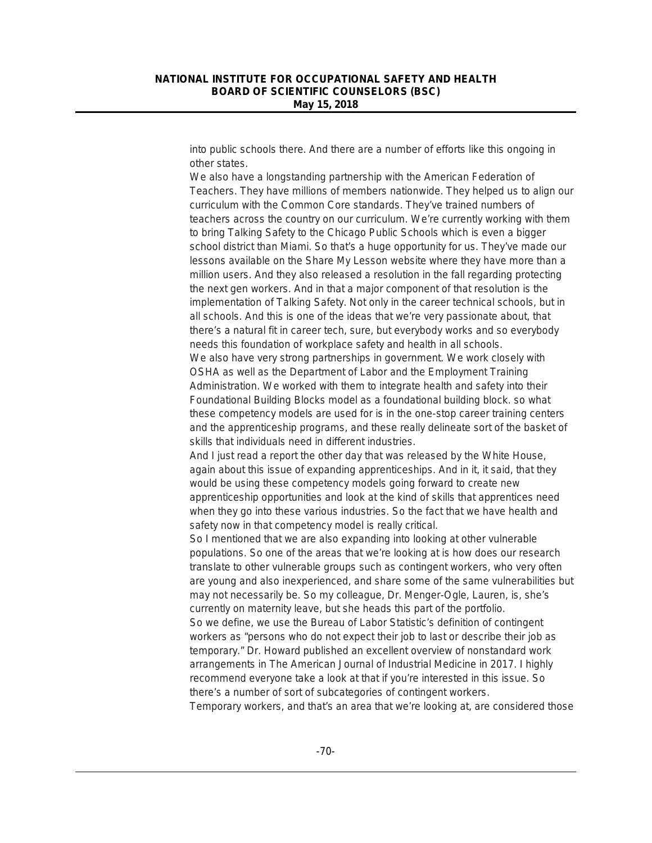into public schools there. And there are a number of efforts like this ongoing in other states.

We also have a longstanding partnership with the American Federation of Teachers. They have millions of members nationwide. They helped us to align our curriculum with the Common Core standards. They've trained numbers of teachers across the country on our curriculum. We're currently working with them to bring Talking Safety to the Chicago Public Schools which is even a bigger school district than Miami. So that's a huge opportunity for us. They've made our lessons available on the Share My Lesson website where they have more than a million users. And they also released a resolution in the fall regarding protecting the next gen workers. And in that a major component of that resolution is the implementation of Talking Safety. Not only in the career technical schools, but in all schools. And this is one of the ideas that we're very passionate about, that there's a natural fit in career tech, sure, but everybody works and so everybody needs this foundation of workplace safety and health in all schools. We also have very strong partnerships in government. We work closely with OSHA as well as the Department of Labor and the Employment Training Administration. We worked with them to integrate health and safety into their Foundational Building Blocks model as a foundational building block. so what these competency models are used for is in the one-stop career training centers and the apprenticeship programs, and these really delineate sort of the basket of skills that individuals need in different industries.

And I just read a report the other day that was released by the White House, again about this issue of expanding apprenticeships. And in it, it said, that they would be using these competency models going forward to create new apprenticeship opportunities and look at the kind of skills that apprentices need when they go into these various industries. So the fact that we have health and safety now in that competency model is really critical.

So I mentioned that we are also expanding into looking at other vulnerable populations. So one of the areas that we're looking at is how does our research translate to other vulnerable groups such as contingent workers, who very often are young and also inexperienced, and share some of the same vulnerabilities but may not necessarily be. So my colleague, Dr. Menger-Ogle, Lauren, is, she's currently on maternity leave, but she heads this part of the portfolio. So we define, we use the Bureau of Labor Statistic's definition of contingent workers as "persons who do not expect their job to last or describe their job as temporary." Dr. Howard published an excellent overview of nonstandard work arrangements in The American Journal of Industrial Medicine in 2017. I highly recommend everyone take a look at that if you're interested in this issue. So there's a number of sort of subcategories of contingent workers.

Temporary workers, and that's an area that we're looking at, are considered those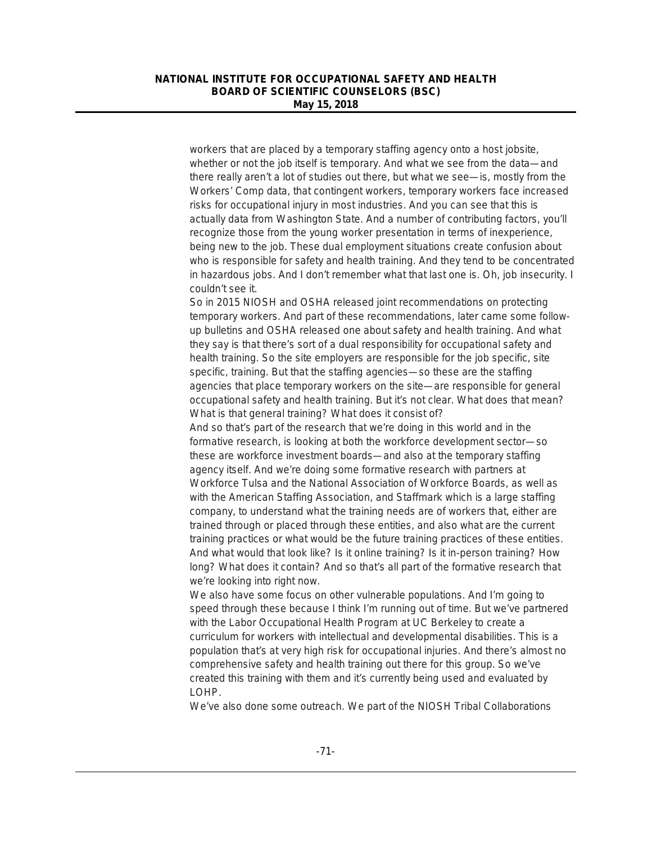workers that are placed by a temporary staffing agency onto a host jobsite, whether or not the job itself is temporary. And what we see from the data—and there really aren't a lot of studies out there, but what we see—is, mostly from the Workers' Comp data, that contingent workers, temporary workers face increased risks for occupational injury in most industries. And you can see that this is actually data from Washington State. And a number of contributing factors, you'll recognize those from the young worker presentation in terms of inexperience, being new to the job. These dual employment situations create confusion about who is responsible for safety and health training. And they tend to be concentrated in hazardous jobs. And I don't remember what that last one is. Oh, job insecurity. I couldn't see it.

So in 2015 NIOSH and OSHA released joint recommendations on protecting temporary workers. And part of these recommendations, later came some followup bulletins and OSHA released one about safety and health training. And what they say is that there's sort of a dual responsibility for occupational safety and health training. So the site employers are responsible for the job specific, site specific, training. But that the staffing agencies—so these are the staffing agencies that place temporary workers on the site—are responsible for general occupational safety and health training. But it's not clear. What does that mean? What is that general training? What does it consist of?

And so that's part of the research that we're doing in this world and in the formative research, is looking at both the workforce development sector—so these are workforce investment boards—and also at the temporary staffing agency itself. And we're doing some formative research with partners at Workforce Tulsa and the National Association of Workforce Boards, as well as with the American Staffing Association, and Staffmark which is a large staffing company, to understand what the training needs are of workers that, either are trained through or placed through these entities, and also what are the current training practices or what would be the future training practices of these entities. And what would that look like? Is it online training? Is it in-person training? How long? What does it contain? And so that's all part of the formative research that we're looking into right now.

We also have some focus on other vulnerable populations. And I'm going to speed through these because I think I'm running out of time. But we've partnered with the Labor Occupational Health Program at UC Berkeley to create a curriculum for workers with intellectual and developmental disabilities. This is a population that's at very high risk for occupational injuries. And there's almost no comprehensive safety and health training out there for this group. So we've created this training with them and it's currently being used and evaluated by LOHP.

We've also done some outreach. We part of the NIOSH Tribal Collaborations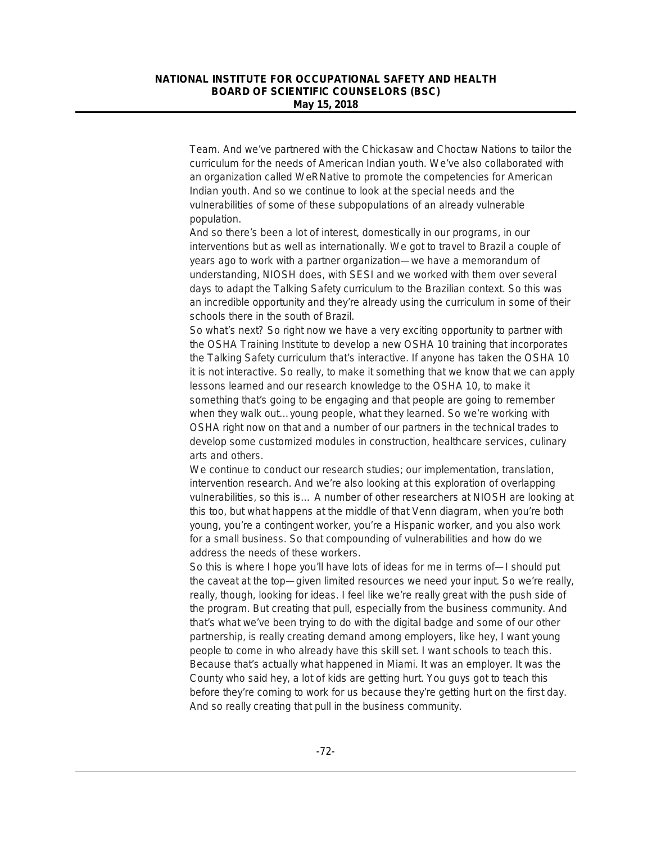Team. And we've partnered with the Chickasaw and Choctaw Nations to tailor the curriculum for the needs of American Indian youth. We've also collaborated with an organization called WeRNative to promote the competencies for American Indian youth. And so we continue to look at the special needs and the vulnerabilities of some of these subpopulations of an already vulnerable population.

And so there's been a lot of interest, domestically in our programs, in our interventions but as well as internationally. We got to travel to Brazil a couple of years ago to work with a partner organization—we have a memorandum of understanding, NIOSH does, with SESI and we worked with them over several days to adapt the Talking Safety curriculum to the Brazilian context. So this was an incredible opportunity and they're already using the curriculum in some of their schools there in the south of Brazil.

So what's next? So right now we have a very exciting opportunity to partner with the OSHA Training Institute to develop a new OSHA 10 training that incorporates the Talking Safety curriculum that's interactive. If anyone has taken the OSHA 10 it is not interactive. So really, to make it something that we know that we can apply lessons learned and our research knowledge to the OSHA 10, to make it something that's going to be engaging and that people are going to remember when they walk out…young people, what they learned. So we're working with OSHA right now on that and a number of our partners in the technical trades to develop some customized modules in construction, healthcare services, culinary arts and others.

We continue to conduct our research studies; our implementation, translation, intervention research. And we're also looking at this exploration of overlapping vulnerabilities, so this is… A number of other researchers at NIOSH are looking at this too, but what happens at the middle of that Venn diagram, when you're both young, you're a contingent worker, you're a Hispanic worker, and you also work for a small business. So that compounding of vulnerabilities and how do we address the needs of these workers.

So this is where I hope you'll have lots of ideas for me in terms of—I should put the caveat at the top—given limited resources we need your input. So we're really, really, though, looking for ideas. I feel like we're really great with the push side of the program. But creating that pull, especially from the business community. And that's what we've been trying to do with the digital badge and some of our other partnership, is really creating demand among employers, like hey, I want young people to come in who already have this skill set. I want schools to teach this. Because that's actually what happened in Miami. It was an employer. It was the County who said hey, a lot of kids are getting hurt. You guys got to teach this before they're coming to work for us because they're getting hurt on the first day. And so really creating that pull in the business community.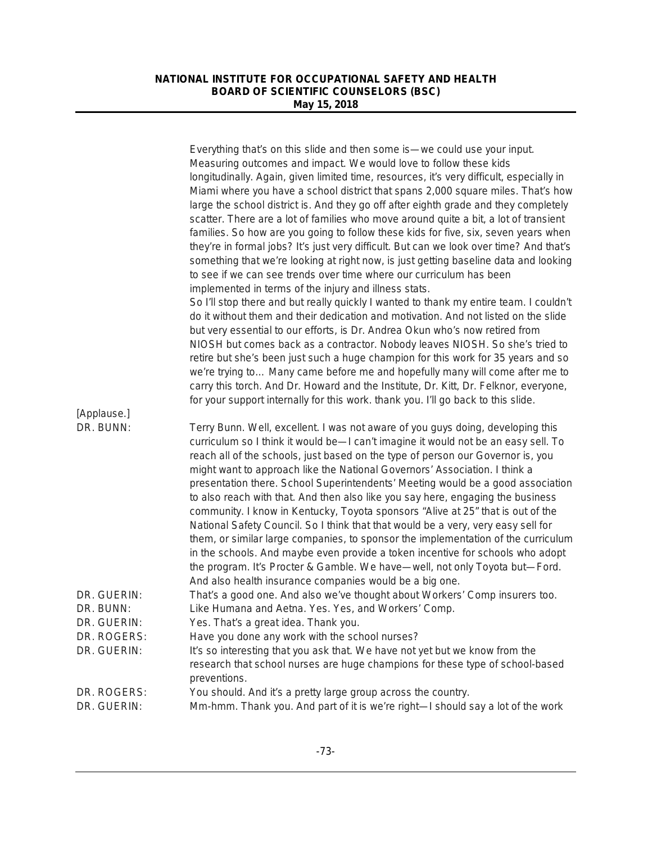|                          | Everything that's on this slide and then some is—we could use your input.                                                          |
|--------------------------|------------------------------------------------------------------------------------------------------------------------------------|
|                          | Measuring outcomes and impact. We would love to follow these kids                                                                  |
|                          | longitudinally. Again, given limited time, resources, it's very difficult, especially in                                           |
|                          | Miami where you have a school district that spans 2,000 square miles. That's how                                                   |
|                          | large the school district is. And they go off after eighth grade and they completely                                               |
|                          | scatter. There are a lot of families who move around quite a bit, a lot of transient                                               |
|                          | families. So how are you going to follow these kids for five, six, seven years when                                                |
|                          | they're in formal jobs? It's just very difficult. But can we look over time? And that's                                            |
|                          | something that we're looking at right now, is just getting baseline data and looking                                               |
|                          | to see if we can see trends over time where our curriculum has been                                                                |
|                          | implemented in terms of the injury and illness stats.                                                                              |
|                          | So I'll stop there and but really quickly I wanted to thank my entire team. I couldn't                                             |
|                          | do it without them and their dedication and motivation. And not listed on the slide                                                |
|                          | but very essential to our efforts, is Dr. Andrea Okun who's now retired from                                                       |
|                          | NIOSH but comes back as a contractor. Nobody leaves NIOSH. So she's tried to                                                       |
|                          | retire but she's been just such a huge champion for this work for 35 years and so                                                  |
|                          | we're trying to Many came before me and hopefully many will come after me to                                                       |
|                          | carry this torch. And Dr. Howard and the Institute, Dr. Kitt, Dr. Felknor, everyone,                                               |
|                          | for your support internally for this work. thank you. I'll go back to this slide.                                                  |
| [Applause.]              |                                                                                                                                    |
| DR. BUNN:                | Terry Bunn. Well, excellent. I was not aware of you guys doing, developing this                                                    |
|                          | curriculum so I think it would be-I can't imagine it would not be an easy sell. To                                                 |
|                          | reach all of the schools, just based on the type of person our Governor is, you                                                    |
|                          | might want to approach like the National Governors' Association. I think a                                                         |
|                          | presentation there. School Superintendents' Meeting would be a good association                                                    |
|                          | to also reach with that. And then also like you say here, engaging the business                                                    |
|                          | community. I know in Kentucky, Toyota sponsors "Alive at 25" that is out of the                                                    |
|                          | National Safety Council. So I think that that would be a very, very easy sell for                                                  |
|                          | them, or similar large companies, to sponsor the implementation of the curriculum                                                  |
|                          | in the schools. And maybe even provide a token incentive for schools who adopt                                                     |
|                          | the program. It's Procter & Gamble. We have—well, not only Toyota but—Ford.                                                        |
|                          | And also health insurance companies would be a big one.                                                                            |
| DR. GUERIN:<br>DR. BUNN: | That's a good one. And also we've thought about Workers' Comp insurers too.<br>Like Humana and Aetna. Yes. Yes, and Workers' Comp. |
| DR. GUERIN:              | Yes. That's a great idea. Thank you.                                                                                               |
| DR. ROGERS:              | Have you done any work with the school nurses?                                                                                     |
| DR. GUERIN:              | It's so interesting that you ask that. We have not yet but we know from the                                                        |
|                          | research that school nurses are huge champions for these type of school-based                                                      |
|                          | preventions.                                                                                                                       |
| DR. ROGERS:              | You should. And it's a pretty large group across the country.                                                                      |
| DR. GUERIN:              | Mm-hmm. Thank you. And part of it is we're right-I should say a lot of the work                                                    |
|                          |                                                                                                                                    |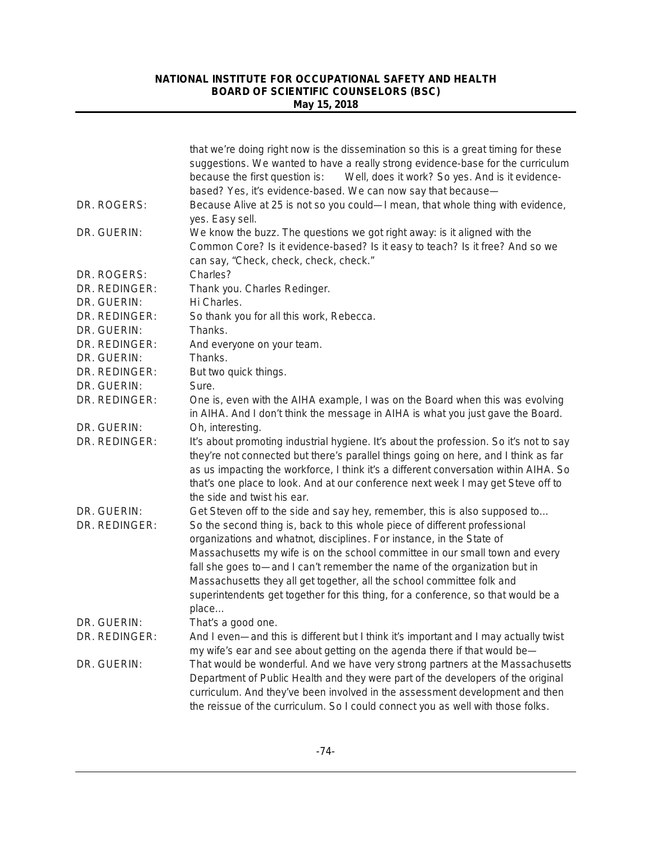|                              | that we're doing right now is the dissemination so this is a great timing for these<br>suggestions. We wanted to have a really strong evidence-base for the curriculum<br>because the first question is:<br>Well, does it work? So yes. And is it evidence-<br>based? Yes, it's evidence-based. We can now say that because-                                                             |
|------------------------------|------------------------------------------------------------------------------------------------------------------------------------------------------------------------------------------------------------------------------------------------------------------------------------------------------------------------------------------------------------------------------------------|
| DR. ROGERS:                  | Because Alive at 25 is not so you could-I mean, that whole thing with evidence,<br>yes. Easy sell.                                                                                                                                                                                                                                                                                       |
| DR. GUERIN:                  | We know the buzz. The questions we got right away: is it aligned with the<br>Common Core? Is it evidence-based? Is it easy to teach? Is it free? And so we<br>can say, "Check, check, check, check."                                                                                                                                                                                     |
| DR. ROGERS:                  | Charles?                                                                                                                                                                                                                                                                                                                                                                                 |
| DR. REDINGER:                | Thank you. Charles Redinger.                                                                                                                                                                                                                                                                                                                                                             |
| DR. GUERIN:                  | Hi Charles.                                                                                                                                                                                                                                                                                                                                                                              |
| DR. REDINGER:                | So thank you for all this work, Rebecca.                                                                                                                                                                                                                                                                                                                                                 |
| DR. GUERIN:                  | Thanks.                                                                                                                                                                                                                                                                                                                                                                                  |
| DR. REDINGER:                | And everyone on your team.                                                                                                                                                                                                                                                                                                                                                               |
| DR. GUERIN:                  | Thanks.                                                                                                                                                                                                                                                                                                                                                                                  |
| DR. REDINGER:                | But two quick things.                                                                                                                                                                                                                                                                                                                                                                    |
| DR. GUERIN:                  | Sure.                                                                                                                                                                                                                                                                                                                                                                                    |
| DR. REDINGER:                | One is, even with the AIHA example, I was on the Board when this was evolving<br>in AIHA. And I don't think the message in AIHA is what you just gave the Board.                                                                                                                                                                                                                         |
| DR. GUERIN:                  | Oh, interesting.                                                                                                                                                                                                                                                                                                                                                                         |
| DR. REDINGER:                | It's about promoting industrial hygiene. It's about the profession. So it's not to say<br>they're not connected but there's parallel things going on here, and I think as far<br>as us impacting the workforce, I think it's a different conversation within AIHA. So<br>that's one place to look. And at our conference next week I may get Steve off to<br>the side and twist his ear. |
| DR. GUERIN:<br>DR. REDINGER: | Get Steven off to the side and say hey, remember, this is also supposed to<br>So the second thing is, back to this whole piece of different professional<br>organizations and whatnot, disciplines. For instance, in the State of                                                                                                                                                        |
|                              | Massachusetts my wife is on the school committee in our small town and every<br>fall she goes to—and I can't remember the name of the organization but in<br>Massachusetts they all get together, all the school committee folk and<br>superintendents get together for this thing, for a conference, so that would be a                                                                 |
|                              | place                                                                                                                                                                                                                                                                                                                                                                                    |
| DR. GUERIN:                  | That's a good one.                                                                                                                                                                                                                                                                                                                                                                       |
| DR. REDINGER:                | And I even—and this is different but I think it's important and I may actually twist<br>my wife's ear and see about getting on the agenda there if that would be-                                                                                                                                                                                                                        |
| DR. GUERIN:                  | That would be wonderful. And we have very strong partners at the Massachusetts<br>Department of Public Health and they were part of the developers of the original<br>curriculum. And they've been involved in the assessment development and then<br>the reissue of the curriculum. So I could connect you as well with those folks.                                                    |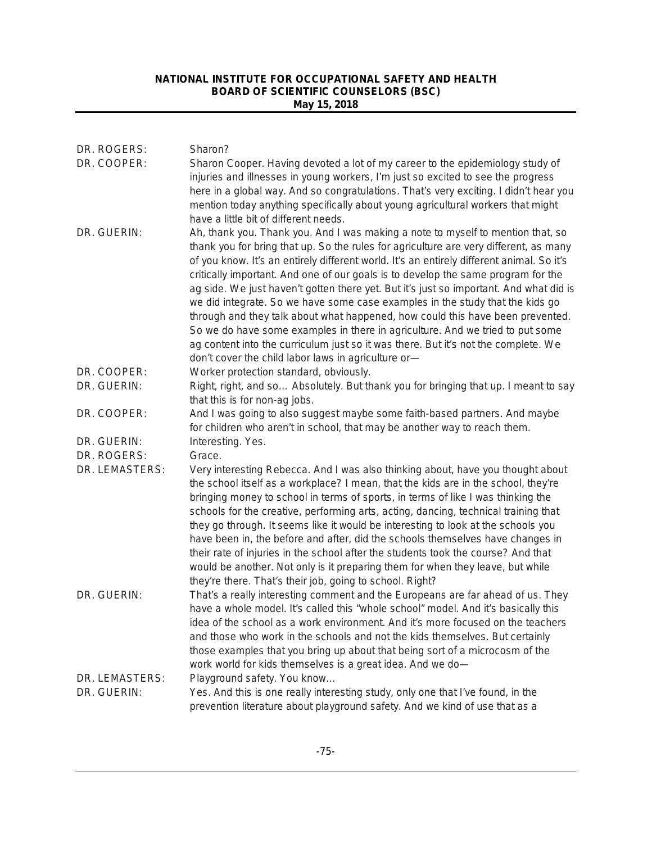| DR. ROGERS:<br>DR. COOPER: | Sharon?<br>Sharon Cooper. Having devoted a lot of my career to the epidemiology study of<br>injuries and illnesses in young workers, I'm just so excited to see the progress<br>here in a global way. And so congratulations. That's very exciting. I didn't hear you<br>mention today anything specifically about young agricultural workers that might                                                                                                                                                                                                                                                                                                                                                                                                                                                                                                                                       |
|----------------------------|------------------------------------------------------------------------------------------------------------------------------------------------------------------------------------------------------------------------------------------------------------------------------------------------------------------------------------------------------------------------------------------------------------------------------------------------------------------------------------------------------------------------------------------------------------------------------------------------------------------------------------------------------------------------------------------------------------------------------------------------------------------------------------------------------------------------------------------------------------------------------------------------|
| DR. GUERIN:                | have a little bit of different needs.<br>Ah, thank you. Thank you. And I was making a note to myself to mention that, so<br>thank you for bring that up. So the rules for agriculture are very different, as many<br>of you know. It's an entirely different world. It's an entirely different animal. So it's<br>critically important. And one of our goals is to develop the same program for the<br>ag side. We just haven't gotten there yet. But it's just so important. And what did is<br>we did integrate. So we have some case examples in the study that the kids go<br>through and they talk about what happened, how could this have been prevented.<br>So we do have some examples in there in agriculture. And we tried to put some<br>ag content into the curriculum just so it was there. But it's not the complete. We<br>don't cover the child labor laws in agriculture or- |
| DR. COOPER:                | Worker protection standard, obviously.                                                                                                                                                                                                                                                                                                                                                                                                                                                                                                                                                                                                                                                                                                                                                                                                                                                         |
| DR. GUERIN:                | Right, right, and so Absolutely. But thank you for bringing that up. I meant to say<br>that this is for non-ag jobs.                                                                                                                                                                                                                                                                                                                                                                                                                                                                                                                                                                                                                                                                                                                                                                           |
| DR. COOPER:                | And I was going to also suggest maybe some faith-based partners. And maybe<br>for children who aren't in school, that may be another way to reach them.                                                                                                                                                                                                                                                                                                                                                                                                                                                                                                                                                                                                                                                                                                                                        |
| DR. GUERIN:                | Interesting. Yes.                                                                                                                                                                                                                                                                                                                                                                                                                                                                                                                                                                                                                                                                                                                                                                                                                                                                              |
| DR. ROGERS:                | Grace.                                                                                                                                                                                                                                                                                                                                                                                                                                                                                                                                                                                                                                                                                                                                                                                                                                                                                         |
| DR. LEMASTERS:             | Very interesting Rebecca. And I was also thinking about, have you thought about<br>the school itself as a workplace? I mean, that the kids are in the school, they're<br>bringing money to school in terms of sports, in terms of like I was thinking the<br>schools for the creative, performing arts, acting, dancing, technical training that<br>they go through. It seems like it would be interesting to look at the schools you<br>have been in, the before and after, did the schools themselves have changes in<br>their rate of injuries in the school after the students took the course? And that<br>would be another. Not only is it preparing them for when they leave, but while<br>they're there. That's their job, going to school. Right?                                                                                                                                     |
| DR. GUERIN:                | That's a really interesting comment and the Europeans are far ahead of us. They<br>have a whole model. It's called this "whole school" model. And it's basically this<br>idea of the school as a work environment. And it's more focused on the teachers<br>and those who work in the schools and not the kids themselves. But certainly<br>those examples that you bring up about that being sort of a microcosm of the<br>work world for kids themselves is a great idea. And we do-                                                                                                                                                                                                                                                                                                                                                                                                         |
| DR. LEMASTERS:             | Playground safety. You know                                                                                                                                                                                                                                                                                                                                                                                                                                                                                                                                                                                                                                                                                                                                                                                                                                                                    |
| DR. GUERIN:                | Yes. And this is one really interesting study, only one that I've found, in the<br>prevention literature about playground safety. And we kind of use that as a                                                                                                                                                                                                                                                                                                                                                                                                                                                                                                                                                                                                                                                                                                                                 |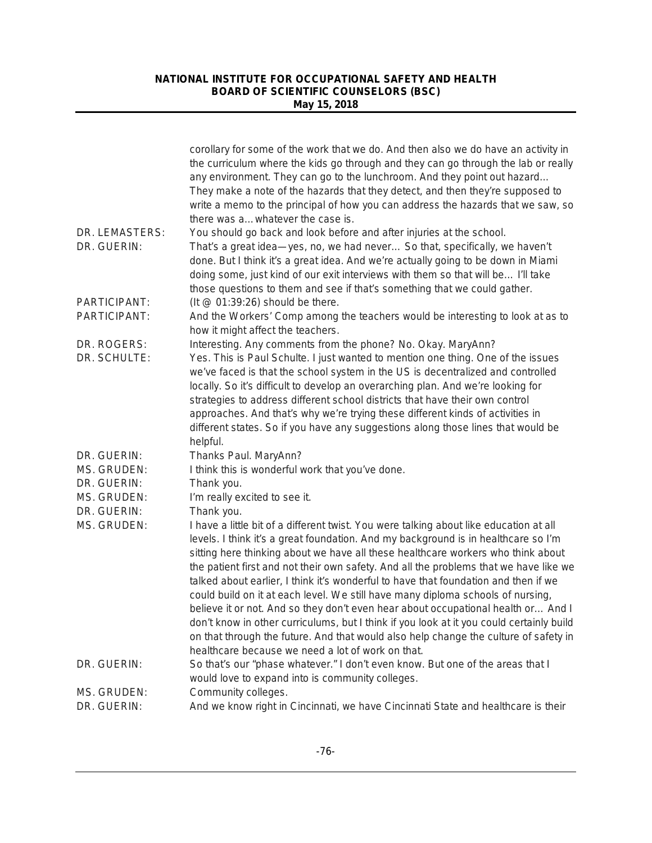|                               | corollary for some of the work that we do. And then also we do have an activity in<br>the curriculum where the kids go through and they can go through the lab or really<br>any environment. They can go to the lunchroom. And they point out hazard<br>They make a note of the hazards that they detect, and then they're supposed to<br>write a memo to the principal of how you can address the hazards that we saw, so<br>there was a whatever the case is.                                                                                                                                                                                                                                                                                                                                                                                                   |
|-------------------------------|-------------------------------------------------------------------------------------------------------------------------------------------------------------------------------------------------------------------------------------------------------------------------------------------------------------------------------------------------------------------------------------------------------------------------------------------------------------------------------------------------------------------------------------------------------------------------------------------------------------------------------------------------------------------------------------------------------------------------------------------------------------------------------------------------------------------------------------------------------------------|
| DR. LEMASTERS:<br>DR. GUERIN: | You should go back and look before and after injuries at the school.<br>That's a great idea-yes, no, we had never So that, specifically, we haven't<br>done. But I think it's a great idea. And we're actually going to be down in Miami<br>doing some, just kind of our exit interviews with them so that will be I'll take<br>those questions to them and see if that's something that we could gather.                                                                                                                                                                                                                                                                                                                                                                                                                                                         |
| PARTICIPANT:                  | (It $@$ 01:39:26) should be there.                                                                                                                                                                                                                                                                                                                                                                                                                                                                                                                                                                                                                                                                                                                                                                                                                                |
| PARTICIPANT:                  | And the Workers' Comp among the teachers would be interesting to look at as to<br>how it might affect the teachers.                                                                                                                                                                                                                                                                                                                                                                                                                                                                                                                                                                                                                                                                                                                                               |
| DR. ROGERS:                   | Interesting. Any comments from the phone? No. Okay. MaryAnn?                                                                                                                                                                                                                                                                                                                                                                                                                                                                                                                                                                                                                                                                                                                                                                                                      |
| DR. SCHULTE:                  | Yes. This is Paul Schulte. I just wanted to mention one thing. One of the issues<br>we've faced is that the school system in the US is decentralized and controlled<br>locally. So it's difficult to develop an overarching plan. And we're looking for<br>strategies to address different school districts that have their own control<br>approaches. And that's why we're trying these different kinds of activities in<br>different states. So if you have any suggestions along those lines that would be<br>helpful.                                                                                                                                                                                                                                                                                                                                         |
| DR. GUERIN:                   | Thanks Paul. MaryAnn?                                                                                                                                                                                                                                                                                                                                                                                                                                                                                                                                                                                                                                                                                                                                                                                                                                             |
| MS. GRUDEN:                   | I think this is wonderful work that you've done.                                                                                                                                                                                                                                                                                                                                                                                                                                                                                                                                                                                                                                                                                                                                                                                                                  |
| DR. GUERIN:                   | Thank you.                                                                                                                                                                                                                                                                                                                                                                                                                                                                                                                                                                                                                                                                                                                                                                                                                                                        |
| MS. GRUDEN:                   | I'm really excited to see it.                                                                                                                                                                                                                                                                                                                                                                                                                                                                                                                                                                                                                                                                                                                                                                                                                                     |
| DR. GUERIN:                   | Thank you.                                                                                                                                                                                                                                                                                                                                                                                                                                                                                                                                                                                                                                                                                                                                                                                                                                                        |
| MS. GRUDEN:                   | I have a little bit of a different twist. You were talking about like education at all<br>levels. I think it's a great foundation. And my background is in healthcare so I'm<br>sitting here thinking about we have all these healthcare workers who think about<br>the patient first and not their own safety. And all the problems that we have like we<br>talked about earlier, I think it's wonderful to have that foundation and then if we<br>could build on it at each level. We still have many diploma schools of nursing,<br>believe it or not. And so they don't even hear about occupational health or And I<br>don't know in other curriculums, but I think if you look at it you could certainly build<br>on that through the future. And that would also help change the culture of safety in<br>healthcare because we need a lot of work on that. |
| DR. GUERIN:                   | So that's our "phase whatever." I don't even know. But one of the areas that I                                                                                                                                                                                                                                                                                                                                                                                                                                                                                                                                                                                                                                                                                                                                                                                    |
|                               | would love to expand into is community colleges.                                                                                                                                                                                                                                                                                                                                                                                                                                                                                                                                                                                                                                                                                                                                                                                                                  |
| MS. GRUDEN:                   | Community colleges.                                                                                                                                                                                                                                                                                                                                                                                                                                                                                                                                                                                                                                                                                                                                                                                                                                               |
| DR. GUERIN:                   | And we know right in Cincinnati, we have Cincinnati State and healthcare is their                                                                                                                                                                                                                                                                                                                                                                                                                                                                                                                                                                                                                                                                                                                                                                                 |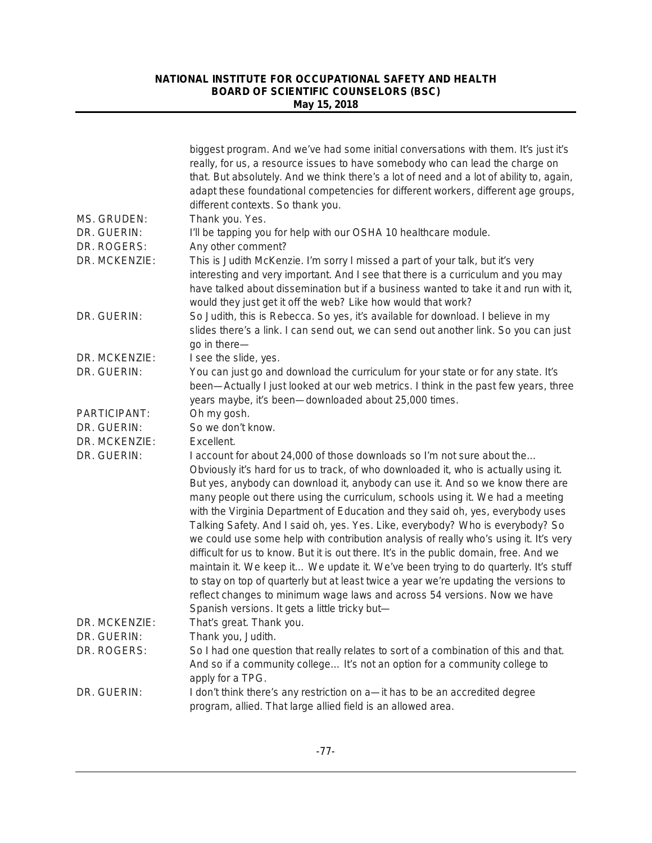|                              | biggest program. And we've had some initial conversations with them. It's just it's<br>really, for us, a resource issues to have somebody who can lead the charge on<br>that. But absolutely. And we think there's a lot of need and a lot of ability to, again,<br>adapt these foundational competencies for different workers, different age groups,<br>different contexts. So thank you.                                                                                                                                                                                                                                                                                                                                                                                                                                                                                                                                                                                                              |
|------------------------------|----------------------------------------------------------------------------------------------------------------------------------------------------------------------------------------------------------------------------------------------------------------------------------------------------------------------------------------------------------------------------------------------------------------------------------------------------------------------------------------------------------------------------------------------------------------------------------------------------------------------------------------------------------------------------------------------------------------------------------------------------------------------------------------------------------------------------------------------------------------------------------------------------------------------------------------------------------------------------------------------------------|
| MS. GRUDEN:                  | Thank you. Yes.                                                                                                                                                                                                                                                                                                                                                                                                                                                                                                                                                                                                                                                                                                                                                                                                                                                                                                                                                                                          |
| DR. GUERIN:                  | I'll be tapping you for help with our OSHA 10 healthcare module.                                                                                                                                                                                                                                                                                                                                                                                                                                                                                                                                                                                                                                                                                                                                                                                                                                                                                                                                         |
| DR. ROGERS:<br>DR. MCKENZIE: | Any other comment?<br>This is Judith McKenzie. I'm sorry I missed a part of your talk, but it's very                                                                                                                                                                                                                                                                                                                                                                                                                                                                                                                                                                                                                                                                                                                                                                                                                                                                                                     |
|                              | interesting and very important. And I see that there is a curriculum and you may<br>have talked about dissemination but if a business wanted to take it and run with it,<br>would they just get it off the web? Like how would that work?                                                                                                                                                                                                                                                                                                                                                                                                                                                                                                                                                                                                                                                                                                                                                                |
| DR. GUERIN:                  | So Judith, this is Rebecca. So yes, it's available for download. I believe in my<br>slides there's a link. I can send out, we can send out another link. So you can just<br>go in there-                                                                                                                                                                                                                                                                                                                                                                                                                                                                                                                                                                                                                                                                                                                                                                                                                 |
| DR. MCKENZIE:                | I see the slide, yes.                                                                                                                                                                                                                                                                                                                                                                                                                                                                                                                                                                                                                                                                                                                                                                                                                                                                                                                                                                                    |
| DR. GUERIN:                  | You can just go and download the curriculum for your state or for any state. It's<br>been—Actually I just looked at our web metrics. I think in the past few years, three<br>years maybe, it's been-downloaded about 25,000 times.                                                                                                                                                                                                                                                                                                                                                                                                                                                                                                                                                                                                                                                                                                                                                                       |
| PARTICIPANT:                 | Oh my gosh.                                                                                                                                                                                                                                                                                                                                                                                                                                                                                                                                                                                                                                                                                                                                                                                                                                                                                                                                                                                              |
| DR. GUERIN:                  | So we don't know.                                                                                                                                                                                                                                                                                                                                                                                                                                                                                                                                                                                                                                                                                                                                                                                                                                                                                                                                                                                        |
| DR. MCKENZIE:                | Excellent.                                                                                                                                                                                                                                                                                                                                                                                                                                                                                                                                                                                                                                                                                                                                                                                                                                                                                                                                                                                               |
| DR. GUERIN:                  | I account for about 24,000 of those downloads so I'm not sure about the<br>Obviously it's hard for us to track, of who downloaded it, who is actually using it.<br>But yes, anybody can download it, anybody can use it. And so we know there are<br>many people out there using the curriculum, schools using it. We had a meeting<br>with the Virginia Department of Education and they said oh, yes, everybody uses<br>Talking Safety. And I said oh, yes. Yes. Like, everybody? Who is everybody? So<br>we could use some help with contribution analysis of really who's using it. It's very<br>difficult for us to know. But it is out there. It's in the public domain, free. And we<br>maintain it. We keep it We update it. We've been trying to do quarterly. It's stuff<br>to stay on top of quarterly but at least twice a year we're updating the versions to<br>reflect changes to minimum wage laws and across 54 versions. Now we have<br>Spanish versions. It gets a little tricky but- |
| DR. MCKENZIE:                | That's great. Thank you.                                                                                                                                                                                                                                                                                                                                                                                                                                                                                                                                                                                                                                                                                                                                                                                                                                                                                                                                                                                 |
| DR. GUERIN:                  | Thank you, Judith.                                                                                                                                                                                                                                                                                                                                                                                                                                                                                                                                                                                                                                                                                                                                                                                                                                                                                                                                                                                       |
| DR. ROGERS:                  | So I had one question that really relates to sort of a combination of this and that.<br>And so if a community college It's not an option for a community college to<br>apply for a TPG.                                                                                                                                                                                                                                                                                                                                                                                                                                                                                                                                                                                                                                                                                                                                                                                                                  |
| DR. GUERIN:                  | I don't think there's any restriction on a—it has to be an accredited degree<br>program, allied. That large allied field is an allowed area.                                                                                                                                                                                                                                                                                                                                                                                                                                                                                                                                                                                                                                                                                                                                                                                                                                                             |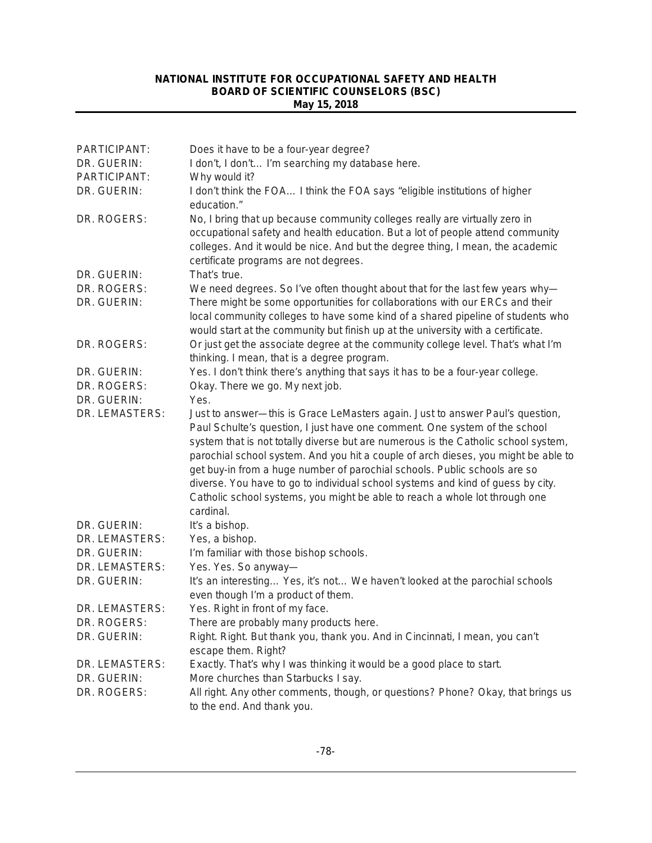| PARTICIPANT:   | Does it have to be a four-year degree?                                                                                                                                                                                                                                                                                                                                                                                                                                                                                                                                                              |
|----------------|-----------------------------------------------------------------------------------------------------------------------------------------------------------------------------------------------------------------------------------------------------------------------------------------------------------------------------------------------------------------------------------------------------------------------------------------------------------------------------------------------------------------------------------------------------------------------------------------------------|
| DR. GUERIN:    | I don't, I don't I'm searching my database here.                                                                                                                                                                                                                                                                                                                                                                                                                                                                                                                                                    |
| PARTICIPANT:   | Why would it?                                                                                                                                                                                                                                                                                                                                                                                                                                                                                                                                                                                       |
| DR. GUERIN:    | I don't think the FOA I think the FOA says "eligible institutions of higher<br>education."                                                                                                                                                                                                                                                                                                                                                                                                                                                                                                          |
| DR. ROGERS:    | No, I bring that up because community colleges really are virtually zero in<br>occupational safety and health education. But a lot of people attend community<br>colleges. And it would be nice. And but the degree thing, I mean, the academic<br>certificate programs are not degrees.                                                                                                                                                                                                                                                                                                            |
| DR. GUERIN:    | That's true.                                                                                                                                                                                                                                                                                                                                                                                                                                                                                                                                                                                        |
| DR. ROGERS:    | We need degrees. So I've often thought about that for the last few years why-                                                                                                                                                                                                                                                                                                                                                                                                                                                                                                                       |
| DR. GUERIN:    | There might be some opportunities for collaborations with our ERCs and their<br>local community colleges to have some kind of a shared pipeline of students who<br>would start at the community but finish up at the university with a certificate.                                                                                                                                                                                                                                                                                                                                                 |
| DR. ROGERS:    | Or just get the associate degree at the community college level. That's what I'm<br>thinking. I mean, that is a degree program.                                                                                                                                                                                                                                                                                                                                                                                                                                                                     |
| DR. GUERIN:    | Yes. I don't think there's anything that says it has to be a four-year college.                                                                                                                                                                                                                                                                                                                                                                                                                                                                                                                     |
| DR. ROGERS:    | Okay. There we go. My next job.                                                                                                                                                                                                                                                                                                                                                                                                                                                                                                                                                                     |
| DR. GUERIN:    | Yes.                                                                                                                                                                                                                                                                                                                                                                                                                                                                                                                                                                                                |
| DR. LEMASTERS: | Just to answer-this is Grace LeMasters again. Just to answer Paul's question,<br>Paul Schulte's question, I just have one comment. One system of the school<br>system that is not totally diverse but are numerous is the Catholic school system,<br>parochial school system. And you hit a couple of arch dieses, you might be able to<br>get buy-in from a huge number of parochial schools. Public schools are so<br>diverse. You have to go to individual school systems and kind of guess by city.<br>Catholic school systems, you might be able to reach a whole lot through one<br>cardinal. |
| DR. GUERIN:    | It's a bishop.                                                                                                                                                                                                                                                                                                                                                                                                                                                                                                                                                                                      |
| DR. LEMASTERS: | Yes, a bishop.                                                                                                                                                                                                                                                                                                                                                                                                                                                                                                                                                                                      |
| DR. GUERIN:    | I'm familiar with those bishop schools.                                                                                                                                                                                                                                                                                                                                                                                                                                                                                                                                                             |
| DR. LEMASTERS: | Yes. Yes. So anyway-                                                                                                                                                                                                                                                                                                                                                                                                                                                                                                                                                                                |
| DR. GUERIN:    | It's an interesting Yes, it's not We haven't looked at the parochial schools<br>even though I'm a product of them.                                                                                                                                                                                                                                                                                                                                                                                                                                                                                  |
| DR. LEMASTERS: | Yes. Right in front of my face.                                                                                                                                                                                                                                                                                                                                                                                                                                                                                                                                                                     |
| DR. ROGERS:    | There are probably many products here.                                                                                                                                                                                                                                                                                                                                                                                                                                                                                                                                                              |
| DR. GUERIN:    | Right. Right. But thank you, thank you. And in Cincinnati, I mean, you can't<br>escape them. Right?                                                                                                                                                                                                                                                                                                                                                                                                                                                                                                 |
| DR. LEMASTERS: | Exactly. That's why I was thinking it would be a good place to start.                                                                                                                                                                                                                                                                                                                                                                                                                                                                                                                               |
| DR. GUERIN:    | More churches than Starbucks I say.                                                                                                                                                                                                                                                                                                                                                                                                                                                                                                                                                                 |
| DR. ROGERS:    | All right. Any other comments, though, or questions? Phone? Okay, that brings us<br>to the end. And thank you.                                                                                                                                                                                                                                                                                                                                                                                                                                                                                      |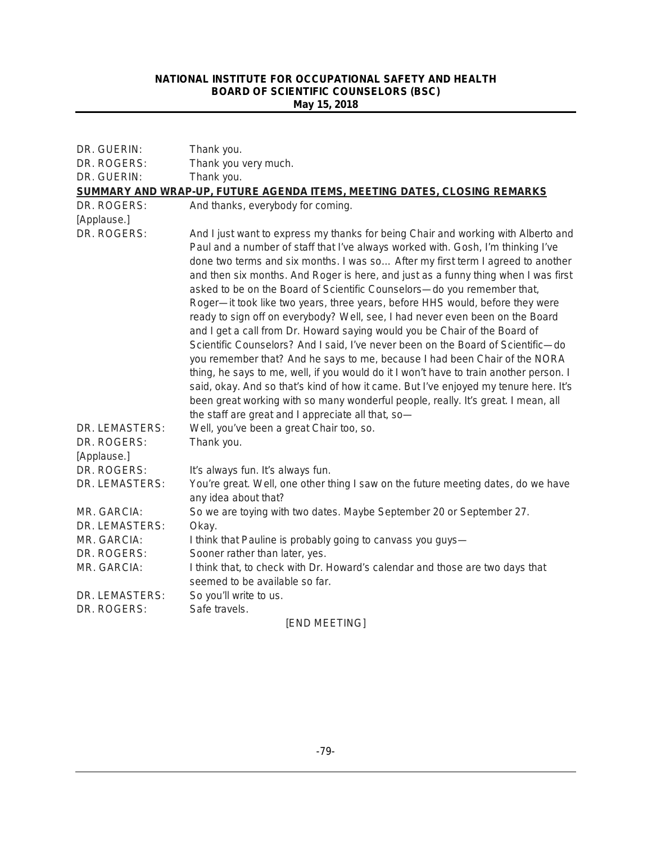| DR. GUERIN:                                  | Thank you.                                                                                                                                                                                                                                                                                                                                                                                                                                                                                                                                                                                                                                                                                                                                                                                                                                                                                                                                                                                                                                                                                                                                                               |  |
|----------------------------------------------|--------------------------------------------------------------------------------------------------------------------------------------------------------------------------------------------------------------------------------------------------------------------------------------------------------------------------------------------------------------------------------------------------------------------------------------------------------------------------------------------------------------------------------------------------------------------------------------------------------------------------------------------------------------------------------------------------------------------------------------------------------------------------------------------------------------------------------------------------------------------------------------------------------------------------------------------------------------------------------------------------------------------------------------------------------------------------------------------------------------------------------------------------------------------------|--|
| DR. ROGERS:                                  | Thank you very much.                                                                                                                                                                                                                                                                                                                                                                                                                                                                                                                                                                                                                                                                                                                                                                                                                                                                                                                                                                                                                                                                                                                                                     |  |
| DR. GUERIN:                                  | Thank you.                                                                                                                                                                                                                                                                                                                                                                                                                                                                                                                                                                                                                                                                                                                                                                                                                                                                                                                                                                                                                                                                                                                                                               |  |
|                                              | SUMMARY AND WRAP-UP, FUTURE AGENDA ITEMS, MEETING DATES, CLOSING REMARKS                                                                                                                                                                                                                                                                                                                                                                                                                                                                                                                                                                                                                                                                                                                                                                                                                                                                                                                                                                                                                                                                                                 |  |
| DR. ROGERS:<br>[Applause.]                   | And thanks, everybody for coming.                                                                                                                                                                                                                                                                                                                                                                                                                                                                                                                                                                                                                                                                                                                                                                                                                                                                                                                                                                                                                                                                                                                                        |  |
| DR. ROGERS:                                  | And I just want to express my thanks for being Chair and working with Alberto and<br>Paul and a number of staff that I've always worked with. Gosh, I'm thinking I've<br>done two terms and six months. I was so After my first term I agreed to another<br>and then six months. And Roger is here, and just as a funny thing when I was first<br>asked to be on the Board of Scientific Counselors-do you remember that,<br>Roger-it took like two years, three years, before HHS would, before they were<br>ready to sign off on everybody? Well, see, I had never even been on the Board<br>and I get a call from Dr. Howard saying would you be Chair of the Board of<br>Scientific Counselors? And I said, I've never been on the Board of Scientific-do<br>you remember that? And he says to me, because I had been Chair of the NORA<br>thing, he says to me, well, if you would do it I won't have to train another person. I<br>said, okay. And so that's kind of how it came. But I've enjoyed my tenure here. It's<br>been great working with so many wonderful people, really. It's great. I mean, all<br>the staff are great and I appreciate all that, so- |  |
| DR. LEMASTERS:<br>DR. ROGERS:<br>[Applause.] | Well, you've been a great Chair too, so.<br>Thank you.                                                                                                                                                                                                                                                                                                                                                                                                                                                                                                                                                                                                                                                                                                                                                                                                                                                                                                                                                                                                                                                                                                                   |  |
| DR. ROGERS:                                  | It's always fun. It's always fun.                                                                                                                                                                                                                                                                                                                                                                                                                                                                                                                                                                                                                                                                                                                                                                                                                                                                                                                                                                                                                                                                                                                                        |  |
| DR. LEMASTERS:                               | You're great. Well, one other thing I saw on the future meeting dates, do we have<br>any idea about that?                                                                                                                                                                                                                                                                                                                                                                                                                                                                                                                                                                                                                                                                                                                                                                                                                                                                                                                                                                                                                                                                |  |
| MR. GARCIA:                                  | So we are toying with two dates. Maybe September 20 or September 27.                                                                                                                                                                                                                                                                                                                                                                                                                                                                                                                                                                                                                                                                                                                                                                                                                                                                                                                                                                                                                                                                                                     |  |
| DR. LEMASTERS:                               | Okay.                                                                                                                                                                                                                                                                                                                                                                                                                                                                                                                                                                                                                                                                                                                                                                                                                                                                                                                                                                                                                                                                                                                                                                    |  |
| MR. GARCIA:                                  | I think that Pauline is probably going to canvass you guys-                                                                                                                                                                                                                                                                                                                                                                                                                                                                                                                                                                                                                                                                                                                                                                                                                                                                                                                                                                                                                                                                                                              |  |
| DR. ROGERS:                                  | Sooner rather than later, yes.                                                                                                                                                                                                                                                                                                                                                                                                                                                                                                                                                                                                                                                                                                                                                                                                                                                                                                                                                                                                                                                                                                                                           |  |
| MR. GARCIA:                                  | I think that, to check with Dr. Howard's calendar and those are two days that                                                                                                                                                                                                                                                                                                                                                                                                                                                                                                                                                                                                                                                                                                                                                                                                                                                                                                                                                                                                                                                                                            |  |
|                                              | seemed to be available so far.                                                                                                                                                                                                                                                                                                                                                                                                                                                                                                                                                                                                                                                                                                                                                                                                                                                                                                                                                                                                                                                                                                                                           |  |
| DR. LEMASTERS:                               | So you'll write to us.                                                                                                                                                                                                                                                                                                                                                                                                                                                                                                                                                                                                                                                                                                                                                                                                                                                                                                                                                                                                                                                                                                                                                   |  |
| DR. ROGERS:                                  | Safe travels.                                                                                                                                                                                                                                                                                                                                                                                                                                                                                                                                                                                                                                                                                                                                                                                                                                                                                                                                                                                                                                                                                                                                                            |  |
| <b>[END MEETING]</b>                         |                                                                                                                                                                                                                                                                                                                                                                                                                                                                                                                                                                                                                                                                                                                                                                                                                                                                                                                                                                                                                                                                                                                                                                          |  |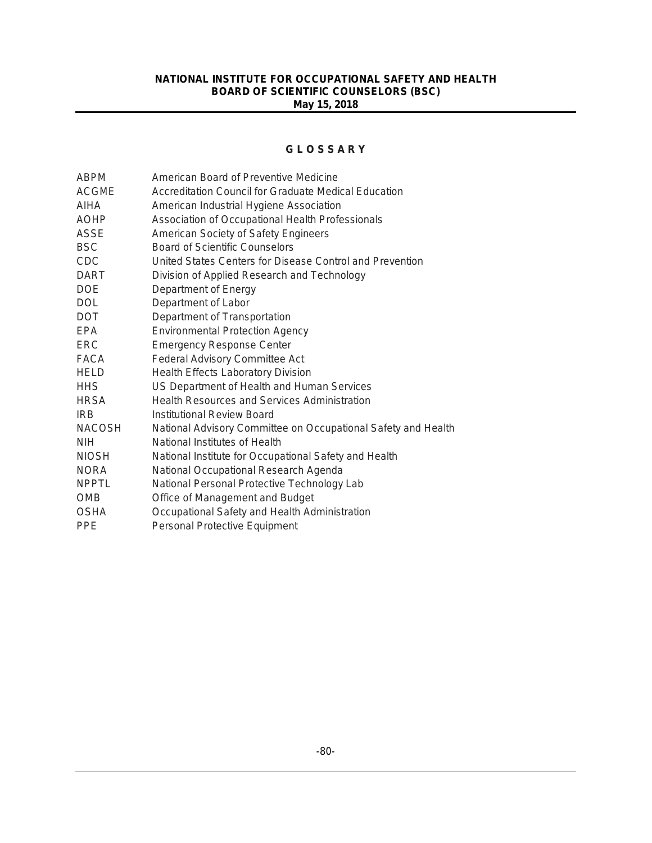#### **G L O S S A R Y**

| <b>ABPM</b>   | American Board of Preventive Medicine                         |  |  |
|---------------|---------------------------------------------------------------|--|--|
| <b>ACGME</b>  | Accreditation Council for Graduate Medical Education          |  |  |
| AIHA          | American Industrial Hygiene Association                       |  |  |
| <b>AOHP</b>   | Association of Occupational Health Professionals              |  |  |
| ASSE          | American Society of Safety Engineers                          |  |  |
| <b>BSC</b>    | <b>Board of Scientific Counselors</b>                         |  |  |
| <b>CDC</b>    | United States Centers for Disease Control and Prevention      |  |  |
| <b>DART</b>   | Division of Applied Research and Technology                   |  |  |
| <b>DOE</b>    | Department of Energy                                          |  |  |
| <b>DOL</b>    | Department of Labor                                           |  |  |
| <b>DOT</b>    | Department of Transportation                                  |  |  |
| EPA           | <b>Environmental Protection Agency</b>                        |  |  |
| <b>ERC</b>    | <b>Emergency Response Center</b>                              |  |  |
| FACA          | <b>Federal Advisory Committee Act</b>                         |  |  |
| <b>HELD</b>   | Health Effects Laboratory Division                            |  |  |
| <b>HHS</b>    | US Department of Health and Human Services                    |  |  |
| <b>HRSA</b>   | <b>Health Resources and Services Administration</b>           |  |  |
| <b>IRB</b>    | Institutional Review Board                                    |  |  |
| <b>NACOSH</b> | National Advisory Committee on Occupational Safety and Health |  |  |
| <b>NIH</b>    | National Institutes of Health                                 |  |  |
| <b>NIOSH</b>  | National Institute for Occupational Safety and Health         |  |  |
| <b>NORA</b>   | National Occupational Research Agenda                         |  |  |
| <b>NPPTL</b>  | National Personal Protective Technology Lab                   |  |  |
| <b>OMB</b>    | Office of Management and Budget                               |  |  |
| <b>OSHA</b>   | Occupational Safety and Health Administration                 |  |  |
| <b>PPE</b>    | Personal Protective Equipment                                 |  |  |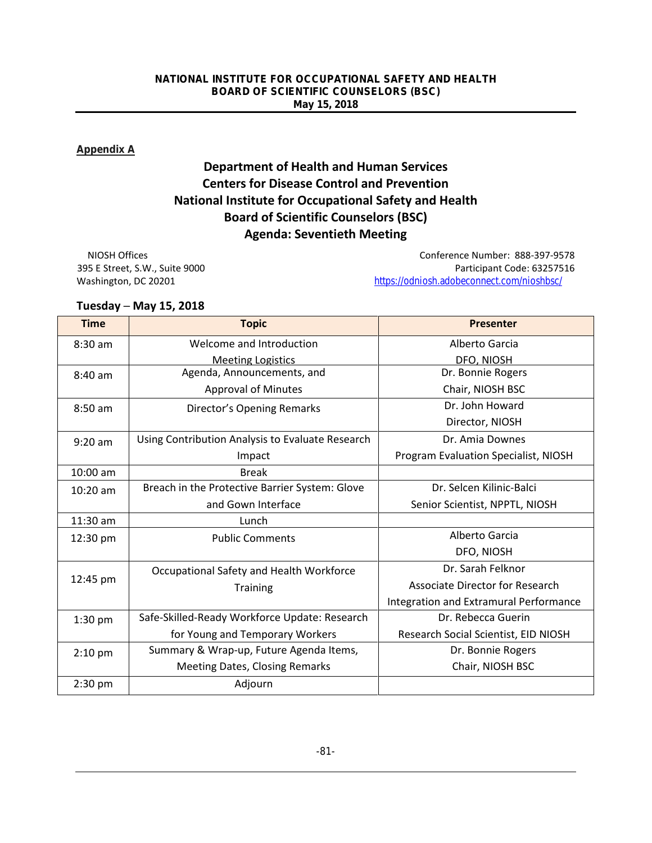#### **Appendix A**

# **Department of Health and Human Services Centers for Disease Control and Prevention National Institute for Occupational Safety and Health Board of Scientific Counselors (BSC) Agenda: Seventieth Meeting**

NIOSH Offices Conference Number: 888-397-9578 395 E Street, S.W., Suite 9000 Participant Code: 63257516 Washington, DC 20201 <https://odniosh.adobeconnect.com/nioshbsc/>

#### **Tuesday ─ May 15, 2018**

| <b>Time</b> | <b>Topic</b>                                     | <b>Presenter</b>                       |
|-------------|--------------------------------------------------|----------------------------------------|
| $8:30$ am   | Welcome and Introduction                         | Alberto Garcia                         |
|             | <b>Meeting Logistics</b>                         | DFO, NIOSH                             |
| $8:40$ am   | Agenda, Announcements, and                       | Dr. Bonnie Rogers                      |
|             | <b>Approval of Minutes</b>                       | Chair, NIOSH BSC                       |
| 8:50 am     | <b>Director's Opening Remarks</b>                | Dr. John Howard                        |
|             |                                                  | Director, NIOSH                        |
| $9:20$ am   | Using Contribution Analysis to Evaluate Research | Dr. Amia Downes                        |
|             | Impact                                           | Program Evaluation Specialist, NIOSH   |
| 10:00 am    | <b>Break</b>                                     |                                        |
| $10:20$ am  | Breach in the Protective Barrier System: Glove   | Dr. Selcen Kilinic-Balci               |
|             | and Gown Interface                               | Senior Scientist, NPPTL, NIOSH         |
| 11:30 am    | Lunch                                            |                                        |
| 12:30 pm    | <b>Public Comments</b>                           | Alberto Garcia                         |
|             |                                                  | DFO, NIOSH                             |
|             | Occupational Safety and Health Workforce         | Dr. Sarah Felknor                      |
| 12:45 pm    | <b>Training</b>                                  | <b>Associate Director for Research</b> |
|             |                                                  | Integration and Extramural Performance |
| 1:30 pm     | Safe-Skilled-Ready Workforce Update: Research    | Dr. Rebecca Guerin                     |
|             | for Young and Temporary Workers                  | Research Social Scientist, EID NIOSH   |
| $2:10$ pm   | Summary & Wrap-up, Future Agenda Items,          | Dr. Bonnie Rogers                      |
|             | <b>Meeting Dates, Closing Remarks</b>            | Chair, NIOSH BSC                       |
| 2:30 pm     | Adjourn                                          |                                        |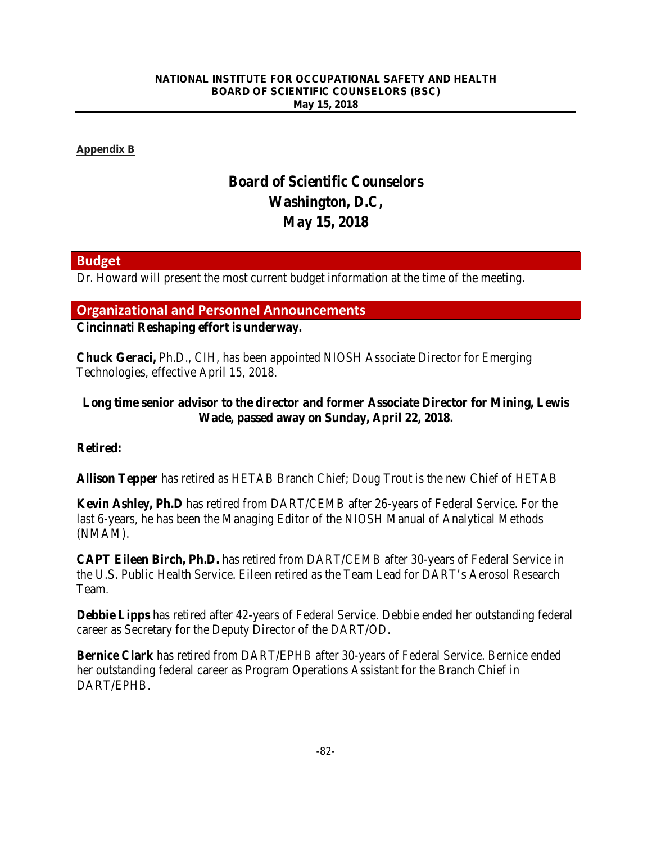**Appendix B**

# **Board of Scientific Counselors Washington, D.C, May 15, 2018**

# **Budget**

Dr. Howard will present the most current budget information at the time of the meeting.

# **Organizational and Personnel Announcements**

### **Cincinnati Reshaping effort is underway.**

**Chuck Geraci,** Ph.D., CIH, has been appointed NIOSH Associate Director for Emerging Technologies, effective April 15, 2018.

# **Long time senior advisor to the director and former Associate Director for Mining, Lewis Wade, passed away on Sunday, April 22, 2018.**

### **Retired:**

**Allison Tepper** has retired as HETAB Branch Chief; Doug Trout is the new Chief of HETAB

**Kevin Ashley, Ph.D** has retired from DART/CEMB after 26-years of Federal Service. For the last 6-years, he has been the Managing Editor of the NIOSH Manual of Analytical Methods (NMAM).

**CAPT Eileen Birch, Ph.D.** has retired from DART/CEMB after 30-years of Federal Service in the U.S. Public Health Service. Eileen retired as the Team Lead for DART's Aerosol Research Team.

**Debbie Lipps** has retired after 42-years of Federal Service. Debbie ended her outstanding federal career as Secretary for the Deputy Director of the DART/OD.

**Bernice Clark** has retired from DART/EPHB after 30-years of Federal Service. Bernice ended her outstanding federal career as Program Operations Assistant for the Branch Chief in DART/EPHB.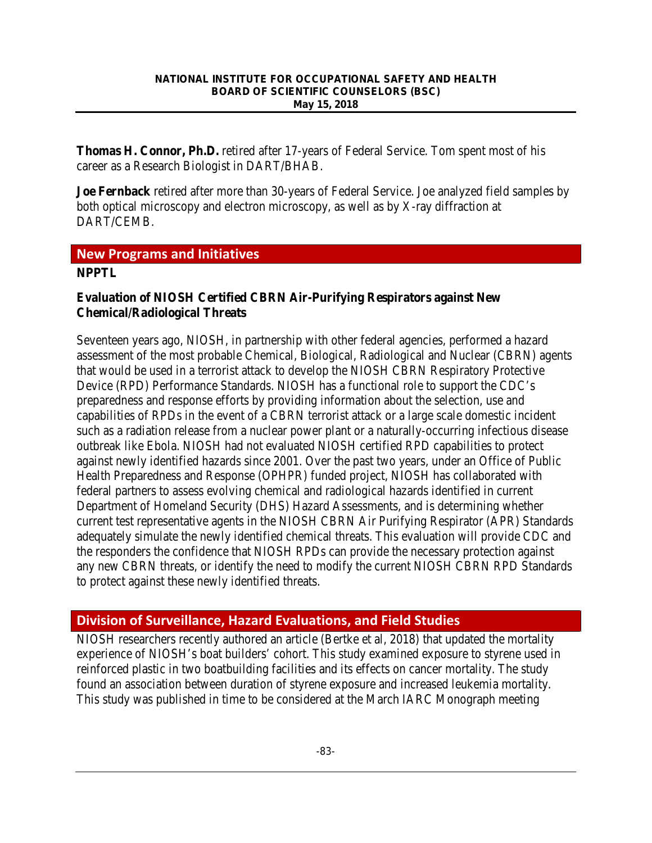**Thomas H. Connor, Ph.D.** retired after 17-years of Federal Service. Tom spent most of his career as a Research Biologist in DART/BHAB.

**Joe Fernback** retired after more than 30-years of Federal Service. Joe analyzed field samples by both optical microscopy and electron microscopy, as well as by X-ray diffraction at DART/CEMB.

# **New Programs and Initiatives**

### **NPPTL**

### **Evaluation of NIOSH Certified CBRN Air-Purifying Respirators against New Chemical/Radiological Threats**

Seventeen years ago, NIOSH, in partnership with other federal agencies, performed a hazard assessment of the most probable Chemical, Biological, Radiological and Nuclear (CBRN) agents that would be used in a terrorist attack to develop the NIOSH CBRN Respiratory Protective Device (RPD) Performance Standards. NIOSH has a functional role to support the CDC's preparedness and response efforts by providing information about the selection, use and capabilities of RPDs in the event of a CBRN terrorist attack or a large scale domestic incident such as a radiation release from a nuclear power plant or a naturally-occurring infectious disease outbreak like Ebola. NIOSH had not evaluated NIOSH certified RPD capabilities to protect against newly identified hazards since 2001. Over the past two years, under an Office of Public Health Preparedness and Response (OPHPR) funded project, NIOSH has collaborated with federal partners to assess evolving chemical and radiological hazards identified in current Department of Homeland Security (DHS) Hazard Assessments, and is determining whether current test representative agents in the NIOSH CBRN Air Purifying Respirator (APR) Standards adequately simulate the newly identified chemical threats. This evaluation will provide CDC and the responders the confidence that NIOSH RPDs can provide the necessary protection against any new CBRN threats, or identify the need to modify the current NIOSH CBRN RPD Standards to protect against these newly identified threats.

# **Division of Surveillance, Hazard Evaluations, and Field Studies**

NIOSH researchers recently authored an article (Bertke et al, 2018) that updated the mortality experience of NIOSH's boat builders' cohort. This study examined exposure to styrene used in reinforced plastic in two boatbuilding facilities and its effects on cancer mortality. The study found an association between duration of styrene exposure and increased leukemia mortality. This study was published in time to be considered at the March IARC Monograph meeting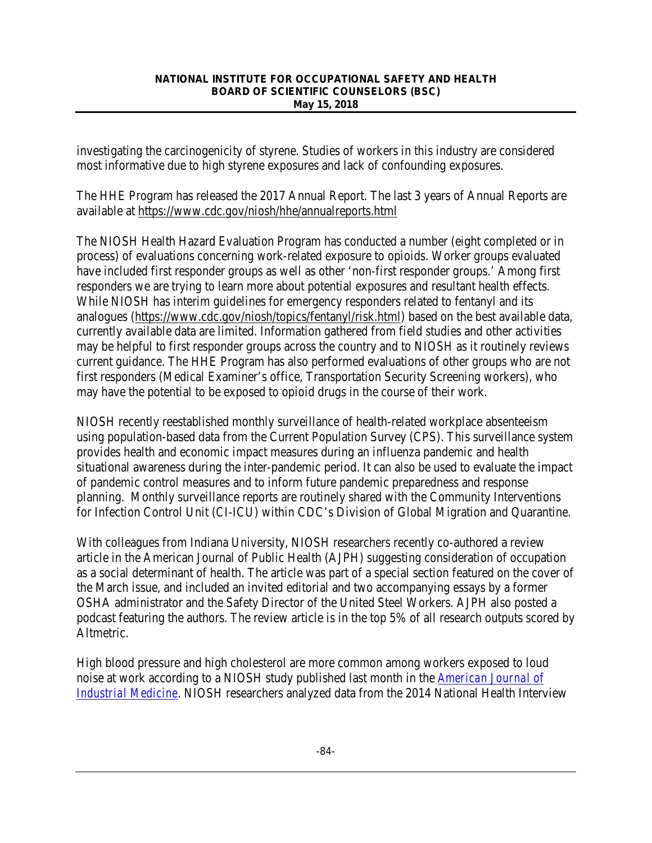investigating the carcinogenicity of styrene. Studies of workers in this industry are considered most informative due to high styrene exposures and lack of confounding exposures.

The HHE Program has released the 2017 Annual Report. The last 3 years of Annual Reports are available at<https://www.cdc.gov/niosh/hhe/annualreports.html>

The NIOSH Health Hazard Evaluation Program has conducted a number (eight completed or in process) of evaluations concerning work-related exposure to opioids. Worker groups evaluated have included first responder groups as well as other 'non-first responder groups.' Among first responders we are trying to learn more about potential exposures and resultant health effects. While NIOSH has interim guidelines for emergency responders related to fentanyl and its analogues [\(https://www.cdc.gov/niosh/topics/fentanyl/risk.html\)](https://www.cdc.gov/niosh/topics/fentanyl/risk.html) based on the best available data, currently available data are limited. Information gathered from field studies and other activities may be helpful to first responder groups across the country and to NIOSH as it routinely reviews current guidance. The HHE Program has also performed evaluations of other groups who are not first responders (Medical Examiner's office, Transportation Security Screening workers), who may have the potential to be exposed to opioid drugs in the course of their work.

NIOSH recently reestablished monthly surveillance of health-related workplace absenteeism using population-based data from the Current Population Survey (CPS). This surveillance system provides health and economic impact measures during an influenza pandemic and health situational awareness during the inter-pandemic period. It can also be used to evaluate the impact of pandemic control measures and to inform future pandemic preparedness and response planning. Monthly surveillance reports are routinely shared with the Community Interventions for Infection Control Unit (CI-ICU) within CDC's Division of Global Migration and Quarantine.

With colleagues from Indiana University, NIOSH researchers recently co-authored a review article in the American Journal of Public Health (AJPH) suggesting consideration of occupation as a social determinant of health. The article was part of a special section featured on the cover of the March issue, and included an invited editorial and two accompanying essays by a former OSHA administrator and the Safety Director of the United Steel Workers. AJPH also posted a podcast featuring the authors. The review article is in the top 5% of all research outputs scored by Altmetric.

High blood pressure and high cholesterol are more common among workers exposed to loud noise at work according to a NIOSH study published last month in the *[American Journal of](https://onlinelibrary.wiley.com/doi/full/10.1002/ajim.22833)  [Industrial Medicine](https://onlinelibrary.wiley.com/doi/full/10.1002/ajim.22833)*. NIOSH researchers analyzed data from the 2014 National Health Interview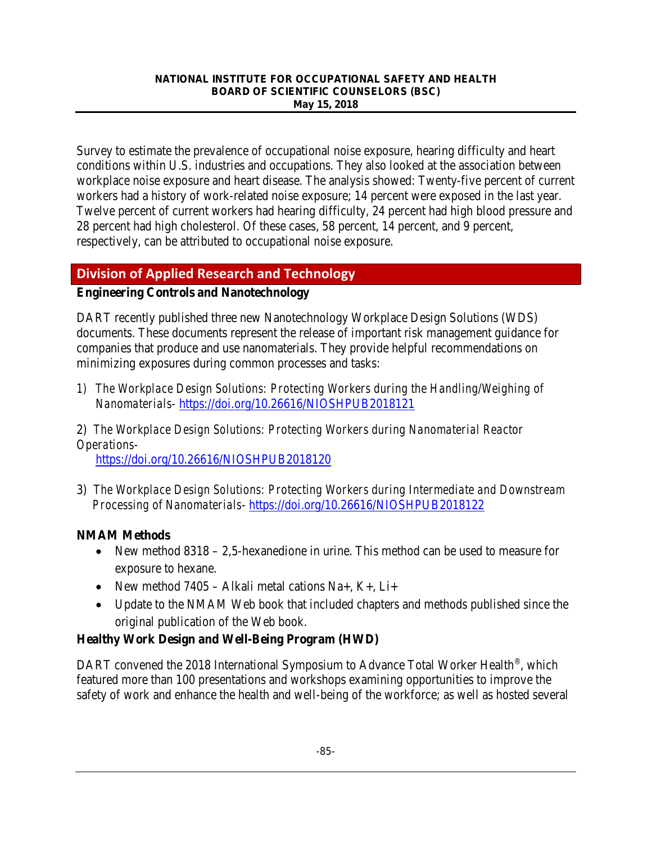Survey to estimate the prevalence of occupational noise exposure, hearing difficulty and heart conditions within U.S. industries and occupations. They also looked at the association between workplace noise exposure and heart disease. The analysis showed: Twenty-five percent of current workers had a history of work-related noise exposure; 14 percent were exposed in the last year. Twelve percent of current workers had hearing difficulty, 24 percent had high blood pressure and 28 percent had high cholesterol. Of these cases, 58 percent, 14 percent, and 9 percent, respectively, can be attributed to occupational noise exposure.

# **Division of Applied Research and Technology**

### **Engineering Controls and Nanotechnology**

DART recently published three new Nanotechnology Workplace Design Solutions (WDS) documents. These documents represent the release of important risk management guidance for companies that produce and use nanomaterials. They provide helpful recommendations on minimizing exposures during common processes and tasks:

*1) The Workplace Design Solutions: Protecting Workers during the Handling/Weighing of Nanomaterials-* <https://doi.org/10.26616/NIOSHPUB2018121>

2) *The Workplace Design Solutions: Protecting Workers during Nanomaterial Reactor Operations*-

<https://doi.org/10.26616/NIOSHPUB2018120>

3) *The Workplace Design Solutions: Protecting Workers during Intermediate and Downstream Processing of Nanomaterials*- <https://doi.org/10.26616/NIOSHPUB2018122>

### **NMAM Methods**

- New method 8318 2,5-hexanedione in urine. This method can be used to measure for exposure to hexane.
- New method  $7405 Alkali$  metal cations Na+, K+, Li+
- Update to the NMAM Web book that included chapters and methods published since the original publication of the Web book.

### **Healthy Work Design and Well-Being Program (HWD)**

DART convened the 2018 International Symposium to Advance Total Worker Health<sup>®</sup>, which featured more than 100 presentations and workshops examining opportunities to improve the safety of work and enhance the health and well-being of the workforce; as well as hosted several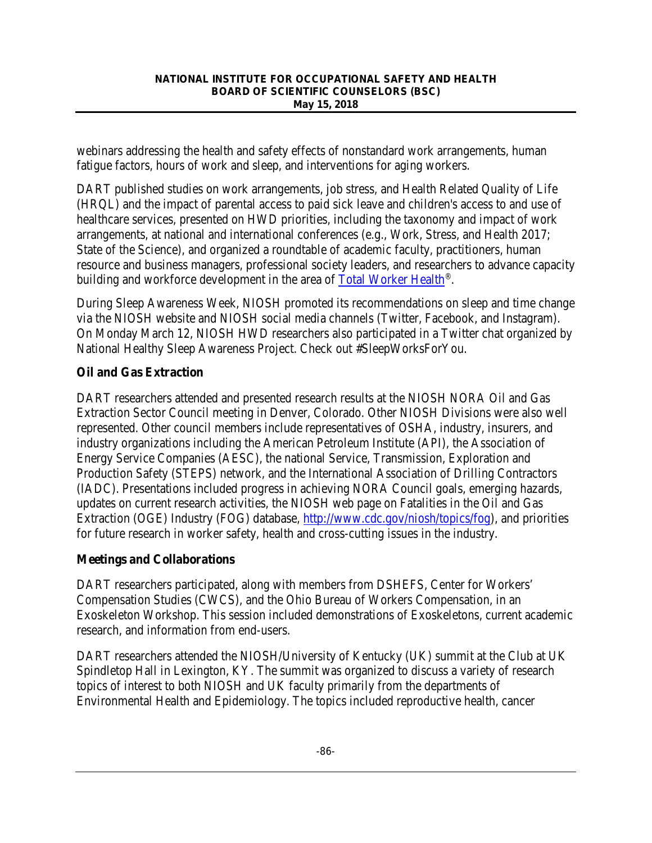webinars addressing the health and safety effects of nonstandard work arrangements, human fatigue factors, hours of work and sleep, and interventions for aging workers.

DART published studies on work arrangements, job stress, and Health Related Quality of Life (HRQL) and the impact of parental access to paid sick leave and children's access to and use of healthcare services, presented on HWD priorities, including the taxonomy and impact of work arrangements, at national and international conferences (e.g., Work, Stress, and Health 2017; State of the Science), and organized a roundtable of academic faculty, practitioners, human resource and business managers, professional society leaders, and researchers to advance capacity building and workforce development in the area of [Total Worker Health®](https://www.cdc.gov/NIOSH/twh/).

During Sleep Awareness Week, NIOSH promoted its recommendations on sleep and time change via the NIOSH website and NIOSH social media channels (Twitter, Facebook, and Instagram). On Monday March 12, NIOSH HWD researchers also participated in a Twitter chat organized by National Healthy Sleep Awareness Project. Check out #SleepWorksForYou.

# **Oil and Gas Extraction**

DART researchers attended and presented research results at the NIOSH NORA Oil and Gas Extraction Sector Council meeting in Denver, Colorado. Other NIOSH Divisions were also well represented. Other council members include representatives of OSHA, industry, insurers, and industry organizations including the American Petroleum Institute (API), the Association of Energy Service Companies (AESC), the national Service, Transmission, Exploration and Production Safety (STEPS) network, and the International Association of Drilling Contractors (IADC). Presentations included progress in achieving NORA Council goals, emerging hazards, updates on current research activities, the NIOSH web page on Fatalities in the Oil and Gas Extraction (OGE) Industry (FOG) database, [http://www.cdc.gov/niosh/topics/fog\)](http://www.cdc.gov/niosh/topics/fog), and priorities for future research in worker safety, health and cross-cutting issues in the industry.

### **Meetings and Collaborations**

DART researchers participated, along with members from DSHEFS, Center for Workers' Compensation Studies (CWCS), and the Ohio Bureau of Workers Compensation, in an Exoskeleton Workshop. This session included demonstrations of Exoskeletons, current academic research, and information from end-users.

DART researchers attended the NIOSH/University of Kentucky (UK) summit at the Club at UK Spindletop Hall in Lexington, KY. The summit was organized to discuss a variety of research topics of interest to both NIOSH and UK faculty primarily from the departments of Environmental Health and Epidemiology. The topics included reproductive health, cancer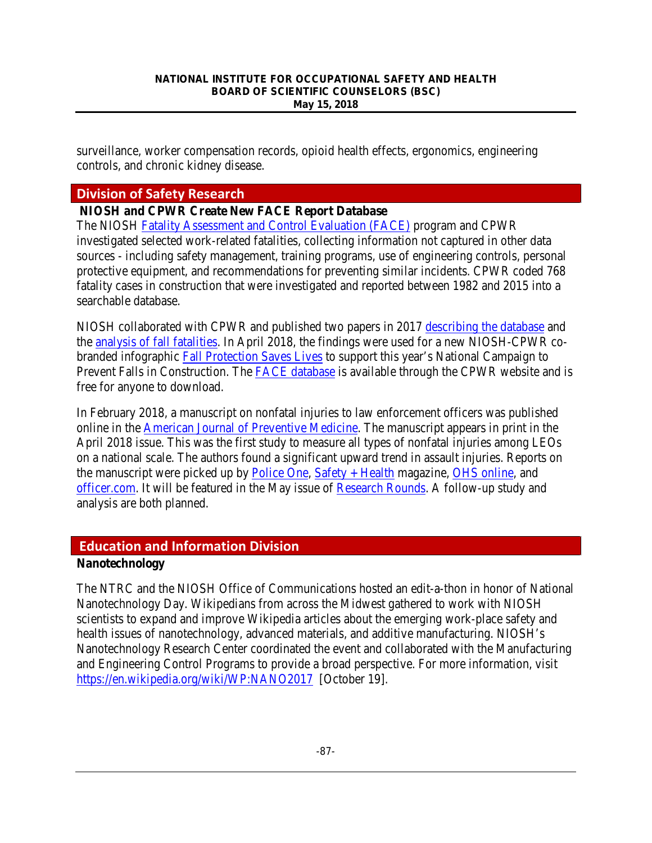surveillance, worker compensation records, opioid health effects, ergonomics, engineering controls, and chronic kidney disease.

# **Division of Safety Research**

### **NIOSH and CPWR Create New FACE Report Database**

The NIOSH [Fatality Assessment and Control Evaluation \(FACE\)](https://www.cdc.gov/niosh/face/) program and CPWR investigated selected work-related fatalities, collecting information not captured in other data sources - including safety management, training programs, use of engineering controls, personal protective equipment, and recommendations for preventing similar incidents. CPWR coded 768 fatality cases in construction that were investigated and reported between 1982 and 2015 into a searchable database.

NIOSH collaborated with CPWR and published two papers in 2017 [describing the database](https://www.sciencedirect.com/science/article/pii/S0022437516303991) and the [analysis of fall fatalities.](https://www.sciencedirect.com/science/article/pii/S0001457517300982) In April 2018, the findings were used for a new NIOSH-CPWR cobranded infographic [Fall Protection Saves Lives](https://www.cdc.gov/niosh/construction/pdfs/CPWR2018FallProtection.pdf) to support this year's National Campaign to Prevent Falls in Construction. The [FACE database](https://www.cpwr.com/research/construction-face-database) is available through the CPWR website and is free for anyone to download.

In February 2018, a manuscript on nonfatal injuries to law enforcement officers was published online in the [American Journal of Preventive Medicine.](http://www.ajpmonline.org/article/S0749-3797(17)30716-X/fulltext) The manuscript appears in print in the April 2018 issue. This was the first study to measure all types of nonfatal injuries among LEOs on a national scale. The authors found a significant upward trend in assault injuries. Reports on the manuscript were picked up b[y Police One,](https://www.policeone.com/Officer-Safety/articles/471606006-Research-review-Police-officer-nonfatal-injuries-on-the-rise/) [Safety + Health](http://www.safetyandhealthmagazine.com/articles/16858-assaults-leading-cause-of-injuries-among-law-enforcement-officers-niosh) magazine, [OHS online,](https://ohsonline.com/articles/2018/02/14/niosh-study-estimates.aspx) and [officer.com.](https://www.officer.com/tactical/tactical-medical/news/20993640/niosh-law-enforcement-officers-three-times-more-likely-to-be-injured-than-other-workers) It will be featured in the May issue of [Research Rounds.](https://www.cdc.gov/niosh/research-rounds/resroundsv1n10.html) A follow-up study and analysis are both planned.

# **Education and Information Division**

### **Nanotechnology**

The NTRC and the NIOSH Office of Communications hosted an edit-a-thon in honor of National Nanotechnology Day. Wikipedians from across the Midwest gathered to work with NIOSH scientists to expand and improve Wikipedia articles about the emerging work-place safety and health issues of nanotechnology, advanced materials, and additive manufacturing. NIOSH's Nanotechnology Research Center coordinated the event and collaborated with the Manufacturing and Engineering Control Programs to provide a broad perspective. For more information, visit <https://en.wikipedia.org/wiki/WP:NANO2017>[October 19].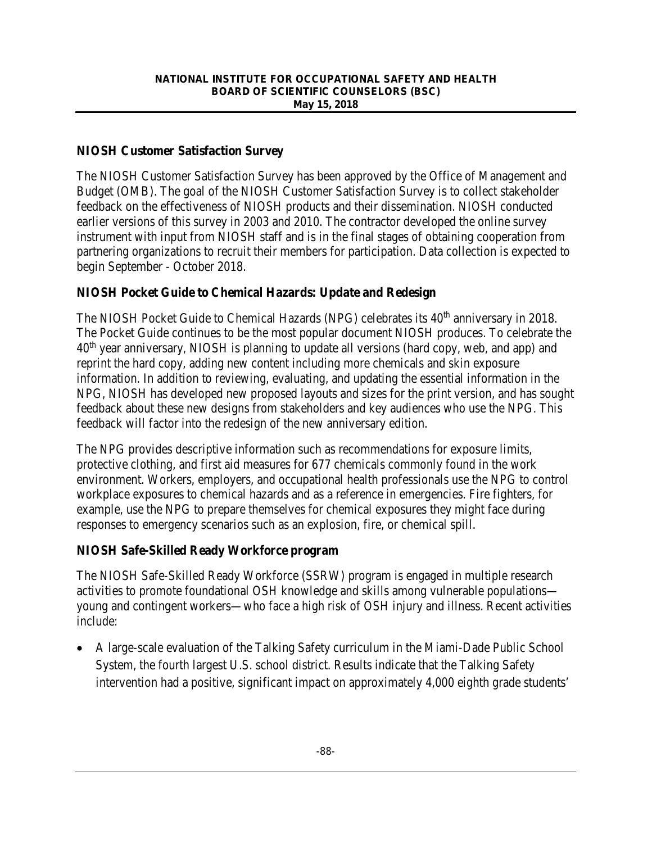# **NIOSH Customer Satisfaction Survey**

The NIOSH Customer Satisfaction Survey has been approved by the Office of Management and Budget (OMB). The goal of the NIOSH Customer Satisfaction Survey is to collect stakeholder feedback on the effectiveness of NIOSH products and their dissemination. NIOSH conducted earlier versions of this survey in 2003 and 2010. The contractor developed the online survey instrument with input from NIOSH staff and is in the final stages of obtaining cooperation from partnering organizations to recruit their members for participation. Data collection is expected to begin September - October 2018.

# **NIOSH Pocket Guide to Chemical Hazards: Update and Redesign**

The NIOSH Pocket [Guide to Chemical Hazards \(](http://www.cdc.gov/niosh/npg/)NPG) celebrates its  $40<sup>th</sup>$  anniversary in 2018. The Pocket Guide continues to be the most popular document NIOSH produces. To celebrate the 40th year anniversary, NIOSH is planning to update all versions (hard copy, web, and app) and reprint the hard copy, adding new content including more chemicals and skin exposure information. In addition to reviewing, evaluating, and updating the essential information in the NPG, NIOSH has developed new proposed layouts and sizes for the print version, and has sought feedback about these new designs from stakeholders and key audiences who use the NPG. This feedback will factor into the redesign of the new anniversary edition.

The NPG provides descriptive information such as recommendations for exposure limits, protective clothing, and first aid measures for 677 chemicals commonly found in the work environment. Workers, employers, and occupational health professionals use the NPG to control workplace exposures to chemical hazards and as a reference in emergencies. Fire fighters, for example, use the NPG to prepare themselves for chemical exposures they might face during responses to emergency scenarios such as an explosion, fire, or chemical spill.

### **NIOSH Safe-Skilled Ready Workforce program**

The NIOSH Safe-Skilled Ready Workforce (SSRW) program is engaged in multiple research activities to promote foundational OSH knowledge and skills among vulnerable populations young and contingent workers—who face a high risk of OSH injury and illness. Recent activities include:

• A large-scale evaluation of the Talking Safety curriculum in the Miami-Dade Public School System, the fourth largest U.S. school district. Results indicate that the Talking Safety intervention had a positive, significant impact on approximately 4,000 eighth grade students'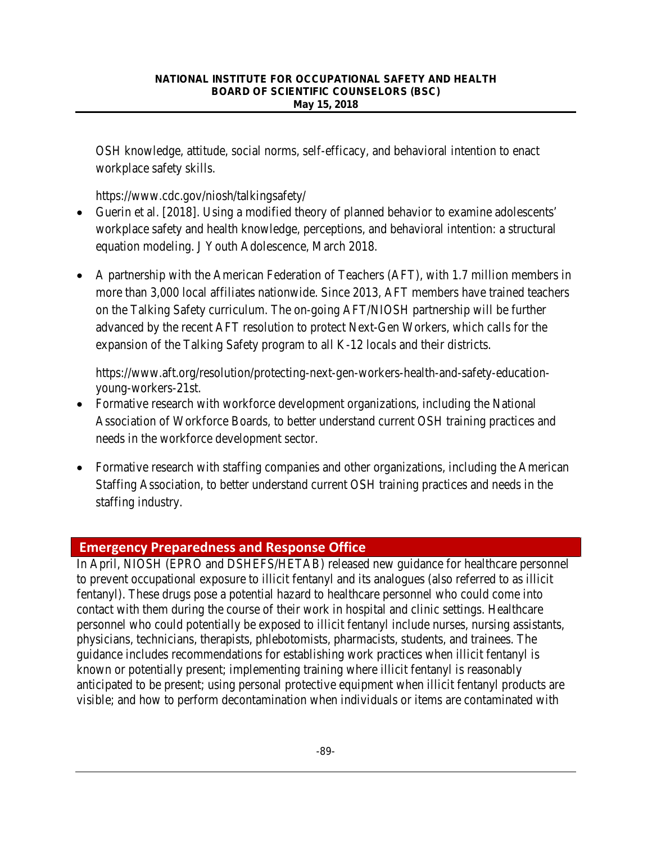OSH knowledge, attitude, social norms, self-efficacy, and behavioral intention to enact workplace safety skills.

<https://www.cdc.gov/niosh/talkingsafety/>

- Guerin et al. [2018]. Using a modified theory of planned behavior to examine adolescents' workplace safety and health knowledge, perceptions, and behavioral intention: a structural equation modeling. J Youth Adolescence, March 2018.
- A partnership with the American Federation of Teachers (AFT), with 1.7 million members in more than 3,000 local affiliates nationwide. Since 2013, AFT members have trained teachers on the Talking Safety curriculum. The on-going AFT/NIOSH partnership will be further advanced by the recent AFT resolution to protect Next-Gen Workers, which calls for the expansion of the Talking Safety program to all K-12 locals and their districts.

[https://www.aft.org/resolution/protecting-next-gen-workers-health-and-safety-education](https://www.aft.org/resolution/protecting-next-gen-workers-health-and-safety-education-young-workers-21st)[young-workers-21st.](https://www.aft.org/resolution/protecting-next-gen-workers-health-and-safety-education-young-workers-21st)

- Formative research with workforce development organizations, including the National Association of Workforce Boards, to better understand current OSH training practices and needs in the workforce development sector.
- Formative research with staffing companies and other organizations, including the American Staffing Association, to better understand current OSH training practices and needs in the staffing industry.

# **Emergency Preparedness and Response Office**

In April, NIOSH (EPRO and DSHEFS/HETAB) released new guidance for healthcare personnel to prevent occupational exposure to illicit fentanyl and its analogues (also referred to as illicit fentanyl). These drugs pose a potential hazard to healthcare personnel who could come into contact with them during the course of their work in hospital and clinic settings. Healthcare personnel who could potentially be exposed to illicit fentanyl include nurses, nursing assistants, physicians, technicians, therapists, phlebotomists, pharmacists, students, and trainees. The guidance includes recommendations for establishing work practices when illicit fentanyl is known or potentially present; implementing training where illicit fentanyl is reasonably anticipated to be present; using personal protective equipment when illicit fentanyl products are visible; and how to perform decontamination when individuals or items are contaminated with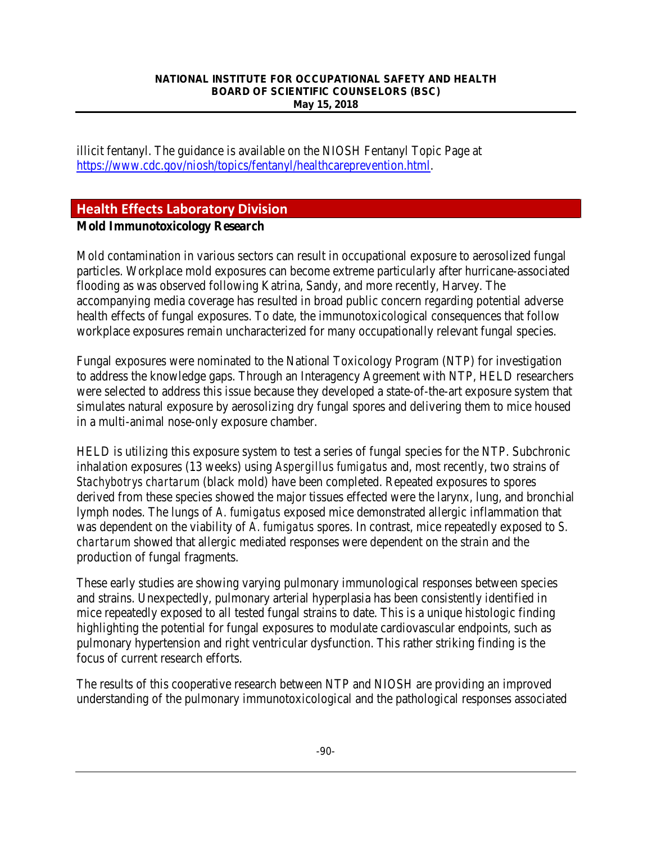illicit fentanyl. The guidance is available on the NIOSH Fentanyl Topic Page at [https://www.cdc.gov/niosh/topics/fentanyl/healthcareprevention.html.](https://www.cdc.gov/niosh/topics/fentanyl/healthcareprevention.html)

# **Health Effects Laboratory Division**

### **Mold Immunotoxicology Research**

Mold contamination in various sectors can result in occupational exposure to aerosolized fungal particles. Workplace mold exposures can become extreme particularly after hurricane-associated flooding as was observed following Katrina, Sandy, and more recently, Harvey. The accompanying media coverage has resulted in broad public concern regarding potential adverse health effects of fungal exposures. To date, the immunotoxicological consequences that follow workplace exposures remain uncharacterized for many occupationally relevant fungal species.

Fungal exposures were nominated to the National Toxicology Program (NTP) for investigation to address the knowledge gaps. Through an Interagency Agreement with NTP, HELD researchers were selected to address this issue because they developed a state-of-the-art exposure system that simulates natural exposure by aerosolizing dry fungal spores and delivering them to mice housed in a multi-animal nose-only exposure chamber.

HELD is utilizing this exposure system to test a series of fungal species for the NTP. Subchronic inhalation exposures (13 weeks) using *Aspergillus fumigatus* and, most recently, two strains of *Stachybotrys chartarum* (black mold) have been completed. Repeated exposures to spores derived from these species showed the major tissues effected were the larynx, lung, and bronchial lymph nodes. The lungs of *A. fumigatus* exposed mice demonstrated allergic inflammation that was dependent on the viability of *A. fumigatus* spores. In contrast, mice repeatedly exposed to *S. chartarum* showed that allergic mediated responses were dependent on the strain and the production of fungal fragments.

These early studies are showing varying pulmonary immunological responses between species and strains. Unexpectedly, pulmonary arterial hyperplasia has been consistently identified in mice repeatedly exposed to all tested fungal strains to date. This is a unique histologic finding highlighting the potential for fungal exposures to modulate cardiovascular endpoints, such as pulmonary hypertension and right ventricular dysfunction. This rather striking finding is the focus of current research efforts.

The results of this cooperative research between NTP and NIOSH are providing an improved understanding of the pulmonary immunotoxicological and the pathological responses associated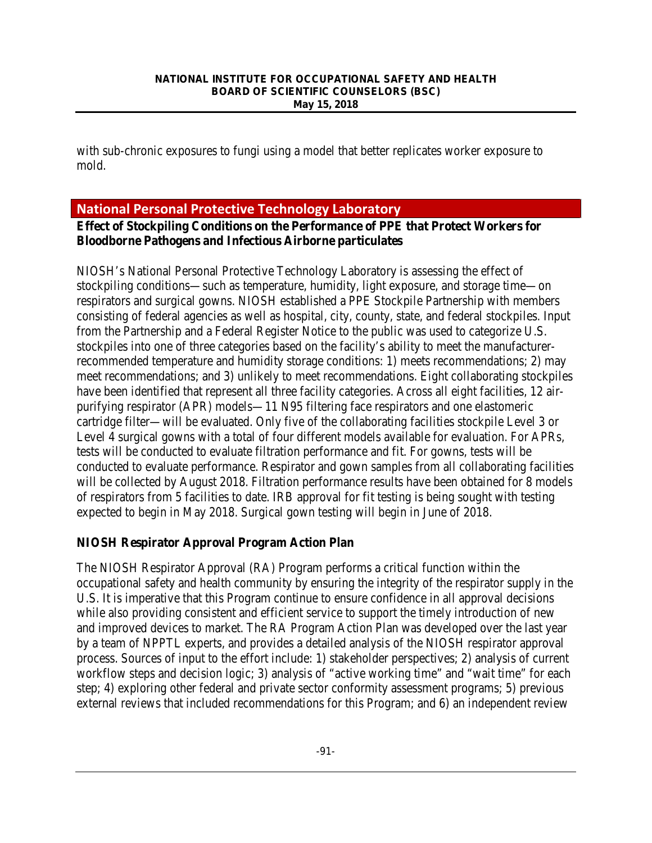with sub-chronic exposures to fungi using a model that better replicates worker exposure to mold.

# **National Personal Protective Technology Laboratory**

### **Effect of Stockpiling Conditions on the Performance of PPE that Protect Workers for Bloodborne Pathogens and Infectious Airborne particulates**

NIOSH's National Personal Protective Technology Laboratory is assessing the effect of stockpiling conditions—such as temperature, humidity, light exposure, and storage time—on respirators and surgical gowns. NIOSH established a PPE Stockpile Partnership with members consisting of federal agencies as well as hospital, city, county, state, and federal stockpiles. Input from the Partnership and a Federal Register Notice to the public was used to categorize U.S. stockpiles into one of three categories based on the facility's ability to meet the manufacturerrecommended temperature and humidity storage conditions: 1) meets recommendations; 2) may meet recommendations; and 3) unlikely to meet recommendations. Eight collaborating stockpiles have been identified that represent all three facility categories. Across all eight facilities, 12 airpurifying respirator (APR) models—11 N95 filtering face respirators and one elastomeric cartridge filter—will be evaluated. Only five of the collaborating facilities stockpile Level 3 or Level 4 surgical gowns with a total of four different models available for evaluation. For APRs, tests will be conducted to evaluate filtration performance and fit. For gowns, tests will be conducted to evaluate performance. Respirator and gown samples from all collaborating facilities will be collected by August 2018. Filtration performance results have been obtained for 8 models of respirators from 5 facilities to date. IRB approval for fit testing is being sought with testing expected to begin in May 2018. Surgical gown testing will begin in June of 2018.

### **NIOSH Respirator Approval Program Action Plan**

The NIOSH Respirator Approval (RA) Program performs a critical function within the occupational safety and health community by ensuring the integrity of the respirator supply in the U.S. It is imperative that this Program continue to ensure confidence in all approval decisions while also providing consistent and efficient service to support the timely introduction of new and improved devices to market. The RA Program Action Plan was developed over the last year by a team of NPPTL experts, and provides a detailed analysis of the NIOSH respirator approval process. Sources of input to the effort include: 1) stakeholder perspectives; 2) analysis of current workflow steps and decision logic; 3) analysis of "active working time" and "wait time" for each step; 4) exploring other federal and private sector conformity assessment programs; 5) previous external reviews that included recommendations for this Program; and 6) an independent review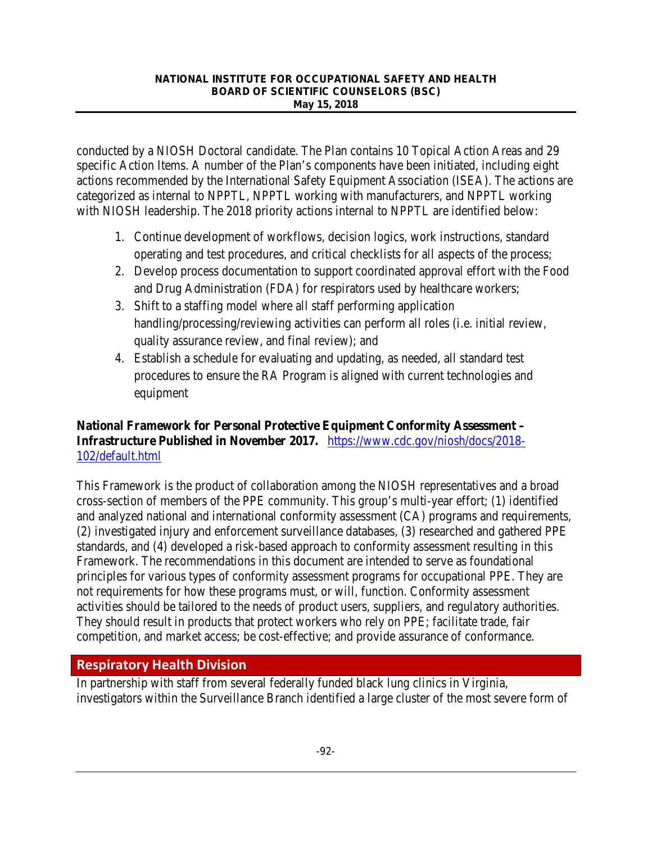conducted by a NIOSH Doctoral candidate. The Plan contains 10 Topical Action Areas and 29 specific Action Items. A number of the Plan's components have been initiated, including eight actions recommended by the International Safety Equipment Association (ISEA). The actions are categorized as internal to NPPTL, NPPTL working with manufacturers, and NPPTL working with NIOSH leadership. The 2018 priority actions internal to NPPTL are identified below:

- 1. Continue development of workflows, decision logics, work instructions, standard operating and test procedures, and critical checklists for all aspects of the process;
- 2. Develop process documentation to support coordinated approval effort with the Food and Drug Administration (FDA) for respirators used by healthcare workers;
- 3. Shift to a staffing model where all staff performing application handling/processing/reviewing activities can perform all roles (i.e. initial review, quality assurance review, and final review); and
- 4. Establish a schedule for evaluating and updating, as needed, all standard test procedures to ensure the RA Program is aligned with current technologies and equipment

# **National Framework for Personal Protective Equipment Conformity Assessment – Infrastructure Published in November 2017.** [https://www.cdc.gov/niosh/docs/2018-](https://www.cdc.gov/niosh/docs/2018-102/default.html) [102/default.html](https://www.cdc.gov/niosh/docs/2018-102/default.html)

This Framework is the product of collaboration among the NIOSH representatives and a broad cross-section of members of the PPE community. This group's multi-year effort; (1) identified and analyzed national and international conformity assessment (CA) programs and requirements, (2) investigated injury and enforcement surveillance databases, (3) researched and gathered PPE standards, and (4) developed a risk-based approach to conformity assessment resulting in this Framework. The recommendations in this document are intended to serve as foundational principles for various types of conformity assessment programs for occupational PPE. They are not requirements for how these programs must, or will, function. Conformity assessment activities should be tailored to the needs of product users, suppliers, and regulatory authorities. They should result in products that protect workers who rely on PPE; facilitate trade, fair competition, and market access; be cost-effective; and provide assurance of conformance.

# **Respiratory Health Division**

In partnership with staff from several federally funded black lung clinics in Virginia, investigators within the Surveillance Branch identified a large cluster of the most severe form of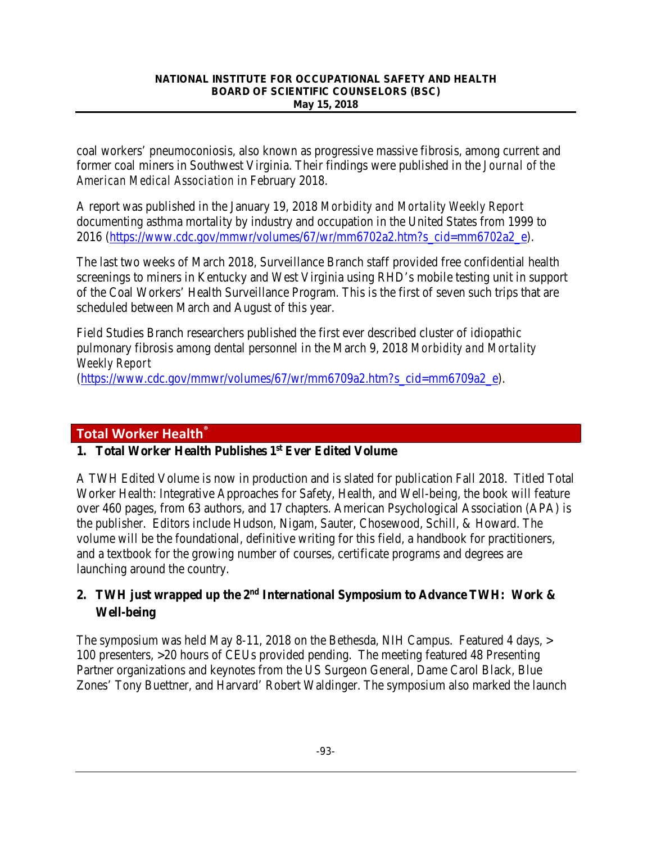coal workers' pneumoconiosis, also known as progressive massive fibrosis, among current and former coal miners in Southwest Virginia. Their findings were published in the *Journal of the American Medical Association* in February 2018.

A report was published in the January 19, 2018 *Morbidity and Mortality Weekly Report* documenting asthma mortality by industry and occupation in the United States from 1999 to 2016 [\(https://www.cdc.gov/mmwr/volumes/67/wr/mm6702a2.htm?s\\_cid=mm6702a2\\_e\)](https://www.cdc.gov/mmwr/volumes/67/wr/mm6702a2.htm?s_cid=mm6702a2_e).

The last two weeks of March 2018, Surveillance Branch staff provided free confidential health screenings to miners in Kentucky and West Virginia using RHD's mobile testing unit in support of the Coal Workers' Health Surveillance Program. This is the first of seven such trips that are scheduled between March and August of this year.

Field Studies Branch researchers published the first ever described cluster of idiopathic pulmonary fibrosis among dental personnel in the March 9, 2018 *Morbidity and Mortality Weekly Report*

[\(https://www.cdc.gov/mmwr/volumes/67/wr/mm6709a2.htm?s\\_cid=mm6709a2\\_e\)](https://www.cdc.gov/mmwr/volumes/67/wr/mm6709a2.htm?s_cid=mm6709a2_e).

# **Total Worker Health®**

### **1. Total Worker Health Publishes 1st Ever Edited Volume**

A TWH Edited Volume is now in production and is slated for publication Fall 2018. Titled Total Worker Health: Integrative Approaches for Safety, Health, and Well-being, the book will feature over 460 pages, from 63 authors, and 17 chapters. American Psychological Association (APA) is the publisher. Editors include Hudson, Nigam, Sauter, Chosewood, Schill, & Howard. The volume will be the foundational, definitive writing for this field, a handbook for practitioners, and a textbook for the growing number of courses, certificate programs and degrees are launching around the country.

# **2. TWH just wrapped up the 2nd International Symposium to Advance TWH: Work & Well-being**

The symposium was held May 8-11, 2018 on the Bethesda, NIH Campus. Featured 4 days, > 100 presenters, >20 hours of CEUs provided pending. The meeting featured 48 Presenting Partner organizations and keynotes from the US Surgeon General, Dame Carol Black, Blue Zones' Tony Buettner, and Harvard' Robert Waldinger. The symposium also marked the launch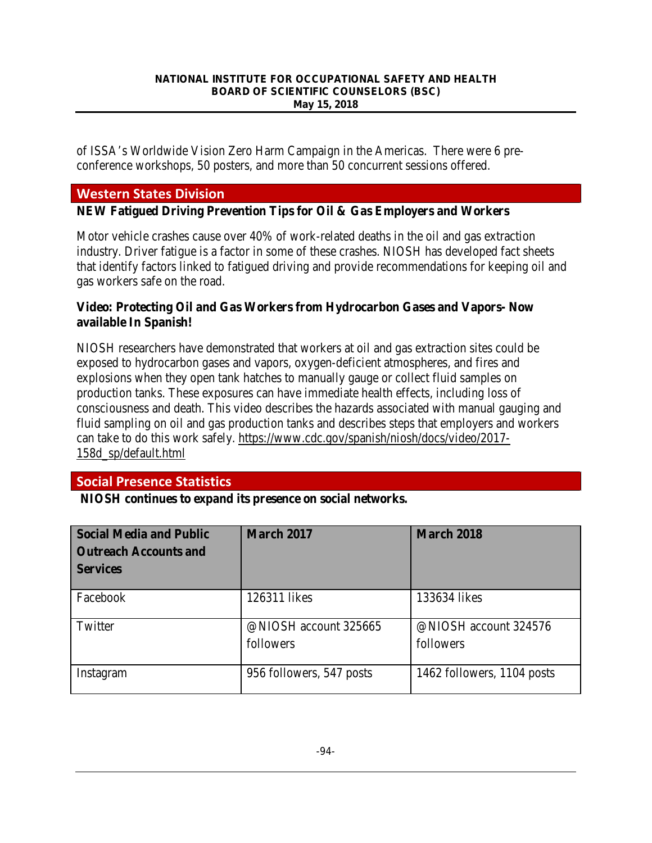of ISSA's Worldwide Vision Zero Harm Campaign in the Americas. There were 6 preconference workshops, 50 posters, and more than 50 concurrent sessions offered.

# **Western States Division**

**NEW Fatigued Driving Prevention Tips for Oil & Gas Employers and Workers**

Motor vehicle crashes cause over 40% of work-related deaths in the oil and gas extraction industry. Driver fatigue is a factor in some of these crashes. NIOSH has developed fact sheets that identify factors linked to fatigued driving and provide recommendations for keeping oil and gas workers safe on the road.

### **Video: Protecting Oil and Gas Workers from Hydrocarbon Gases and Vapors- Now available In Spanish!**

NIOSH researchers have demonstrated that workers at oil and gas extraction sites could be exposed to hydrocarbon gases and vapors, oxygen-deficient atmospheres, and fires and explosions when they open tank hatches to manually gauge or collect fluid samples on production tanks. These exposures can have immediate health effects, including loss of consciousness and death. This video describes the hazards associated with manual gauging and fluid sampling on oil and gas production tanks and describes steps that employers and workers can take to do this work safely. [https://www.cdc.gov/spanish/niosh/docs/video/2017-](https://www.cdc.gov/spanish/niosh/docs/video/2017-158d_sp/default.html) [158d\\_sp/default.html](https://www.cdc.gov/spanish/niosh/docs/video/2017-158d_sp/default.html) 

# **Social Presence Statistics**

**NIOSH continues to expand its presence on social networks***.* 

| <b>Social Media and Public</b><br><b>Outreach Accounts and</b><br><b>Services</b> | <b>March 2017</b>                  | <b>March 2018</b>                  |
|-----------------------------------------------------------------------------------|------------------------------------|------------------------------------|
| Facebook                                                                          | 126311 likes                       | 133634 likes                       |
| Twitter                                                                           | @NIOSH account 325665<br>followers | @NIOSH account 324576<br>followers |
| Instagram                                                                         | 956 followers, 547 posts           | 1462 followers, 1104 posts         |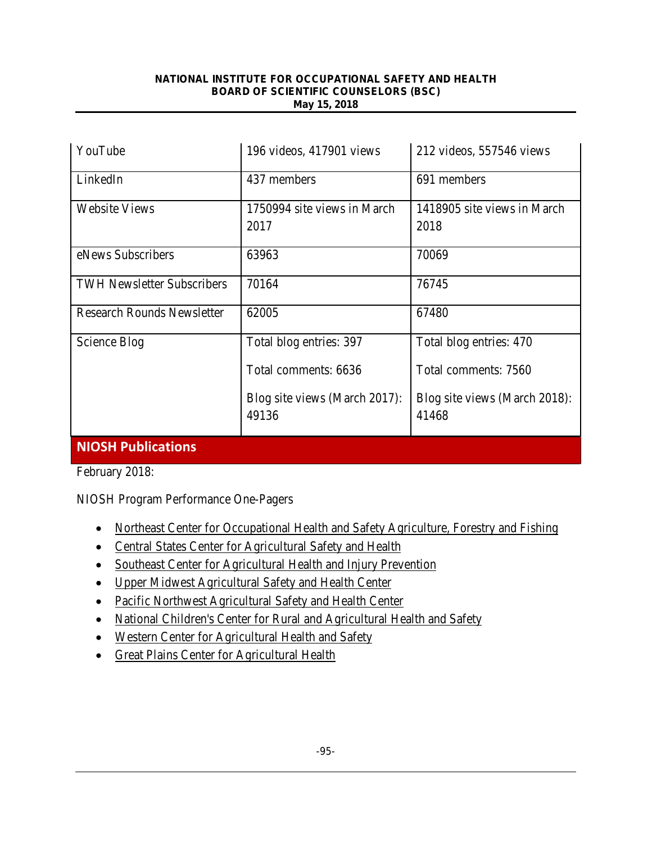| YouTube                           | 196 videos, 417901 views      | 212 videos, 557546 views      |
|-----------------------------------|-------------------------------|-------------------------------|
| LinkedIn                          | 437 members                   | 691 members                   |
| <b>Website Views</b>              | 1750994 site views in March   | 1418905 site views in March   |
|                                   | 2017                          | 2018                          |
| eNews Subscribers                 | 63963                         | 70069                         |
| <b>TWH Newsletter Subscribers</b> | 70164                         | 76745                         |
| <b>Research Rounds Newsletter</b> | 62005                         | 67480                         |
| Science Blog                      | Total blog entries: 397       | Total blog entries: 470       |
|                                   | Total comments: 6636          | Total comments: 7560          |
|                                   | Blog site views (March 2017): | Blog site views (March 2018): |
|                                   | 49136                         | 41468                         |
| <b>NIOSH Publications</b>         |                               |                               |

February 2018:

NIOSH Program Performance One-Pagers

- [Northeast Center for Occupational Health and Safety Agriculture, Forestry and Fishing](https://www.cdc.gov/niosh/docs/2018-119/default.html)
- [Central States Center for Agricultural Safety and Health](https://www.cdc.gov/niosh/docs/2018-118/default.html)
- [Southeast Center for Agricultural Health and Injury Prevention](https://www.cdc.gov/niosh/docs/2018-114/default.html)
- [Upper Midwest Agricultural Safety and Health Center](https://www.cdc.gov/niosh/docs/2018-113/default.html)
- [Pacific Northwest Agricultural Safety and Health Center](https://www.cdc.gov/niosh/docs/2018-112/default.html)
- [National Children's Center for Rural and Agricultural Health and Safety](https://www.cdc.gov/niosh/docs/2018-111/default.html)
- [Western Center for Agricultural Health and Safety](https://www.cdc.gov/niosh/docs/2018-110/default.html)
- [Great Plains Center for Agricultural Health](https://www.cdc.gov/niosh/docs/2018-109/default.html)